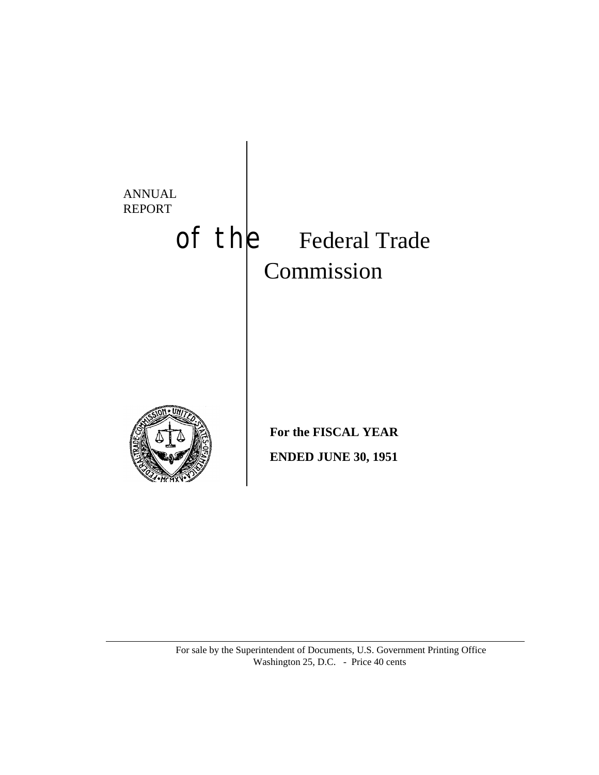ANNUAL REPORT

## of the Federal Trade Commission



**For the FISCAL YEAR ENDED JUNE 30, 1951**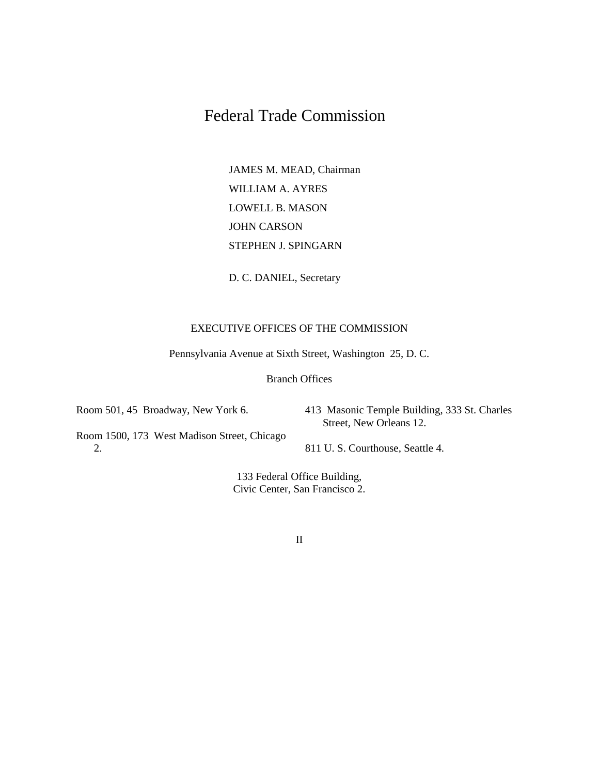### Federal Trade Commission

JAMES M. MEAD, Chairman WILLIAM A. AYRES LOWELL B. MASON JOHN CARSON STEPHEN J. SPINGARN

D. C. DANIEL, Secretary

#### EXECUTIVE OFFICES OF THE COMMISSION

#### Pennsylvania Avenue at Sixth Street, Washington 25, D. C.

#### Branch Offices

Room 501, 45 Broadway, New York 6.

413 Masonic Temple Building, 333 St. Charles Street, New Orleans 12.

Room 1500, 173 West Madison Street, Chicago 2.

811 U. S. Courthouse, Seattle 4.

133 Federal Office Building, Civic Center, San Francisco 2.

II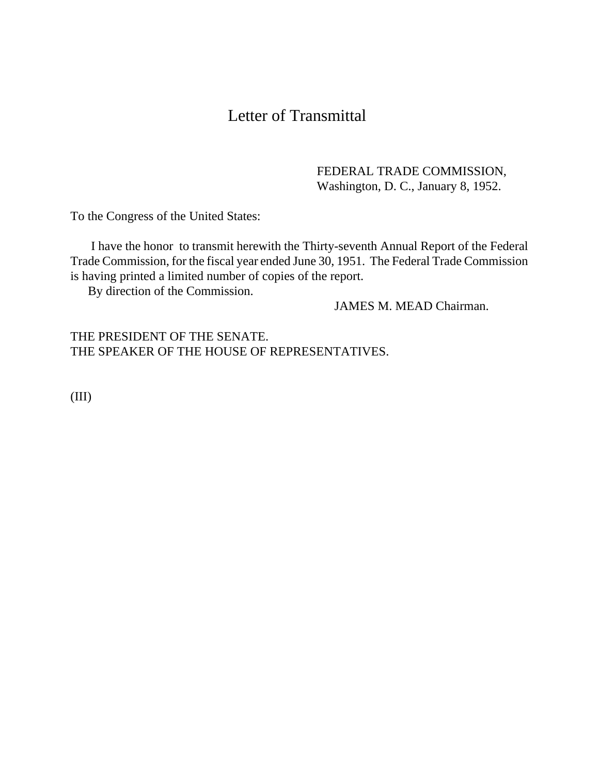## Letter of Transmittal

FEDERAL TRADE COMMISSION, Washington, D. C., January 8, 1952.

To the Congress of the United States:

I have the honor to transmit herewith the Thirty-seventh Annual Report of the Federal Trade Commission, for the fiscal year ended June 30, 1951. The Federal Trade Commission is having printed a limited number of copies of the report.

By direction of the Commission.

JAMES M. MEAD Chairman.

THE PRESIDENT OF THE SENATE. THE SPEAKER OF THE HOUSE OF REPRESENTATIVES.

(III)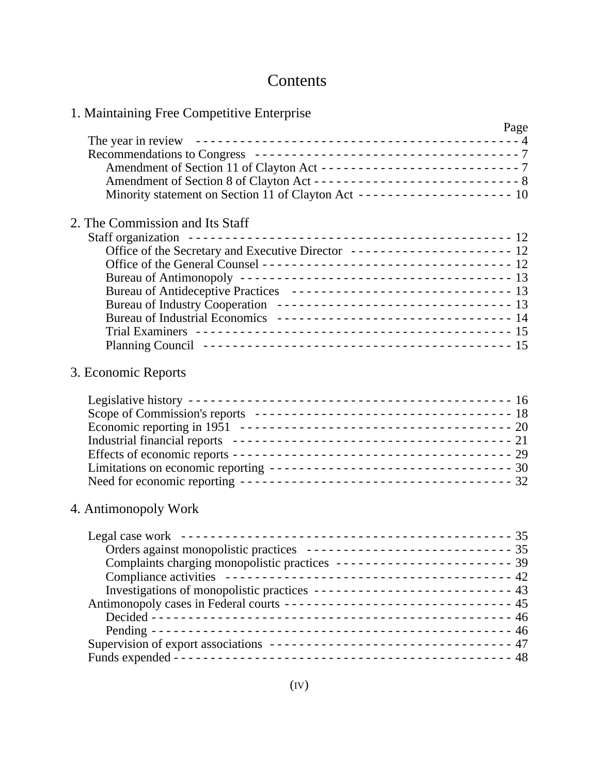## Contents

| 1. Maintaining Free Competitive Enterprise                              |      |
|-------------------------------------------------------------------------|------|
|                                                                         | Page |
|                                                                         |      |
|                                                                         |      |
|                                                                         |      |
| Amendment of Section 8 of Clayton Act ---------------------------- 8    |      |
| Minority statement on Section 11 of Clayton Act ------------------- 10  |      |
| 2. The Commission and Its Staff                                         |      |
|                                                                         |      |
| Office of the Secretary and Executive Director --------------------- 12 |      |
|                                                                         |      |
|                                                                         |      |
| Bureau of Antideceptive Practices ------------------------------ 13     |      |
| Bureau of Industry Cooperation ---------------------------------- 13    |      |
| Bureau of Industrial Economics ---------------------------------- 14    |      |
|                                                                         |      |
|                                                                         |      |
| 3. Economic Reports                                                     |      |
|                                                                         |      |
|                                                                         |      |
|                                                                         |      |
|                                                                         |      |
|                                                                         |      |
| Limitations on economic reporting --------------------------------- 30  |      |
|                                                                         |      |
| 4. Antimonopoly Work                                                    |      |
|                                                                         |      |
| Orders against monopolistic practices ----------------------------- 35  |      |
| Complaints charging monopolistic practices ---------------------- 39    |      |
|                                                                         |      |
| Investigations of monopolistic practices -------------------------- 43  |      |
| Antimonopoly cases in Federal courts ------------------------------- 45 |      |
|                                                                         |      |
|                                                                         |      |
| Supervision of export associations --------------------------------- 47 |      |
|                                                                         |      |
|                                                                         |      |
| (IV)                                                                    |      |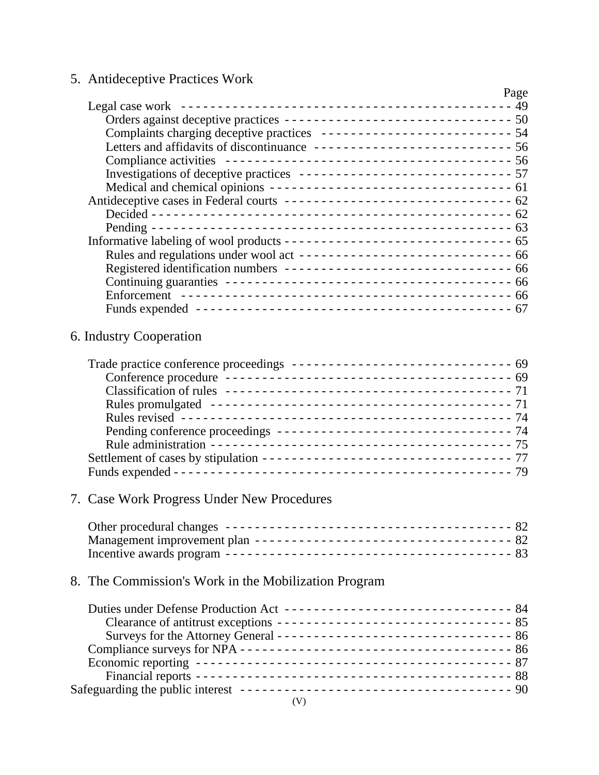## 5. Antideceptive Practices Work

|  |                                                                          | Page |
|--|--------------------------------------------------------------------------|------|
|  |                                                                          |      |
|  | Orders against deceptive practices ------------------------------ 50     |      |
|  | Complaints charging deceptive practices ------------------------- 54     |      |
|  | Letters and affidavits of discontinuance ------------------------- 56    |      |
|  | Investigations of deceptive practices ---------------------------- 57    |      |
|  | Medical and chemical opinions ----------------------------------- 61     |      |
|  | Antideceptive cases in Federal courts ------------------------------- 62 |      |
|  |                                                                          |      |
|  |                                                                          |      |
|  | Informative labeling of wool products ------------------------------ 65  |      |
|  | Rules and regulations under wool act ---------------------------- 66     |      |
|  | Registered identification numbers ------------------------------- 66     |      |
|  |                                                                          |      |
|  |                                                                          |      |
|  |                                                                          |      |
|  | 6. Industry Cooperation                                                  |      |
|  | Trade practice conference proceedings ----------------------------- 69   |      |
|  |                                                                          |      |
|  |                                                                          |      |
|  |                                                                          |      |
|  |                                                                          |      |
|  | Pending conference proceedings ------------------------------ 74         |      |
|  |                                                                          |      |
|  | Settlement of cases by stipulation ---------------------------------- 77 |      |
|  |                                                                          |      |
|  | 7. Case Work Progress Under New Procedures                               |      |
|  |                                                                          |      |
|  | Management improvement plan ----------------------------------- 82       |      |
|  |                                                                          |      |
|  | 8. The Commission's Work in the Mobilization Program                     |      |
|  | Duties under Defense Production Act ------------------------------- 84   |      |
|  | Clearance of antitrust exceptions -------------------------------- 85    |      |
|  | Surveys for the Attorney General ------------------------------- 86      |      |
|  |                                                                          |      |
|  |                                                                          |      |
|  |                                                                          |      |
|  |                                                                          |      |
|  | (V)                                                                      |      |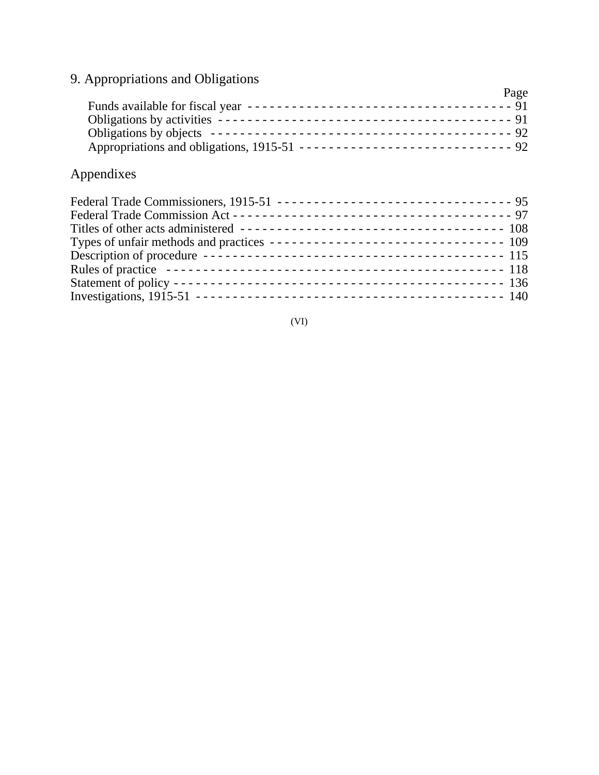## 9. Appropriations and Obligations

|  | Page |
|--|------|
|  |      |
|  |      |
|  |      |
|  |      |

## Appendixes

#### (VI)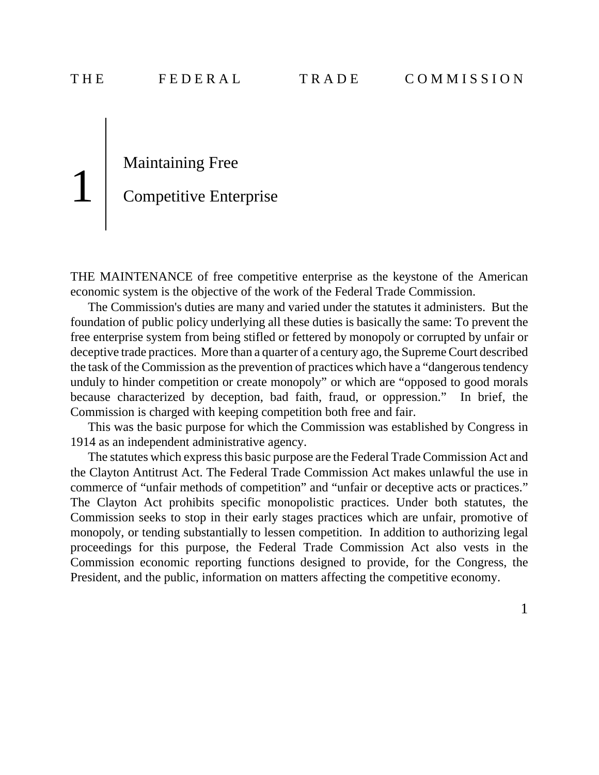# Maintaining Free 1 Competitive Enterprise

THE MAINTENANCE of free competitive enterprise as the keystone of the American economic system is the objective of the work of the Federal Trade Commission.

The Commission's duties are many and varied under the statutes it administers. But the foundation of public policy underlying all these duties is basically the same: To prevent the free enterprise system from being stifled or fettered by monopoly or corrupted by unfair or deceptive trade practices. More than a quarter of a century ago, the Supreme Court described the task of the Commission asthe prevention of practices which have a "dangeroustendency unduly to hinder competition or create monopoly" or which are "opposed to good morals because characterized by deception, bad faith, fraud, or oppression." In brief, the Commission is charged with keeping competition both free and fair.

This was the basic purpose for which the Commission was established by Congress in 1914 as an independent administrative agency.

The statutes which express this basic purpose are the Federal Trade Commission Act and the Clayton Antitrust Act. The Federal Trade Commission Act makes unlawful the use in commerce of "unfair methods of competition" and "unfair or deceptive acts or practices." The Clayton Act prohibits specific monopolistic practices. Under both statutes, the Commission seeks to stop in their early stages practices which are unfair, promotive of monopoly, or tending substantially to lessen competition. In addition to authorizing legal proceedings for this purpose, the Federal Trade Commission Act also vests in the Commission economic reporting functions designed to provide, for the Congress, the President, and the public, information on matters affecting the competitive economy.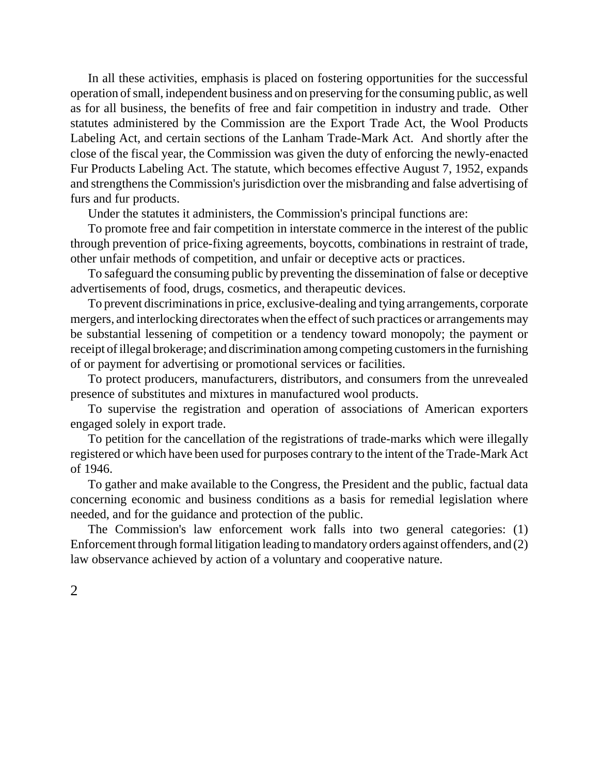In all these activities, emphasis is placed on fostering opportunities for the successful operation ofsmall, independent business and on preserving forthe consuming public, as well as for all business, the benefits of free and fair competition in industry and trade. Other statutes administered by the Commission are the Export Trade Act, the Wool Products Labeling Act, and certain sections of the Lanham Trade-Mark Act. And shortly after the close of the fiscal year, the Commission was given the duty of enforcing the newly-enacted Fur Products Labeling Act. The statute, which becomes effective August 7, 1952, expands and strengthens the Commission's jurisdiction over the misbranding and false advertising of furs and fur products.

Under the statutes it administers, the Commission's principal functions are:

To promote free and fair competition in interstate commerce in the interest of the public through prevention of price-fixing agreements, boycotts, combinations in restraint of trade, other unfair methods of competition, and unfair or deceptive acts or practices.

To safeguard the consuming public by preventing the dissemination of false or deceptive advertisements of food, drugs, cosmetics, and therapeutic devices.

To prevent discriminations in price, exclusive-dealing and tying arrangements, corporate mergers, and interlocking directorates when the effect of such practices or arrangements may be substantial lessening of competition or a tendency toward monopoly; the payment or receipt of illegal brokerage; and discrimination among competing customers in the furnishing of or payment for advertising or promotional services or facilities.

To protect producers, manufacturers, distributors, and consumers from the unrevealed presence of substitutes and mixtures in manufactured wool products.

To supervise the registration and operation of associations of American exporters engaged solely in export trade.

To petition for the cancellation of the registrations of trade-marks which were illegally registered or which have been used for purposes contrary to the intent of the Trade-Mark Act of 1946.

To gather and make available to the Congress, the President and the public, factual data concerning economic and business conditions as a basis for remedial legislation where needed, and for the guidance and protection of the public.

The Commission's law enforcement work falls into two general categories: (1) Enforcement through formal litigation leading to mandatory orders against offenders, and (2) law observance achieved by action of a voluntary and cooperative nature.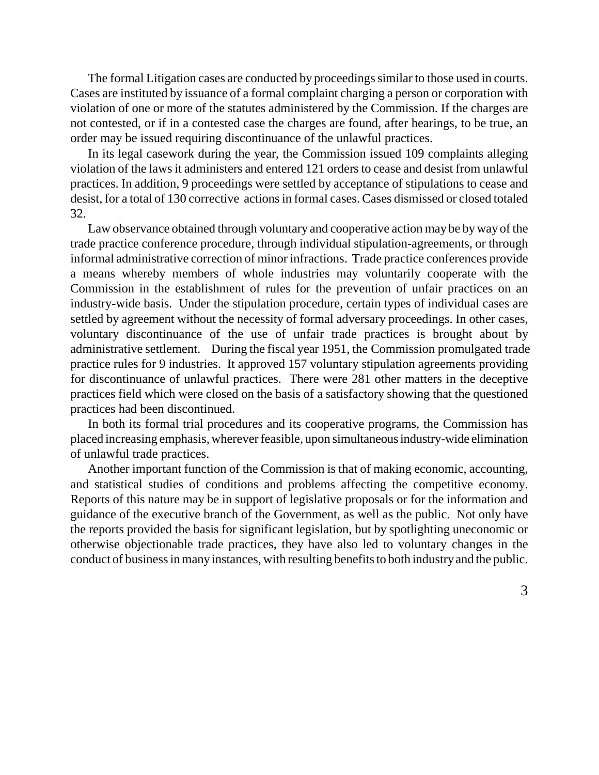The formal Litigation cases are conducted by proceedings similar to those used in courts. Cases are instituted by issuance of a formal complaint charging a person or corporation with violation of one or more of the statutes administered by the Commission. If the charges are not contested, or if in a contested case the charges are found, after hearings, to be true, an order may be issued requiring discontinuance of the unlawful practices.

In its legal casework during the year, the Commission issued 109 complaints alleging violation of the laws it administers and entered 121 orders to cease and desist from unlawful practices. In addition, 9 proceedings were settled by acceptance of stipulations to cease and desist, for a total of 130 corrective actions in formal cases. Cases dismissed or closed totaled 32.

Law observance obtained through voluntary and cooperative action may be by way of the trade practice conference procedure, through individual stipulation-agreements, or through informal administrative correction of minor infractions. Trade practice conferences provide a means whereby members of whole industries may voluntarily cooperate with the Commission in the establishment of rules for the prevention of unfair practices on an industry-wide basis. Under the stipulation procedure, certain types of individual cases are settled by agreement without the necessity of formal adversary proceedings. In other cases, voluntary discontinuance of the use of unfair trade practices is brought about by administrative settlement. During the fiscal year 1951, the Commission promulgated trade practice rules for 9 industries. It approved 157 voluntary stipulation agreements providing for discontinuance of unlawful practices. There were 281 other matters in the deceptive practices field which were closed on the basis of a satisfactory showing that the questioned practices had been discontinued.

In both its formal trial procedures and its cooperative programs, the Commission has placed increasing emphasis, whereverfeasible, upon simultaneous industry-wide elimination of unlawful trade practices.

Another important function of the Commission is that of making economic, accounting, and statistical studies of conditions and problems affecting the competitive economy. Reports of this nature may be in support of legislative proposals or for the information and guidance of the executive branch of the Government, as well as the public. Not only have the reports provided the basis for significant legislation, but by spotlighting uneconomic or otherwise objectionable trade practices, they have also led to voluntary changes in the conduct of business in many instances, with resulting benefits to both industry and the public.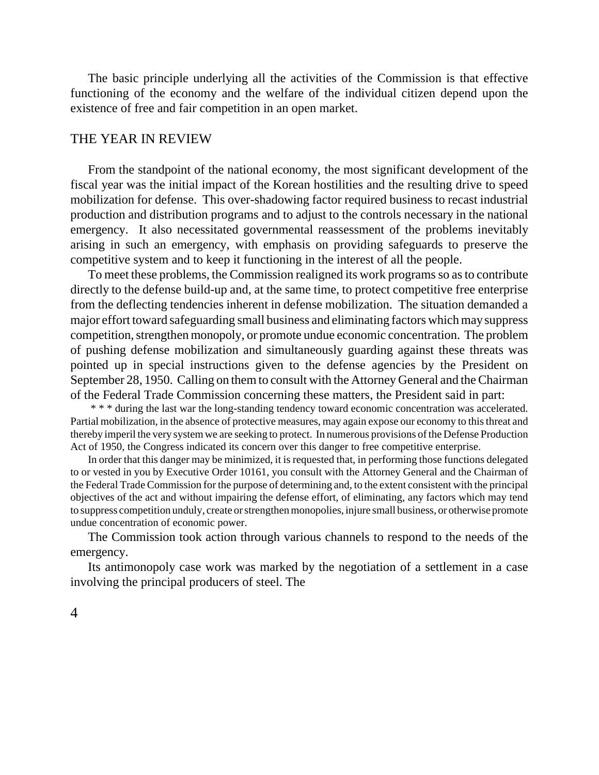The basic principle underlying all the activities of the Commission is that effective functioning of the economy and the welfare of the individual citizen depend upon the existence of free and fair competition in an open market.

#### THE YEAR IN REVIEW

From the standpoint of the national economy, the most significant development of the fiscal year was the initial impact of the Korean hostilities and the resulting drive to speed mobilization for defense. This over-shadowing factor required business to recast industrial production and distribution programs and to adjust to the controls necessary in the national emergency. It also necessitated governmental reassessment of the problems inevitably arising in such an emergency, with emphasis on providing safeguards to preserve the competitive system and to keep it functioning in the interest of all the people.

To meet these problems, the Commission realigned its work programs so as to contribute directly to the defense build-up and, at the same time, to protect competitive free enterprise from the deflecting tendencies inherent in defense mobilization. The situation demanded a major effort toward safeguarding small business and eliminating factors which may suppress competition, strengthen monopoly, or promote undue economic concentration. The problem of pushing defense mobilization and simultaneously guarding against these threats was pointed up in special instructions given to the defense agencies by the President on September 28, 1950. Calling on them to consult with the Attorney General and the Chairman of the Federal Trade Commission concerning these matters, the President said in part:

 \* \* \* during the last war the long-standing tendency toward economic concentration was accelerated. Partial mobilization, in the absence of protective measures, may again expose our economy to this threat and thereby imperil the very systemwe are seeking to protect. In numerous provisions of the Defense Production Act of 1950, the Congress indicated its concern over this danger to free competitive enterprise.

In order that this danger may be minimized, it is requested that, in performing those functions delegated to or vested in you by Executive Order 10161, you consult with the Attorney General and the Chairman of the Federal Trade Commission for the purpose of determining and, to the extent consistent with the principal objectives of the act and without impairing the defense effort, of eliminating, any factors which may tend to suppress competition unduly, create or strengthen monopolies, injure small business, or otherwise promote undue concentration of economic power.

The Commission took action through various channels to respond to the needs of the emergency.

Its antimonopoly case work was marked by the negotiation of a settlement in a case involving the principal producers of steel. The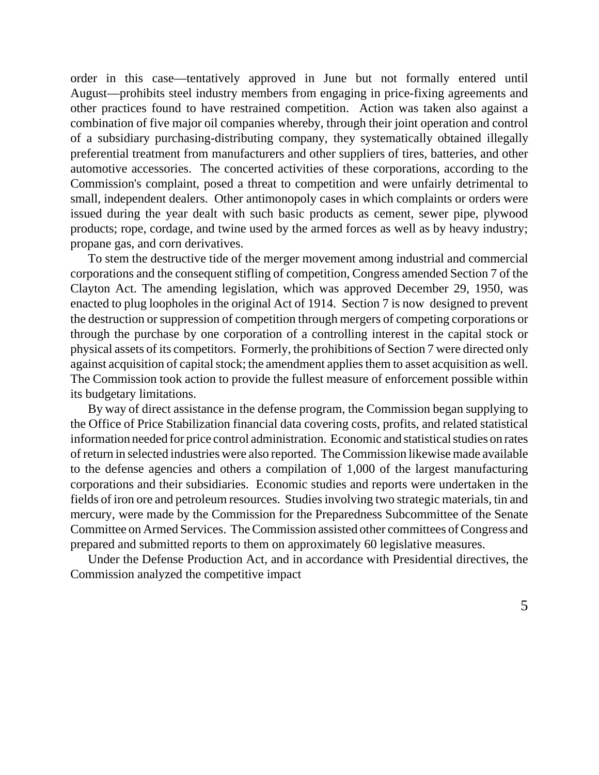order in this case—tentatively approved in June but not formally entered until August—prohibits steel industry members from engaging in price-fixing agreements and other practices found to have restrained competition. Action was taken also against a combination of five major oil companies whereby, through their joint operation and control of a subsidiary purchasing-distributing company, they systematically obtained illegally preferential treatment from manufacturers and other suppliers of tires, batteries, and other automotive accessories. The concerted activities of these corporations, according to the Commission's complaint, posed a threat to competition and were unfairly detrimental to small, independent dealers. Other antimonopoly cases in which complaints or orders were issued during the year dealt with such basic products as cement, sewer pipe, plywood products; rope, cordage, and twine used by the armed forces as well as by heavy industry; propane gas, and corn derivatives.

To stem the destructive tide of the merger movement among industrial and commercial corporations and the consequent stifling of competition, Congress amended Section 7 of the Clayton Act. The amending legislation, which was approved December 29, 1950, was enacted to plug loopholes in the original Act of 1914. Section 7 is now designed to prevent the destruction orsuppression of competition through mergers of competing corporations or through the purchase by one corporation of a controlling interest in the capital stock or physical assets of its competitors. Formerly, the prohibitions of Section 7 were directed only against acquisition of capital stock; the amendment applies them to asset acquisition as well. The Commission took action to provide the fullest measure of enforcement possible within its budgetary limitations.

By way of direct assistance in the defense program, the Commission began supplying to the Office of Price Stabilization financial data covering costs, profits, and related statistical information needed for price control administration. Economic and statistical studies on rates of return in selected industries were also reported. The Commission likewise made available to the defense agencies and others a compilation of 1,000 of the largest manufacturing corporations and their subsidiaries. Economic studies and reports were undertaken in the fields of iron ore and petroleum resources. Studies involving two strategic materials, tin and mercury, were made by the Commission for the Preparedness Subcommittee of the Senate Committee on Armed Services. The Commission assisted other committees of Congress and prepared and submitted reports to them on approximately 60 legislative measures.

Under the Defense Production Act, and in accordance with Presidential directives, the Commission analyzed the competitive impact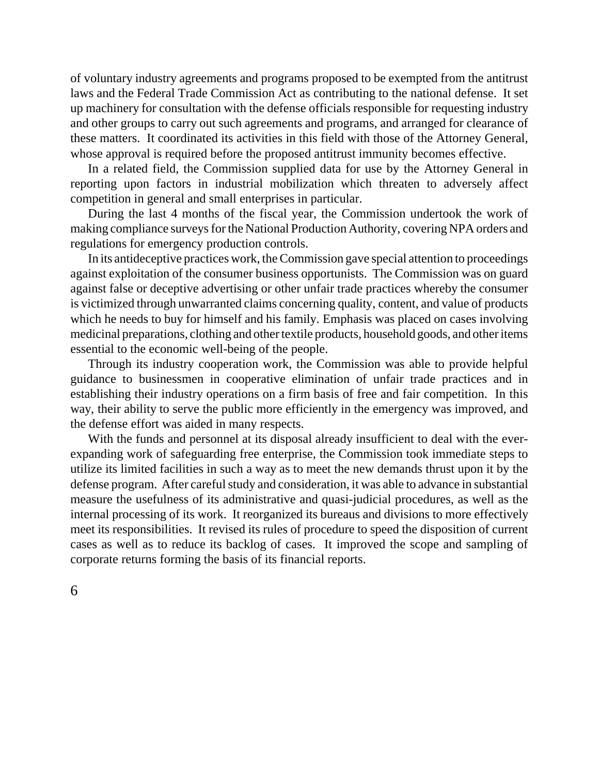of voluntary industry agreements and programs proposed to be exempted from the antitrust laws and the Federal Trade Commission Act as contributing to the national defense. It set up machinery for consultation with the defense officials responsible for requesting industry and other groups to carry out such agreements and programs, and arranged for clearance of these matters. It coordinated its activities in this field with those of the Attorney General, whose approval is required before the proposed antitrust immunity becomes effective.

In a related field, the Commission supplied data for use by the Attorney General in reporting upon factors in industrial mobilization which threaten to adversely affect competition in general and small enterprises in particular.

During the last 4 months of the fiscal year, the Commission undertook the work of making compliance surveys for the National Production Authority, covering NPA orders and regulations for emergency production controls.

In its antideceptive practices work, theCommission gave special attention to proceedings against exploitation of the consumer business opportunists. The Commission was on guard against false or deceptive advertising or other unfair trade practices whereby the consumer is victimized through unwarranted claims concerning quality, content, and value of products which he needs to buy for himself and his family. Emphasis was placed on cases involving medicinal preparations, clothing and other textile products, household goods, and other items essential to the economic well-being of the people.

Through its industry cooperation work, the Commission was able to provide helpful guidance to businessmen in cooperative elimination of unfair trade practices and in establishing their industry operations on a firm basis of free and fair competition. In this way, their ability to serve the public more efficiently in the emergency was improved, and the defense effort was aided in many respects.

With the funds and personnel at its disposal already insufficient to deal with the everexpanding work of safeguarding free enterprise, the Commission took immediate steps to utilize its limited facilities in such a way as to meet the new demands thrust upon it by the defense program. After careful study and consideration, it was able to advance in substantial measure the usefulness of its administrative and quasi-judicial procedures, as well as the internal processing of its work. It reorganized its bureaus and divisions to more effectively meet its responsibilities. It revised its rules of procedure to speed the disposition of current cases as well as to reduce its backlog of cases. It improved the scope and sampling of corporate returns forming the basis of its financial reports.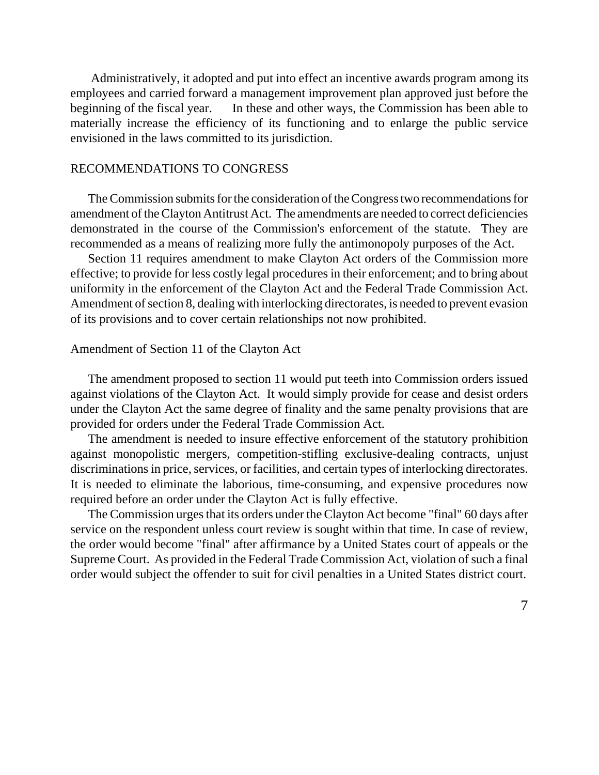Administratively, it adopted and put into effect an incentive awards program among its employees and carried forward a management improvement plan approved just before the beginning of the fiscal year. In these and other ways, the Commission has been able to materially increase the efficiency of its functioning and to enlarge the public service envisioned in the laws committed to its jurisdiction.

#### RECOMMENDATIONS TO CONGRESS

The Commission submits for the consideration of the Congress two recommendations for amendment of theClayton Antitrust Act. The amendments are needed to correct deficiencies demonstrated in the course of the Commission's enforcement of the statute. They are recommended as a means of realizing more fully the antimonopoly purposes of the Act.

Section 11 requires amendment to make Clayton Act orders of the Commission more effective; to provide for less costly legal procedures in their enforcement; and to bring about uniformity in the enforcement of the Clayton Act and the Federal Trade Commission Act. Amendment of section 8, dealing with interlocking directorates, is needed to prevent evasion of its provisions and to cover certain relationships not now prohibited.

#### Amendment of Section 11 of the Clayton Act

The amendment proposed to section 11 would put teeth into Commission orders issued against violations of the Clayton Act. It would simply provide for cease and desist orders under the Clayton Act the same degree of finality and the same penalty provisions that are provided for orders under the Federal Trade Commission Act.

The amendment is needed to insure effective enforcement of the statutory prohibition against monopolistic mergers, competition-stifling exclusive-dealing contracts, unjust discriminations in price, services, or facilities, and certain types of interlocking directorates. It is needed to eliminate the laborious, time-consuming, and expensive procedures now required before an order under the Clayton Act is fully effective.

The Commission urges that its orders under the Clayton Act become "final" 60 days after service on the respondent unless court review is sought within that time. In case of review, the order would become "final" after affirmance by a United States court of appeals or the Supreme Court. As provided in the Federal Trade Commission Act, violation of such a final order would subject the offender to suit for civil penalties in a United States district court.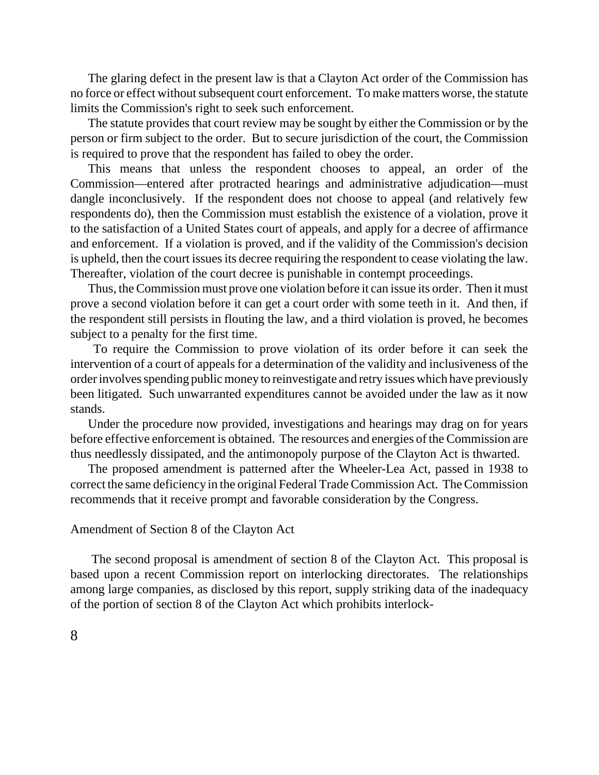The glaring defect in the present law is that a Clayton Act order of the Commission has no force or effect without subsequent court enforcement. To make matters worse, the statute limits the Commission's right to seek such enforcement.

The statute provides that court review may be sought by either the Commission or by the person or firm subject to the order. But to secure jurisdiction of the court, the Commission is required to prove that the respondent has failed to obey the order.

This means that unless the respondent chooses to appeal, an order of the Commission—entered after protracted hearings and administrative adjudication—must dangle inconclusively. If the respondent does not choose to appeal (and relatively few respondents do), then the Commission must establish the existence of a violation, prove it to the satisfaction of a United States court of appeals, and apply for a decree of affirmance and enforcement. If a violation is proved, and if the validity of the Commission's decision is upheld, then the court issues its decree requiring the respondent to cease violating the law. Thereafter, violation of the court decree is punishable in contempt proceedings.

Thus, the Commission must prove one violation before it can issue its order. Then it must prove a second violation before it can get a court order with some teeth in it. And then, if the respondent still persists in flouting the law, and a third violation is proved, he becomes subject to a penalty for the first time.

To require the Commission to prove violation of its order before it can seek the intervention of a court of appeals for a determination of the validity and inclusiveness of the order involves spending public money to reinvestigate and retry issues which have previously been litigated. Such unwarranted expenditures cannot be avoided under the law as it now stands.

Under the procedure now provided, investigations and hearings may drag on for years before effective enforcement is obtained. The resources and energies of the Commission are thus needlessly dissipated, and the antimonopoly purpose of the Clayton Act is thwarted.

The proposed amendment is patterned after the Wheeler-Lea Act, passed in 1938 to correct the same deficiency in the original Federal Trade Commission Act. The Commission recommends that it receive prompt and favorable consideration by the Congress.

#### Amendment of Section 8 of the Clayton Act

 The second proposal is amendment of section 8 of the Clayton Act. This proposal is based upon a recent Commission report on interlocking directorates. The relationships among large companies, as disclosed by this report, supply striking data of the inadequacy of the portion of section 8 of the Clayton Act which prohibits interlock-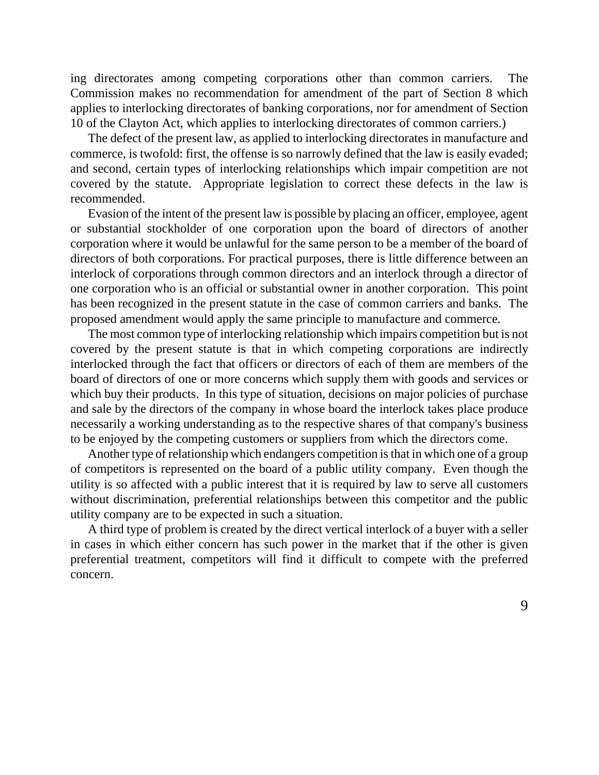ing directorates among competing corporations other than common carriers. The Commission makes no recommendation for amendment of the part of Section 8 which applies to interlocking directorates of banking corporations, nor for amendment of Section 10 of the Clayton Act, which applies to interlocking directorates of common carriers.)

The defect of the present law, as applied to interlocking directorates in manufacture and commerce, is twofold: first, the offense is so narrowly defined that the law is easily evaded; and second, certain types of interlocking relationships which impair competition are not covered by the statute. Appropriate legislation to correct these defects in the law is recommended.

Evasion of the intent of the present law is possible by placing an officer, employee, agent or substantial stockholder of one corporation upon the board of directors of another corporation where it would be unlawful for the same person to be a member of the board of directors of both corporations. For practical purposes, there is little difference between an interlock of corporations through common directors and an interlock through a director of one corporation who is an official or substantial owner in another corporation. This point has been recognized in the present statute in the case of common carriers and banks. The proposed amendment would apply the same principle to manufacture and commerce.

The most common type of interlocking relationship which impairs competition but is not covered by the present statute is that in which competing corporations are indirectly interlocked through the fact that officers or directors of each of them are members of the board of directors of one or more concerns which supply them with goods and services or which buy their products. In this type of situation, decisions on major policies of purchase and sale by the directors of the company in whose board the interlock takes place produce necessarily a working understanding as to the respective shares of that company's business to be enjoyed by the competing customers or suppliers from which the directors come.

Another type of relationship which endangers competition is that in which one of a group of competitors is represented on the board of a public utility company. Even though the utility is so affected with a public interest that it is required by law to serve all customers without discrimination, preferential relationships between this competitor and the public utility company are to be expected in such a situation.

A third type of problem is created by the direct vertical interlock of a buyer with a seller in cases in which either concern has such power in the market that if the other is given preferential treatment, competitors will find it difficult to compete with the preferred concern.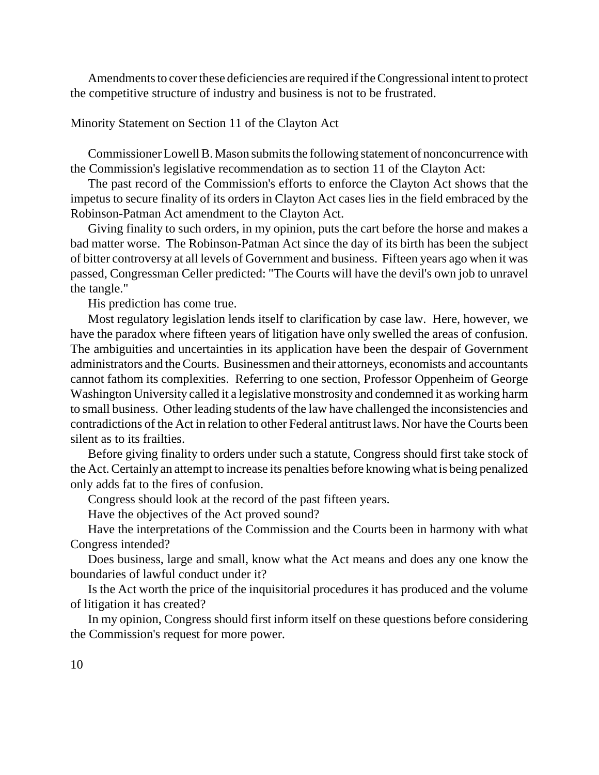Amendments to cover these deficiencies are required if the Congressional intent to protect the competitive structure of industry and business is not to be frustrated.

#### Minority Statement on Section 11 of the Clayton Act

CommissionerLowellB.Mason submits the following statement of nonconcurrence with the Commission's legislative recommendation as to section 11 of the Clayton Act:

The past record of the Commission's efforts to enforce the Clayton Act shows that the impetus to secure finality of its orders in Clayton Act cases lies in the field embraced by the Robinson-Patman Act amendment to the Clayton Act.

Giving finality to such orders, in my opinion, puts the cart before the horse and makes a bad matter worse. The Robinson-Patman Act since the day of its birth has been the subject of bitter controversy at all levels of Government and business. Fifteen years ago when it was passed, Congressman Celler predicted: "The Courts will have the devil's own job to unravel the tangle."

His prediction has come true.

Most regulatory legislation lends itself to clarification by case law. Here, however, we have the paradox where fifteen years of litigation have only swelled the areas of confusion. The ambiguities and uncertainties in its application have been the despair of Government administrators and theCourts. Businessmen and their attorneys, economists and accountants cannot fathom its complexities. Referring to one section, Professor Oppenheim of George Washington University called it a legislative monstrosity and condemned it as working harm to small business. Other leading students of the law have challenged the inconsistencies and contradictions of the Act in relation to other Federal antitrust laws. Nor have the Courts been silent as to its frailties.

Before giving finality to orders under such a statute, Congress should first take stock of the Act.Certainly an attempt to increase its penalties before knowing what is being penalized only adds fat to the fires of confusion.

Congress should look at the record of the past fifteen years.

Have the objectives of the Act proved sound?

Have the interpretations of the Commission and the Courts been in harmony with what Congress intended?

Does business, large and small, know what the Act means and does any one know the boundaries of lawful conduct under it?

Is the Act worth the price of the inquisitorial procedures it has produced and the volume of litigation it has created?

In my opinion, Congress should first inform itself on these questions before considering the Commission's request for more power.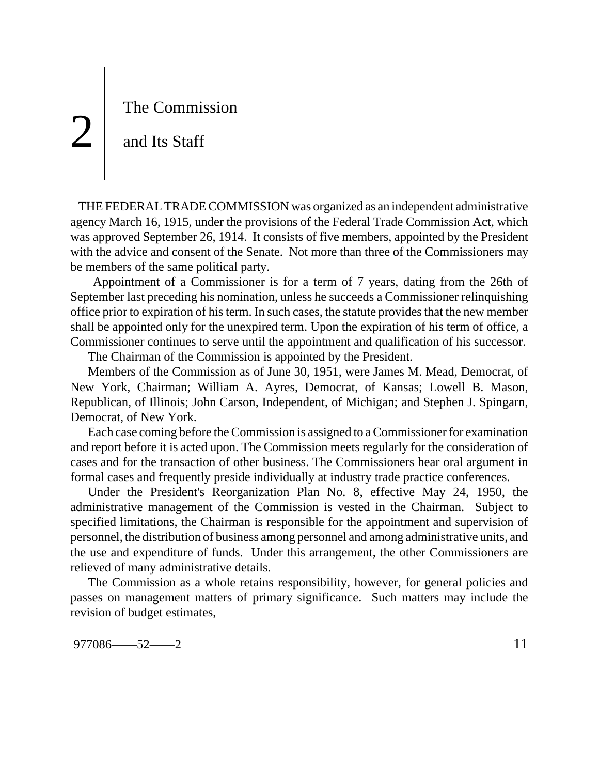## The Commission

# $2\left| \right.$  and Its Staff

 THE FEDERAL TRADE COMMISSION was organized as an independent administrative agency March 16, 1915, under the provisions of the Federal Trade Commission Act, which was approved September 26, 1914. It consists of five members, appointed by the President with the advice and consent of the Senate. Not more than three of the Commissioners may be members of the same political party.

 Appointment of a Commissioner is for a term of 7 years, dating from the 26th of September last preceding his nomination, unless he succeeds a Commissioner relinquishing office prior to expiration of histerm. In such cases, the statute provides that the new member shall be appointed only for the unexpired term. Upon the expiration of his term of office, a Commissioner continues to serve until the appointment and qualification of his successor.

The Chairman of the Commission is appointed by the President.

Members of the Commission as of June 30, 1951, were James M. Mead, Democrat, of New York, Chairman; William A. Ayres, Democrat, of Kansas; Lowell B. Mason, Republican, of Illinois; John Carson, Independent, of Michigan; and Stephen J. Spingarn, Democrat, of New York.

Each case coming before the Commission is assigned to a Commissioner for examination and report before it is acted upon. The Commission meets regularly for the consideration of cases and for the transaction of other business. The Commissioners hear oral argument in formal cases and frequently preside individually at industry trade practice conferences.

Under the President's Reorganization Plan No. 8, effective May 24, 1950, the administrative management of the Commission is vested in the Chairman. Subject to specified limitations, the Chairman is responsible for the appointment and supervision of personnel, the distribution of business among personnel and among administrative units, and the use and expenditure of funds. Under this arrangement, the other Commissioners are relieved of many administrative details.

The Commission as a whole retains responsibility, however, for general policies and passes on management matters of primary significance. Such matters may include the revision of budget estimates,

977086——52——2 11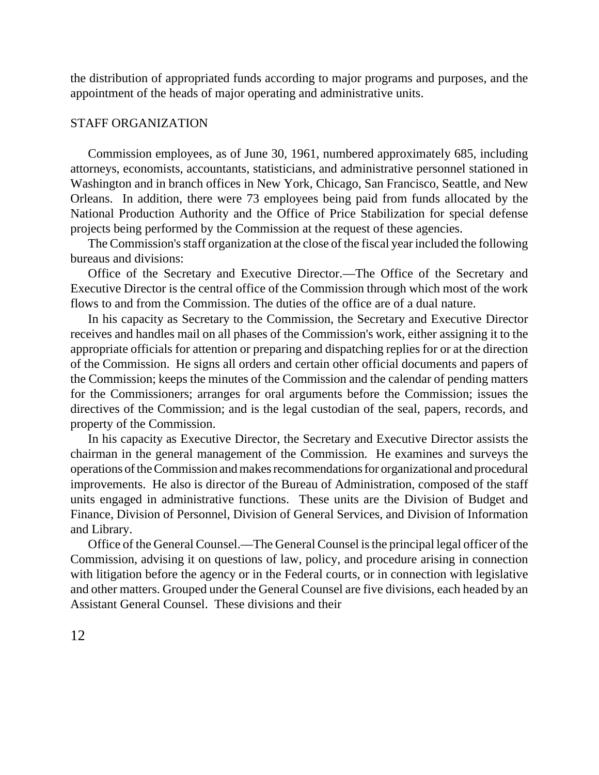the distribution of appropriated funds according to major programs and purposes, and the appointment of the heads of major operating and administrative units.

#### STAFF ORGANIZATION

Commission employees, as of June 30, 1961, numbered approximately 685, including attorneys, economists, accountants, statisticians, and administrative personnel stationed in Washington and in branch offices in New York, Chicago, San Francisco, Seattle, and New Orleans. In addition, there were 73 employees being paid from funds allocated by the National Production Authority and the Office of Price Stabilization for special defense projects being performed by the Commission at the request of these agencies.

The Commission's staff organization at the close of the fiscal year included the following bureaus and divisions:

Office of the Secretary and Executive Director.—The Office of the Secretary and Executive Director is the central office of the Commission through which most of the work flows to and from the Commission. The duties of the office are of a dual nature.

In his capacity as Secretary to the Commission, the Secretary and Executive Director receives and handles mail on all phases of the Commission's work, either assigning it to the appropriate officials for attention or preparing and dispatching replies for or at the direction of the Commission. He signs all orders and certain other official documents and papers of the Commission; keeps the minutes of the Commission and the calendar of pending matters for the Commissioners; arranges for oral arguments before the Commission; issues the directives of the Commission; and is the legal custodian of the seal, papers, records, and property of the Commission.

In his capacity as Executive Director, the Secretary and Executive Director assists the chairman in the general management of the Commission. He examines and surveys the operations of the Commission and makes recommendations for organizational and procedural improvements. He also is director of the Bureau of Administration, composed of the staff units engaged in administrative functions. These units are the Division of Budget and Finance, Division of Personnel, Division of General Services, and Division of Information and Library.

Office of the General Counsel.—The General Counsel isthe principal legal officer of the Commission, advising it on questions of law, policy, and procedure arising in connection with litigation before the agency or in the Federal courts, or in connection with legislative and other matters. Grouped under the General Counsel are five divisions, each headed by an Assistant General Counsel. These divisions and their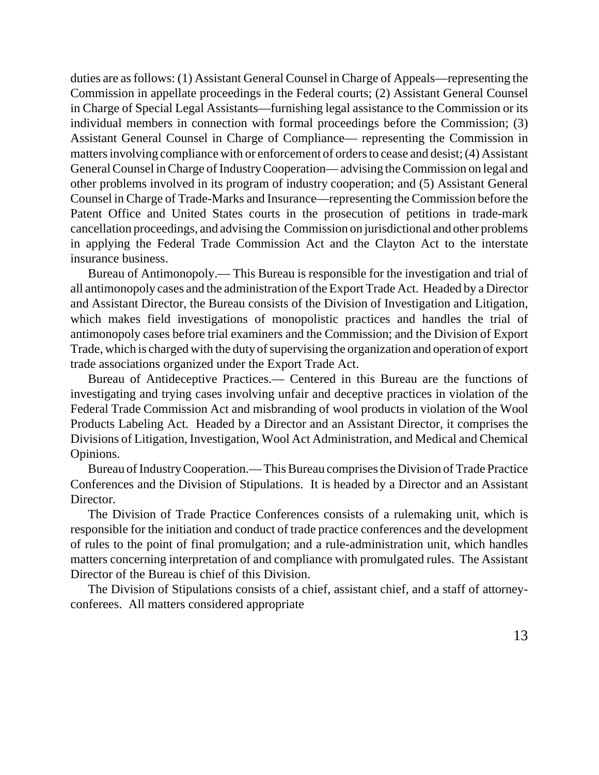duties are asfollows: (1) Assistant General Counsel in Charge of Appeals—representing the Commission in appellate proceedings in the Federal courts; (2) Assistant General Counsel in Charge of Special Legal Assistants—furnishing legal assistance to the Commission or its individual members in connection with formal proceedings before the Commission; (3) Assistant General Counsel in Charge of Compliance— representing the Commission in matters involving compliance with or enforcement of orders to cease and desist; (4) Assistant GeneralCounsel inCharge of IndustryCooperation—advising theCommission on legal and other problems involved in its program of industry cooperation; and (5) Assistant General Counsel in Charge of Trade-Marks and Insurance—representing the Commission before the Patent Office and United States courts in the prosecution of petitions in trade-mark cancellation proceedings, and advising the Commission on jurisdictional and other problems in applying the Federal Trade Commission Act and the Clayton Act to the interstate insurance business.

Bureau of Antimonopoly.— This Bureau is responsible for the investigation and trial of all antimonopoly cases and the administration of the Export Trade Act. Headed by a Director and Assistant Director, the Bureau consists of the Division of Investigation and Litigation, which makes field investigations of monopolistic practices and handles the trial of antimonopoly cases before trial examiners and the Commission; and the Division of Export Trade, which is charged with the duty of supervising the organization and operation of export trade associations organized under the Export Trade Act.

Bureau of Antideceptive Practices.— Centered in this Bureau are the functions of investigating and trying cases involving unfair and deceptive practices in violation of the Federal Trade Commission Act and misbranding of wool products in violation of the Wool Products Labeling Act. Headed by a Director and an Assistant Director, it comprises the Divisions of Litigation, Investigation, Wool Act Administration, and Medical and Chemical Opinions.

Bureau of Industry Cooperation.—This Bureau comprises the Division of Trade Practice Conferences and the Division of Stipulations. It is headed by a Director and an Assistant Director.

The Division of Trade Practice Conferences consists of a rulemaking unit, which is responsible for the initiation and conduct of trade practice conferences and the development of rules to the point of final promulgation; and a rule-administration unit, which handles matters concerning interpretation of and compliance with promulgated rules. The Assistant Director of the Bureau is chief of this Division.

The Division of Stipulations consists of a chief, assistant chief, and a staff of attorneyconferees. All matters considered appropriate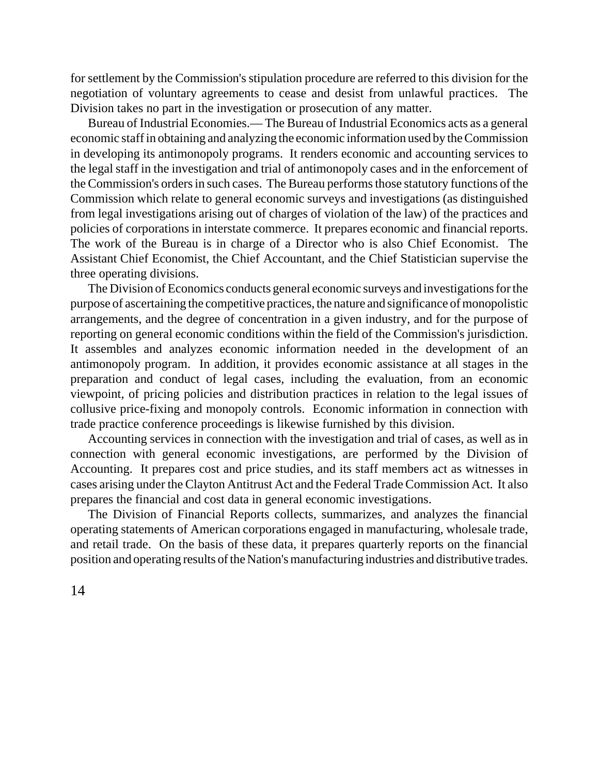for settlement by the Commission'sstipulation procedure are referred to this division for the negotiation of voluntary agreements to cease and desist from unlawful practices. The Division takes no part in the investigation or prosecution of any matter.

Bureau of Industrial Economies.— The Bureau of Industrial Economics acts as a general economic staffin obtaining and analyzing the economic information used by the Commission in developing its antimonopoly programs. It renders economic and accounting services to the legal staff in the investigation and trial of antimonopoly cases and in the enforcement of theCommission's ordersin such cases. The Bureau performs those statutory functions of the Commission which relate to general economic surveys and investigations (as distinguished from legal investigations arising out of charges of violation of the law) of the practices and policies of corporations in interstate commerce. It prepares economic and financial reports. The work of the Bureau is in charge of a Director who is also Chief Economist. The Assistant Chief Economist, the Chief Accountant, and the Chief Statistician supervise the three operating divisions.

The Division of Economics conducts general economic surveys and investigations for the purpose of ascertaining the competitive practices, the nature and significance of monopolistic arrangements, and the degree of concentration in a given industry, and for the purpose of reporting on general economic conditions within the field of the Commission's jurisdiction. It assembles and analyzes economic information needed in the development of an antimonopoly program. In addition, it provides economic assistance at all stages in the preparation and conduct of legal cases, including the evaluation, from an economic viewpoint, of pricing policies and distribution practices in relation to the legal issues of collusive price-fixing and monopoly controls. Economic information in connection with trade practice conference proceedings is likewise furnished by this division.

Accounting services in connection with the investigation and trial of cases, as well as in connection with general economic investigations, are performed by the Division of Accounting. It prepares cost and price studies, and its staff members act as witnesses in cases arising under the Clayton Antitrust Act and the Federal Trade Commission Act. It also prepares the financial and cost data in general economic investigations.

The Division of Financial Reports collects, summarizes, and analyzes the financial operating statements of American corporations engaged in manufacturing, wholesale trade, and retail trade. On the basis of these data, it prepares quarterly reports on the financial position and operating results of the Nation's manufacturing industries and distributive trades.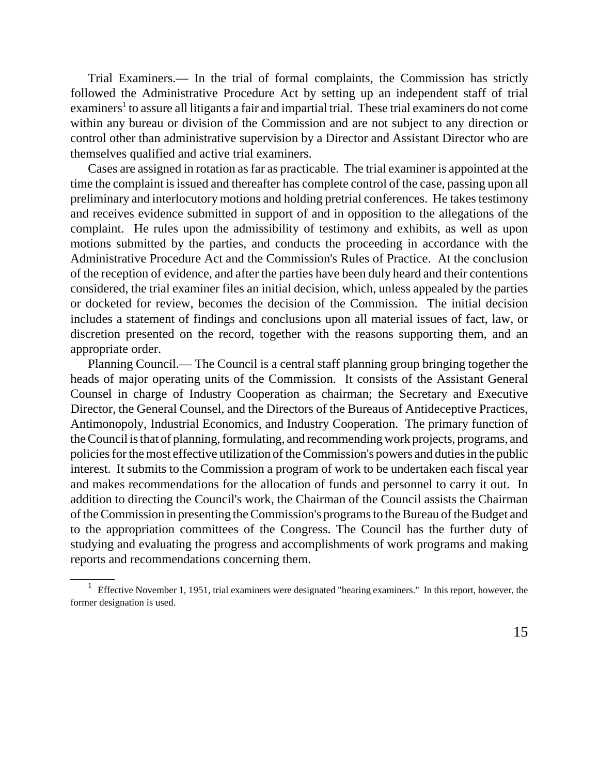Trial Examiners.— In the trial of formal complaints, the Commission has strictly followed the Administrative Procedure Act by setting up an independent staff of trial examiners<sup>1</sup> to assure all litigants a fair and impartial trial. These trial examiners do not come within any bureau or division of the Commission and are not subject to any direction or control other than administrative supervision by a Director and Assistant Director who are themselves qualified and active trial examiners.

Cases are assigned in rotation as far as practicable. The trial examiner is appointed at the time the complaint is issued and thereafter has complete control of the case, passing upon all preliminary and interlocutory motions and holding pretrial conferences. He takes testimony and receives evidence submitted in support of and in opposition to the allegations of the complaint. He rules upon the admissibility of testimony and exhibits, as well as upon motions submitted by the parties, and conducts the proceeding in accordance with the Administrative Procedure Act and the Commission's Rules of Practice. At the conclusion of the reception of evidence, and after the parties have been duly heard and their contentions considered, the trial examiner files an initial decision, which, unless appealed by the parties or docketed for review, becomes the decision of the Commission. The initial decision includes a statement of findings and conclusions upon all material issues of fact, law, or discretion presented on the record, together with the reasons supporting them, and an appropriate order.

Planning Council.— The Council is a central staff planning group bringing together the heads of major operating units of the Commission. It consists of the Assistant General Counsel in charge of Industry Cooperation as chairman; the Secretary and Executive Director, the General Counsel, and the Directors of the Bureaus of Antideceptive Practices, Antimonopoly, Industrial Economics, and Industry Cooperation. The primary function of theCouncil is that of planning, formulating, and recommending work projects, programs, and policies for the most effective utilization of the Commission's powers and duties in the public interest. It submits to the Commission a program of work to be undertaken each fiscal year and makes recommendations for the allocation of funds and personnel to carry it out. In addition to directing the Council's work, the Chairman of the Council assists the Chairman of the Commission in presenting the Commission's programs to the Bureau of the Budget and to the appropriation committees of the Congress. The Council has the further duty of studying and evaluating the progress and accomplishments of work programs and making reports and recommendations concerning them.

<sup>&</sup>lt;sup>1</sup> Effective November 1, 1951, trial examiners were designated "hearing examiners." In this report, however, the former designation is used.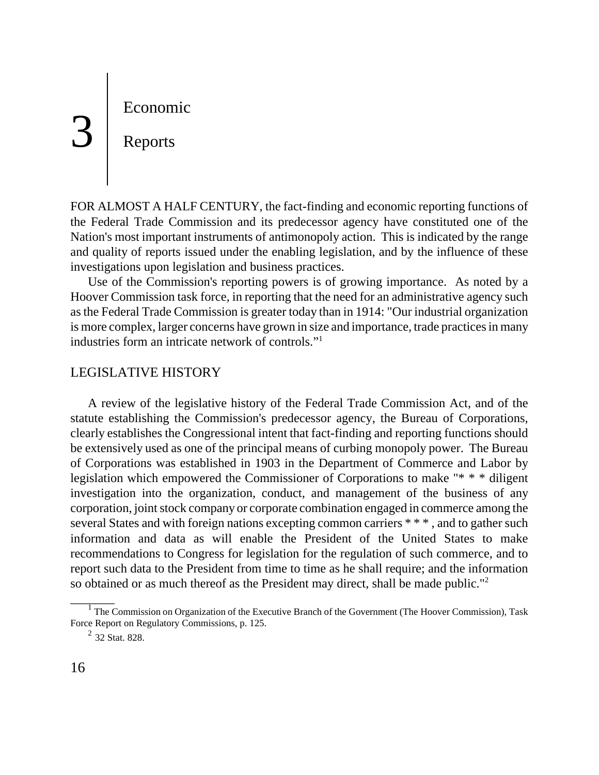# Economic  $3 \vert$  Reports

FOR ALMOST A HALF CENTURY, the fact-finding and economic reporting functions of the Federal Trade Commission and its predecessor agency have constituted one of the Nation's most important instruments of antimonopoly action. This is indicated by the range and quality of reports issued under the enabling legislation, and by the influence of these investigations upon legislation and business practices.

Use of the Commission's reporting powers is of growing importance. As noted by a Hoover Commission task force, in reporting that the need for an administrative agency such as the Federal Trade Commission is greater today than in 1914: "Our industrial organization is more complex, larger concerns have grown in size and importance, trade practices in many industries form an intricate network of controls."<sup>1</sup>

#### LEGISLATIVE HISTORY

A review of the legislative history of the Federal Trade Commission Act, and of the statute establishing the Commission's predecessor agency, the Bureau of Corporations, clearly establishes the Congressional intent that fact-finding and reporting functions should be extensively used as one of the principal means of curbing monopoly power. The Bureau of Corporations was established in 1903 in the Department of Commerce and Labor by legislation which empowered the Commissioner of Corporations to make "\* \* \* diligent investigation into the organization, conduct, and management of the business of any corporation, joint stock company or corporate combination engaged in commerce among the several States and with foreign nations excepting common carriers \* \* \*, and to gather such information and data as will enable the President of the United States to make recommendations to Congress for legislation for the regulation of such commerce, and to report such data to the President from time to time as he shall require; and the information so obtained or as much thereof as the President may direct, shall be made public."<sup>2</sup>

 $\overline{1}$  The Commission on Organization of the Executive Branch of the Government (The Hoover Commission), Task Force Report on Regulatory Commissions, p. 125.

 $2^2$  32 Stat. 828.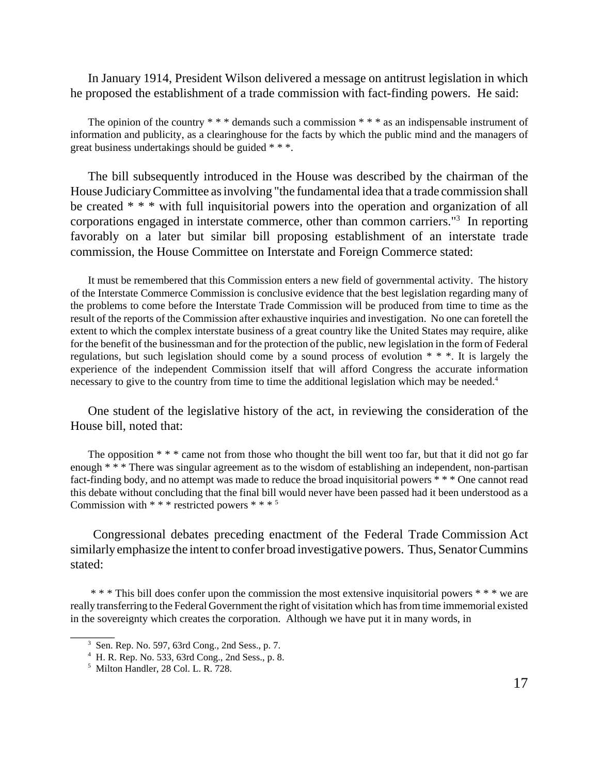In January 1914, President Wilson delivered a message on antitrust legislation in which he proposed the establishment of a trade commission with fact-finding powers. He said:

The opinion of the country  $** *$  demands such a commission  $** *$  as an indispensable instrument of information and publicity, as a clearinghouse for the facts by which the public mind and the managers of great business undertakings should be guided \* \* \*.

The bill subsequently introduced in the House was described by the chairman of the House JudiciaryCommittee asinvolving "the fundamental idea that a trade commission shall be created \* \* \* with full inquisitorial powers into the operation and organization of all corporations engaged in interstate commerce, other than common carriers."<sup>3</sup> In reporting favorably on a later but similar bill proposing establishment of an interstate trade commission, the House Committee on Interstate and Foreign Commerce stated:

It must be remembered that this Commission enters a new field of governmental activity. The history of the Interstate Commerce Commission is conclusive evidence that the best legislation regarding many of the problems to come before the Interstate Trade Commission will be produced from time to time as the result of the reports of the Commission after exhaustive inquiries and investigation. No one can foretell the extent to which the complex interstate business of a great country like the United States may require, alike for the benefit of the businessman and for the protection of the public, new legislation in the form of Federal regulations, but such legislation should come by a sound process of evolution \* \* \*. It is largely the experience of the independent Commission itself that will afford Congress the accurate information necessary to give to the country from time to time the additional legislation which may be needed.<sup>4</sup>

One student of the legislative history of the act, in reviewing the consideration of the House bill, noted that:

The opposition  $**$  are not from those who thought the bill went too far, but that it did not go far enough \* \* \* There was singular agreement as to the wisdom of establishing an independent, non-partisan fact-finding body, and no attempt was made to reduce the broad inquisitorial powers \* \* \* One cannot read this debate without concluding that the final bill would never have been passed had it been understood as a Commission with  $***$  restricted powers  $***$ <sup>5</sup>

 Congressional debates preceding enactment of the Federal Trade Commission Act similarlyemphasize the intent to confer broad investigative powers. Thus, Senator Cummins stated:

 \* \* \* This bill does confer upon the commission the most extensive inquisitorial powers \* \* \* we are really transferring to the Federal Government the right of visitation which hasfromtime immemorial existed in the sovereignty which creates the corporation. Although we have put it in many words, in

<sup>3</sup> Sen. Rep. No. 597, 63rd Cong., 2nd Sess., p. 7.

<sup>4</sup> H. R. Rep. No. 533, 63rd Cong., 2nd Sess., p. 8.

<sup>5</sup> Milton Handler, 28 Col. L. R. 728.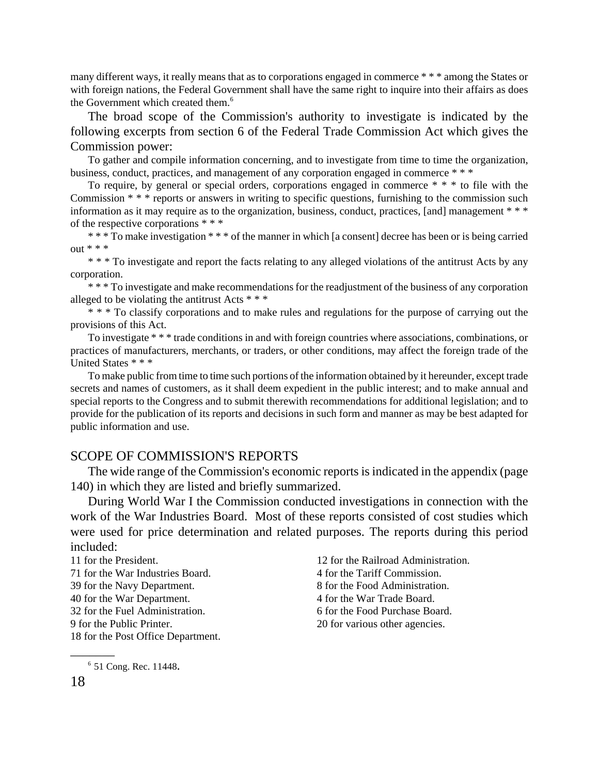many different ways, it really means that as to corporations engaged in commerce \* \* \* among the States or with foreign nations, the Federal Government shall have the same right to inquire into their affairs as does the Government which created them.<sup>6</sup>

The broad scope of the Commission's authority to investigate is indicated by the following excerpts from section 6 of the Federal Trade Commission Act which gives the Commission power:

To gather and compile information concerning, and to investigate from time to time the organization, business, conduct, practices, and management of any corporation engaged in commerce \* \* \*

To require, by general or special orders, corporations engaged in commerce \* \* \* to file with the Commission \* \* \* reports or answers in writing to specific questions, furnishing to the commission such information as it may require as to the organization, business, conduct, practices, [and] management \* \* \* of the respective corporations \* \* \*

\* \* \* To make investigation \* \* \* of the manner in which [a consent] decree has been or is being carried out \* \* \*

\* \* \* To investigate and report the facts relating to any alleged violations of the antitrust Acts by any corporation.

\* \* \* To investigate and make recommendations for the readjustment of the business of any corporation alleged to be violating the antitrust Acts  $***$ 

\* \* \* To classify corporations and to make rules and regulations for the purpose of carrying out the provisions of this Act.

To investigate \* \* \* trade conditions in and with foreign countries where associations, combinations, or practices of manufacturers, merchants, or traders, or other conditions, may affect the foreign trade of the United States \* \* \*

To make public from time to time such portions of the information obtained by it hereunder, except trade secrets and names of customers, as it shall deem expedient in the public interest; and to make annual and special reports to the Congress and to submit therewith recommendations for additional legislation; and to provide for the publication of its reports and decisions in such form and manner as may be best adapted for public information and use.

#### SCOPE OF COMMISSION'S REPORTS

The wide range of the Commission's economic reports is indicated in the appendix (page 140) in which they are listed and briefly summarized.

During World War I the Commission conducted investigations in connection with the work of the War Industries Board. Most of these reports consisted of cost studies which were used for price determination and related purposes. The reports during this period included:

11 for the President. 12 for the Railroad Administration. 71 for the War Industries Board. 4 for the Tariff Commission. 39 for the Navy Department. 8 for the Food Administration. 40 for the War Department. 4 for the War Trade Board. 32 for the Fuel Administration. 6 for the Food Purchase Board. 9 for the Public Printer. 20 for various other agencies. 18 for the Post Office Department.  $\overline{\phantom{a}}$ 

 $651$  Cong. Rec. 11448.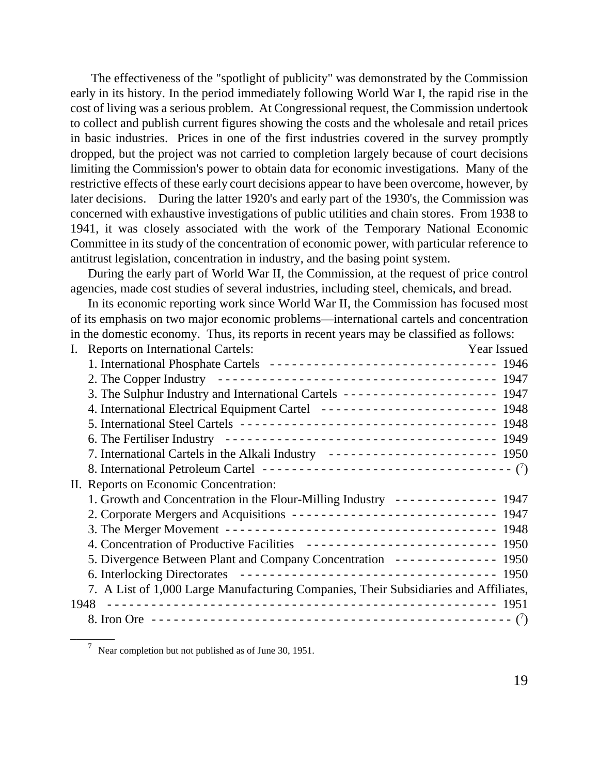The effectiveness of the "spotlight of publicity" was demonstrated by the Commission early in its history. In the period immediately following World War I, the rapid rise in the cost of living was a serious problem. At Congressional request, the Commission undertook to collect and publish current figures showing the costs and the wholesale and retail prices in basic industries. Prices in one of the first industries covered in the survey promptly dropped, but the project was not carried to completion largely because of court decisions limiting the Commission's power to obtain data for economic investigations. Many of the restrictive effects of these early court decisions appear to have been overcome, however, by later decisions. During the latter 1920's and early part of the 1930's, the Commission was concerned with exhaustive investigations of public utilities and chain stores. From 1938 to 1941, it was closely associated with the work of the Temporary National Economic Committee in its study of the concentration of economic power, with particular reference to antitrust legislation, concentration in industry, and the basing point system.

During the early part of World War II, the Commission, at the request of price control agencies, made cost studies of several industries, including steel, chemicals, and bread.

In its economic reporting work since World War II, the Commission has focused most of its emphasis on two major economic problems—international cartels and concentration in the domestic economy. Thus, its reports in recent years may be classified as follows:

| I. | <b>Reports on International Cartels:</b>                                             | <b>Year Issued</b> |
|----|--------------------------------------------------------------------------------------|--------------------|
|    | 1. International Phosphate Cartels ------------------------------- 1946              |                    |
|    |                                                                                      |                    |
|    | 3. The Sulphur Industry and International Cartels -------------------- 1947          |                    |
|    | 4. International Electrical Equipment Cartel ---------------------- 1948             |                    |
|    |                                                                                      |                    |
|    |                                                                                      |                    |
|    | 7. International Cartels in the Alkali Industry --------------------- 1950           |                    |
|    |                                                                                      |                    |
|    | II. Reports on Economic Concentration:                                               |                    |
|    | 1. Growth and Concentration in the Flour-Milling Industry ------------- 1947         |                    |
|    | 2. Corporate Mergers and Acquisitions --------------------------- 1947               |                    |
|    |                                                                                      |                    |
|    | 4. Concentration of Productive Facilities --------------------------- 1950           |                    |
|    | 5. Divergence Between Plant and Company Concentration ------------ 1950              |                    |
|    |                                                                                      |                    |
|    | 7. A List of 1,000 Large Manufacturing Companies, Their Subsidiaries and Affiliates, |                    |
|    |                                                                                      |                    |
|    |                                                                                      |                    |

 $^7$  Near completion but not published as of June 30, 1951.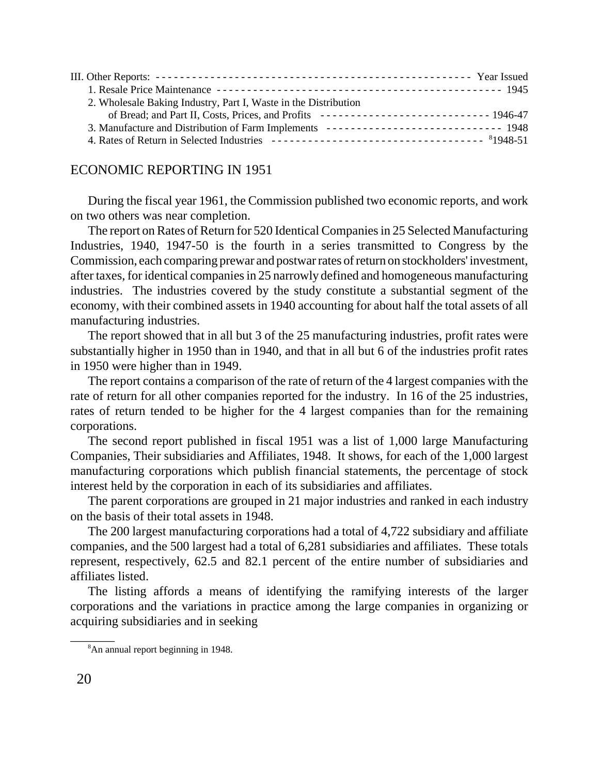| 2. Wholesale Baking Industry, Part I, Waste in the Distribution                       |  |
|---------------------------------------------------------------------------------------|--|
|                                                                                       |  |
| 3. Manufacture and Distribution of Farm Implements ----------------------------- 1948 |  |
|                                                                                       |  |

#### ECONOMIC REPORTING IN 1951

During the fiscal year 1961, the Commission published two economic reports, and work on two others was near completion.

The report on Rates of Return for 520 Identical Companies in 25 Selected Manufacturing Industries, 1940, 1947-50 is the fourth in a series transmitted to Congress by the Commission, each comparing prewar and postwar rates of return on stockholders' investment, after taxes, for identical companies in 25 narrowly defined and homogeneous manufacturing industries. The industries covered by the study constitute a substantial segment of the economy, with their combined assets in 1940 accounting for about half the total assets of all manufacturing industries.

The report showed that in all but 3 of the 25 manufacturing industries, profit rates were substantially higher in 1950 than in 1940, and that in all but 6 of the industries profit rates in 1950 were higher than in 1949.

The report contains a comparison of the rate of return of the 4 largest companies with the rate of return for all other companies reported for the industry. In 16 of the 25 industries, rates of return tended to be higher for the 4 largest companies than for the remaining corporations.

The second report published in fiscal 1951 was a list of 1,000 large Manufacturing Companies, Their subsidiaries and Affiliates, 1948. It shows, for each of the 1,000 largest manufacturing corporations which publish financial statements, the percentage of stock interest held by the corporation in each of its subsidiaries and affiliates.

The parent corporations are grouped in 21 major industries and ranked in each industry on the basis of their total assets in 1948.

The 200 largest manufacturing corporations had a total of 4,722 subsidiary and affiliate companies, and the 500 largest had a total of 6,281 subsidiaries and affiliates. These totals represent, respectively, 62.5 and 82.1 percent of the entire number of subsidiaries and affiliates listed.

The listing affords a means of identifying the ramifying interests of the larger corporations and the variations in practice among the large companies in organizing or acquiring subsidiaries and in seeking

<sup>8</sup>An annual report beginning in 1948.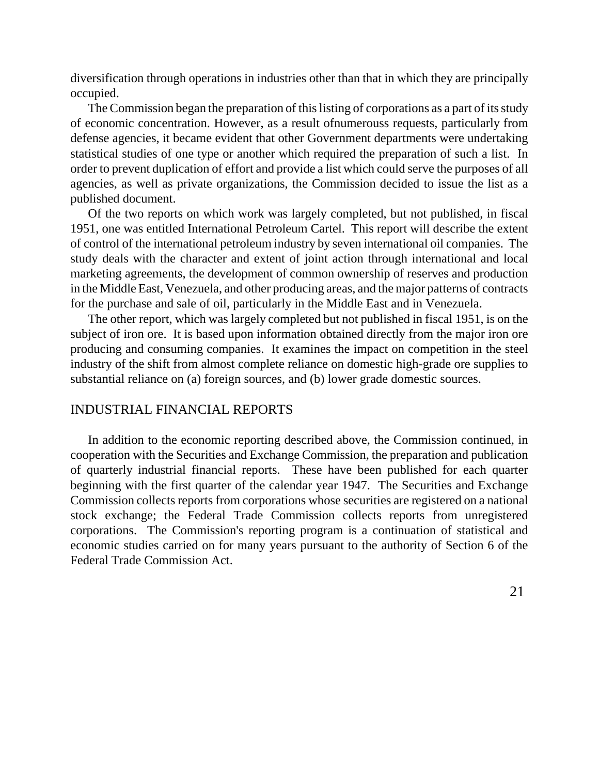diversification through operations in industries other than that in which they are principally occupied.

The Commission began the preparation of this listing of corporations as a part of its study of economic concentration. However, as a result ofnumerouss requests, particularly from defense agencies, it became evident that other Government departments were undertaking statistical studies of one type or another which required the preparation of such a list. In order to prevent duplication of effort and provide a list which could serve the purposes of all agencies, as well as private organizations, the Commission decided to issue the list as a published document.

Of the two reports on which work was largely completed, but not published, in fiscal 1951, one was entitled International Petroleum Cartel. This report will describe the extent of control of the international petroleum industry by seven international oil companies. The study deals with the character and extent of joint action through international and local marketing agreements, the development of common ownership of reserves and production in the Middle East, Venezuela, and other producing areas, and the major patterns of contracts for the purchase and sale of oil, particularly in the Middle East and in Venezuela.

The other report, which was largely completed but not published in fiscal 1951, is on the subject of iron ore. It is based upon information obtained directly from the major iron ore producing and consuming companies. It examines the impact on competition in the steel industry of the shift from almost complete reliance on domestic high-grade ore supplies to substantial reliance on (a) foreign sources, and (b) lower grade domestic sources.

#### INDUSTRIAL FINANCIAL REPORTS

In addition to the economic reporting described above, the Commission continued, in cooperation with the Securities and Exchange Commission, the preparation and publication of quarterly industrial financial reports. These have been published for each quarter beginning with the first quarter of the calendar year 1947. The Securities and Exchange Commission collects reports from corporations whose securities are registered on a national stock exchange; the Federal Trade Commission collects reports from unregistered corporations. The Commission's reporting program is a continuation of statistical and economic studies carried on for many years pursuant to the authority of Section 6 of the Federal Trade Commission Act.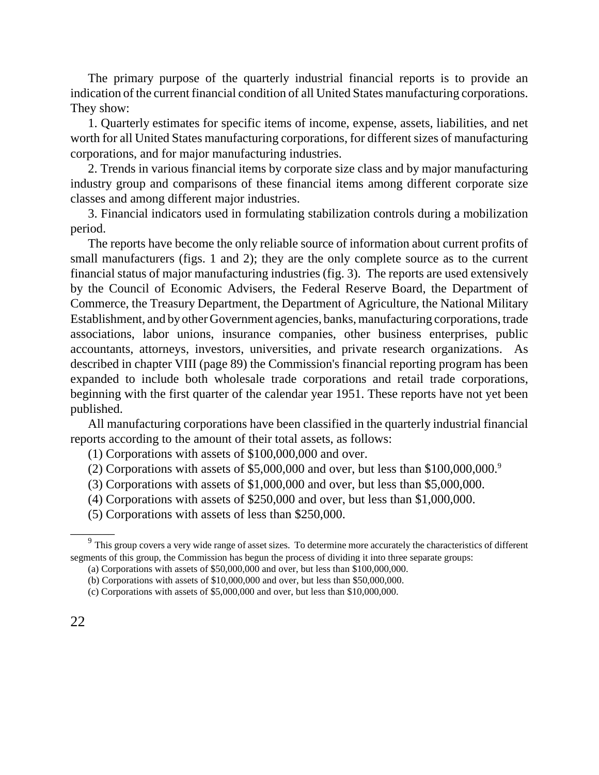The primary purpose of the quarterly industrial financial reports is to provide an indication of the current financial condition of all United States manufacturing corporations. They show:

1. Quarterly estimates for specific items of income, expense, assets, liabilities, and net worth for all United States manufacturing corporations, for different sizes of manufacturing corporations, and for major manufacturing industries.

2. Trends in various financial items by corporate size class and by major manufacturing industry group and comparisons of these financial items among different corporate size classes and among different major industries.

3. Financial indicators used in formulating stabilization controls during a mobilization period.

The reports have become the only reliable source of information about current profits of small manufacturers (figs. 1 and 2); they are the only complete source as to the current financial status of major manufacturing industries (fig. 3). The reports are used extensively by the Council of Economic Advisers, the Federal Reserve Board, the Department of Commerce, the Treasury Department, the Department of Agriculture, the National Military Establishment, and byother Government agencies, banks, manufacturing corporations, trade associations, labor unions, insurance companies, other business enterprises, public accountants, attorneys, investors, universities, and private research organizations. As described in chapter VIII (page 89) the Commission's financial reporting program has been expanded to include both wholesale trade corporations and retail trade corporations, beginning with the first quarter of the calendar year 1951. These reports have not yet been published.

All manufacturing corporations have been classified in the quarterly industrial financial reports according to the amount of their total assets, as follows:

- (1) Corporations with assets of \$100,000,000 and over.
- (2) Corporations with assets of \$5,000,000 and over, but less than  $$100,000,000$ .<sup>9</sup>
- (3) Corporations with assets of \$1,000,000 and over, but less than \$5,000,000.
- (4) Corporations with assets of \$250,000 and over, but less than \$1,000,000.
- (5) Corporations with assets of less than \$250,000.

 $9$  This group covers a very wide range of asset sizes. To determine more accurately the characteristics of different segments of this group, the Commission has begun the process of dividing it into three separate groups:

<sup>(</sup>a) Corporations with assets of \$50,000,000 and over, but less than \$100,000,000.

<sup>(</sup>b) Corporations with assets of \$10,000,000 and over, but less than \$50,000,000.

<sup>(</sup>c) Corporations with assets of \$5,000,000 and over, but less than \$10,000,000.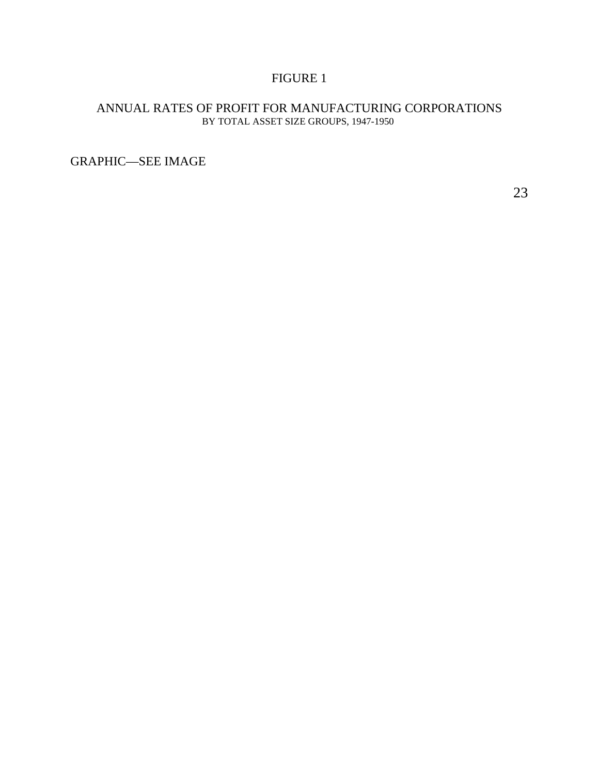#### FIGURE 1

#### ANNUAL RATES OF PROFIT FOR MANUFACTURING CORPORATIONS BY TOTAL ASSET SIZE GROUPS, 1947-1950

GRAPHIC—SEE IMAGE

23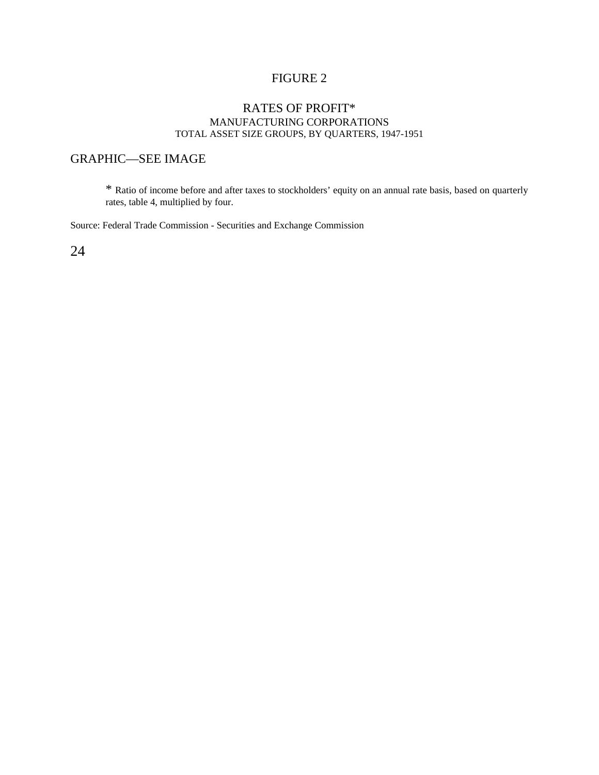#### FIGURE 2

#### RATES OF PROFIT\* MANUFACTURING CORPORATIONS TOTAL ASSET SIZE GROUPS, BY QUARTERS, 1947-1951

#### GRAPHIC—SEE IMAGE

\* Ratio of income before and after taxes to stockholders' equity on an annual rate basis, based on quarterly rates, table 4, multiplied by four.

Source: Federal Trade Commission - Securities and Exchange Commission

24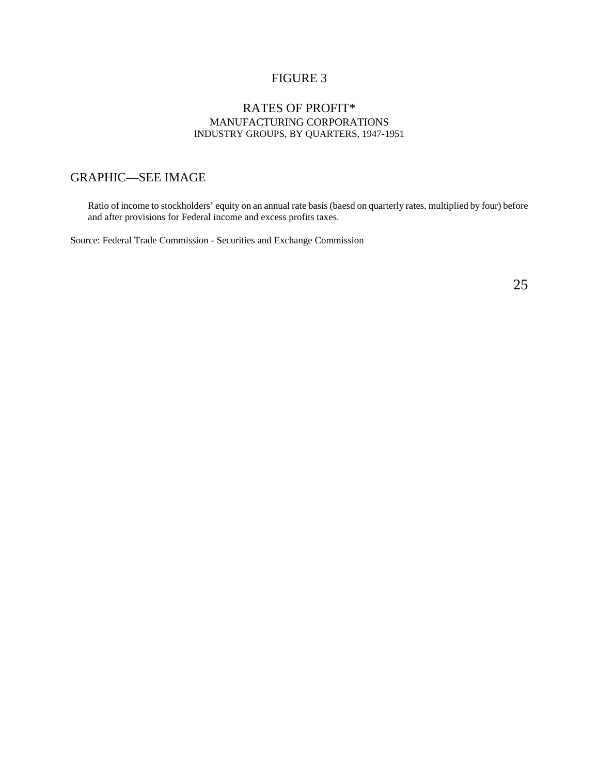#### FIGURE 3

#### RATES OF PROFIT\* MANUFACTURING CORPORATIONS INDUSTRY GROUPS, BY QUARTERS, 1947-1951

#### GRAPHIC—SEE IMAGE

Ratio of income to stockholders' equity on an annual rate basis(baesd on quarterly rates, multiplied by four) before and after provisions for Federal income and excess profits taxes.

Source: Federal Trade Commission - Securities and Exchange Commission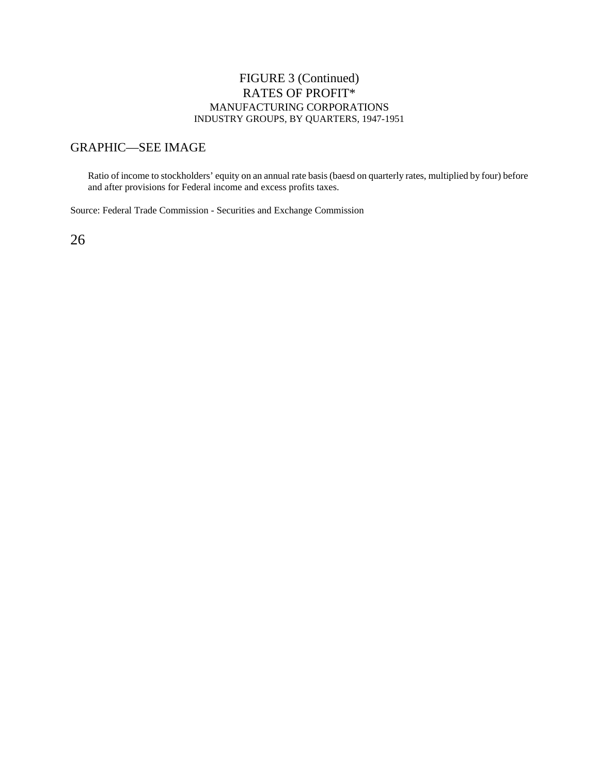#### FIGURE 3 (Continued) RATES OF PROFIT\* MANUFACTURING CORPORATIONS INDUSTRY GROUPS, BY QUARTERS, 1947-1951

#### GRAPHIC—SEE IMAGE

Ratio of income to stockholders' equity on an annual rate basis(baesd on quarterly rates, multiplied by four) before and after provisions for Federal income and excess profits taxes.

Source: Federal Trade Commission - Securities and Exchange Commission

26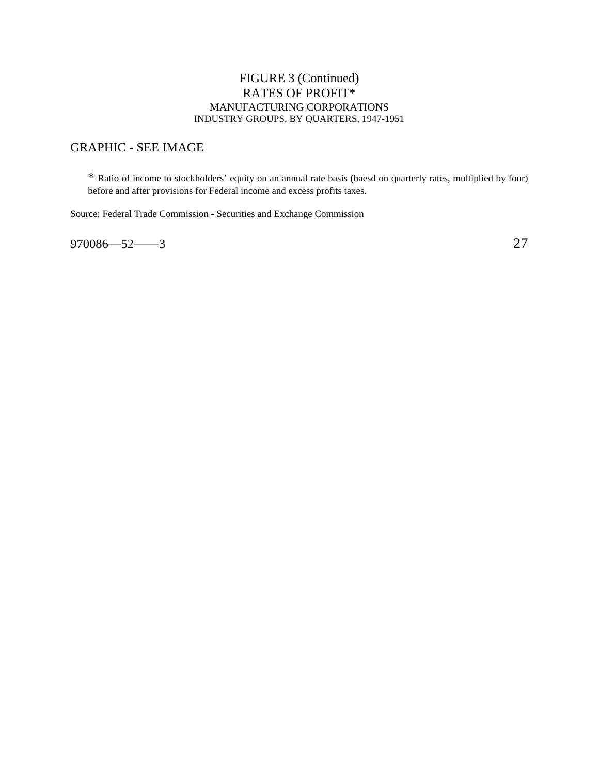#### FIGURE 3 (Continued) RATES OF PROFIT\* MANUFACTURING CORPORATIONS INDUSTRY GROUPS, BY QUARTERS, 1947-1951

#### GRAPHIC - SEE IMAGE

\* Ratio of income to stockholders' equity on an annual rate basis (baesd on quarterly rates, multiplied by four) before and after provisions for Federal income and excess profits taxes.

Source: Federal Trade Commission - Securities and Exchange Commission

970086—52——3 27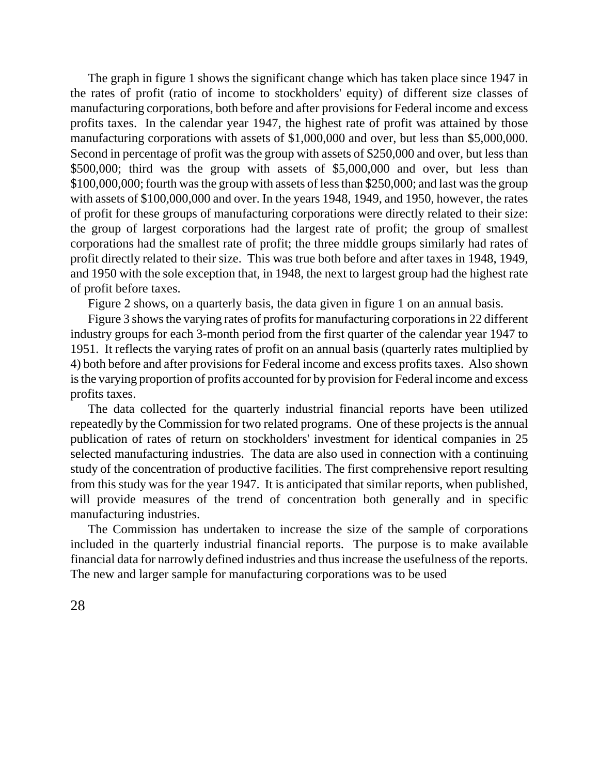The graph in figure 1 shows the significant change which has taken place since 1947 in the rates of profit (ratio of income to stockholders' equity) of different size classes of manufacturing corporations, both before and after provisions for Federal income and excess profits taxes. In the calendar year 1947, the highest rate of profit was attained by those manufacturing corporations with assets of \$1,000,000 and over, but less than \$5,000,000. Second in percentage of profit was the group with assets of \$250,000 and over, but less than \$500,000; third was the group with assets of \$5,000,000 and over, but less than \$100,000,000; fourth wasthe group with assets of lessthan \$250,000; and last wasthe group with assets of \$100,000,000 and over. In the years 1948, 1949, and 1950, however, the rates of profit for these groups of manufacturing corporations were directly related to their size: the group of largest corporations had the largest rate of profit; the group of smallest corporations had the smallest rate of profit; the three middle groups similarly had rates of profit directly related to their size. This was true both before and after taxes in 1948, 1949, and 1950 with the sole exception that, in 1948, the next to largest group had the highest rate of profit before taxes.

Figure 2 shows, on a quarterly basis, the data given in figure 1 on an annual basis.

Figure 3 shows the varying rates of profits for manufacturing corporations in 22 different industry groups for each 3-month period from the first quarter of the calendar year 1947 to 1951. It reflects the varying rates of profit on an annual basis (quarterly rates multiplied by 4) both before and after provisions for Federal income and excess profits taxes. Also shown isthe varying proportion of profits accounted for by provision for Federal income and excess profits taxes.

The data collected for the quarterly industrial financial reports have been utilized repeatedly by the Commission for two related programs. One of these projects is the annual publication of rates of return on stockholders' investment for identical companies in 25 selected manufacturing industries. The data are also used in connection with a continuing study of the concentration of productive facilities. The first comprehensive report resulting from this study was for the year 1947. It is anticipated that similar reports, when published, will provide measures of the trend of concentration both generally and in specific manufacturing industries.

The Commission has undertaken to increase the size of the sample of corporations included in the quarterly industrial financial reports. The purpose is to make available financial data for narrowly defined industries and thusincrease the usefulness of the reports. The new and larger sample for manufacturing corporations was to be used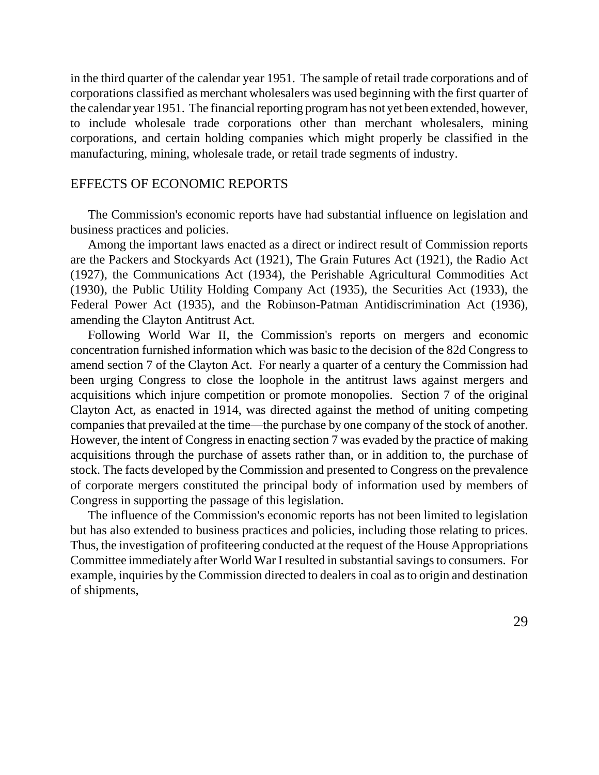in the third quarter of the calendar year 1951. The sample of retail trade corporations and of corporations classified as merchant wholesalers was used beginning with the first quarter of the calendar year 1951. The financial reporting program has not yet been extended, however, to include wholesale trade corporations other than merchant wholesalers, mining corporations, and certain holding companies which might properly be classified in the manufacturing, mining, wholesale trade, or retail trade segments of industry.

#### EFFECTS OF ECONOMIC REPORTS

The Commission's economic reports have had substantial influence on legislation and business practices and policies.

Among the important laws enacted as a direct or indirect result of Commission reports are the Packers and Stockyards Act (1921), The Grain Futures Act (1921), the Radio Act (1927), the Communications Act (1934), the Perishable Agricultural Commodities Act (1930), the Public Utility Holding Company Act (1935), the Securities Act (1933), the Federal Power Act (1935), and the Robinson-Patman Antidiscrimination Act (1936), amending the Clayton Antitrust Act.

Following World War II, the Commission's reports on mergers and economic concentration furnished information which was basic to the decision of the 82d Congress to amend section 7 of the Clayton Act. For nearly a quarter of a century the Commission had been urging Congress to close the loophole in the antitrust laws against mergers and acquisitions which injure competition or promote monopolies. Section 7 of the original Clayton Act, as enacted in 1914, was directed against the method of uniting competing companiesthat prevailed at the time—the purchase by one company of the stock of another. However, the intent of Congress in enacting section 7 was evaded by the practice of making acquisitions through the purchase of assets rather than, or in addition to, the purchase of stock. The facts developed by the Commission and presented to Congress on the prevalence of corporate mergers constituted the principal body of information used by members of Congress in supporting the passage of this legislation.

The influence of the Commission's economic reports has not been limited to legislation but has also extended to business practices and policies, including those relating to prices. Thus, the investigation of profiteering conducted at the request of the House Appropriations Committee immediately after World War I resulted in substantial savings to consumers. For example, inquiries by the Commission directed to dealersin coal asto origin and destination of shipments,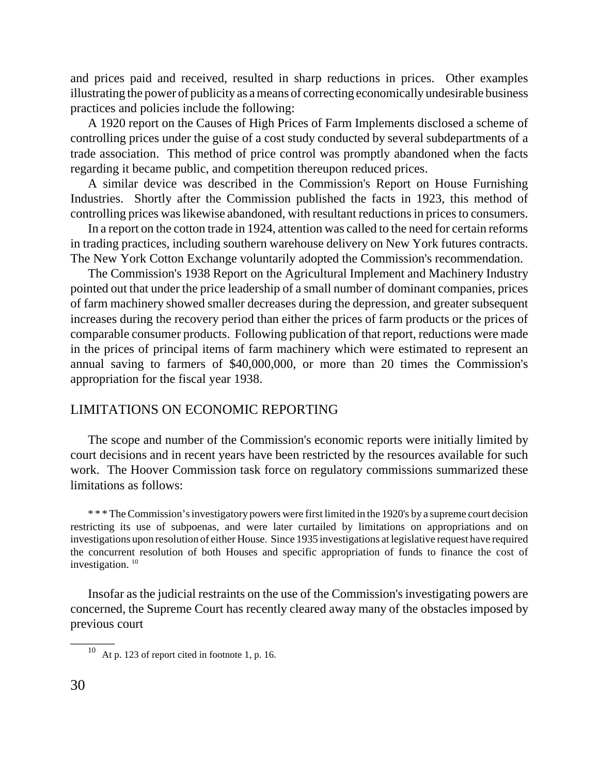and prices paid and received, resulted in sharp reductions in prices. Other examples illustrating the power of publicity as a means of correcting economically undesirable business practices and policies include the following:

A 1920 report on the Causes of High Prices of Farm Implements disclosed a scheme of controlling prices under the guise of a cost study conducted by several subdepartments of a trade association. This method of price control was promptly abandoned when the facts regarding it became public, and competition thereupon reduced prices.

A similar device was described in the Commission's Report on House Furnishing Industries. Shortly after the Commission published the facts in 1923, this method of controlling prices was likewise abandoned, with resultant reductions in prices to consumers.

In a report on the cotton trade in 1924, attention was called to the need for certain reforms in trading practices, including southern warehouse delivery on New York futures contracts. The New York Cotton Exchange voluntarily adopted the Commission's recommendation.

The Commission's 1938 Report on the Agricultural Implement and Machinery Industry pointed out that under the price leadership of a small number of dominant companies, prices of farm machinery showed smaller decreases during the depression, and greater subsequent increases during the recovery period than either the prices of farm products or the prices of comparable consumer products. Following publication of that report, reductions were made in the prices of principal items of farm machinery which were estimated to represent an annual saving to farmers of \$40,000,000, or more than 20 times the Commission's appropriation for the fiscal year 1938.

#### LIMITATIONS ON ECONOMIC REPORTING

The scope and number of the Commission's economic reports were initially limited by court decisions and in recent years have been restricted by the resources available for such work. The Hoover Commission task force on regulatory commissions summarized these limitations as follows:

\* \* \*TheCommission'sinvestigatory powers were first limited in the 1920's by a supreme court decision restricting its use of subpoenas, and were later curtailed by limitations on appropriations and on investigations upon resolution of either House. Since 1935 investigations at legislative request have required the concurrent resolution of both Houses and specific appropriation of funds to finance the cost of investigation. <sup>10</sup>

Insofar as the judicial restraints on the use of the Commission's investigating powers are concerned, the Supreme Court has recently cleared away many of the obstacles imposed by previous court

 $10$  At p. 123 of report cited in footnote 1, p. 16.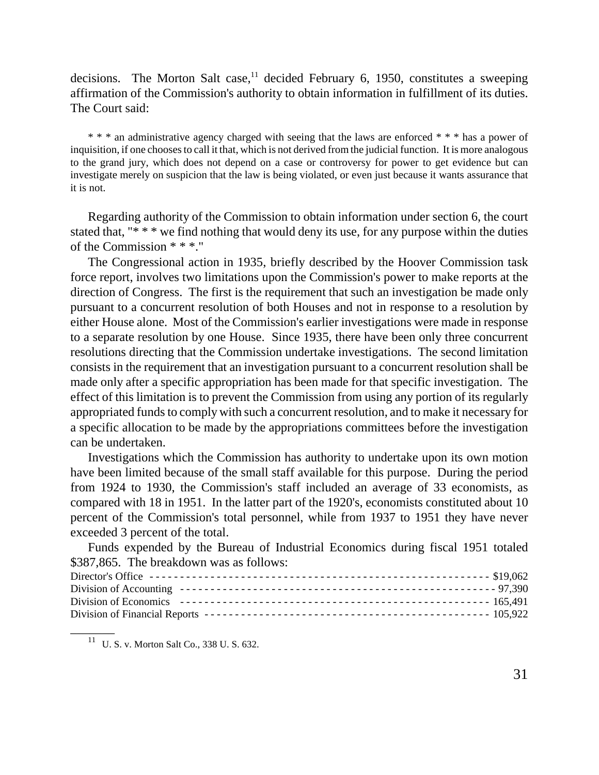### decisions. The Morton Salt case,<sup>11</sup> decided February 6, 1950, constitutes a sweeping affirmation of the Commission's authority to obtain information in fulfillment of its duties. The Court said:

\* \* \* an administrative agency charged with seeing that the laws are enforced \* \* \* has a power of inquisition, if one choosesto call it that, which is not derived fromthe judicial function. It is more analogous to the grand jury, which does not depend on a case or controversy for power to get evidence but can investigate merely on suspicion that the law is being violated, or even just because it wants assurance that it is not.

Regarding authority of the Commission to obtain information under section 6, the court stated that, "\* \* \* we find nothing that would deny its use, for any purpose within the duties of the Commission \* \* \*."

The Congressional action in 1935, briefly described by the Hoover Commission task force report, involves two limitations upon the Commission's power to make reports at the direction of Congress. The first is the requirement that such an investigation be made only pursuant to a concurrent resolution of both Houses and not in response to a resolution by either House alone. Most of the Commission's earlier investigations were made in response to a separate resolution by one House. Since 1935, there have been only three concurrent resolutions directing that the Commission undertake investigations. The second limitation consists in the requirement that an investigation pursuant to a concurrent resolution shall be made only after a specific appropriation has been made for that specific investigation. The effect of this limitation is to prevent the Commission from using any portion of its regularly appropriated funds to comply with such a concurrent resolution, and to make it necessary for a specific allocation to be made by the appropriations committees before the investigation can be undertaken.

Investigations which the Commission has authority to undertake upon its own motion have been limited because of the small staff available for this purpose. During the period from 1924 to 1930, the Commission's staff included an average of 33 economists, as compared with 18 in 1951. In the latter part of the 1920's, economists constituted about 10 percent of the Commission's total personnel, while from 1937 to 1951 they have never exceeded 3 percent of the total.

Funds expended by the Bureau of Industrial Economics during fiscal 1951 totaled \$387,865. The breakdown was as follows:

<sup>11</sup> U. S. v. Morton Salt Co., 338 U. S. 632.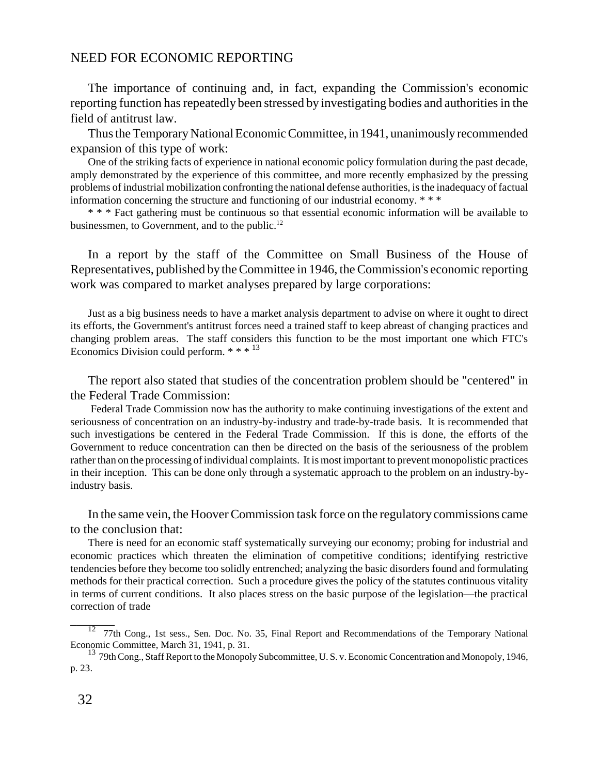### NEED FOR ECONOMIC REPORTING

The importance of continuing and, in fact, expanding the Commission's economic reporting function has repeatedly been stressed by investigating bodies and authorities in the field of antitrust law.

Thus the Temporary National Economic Committee, in 1941, unanimously recommended expansion of this type of work:

One of the striking facts of experience in national economic policy formulation during the past decade, amply demonstrated by the experience of this committee, and more recently emphasized by the pressing problems of industrial mobilization confronting the national defense authorities, isthe inadequacy of factual information concerning the structure and functioning of our industrial economy. \* \* \*

\* \* \* Fact gathering must be continuous so that essential economic information will be available to businessmen, to Government, and to the public.<sup>12</sup>

In a report by the staff of the Committee on Small Business of the House of Representatives, published by theCommittee in 1946, theCommission's economic reporting work was compared to market analyses prepared by large corporations:

Just as a big business needs to have a market analysis department to advise on where it ought to direct its efforts, the Government's antitrust forces need a trained staff to keep abreast of changing practices and changing problem areas. The staff considers this function to be the most important one which FTC's Economics Division could perform.  $***$  <sup>13</sup>

The report also stated that studies of the concentration problem should be "centered" in the Federal Trade Commission:

 Federal Trade Commission now has the authority to make continuing investigations of the extent and seriousness of concentration on an industry-by-industry and trade-by-trade basis. It is recommended that such investigations be centered in the Federal Trade Commission. If this is done, the efforts of the Government to reduce concentration can then be directed on the basis of the seriousness of the problem rather than on the processing of individual complaints. It is most important to prevent monopolistic practices in their inception. This can be done only through a systematic approach to the problem on an industry-byindustry basis.

In the same vein, the Hoover Commission task force on the regulatory commissions came to the conclusion that:

There is need for an economic staff systematically surveying our economy; probing for industrial and economic practices which threaten the elimination of competitive conditions; identifying restrictive tendencies before they become too solidly entrenched; analyzing the basic disorders found and formulating methods for their practical correction. Such a procedure gives the policy of the statutes continuous vitality in terms of current conditions. It also places stress on the basic purpose of the legislation—the practical correction of trade

 $\frac{12}{12}$  77th Cong., 1st sess., Sen. Doc. No. 35, Final Report and Recommendations of the Temporary National Economic Committee, March 31, 1941, p. 31.

<sup>&</sup>lt;sup>13</sup> 79th Cong., Staff Report to the Monopoly Subcommittee, U.S. v. Economic Concentration and Monopoly, 1946, p. 23.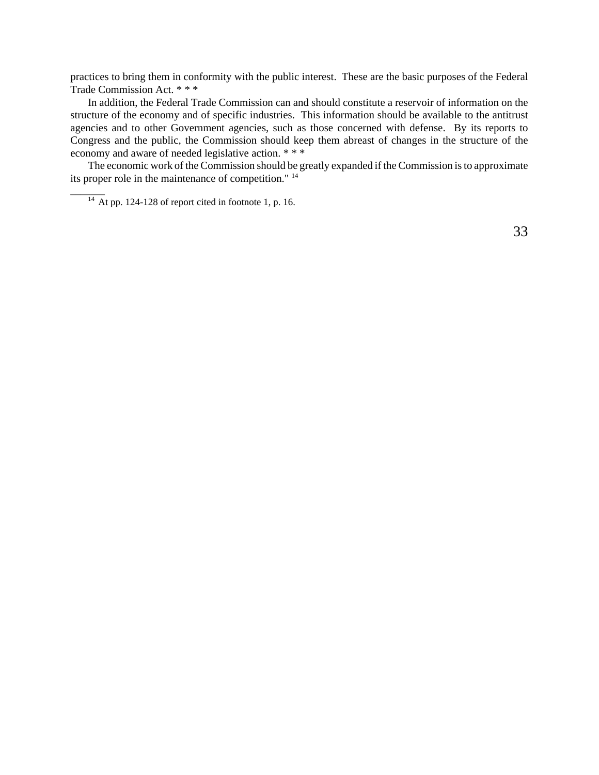practices to bring them in conformity with the public interest. These are the basic purposes of the Federal Trade Commission Act. \* \* \*

In addition, the Federal Trade Commission can and should constitute a reservoir of information on the structure of the economy and of specific industries. This information should be available to the antitrust agencies and to other Government agencies, such as those concerned with defense. By its reports to Congress and the public, the Commission should keep them abreast of changes in the structure of the economy and aware of needed legislative action. \* \* \*

The economic work of the Commission should be greatly expanded if the Commission is to approximate its proper role in the maintenance of competition." <sup>14</sup>

 $\frac{14}{14}$  At pp. 124-128 of report cited in footnote 1, p. 16.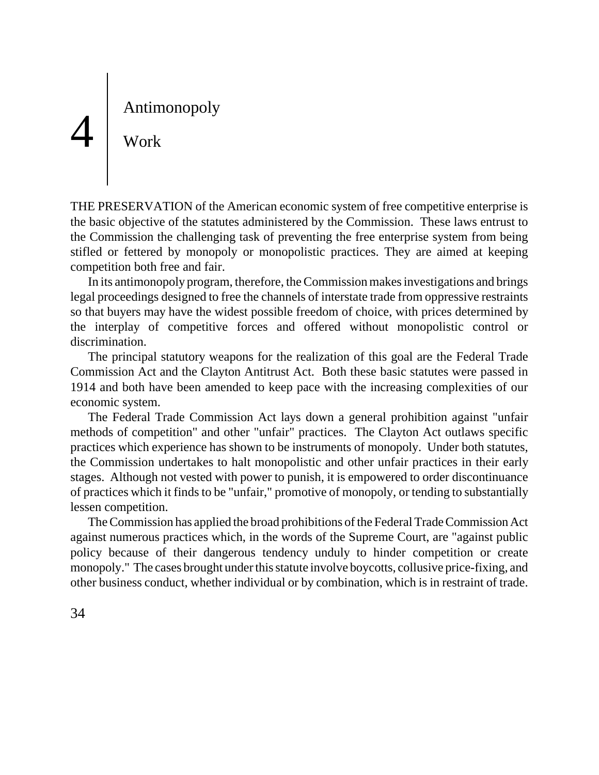### Antimonopoly

# $4 \vert_{\text{work}}$

THE PRESERVATION of the American economic system of free competitive enterprise is the basic objective of the statutes administered by the Commission. These laws entrust to the Commission the challenging task of preventing the free enterprise system from being stifled or fettered by monopoly or monopolistic practices. They are aimed at keeping competition both free and fair.

In its antimonopoly program, therefore, the Commission makes investigations and brings legal proceedings designed to free the channels of interstate trade from oppressive restraints so that buyers may have the widest possible freedom of choice, with prices determined by the interplay of competitive forces and offered without monopolistic control or discrimination.

The principal statutory weapons for the realization of this goal are the Federal Trade Commission Act and the Clayton Antitrust Act. Both these basic statutes were passed in 1914 and both have been amended to keep pace with the increasing complexities of our economic system.

The Federal Trade Commission Act lays down a general prohibition against "unfair methods of competition" and other "unfair" practices. The Clayton Act outlaws specific practices which experience has shown to be instruments of monopoly. Under both statutes, the Commission undertakes to halt monopolistic and other unfair practices in their early stages. Although not vested with power to punish, it is empowered to order discontinuance of practices which it finds to be "unfair," promotive of monopoly, or tending to substantially lessen competition.

The Commission has applied the broad prohibitions of the Federal Trade Commission Act against numerous practices which, in the words of the Supreme Court, are "against public policy because of their dangerous tendency unduly to hinder competition or create monopoly." The cases brought under this statute involve boycotts, collusive price-fixing, and other business conduct, whether individual or by combination, which is in restraint of trade.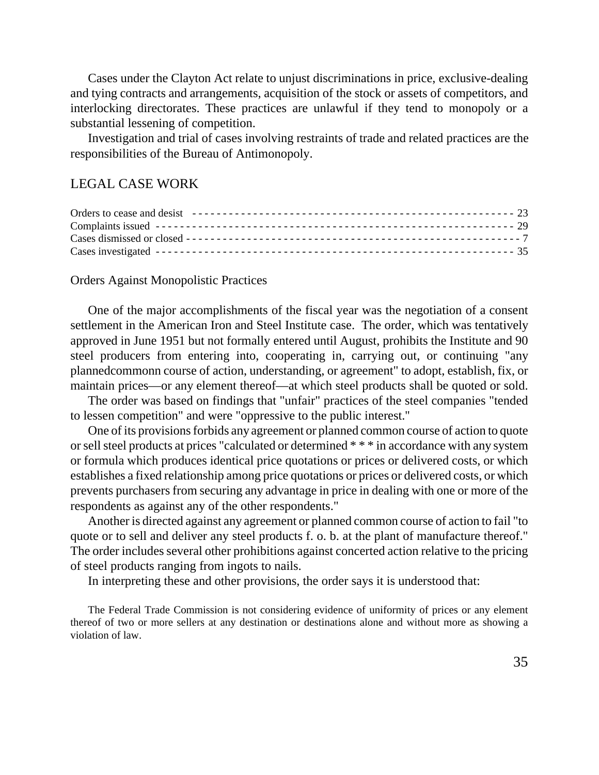Cases under the Clayton Act relate to unjust discriminations in price, exclusive-dealing and tying contracts and arrangements, acquisition of the stock or assets of competitors, and interlocking directorates. These practices are unlawful if they tend to monopoly or a substantial lessening of competition.

 Investigation and trial of cases involving restraints of trade and related practices are the responsibilities of the Bureau of Antimonopoly.

### LEGAL CASE WORK

Orders Against Monopolistic Practices

One of the major accomplishments of the fiscal year was the negotiation of a consent settlement in the American Iron and Steel Institute case. The order, which was tentatively approved in June 1951 but not formally entered until August, prohibits the Institute and 90 steel producers from entering into, cooperating in, carrying out, or continuing "any plannedcommonn course of action, understanding, or agreement" to adopt, establish, fix, or maintain prices—or any element thereof—at which steel products shall be quoted or sold.

The order was based on findings that "unfair" practices of the steel companies "tended to lessen competition" and were "oppressive to the public interest.''

One of its provisions forbids any agreement or planned common course of action to quote orsellsteel products at prices "calculated or determined \* \* \* in accordance with any system or formula which produces identical price quotations or prices or delivered costs, or which establishes a fixed relationship among price quotations or prices or delivered costs, or which prevents purchasers from securing any advantage in price in dealing with one or more of the respondents as against any of the other respondents."

Another is directed against any agreement or planned common course of action to fail "to quote or to sell and deliver any steel products f. o. b. at the plant of manufacture thereof." The order includes several other prohibitions against concerted action relative to the pricing of steel products ranging from ingots to nails.

In interpreting these and other provisions, the order says it is understood that:

The Federal Trade Commission is not considering evidence of uniformity of prices or any element thereof of two or more sellers at any destination or destinations alone and without more as showing a violation of law.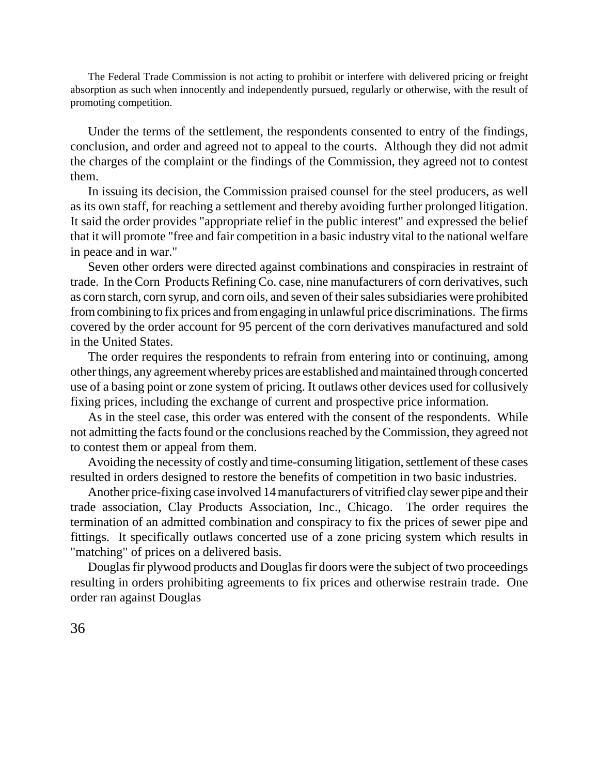The Federal Trade Commission is not acting to prohibit or interfere with delivered pricing or freight absorption as such when innocently and independently pursued, regularly or otherwise, with the result of promoting competition.

Under the terms of the settlement, the respondents consented to entry of the findings, conclusion, and order and agreed not to appeal to the courts. Although they did not admit the charges of the complaint or the findings of the Commission, they agreed not to contest them.

In issuing its decision, the Commission praised counsel for the steel producers, as well as its own staff, for reaching a settlement and thereby avoiding further prolonged litigation. It said the order provides "appropriate relief in the public interest" and expressed the belief that it will promote "free and fair competition in a basic industry vital to the national welfare in peace and in war."

Seven other orders were directed against combinations and conspiracies in restraint of trade. In the Corn Products Refining Co. case, nine manufacturers of corn derivatives, such as corn starch, corn syrup, and corn oils, and seven of their sales subsidiaries were prohibited fromcombining to fix prices and fromengaging in unlawful price discriminations. The firms covered by the order account for 95 percent of the corn derivatives manufactured and sold in the United States.

The order requires the respondents to refrain from entering into or continuing, among other things, any agreement whereby prices are established and maintained through concerted use of a basing point or zone system of pricing. It outlaws other devices used for collusively fixing prices, including the exchange of current and prospective price information.

As in the steel case, this order was entered with the consent of the respondents. While not admitting the facts found or the conclusions reached by the Commission, they agreed not to contest them or appeal from them.

Avoiding the necessity of costly and time-consuming litigation, settlement of these cases resulted in orders designed to restore the benefits of competition in two basic industries.

Another price-fixing case involved 14manufacturers of vitrified clay sewer pipe and their trade association, Clay Products Association, Inc., Chicago. The order requires the termination of an admitted combination and conspiracy to fix the prices of sewer pipe and fittings. It specifically outlaws concerted use of a zone pricing system which results in "matching" of prices on a delivered basis.

Douglas fir plywood products and Douglas fir doors were the subject of two proceedings resulting in orders prohibiting agreements to fix prices and otherwise restrain trade. One order ran against Douglas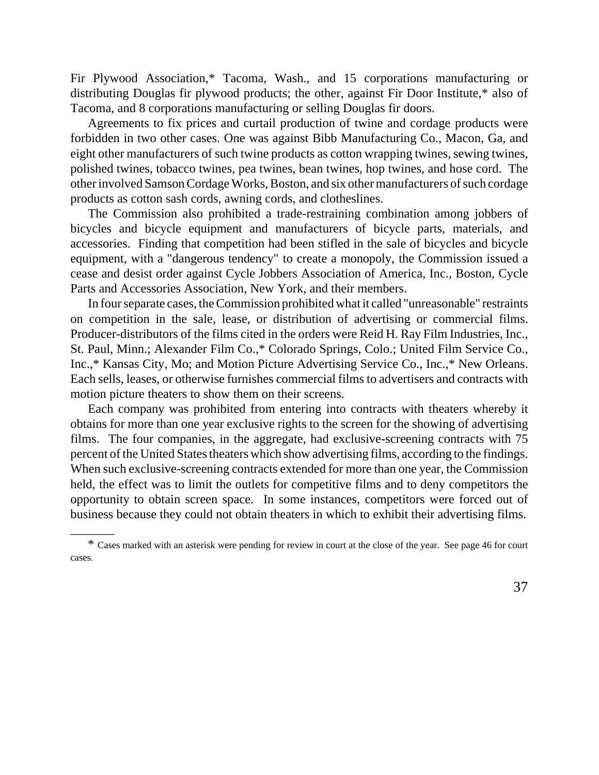Fir Plywood Association,\* Tacoma, Wash., and 15 corporations manufacturing or distributing Douglas fir plywood products; the other, against Fir Door Institute,\* also of Tacoma, and 8 corporations manufacturing or selling Douglas fir doors.

Agreements to fix prices and curtail production of twine and cordage products were forbidden in two other cases. One was against Bibb Manufacturing Co., Macon, Ga, and eight other manufacturers of such twine products as cotton wrapping twines, sewing twines, polished twines, tobacco twines, pea twines, bean twines, hop twines, and hose cord. The other involved Samson Cordage Works, Boston, and six other manufacturers of such cordage products as cotton sash cords, awning cords, and clotheslines.

The Commission also prohibited a trade-restraining combination among jobbers of bicycles and bicycle equipment and manufacturers of bicycle parts, materials, and accessories. Finding that competition had been stifled in the sale of bicycles and bicycle equipment, with a "dangerous tendency" to create a monopoly, the Commission issued a cease and desist order against Cycle Jobbers Association of America, Inc., Boston, Cycle Parts and Accessories Association, New York, and their members.

In four separate cases, the Commission prohibited what it called "unreasonable" restraints on competition in the sale, lease, or distribution of advertising or commercial films. Producer-distributors of the films cited in the orders were Reid H. Ray Film Industries, Inc., St. Paul, Minn.; Alexander Film Co.,\* Colorado Springs, Colo.; United Film Service Co., Inc.,\* Kansas City, Mo; and Motion Picture Advertising Service Co., Inc.,\* New Orleans. Each sells, leases, or otherwise furnishes commercial films to advertisers and contracts with motion picture theaters to show them on their screens.

Each company was prohibited from entering into contracts with theaters whereby it obtains for more than one year exclusive rights to the screen for the showing of advertising films. The four companies, in the aggregate, had exclusive-screening contracts with 75 percent of the United States theaters which show advertising films, according to the findings. When such exclusive-screening contracts extended for more than one year, the Commission held, the effect was to limit the outlets for competitive films and to deny competitors the opportunity to obtain screen space. In some instances, competitors were forced out of business because they could not obtain theaters in which to exhibit their advertising films.

<sup>\*</sup> Cases marked with an asterisk were pending for review in court at the close of the year. See page 46 for court cases.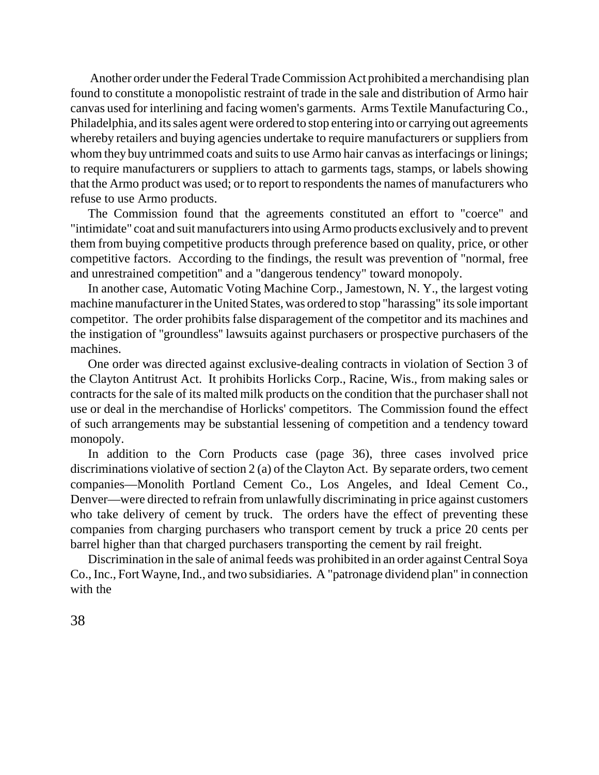Another order under the Federal Trade Commission Act prohibited a merchandising plan found to constitute a monopolistic restraint of trade in the sale and distribution of Armo hair canvas used for interlining and facing women's garments. Arms Textile Manufacturing Co., Philadelphia, and its sales agent were ordered to stop entering into or carrying out agreements whereby retailers and buying agencies undertake to require manufacturers or suppliers from whom they buy untrimmed coats and suits to use Armo hair canvas as interfacings or linings; to require manufacturers or suppliers to attach to garments tags, stamps, or labels showing that the Armo product was used; or to report to respondents the names of manufacturers who refuse to use Armo products.

The Commission found that the agreements constituted an effort to "coerce" and "intimidate" coat and suit manufacturers into using Armo products exclusively and to prevent them from buying competitive products through preference based on quality, price, or other competitive factors. According to the findings, the result was prevention of "normal, free and unrestrained competition'' and a "dangerous tendency" toward monopoly.

In another case, Automatic Voting Machine Corp., Jamestown, N. Y., the largest voting machine manufacturer in the United States, was ordered to stop "harassing" its sole important competitor. The order prohibits false disparagement of the competitor and its machines and the instigation of ''groundless'' lawsuits against purchasers or prospective purchasers of the machines.

One order was directed against exclusive-dealing contracts in violation of Section 3 of the Clayton Antitrust Act. It prohibits Horlicks Corp., Racine, Wis., from making sales or contracts for the sale of its malted milk products on the condition that the purchaser shall not use or deal in the merchandise of Horlicks' competitors. The Commission found the effect of such arrangements may be substantial lessening of competition and a tendency toward monopoly.

In addition to the Corn Products case (page 36), three cases involved price discriminations violative of section 2 (a) of the Clayton Act. By separate orders, two cement companies—Monolith Portland Cement Co., Los Angeles, and Ideal Cement Co., Denver—were directed to refrain from unlawfully discriminating in price against customers who take delivery of cement by truck. The orders have the effect of preventing these companies from charging purchasers who transport cement by truck a price 20 cents per barrel higher than that charged purchasers transporting the cement by rail freight.

Discrimination in the sale of animal feeds was prohibited in an order against Central Soya Co., Inc., Fort Wayne, Ind., and two subsidiaries. A "patronage dividend plan" in connection with the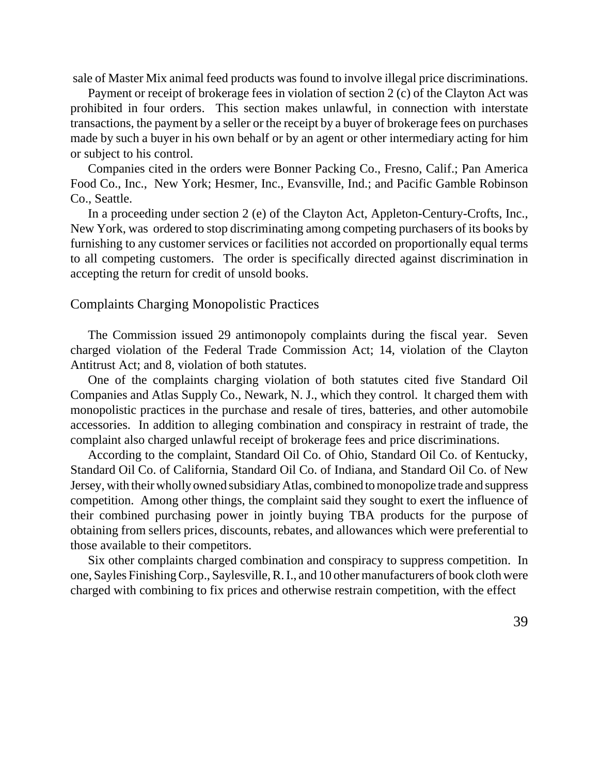sale of Master Mix animal feed products was found to involve illegal price discriminations.

Payment or receipt of brokerage fees in violation of section 2 (c) of the Clayton Act was prohibited in four orders. This section makes unlawful, in connection with interstate transactions, the payment by a seller or the receipt by a buyer of brokerage fees on purchases made by such a buyer in his own behalf or by an agent or other intermediary acting for him or subject to his control.

Companies cited in the orders were Bonner Packing Co., Fresno, Calif.; Pan America Food Co., Inc., New York; Hesmer, Inc., Evansville, Ind.; and Pacific Gamble Robinson Co., Seattle.

In a proceeding under section 2 (e) of the Clayton Act, Appleton-Century-Crofts, Inc., New York, was ordered to stop discriminating among competing purchasers of its books by furnishing to any customer services or facilities not accorded on proportionally equal terms to all competing customers. The order is specifically directed against discrimination in accepting the return for credit of unsold books.

### Complaints Charging Monopolistic Practices

The Commission issued 29 antimonopoly complaints during the fiscal year. Seven charged violation of the Federal Trade Commission Act; 14, violation of the Clayton Antitrust Act; and 8, violation of both statutes.

One of the complaints charging violation of both statutes cited five Standard Oil Companies and Atlas Supply Co., Newark, N. J., which they control. lt charged them with monopolistic practices in the purchase and resale of tires, batteries, and other automobile accessories. In addition to alleging combination and conspiracy in restraint of trade, the complaint also charged unlawful receipt of brokerage fees and price discriminations.

According to the complaint, Standard Oil Co. of Ohio, Standard Oil Co. of Kentucky, Standard Oil Co. of California, Standard Oil Co. of Indiana, and Standard Oil Co. of New Jersey, with their wholly owned subsidiary Atlas, combined to monopolize trade and suppress competition. Among other things, the complaint said they sought to exert the influence of their combined purchasing power in jointly buying TBA products for the purpose of obtaining from sellers prices, discounts, rebates, and allowances which were preferential to those available to their competitors.

Six other complaints charged combination and conspiracy to suppress competition. In one, Sayles FinishingCorp., Saylesville,R.I., and 10 other manufacturers of book cloth were charged with combining to fix prices and otherwise restrain competition, with the effect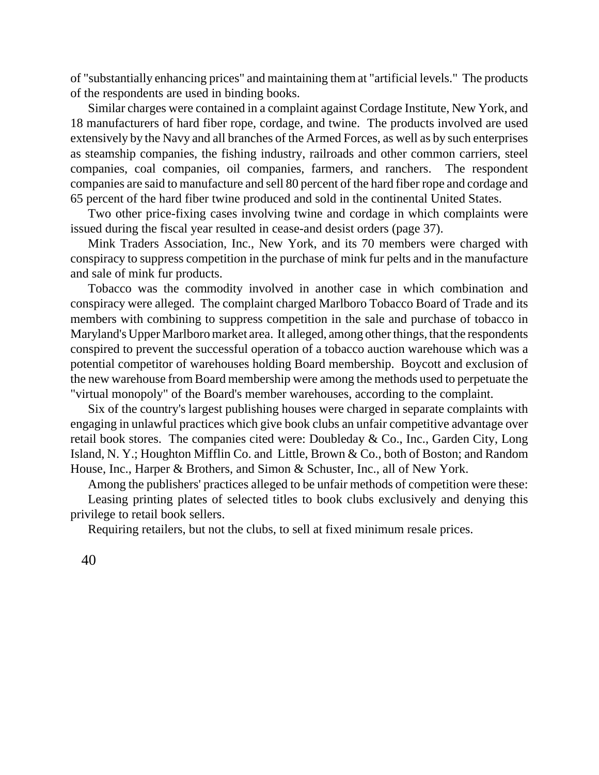of "substantially enhancing prices" and maintaining them at "artificial levels." The products of the respondents are used in binding books.

Similar charges were contained in a complaint against Cordage Institute, New York, and 18 manufacturers of hard fiber rope, cordage, and twine. The products involved are used extensively by the Navy and all branches of the Armed Forces, as well as by such enterprises as steamship companies, the fishing industry, railroads and other common carriers, steel companies, coal companies, oil companies, farmers, and ranchers. The respondent companies are said to manufacture and sell 80 percent of the hard fiber rope and cordage and 65 percent of the hard fiber twine produced and sold in the continental United States.

Two other price-fixing cases involving twine and cordage in which complaints were issued during the fiscal year resulted in cease-and desist orders (page 37).

Mink Traders Association, Inc., New York, and its 70 members were charged with conspiracy to suppress competition in the purchase of mink fur pelts and in the manufacture and sale of mink fur products.

Tobacco was the commodity involved in another case in which combination and conspiracy were alleged. The complaint charged Marlboro Tobacco Board of Trade and its members with combining to suppress competition in the sale and purchase of tobacco in Maryland's Upper Marlboro market area. It alleged, among other things, that the respondents conspired to prevent the successful operation of a tobacco auction warehouse which was a potential competitor of warehouses holding Board membership. Boycott and exclusion of the new warehouse from Board membership were among the methods used to perpetuate the "virtual monopoly" of the Board's member warehouses, according to the complaint.

Six of the country's largest publishing houses were charged in separate complaints with engaging in unlawful practices which give book clubs an unfair competitive advantage over retail book stores. The companies cited were: Doubleday & Co., Inc., Garden City, Long Island, N. Y.; Houghton Mifflin Co. and Little, Brown & Co., both of Boston; and Random House, Inc., Harper & Brothers, and Simon & Schuster, Inc., all of New York.

Among the publishers' practices alleged to be unfair methods of competition were these:

Leasing printing plates of selected titles to book clubs exclusively and denying this privilege to retail book sellers.

Requiring retailers, but not the clubs, to sell at fixed minimum resale prices.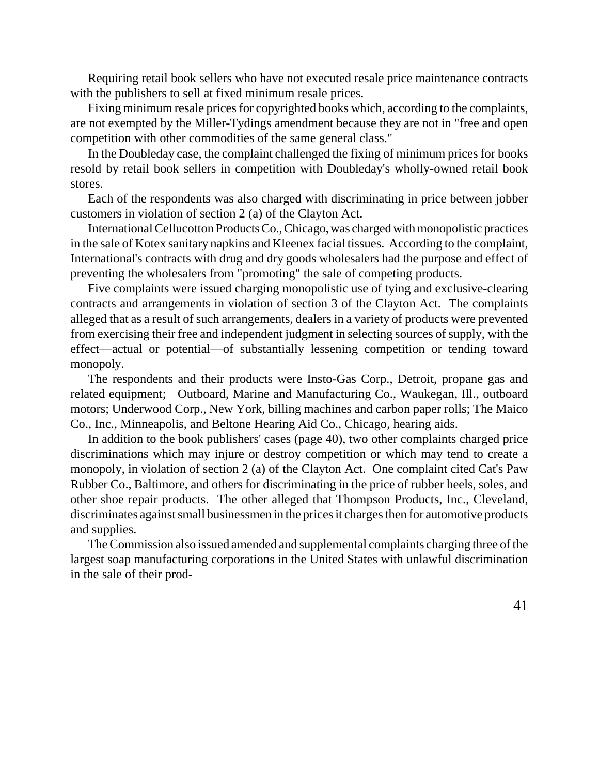Requiring retail book sellers who have not executed resale price maintenance contracts with the publishers to sell at fixed minimum resale prices.

Fixing minimum resale prices for copyrighted books which, according to the complaints, are not exempted by the Miller-Tydings amendment because they are not in "free and open competition with other commodities of the same general class."

In the Doubleday case, the complaint challenged the fixing of minimum prices for books resold by retail book sellers in competition with Doubleday's wholly-owned retail book stores.

Each of the respondents was also charged with discriminating in price between jobber customers in violation of section 2 (a) of the Clayton Act.

InternationalCellucotton Products Co., Chicago, was charged with monopolistic practices in the sale of Kotex sanitary napkins and Kleenex facial tissues. According to the complaint, International's contracts with drug and dry goods wholesalers had the purpose and effect of preventing the wholesalers from "promoting" the sale of competing products.

Five complaints were issued charging monopolistic use of tying and exclusive-clearing contracts and arrangements in violation of section 3 of the Clayton Act. The complaints alleged that as a result of such arrangements, dealers in a variety of products were prevented from exercising their free and independent judgment in selecting sources of supply, with the effect—actual or potential—of substantially lessening competition or tending toward monopoly.

The respondents and their products were Insto-Gas Corp., Detroit, propane gas and related equipment; Outboard, Marine and Manufacturing Co., Waukegan, Ill., outboard motors; Underwood Corp., New York, billing machines and carbon paper rolls; The Maico Co., Inc., Minneapolis, and Beltone Hearing Aid Co., Chicago, hearing aids.

In addition to the book publishers' cases (page 40), two other complaints charged price discriminations which may injure or destroy competition or which may tend to create a monopoly, in violation of section 2 (a) of the Clayton Act. One complaint cited Cat's Paw Rubber Co., Baltimore, and others for discriminating in the price of rubber heels, soles, and other shoe repair products. The other alleged that Thompson Products, Inc., Cleveland, discriminates against small businessmen in the prices it charges then for automotive products and supplies.

TheCommission also issued amended and supplemental complaints charging three of the largest soap manufacturing corporations in the United States with unlawful discrimination in the sale of their prod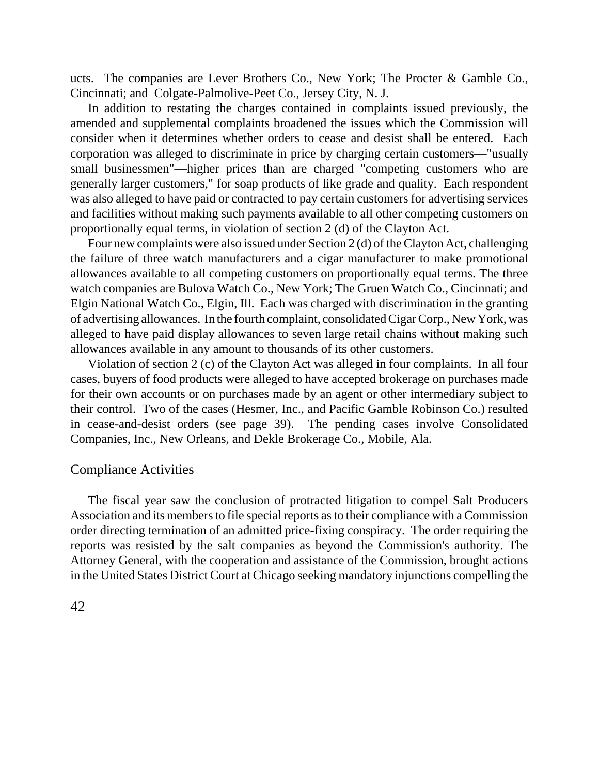ucts. The companies are Lever Brothers Co., New York; The Procter & Gamble Co., Cincinnati; and Colgate-Palmolive-Peet Co., Jersey City, N. J.

In addition to restating the charges contained in complaints issued previously, the amended and supplemental complaints broadened the issues which the Commission will consider when it determines whether orders to cease and desist shall be entered. Each corporation was alleged to discriminate in price by charging certain customers—"usually small businessmen"—higher prices than are charged "competing customers who are generally larger customers," for soap products of like grade and quality. Each respondent was also alleged to have paid or contracted to pay certain customers for advertising services and facilities without making such payments available to all other competing customers on proportionally equal terms, in violation of section 2 (d) of the Clayton Act.

Four new complaints were also issued under Section 2 (d) of theClayton Act, challenging the failure of three watch manufacturers and a cigar manufacturer to make promotional allowances available to all competing customers on proportionally equal terms. The three watch companies are Bulova Watch Co., New York; The Gruen Watch Co., Cincinnati; and Elgin National Watch Co., Elgin, Ill. Each was charged with discrimination in the granting of advertising allowances. In the fourth complaint, consolidated Cigar Corp., New York, was alleged to have paid display allowances to seven large retail chains without making such allowances available in any amount to thousands of its other customers.

Violation of section 2 (c) of the Clayton Act was alleged in four complaints. In all four cases, buyers of food products were alleged to have accepted brokerage on purchases made for their own accounts or on purchases made by an agent or other intermediary subject to their control. Two of the cases (Hesmer, Inc., and Pacific Gamble Robinson Co.) resulted in cease-and-desist orders (see page 39). The pending cases involve Consolidated Companies, Inc., New Orleans, and Dekle Brokerage Co., Mobile, Ala.

### Compliance Activities

The fiscal year saw the conclusion of protracted litigation to compel Salt Producers Association and its membersto file special reports asto their compliance with a Commission order directing termination of an admitted price-fixing conspiracy. The order requiring the reports was resisted by the salt companies as beyond the Commission's authority. The Attorney General, with the cooperation and assistance of the Commission, brought actions in the United States District Court at Chicago seeking mandatory injunctions compelling the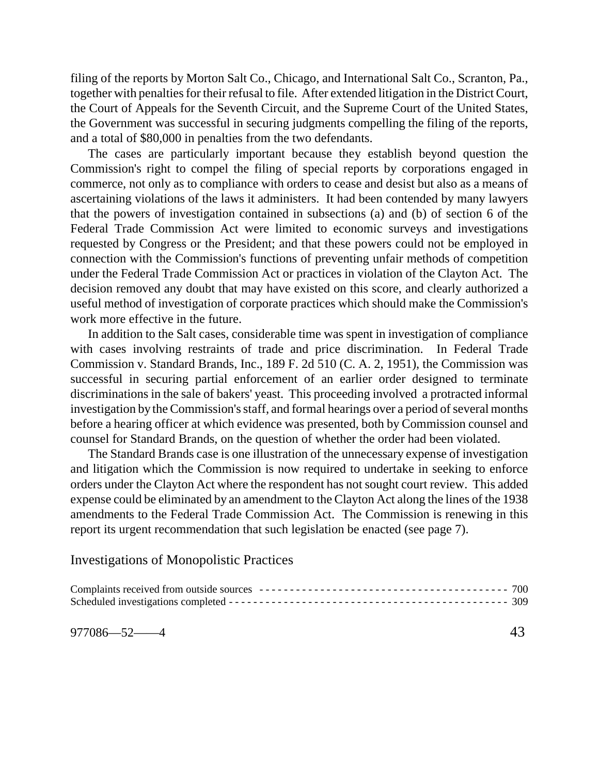filing of the reports by Morton Salt Co., Chicago, and International Salt Co., Scranton, Pa., together with penalties for their refusal to file. After extended litigation in the District Court, the Court of Appeals for the Seventh Circuit, and the Supreme Court of the United States, the Government was successful in securing judgments compelling the filing of the reports, and a total of \$80,000 in penalties from the two defendants.

The cases are particularly important because they establish beyond question the Commission's right to compel the filing of special reports by corporations engaged in commerce, not only as to compliance with orders to cease and desist but also as a means of ascertaining violations of the laws it administers. It had been contended by many lawyers that the powers of investigation contained in subsections (a) and (b) of section 6 of the Federal Trade Commission Act were limited to economic surveys and investigations requested by Congress or the President; and that these powers could not be employed in connection with the Commission's functions of preventing unfair methods of competition under the Federal Trade Commission Act or practices in violation of the Clayton Act. The decision removed any doubt that may have existed on this score, and clearly authorized a useful method of investigation of corporate practices which should make the Commission's work more effective in the future.

In addition to the Salt cases, considerable time was spent in investigation of compliance with cases involving restraints of trade and price discrimination. In Federal Trade Commission v. Standard Brands, Inc., 189 F. 2d 510 (C. A. 2, 1951), the Commission was successful in securing partial enforcement of an earlier order designed to terminate discriminations in the sale of bakers' yeast. This proceeding involved a protracted informal investigation by the Commission's staff, and formal hearings over a period of several months before a hearing officer at which evidence was presented, both by Commission counsel and counsel for Standard Brands, on the question of whether the order had been violated.

The Standard Brands case is one illustration of the unnecessary expense of investigation and litigation which the Commission is now required to undertake in seeking to enforce orders under the Clayton Act where the respondent has not sought court review. This added expense could be eliminated by an amendment to the Clayton Act along the lines of the 1938 amendments to the Federal Trade Commission Act. The Commission is renewing in this report its urgent recommendation that such legislation be enacted (see page 7).

### Investigations of Monopolistic Practices

977086—52——4 43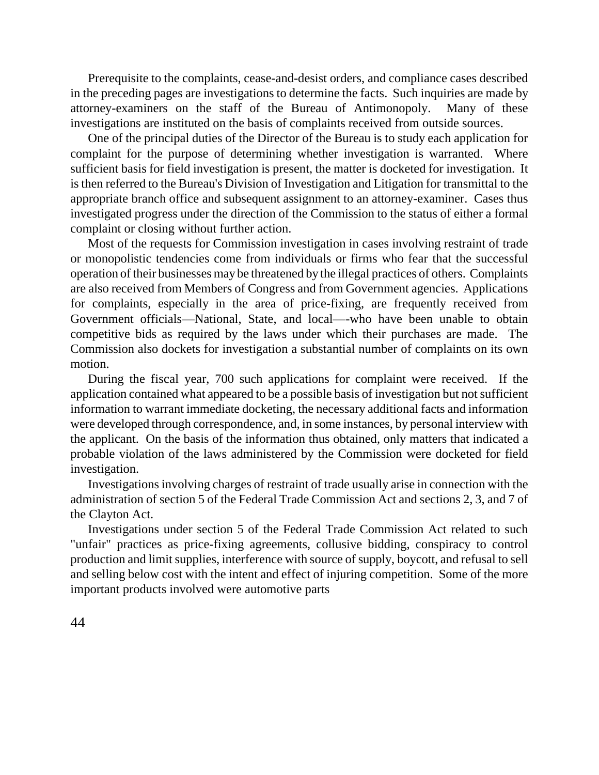Prerequisite to the complaints, cease-and-desist orders, and compliance cases described in the preceding pages are investigations to determine the facts. Such inquiries are made by attorney-examiners on the staff of the Bureau of Antimonopoly. Many of these investigations are instituted on the basis of complaints received from outside sources.

One of the principal duties of the Director of the Bureau is to study each application for complaint for the purpose of determining whether investigation is warranted. Where sufficient basis for field investigation is present, the matter is docketed for investigation. It isthen referred to the Bureau's Division of Investigation and Litigation for transmittal to the appropriate branch office and subsequent assignment to an attorney-examiner. Cases thus investigated progress under the direction of the Commission to the status of either a formal complaint or closing without further action.

Most of the requests for Commission investigation in cases involving restraint of trade or monopolistic tendencies come from individuals or firms who fear that the successful operation of their businesses may be threatened by the illegal practices of others. Complaints are also received from Members of Congress and from Government agencies. Applications for complaints, especially in the area of price-fixing, are frequently received from Government officials—National, State, and local—-who have been unable to obtain competitive bids as required by the laws under which their purchases are made. The Commission also dockets for investigation a substantial number of complaints on its own motion.

During the fiscal year, 700 such applications for complaint were received. If the application contained what appeared to be a possible basis of investigation but not sufficient information to warrant immediate docketing, the necessary additional facts and information were developed through correspondence, and, in some instances, by personal interview with the applicant. On the basis of the information thus obtained, only matters that indicated a probable violation of the laws administered by the Commission were docketed for field investigation.

Investigations involving charges of restraint of trade usually arise in connection with the administration of section 5 of the Federal Trade Commission Act and sections 2, 3, and 7 of the Clayton Act.

Investigations under section 5 of the Federal Trade Commission Act related to such "unfair" practices as price-fixing agreements, collusive bidding, conspiracy to control production and limit supplies, interference with source of supply, boycott, and refusal to sell and selling below cost with the intent and effect of injuring competition. Some of the more important products involved were automotive parts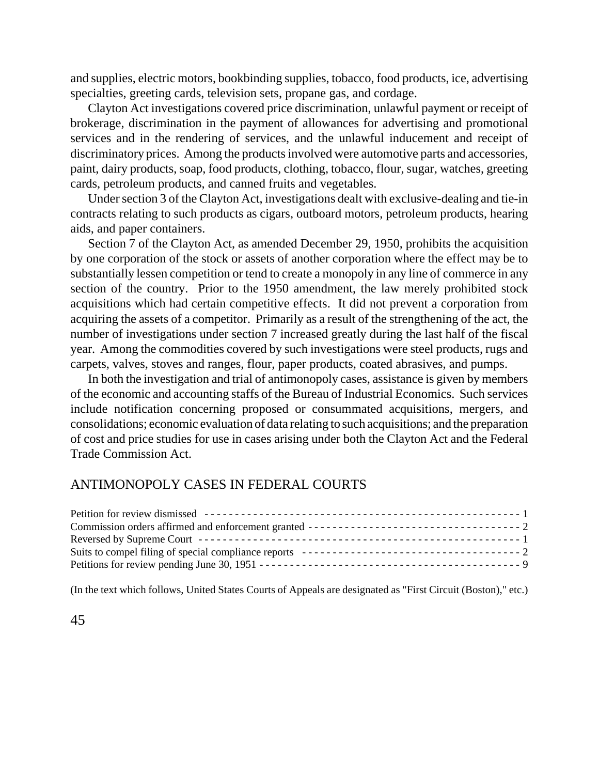and supplies, electric motors, bookbinding supplies, tobacco, food products, ice, advertising specialties, greeting cards, television sets, propane gas, and cordage.

Clayton Act investigations covered price discrimination, unlawful payment or receipt of brokerage, discrimination in the payment of allowances for advertising and promotional services and in the rendering of services, and the unlawful inducement and receipt of discriminatory prices. Among the products involved were automotive parts and accessories, paint, dairy products, soap, food products, clothing, tobacco, flour, sugar, watches, greeting cards, petroleum products, and canned fruits and vegetables.

Under section 3 of the Clayton Act, investigations dealt with exclusive-dealing and tie-in contracts relating to such products as cigars, outboard motors, petroleum products, hearing aids, and paper containers.

 Section 7 of the Clayton Act, as amended December 29, 1950, prohibits the acquisition by one corporation of the stock or assets of another corporation where the effect may be to substantially lessen competition or tend to create a monopoly in any line of commerce in any section of the country. Prior to the 1950 amendment, the law merely prohibited stock acquisitions which had certain competitive effects. It did not prevent a corporation from acquiring the assets of a competitor. Primarily as a result of the strengthening of the act, the number of investigations under section 7 increased greatly during the last half of the fiscal year. Among the commodities covered by such investigations were steel products, rugs and carpets, valves, stoves and ranges, flour, paper products, coated abrasives, and pumps.

In both the investigation and trial of antimonopoly cases, assistance is given by members of the economic and accounting staffs of the Bureau of Industrial Economics. Such services include notification concerning proposed or consummated acquisitions, mergers, and consolidations; economic evaluation of data relating to such acquisitions; and the preparation of cost and price studies for use in cases arising under both the Clayton Act and the Federal Trade Commission Act.

### ANTIMONOPOLY CASES IN FEDERAL COURTS

(In the text which follows, United States Courts of Appeals are designated as "First Circuit (Boston)," etc.)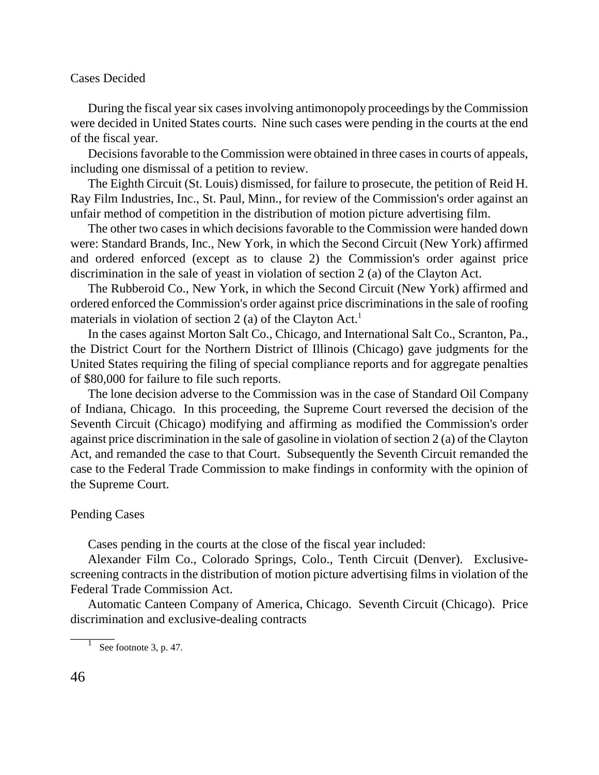### Cases Decided

During the fiscal year six cases involving antimonopoly proceedings by the Commission were decided in United States courts. Nine such cases were pending in the courts at the end of the fiscal year.

Decisions favorable to the Commission were obtained in three cases in courts of appeals, including one dismissal of a petition to review.

The Eighth Circuit (St. Louis) dismissed, for failure to prosecute, the petition of Reid H. Ray Film Industries, Inc., St. Paul, Minn., for review of the Commission's order against an unfair method of competition in the distribution of motion picture advertising film.

The other two cases in which decisions favorable to the Commission were handed down were: Standard Brands, Inc., New York, in which the Second Circuit (New York) affirmed and ordered enforced (except as to clause 2) the Commission's order against price discrimination in the sale of yeast in violation of section 2 (a) of the Clayton Act.

The Rubberoid Co., New York, in which the Second Circuit (New York) affirmed and ordered enforced the Commission's order against price discriminationsin the sale of roofing materials in violation of section 2 (a) of the Clayton Act.<sup>1</sup>

In the cases against Morton Salt Co., Chicago, and International Salt Co., Scranton, Pa., the District Court for the Northern District of Illinois (Chicago) gave judgments for the United States requiring the filing of special compliance reports and for aggregate penalties of \$80,000 for failure to file such reports.

The lone decision adverse to the Commission was in the case of Standard Oil Company of Indiana, Chicago. In this proceeding, the Supreme Court reversed the decision of the Seventh Circuit (Chicago) modifying and affirming as modified the Commission's order against price discrimination in the sale of gasoline in violation of section 2 (a) of the Clayton Act, and remanded the case to that Court. Subsequently the Seventh Circuit remanded the case to the Federal Trade Commission to make findings in conformity with the opinion of the Supreme Court.

### Pending Cases

Cases pending in the courts at the close of the fiscal year included:

Alexander Film Co., Colorado Springs, Colo., Tenth Circuit (Denver). Exclusivescreening contracts in the distribution of motion picture advertising films in violation of the Federal Trade Commission Act.

Automatic Canteen Company of America, Chicago. Seventh Circuit (Chicago). Price discrimination and exclusive-dealing contracts

See footnote 3, p. 47.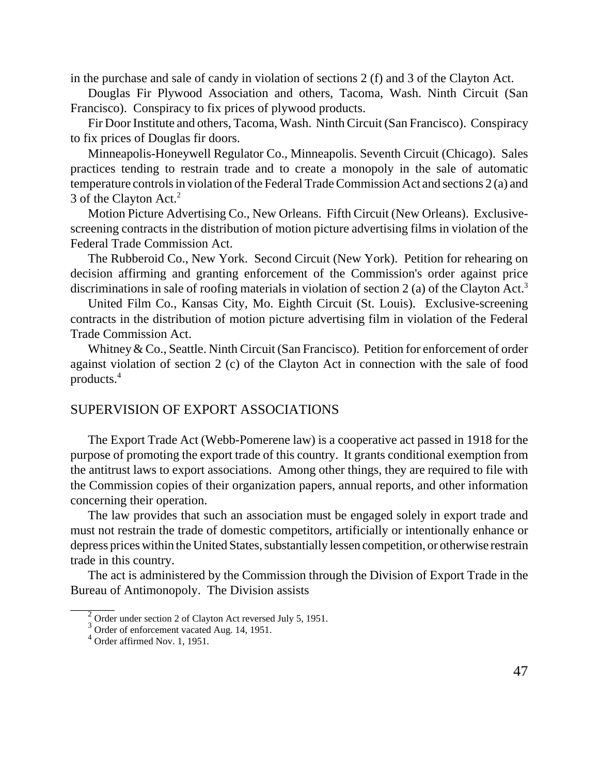in the purchase and sale of candy in violation of sections 2 (f) and 3 of the Clayton Act.

Douglas Fir Plywood Association and others, Tacoma, Wash. Ninth Circuit (San Francisco). Conspiracy to fix prices of plywood products.

Fir Door Institute and others, Tacoma, Wash. Ninth Circuit (San Francisco). Conspiracy to fix prices of Douglas fir doors.

Minneapolis-Honeywell Regulator Co., Minneapolis. Seventh Circuit (Chicago). Sales practices tending to restrain trade and to create a monopoly in the sale of automatic temperature controls in violation of the Federal Trade Commission Act and sections 2 (a) and 3 of the Clayton Act.<sup>2</sup>

Motion Picture Advertising Co., New Orleans. Fifth Circuit (New Orleans). Exclusivescreening contracts in the distribution of motion picture advertising films in violation of the Federal Trade Commission Act.

The Rubberoid Co., New York. Second Circuit (New York). Petition for rehearing on decision affirming and granting enforcement of the Commission's order against price discriminations in sale of roofing materials in violation of section 2 (a) of the Clayton Act.<sup>3</sup>

United Film Co., Kansas City, Mo. Eighth Circuit (St. Louis). Exclusive-screening contracts in the distribution of motion picture advertising film in violation of the Federal Trade Commission Act.

Whitney & Co., Seattle. Ninth Circuit (San Francisco). Petition for enforcement of order against violation of section 2 (c) of the Clayton Act in connection with the sale of food products.<sup>4</sup>

### SUPERVISION OF EXPORT ASSOCIATIONS

The Export Trade Act (Webb-Pomerene law) is a cooperative act passed in 1918 for the purpose of promoting the export trade of this country. It grants conditional exemption from the antitrust laws to export associations. Among other things, they are required to file with the Commission copies of their organization papers, annual reports, and other information concerning their operation.

The law provides that such an association must be engaged solely in export trade and must not restrain the trade of domestic competitors, artificially or intentionally enhance or depress prices within the United States, substantially lessen competition, or otherwise restrain trade in this country.

The act is administered by the Commission through the Division of Export Trade in the Bureau of Antimonopoly. The Division assists

 $\overline{2}$ Order under section 2 of Clayton Act reversed July 5, 1951.

<sup>&</sup>lt;sup>3</sup> Order of enforcement vacated Aug. 14, 1951.

<sup>4</sup> Order affirmed Nov. 1, 1951.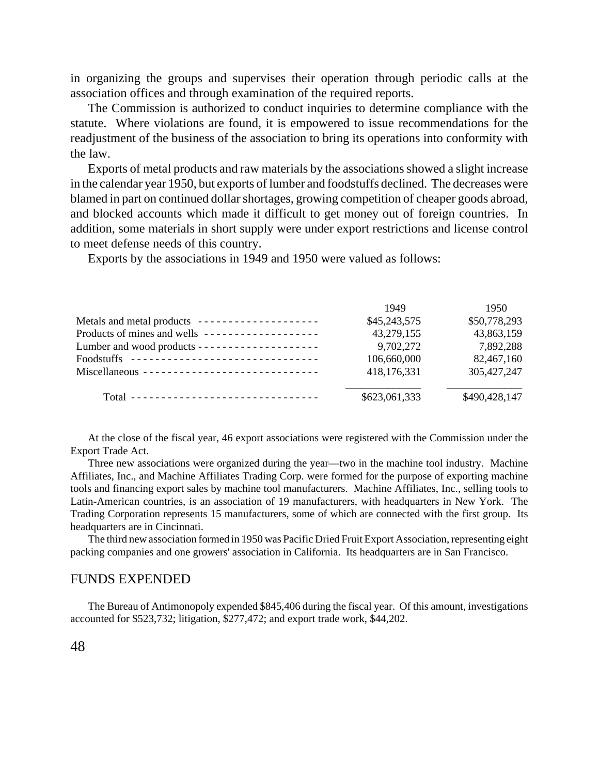in organizing the groups and supervises their operation through periodic calls at the association offices and through examination of the required reports.

The Commission is authorized to conduct inquiries to determine compliance with the statute. Where violations are found, it is empowered to issue recommendations for the readjustment of the business of the association to bring its operations into conformity with the law.

Exports of metal products and raw materials by the associations showed a slight increase in the calendar year 1950, but exports of lumber and foodstuffs declined. The decreases were blamed in part on continued dollar shortages, growing competition of cheaper goods abroad, and blocked accounts which made it difficult to get money out of foreign countries. In addition, some materials in short supply were under export restrictions and license control to meet defense needs of this country.

Exports by the associations in 1949 and 1950 were valued as follows:

| 1949          | 1950          |
|---------------|---------------|
| \$45,243,575  | \$50,778,293  |
| 43,279,155    | 43,863,159    |
| 9,702,272     | 7,892,288     |
| 106,660,000   | 82,467,160    |
| 418,176,331   | 305, 427, 247 |
| \$623,061,333 | \$490,428,147 |
|               |               |

At the close of the fiscal year, 46 export associations were registered with the Commission under the Export Trade Act.

Three new associations were organized during the year—two in the machine tool industry. Machine Affiliates, Inc., and Machine Affiliates Trading Corp. were formed for the purpose of exporting machine tools and financing export sales by machine tool manufacturers. Machine Affiliates, Inc., selling tools to Latin-American countries, is an association of 19 manufacturers, with headquarters in New York. The Trading Corporation represents 15 manufacturers, some of which are connected with the first group. Its headquarters are in Cincinnati.

The third new association formed in 1950 was Pacific Dried Fruit Export Association, representing eight packing companies and one growers' association in California. Its headquarters are in San Francisco.

### FUNDS EXPENDED

The Bureau of Antimonopoly expended \$845,406 during the fiscal year. Of this amount, investigations accounted for \$523,732; litigation, \$277,472; and export trade work, \$44,202.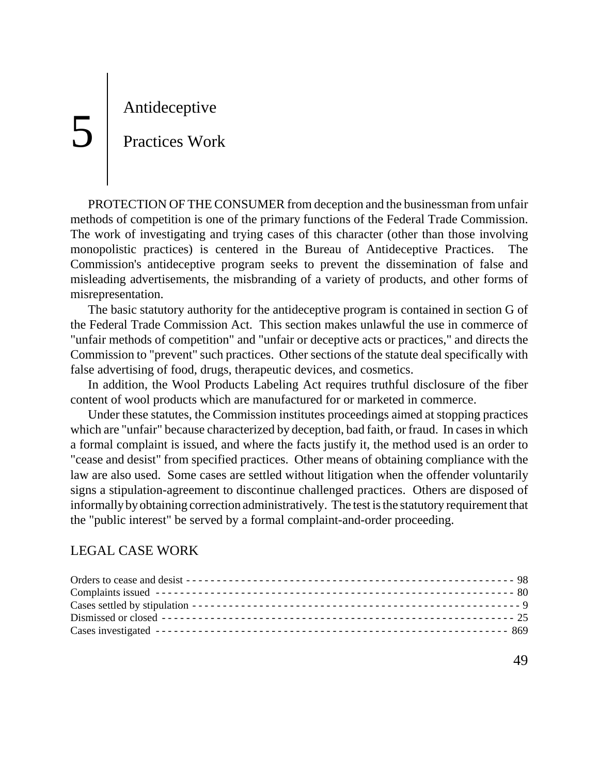## Antideceptive  $5 \mid \frac{\text{Andecepure}}{\text{Practices Work}}$

PROTECTION OF THE CONSUMER from deception and the businessman from unfair methods of competition is one of the primary functions of the Federal Trade Commission. The work of investigating and trying cases of this character (other than those involving monopolistic practices) is centered in the Bureau of Antideceptive Practices. The Commission's antideceptive program seeks to prevent the dissemination of false and misleading advertisements, the misbranding of a variety of products, and other forms of misrepresentation.

The basic statutory authority for the antideceptive program is contained in section G of the Federal Trade Commission Act. This section makes unlawful the use in commerce of "unfair methods of competition" and "unfair or deceptive acts or practices," and directs the Commission to "prevent" such practices. Other sections of the statute deal specifically with false advertising of food, drugs, therapeutic devices, and cosmetics.

In addition, the Wool Products Labeling Act requires truthful disclosure of the fiber content of wool products which are manufactured for or marketed in commerce.

Under these statutes, the Commission institutes proceedings aimed at stopping practices which are "unfair" because characterized by deception, bad faith, or fraud. In cases in which a formal complaint is issued, and where the facts justify it, the method used is an order to "cease and desist" from specified practices. Other means of obtaining compliance with the law are also used. Some cases are settled without litigation when the offender voluntarily signs a stipulation-agreement to discontinue challenged practices. Others are disposed of informally by obtaining correction administratively. The test is the statutory requirement that the "public interest" be served by a formal complaint-and-order proceeding.

### LEGAL CASE WORK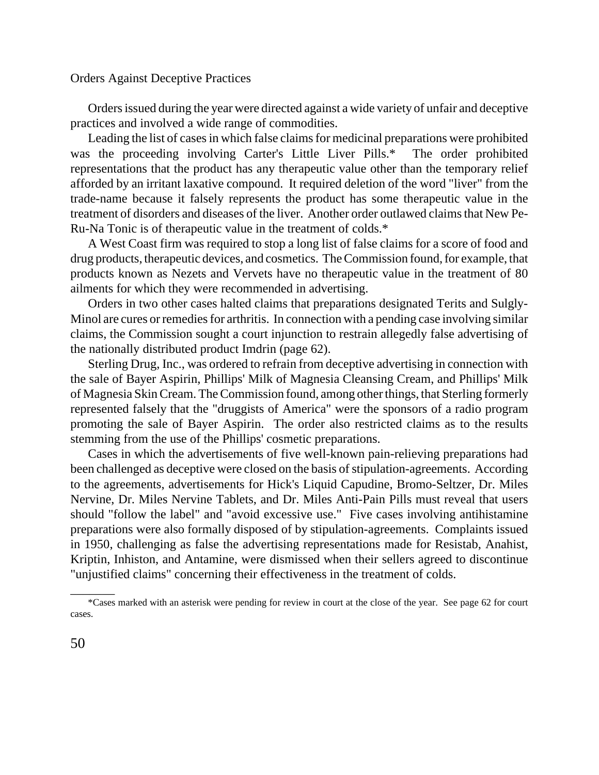### Orders Against Deceptive Practices

Ordersissued during the year were directed against a wide variety of unfair and deceptive practices and involved a wide range of commodities.

Leading the list of cases in which false claims for medicinal preparations were prohibited was the proceeding involving Carter's Little Liver Pills.<sup>\*</sup> The order prohibited representations that the product has any therapeutic value other than the temporary relief afforded by an irritant laxative compound. It required deletion of the word "liver" from the trade-name because it falsely represents the product has some therapeutic value in the treatment of disorders and diseases of the liver. Another order outlawed claims that New Pe-Ru-Na Tonic is of therapeutic value in the treatment of colds.\*

A West Coast firm was required to stop a long list of false claims for a score of food and drug products, therapeutic devices, and cosmetics. The Commission found, for example, that products known as Nezets and Vervets have no therapeutic value in the treatment of 80 ailments for which they were recommended in advertising.

Orders in two other cases halted claims that preparations designated Terits and Sulgly-Minol are cures or remedies for arthritis. In connection with a pending case involving similar claims, the Commission sought a court injunction to restrain allegedly false advertising of the nationally distributed product Imdrin (page 62).

Sterling Drug, Inc., was ordered to refrain from deceptive advertising in connection with the sale of Bayer Aspirin, Phillips' Milk of Magnesia Cleansing Cream, and Phillips' Milk of Magnesia Skin Cream. The Commission found, among other things, that Sterling formerly represented falsely that the "druggists of America" were the sponsors of a radio program promoting the sale of Bayer Aspirin. The order also restricted claims as to the results stemming from the use of the Phillips' cosmetic preparations.

Cases in which the advertisements of five well-known pain-relieving preparations had been challenged as deceptive were closed on the basis of stipulation-agreements. According to the agreements, advertisements for Hick's Liquid Capudine, Bromo-Seltzer, Dr. Miles Nervine, Dr. Miles Nervine Tablets, and Dr. Miles Anti-Pain Pills must reveal that users should "follow the label" and "avoid excessive use." Five cases involving antihistamine preparations were also formally disposed of by stipulation-agreements. Complaints issued in 1950, challenging as false the advertising representations made for Resistab, Anahist, Kriptin, Inhiston, and Antamine, were dismissed when their sellers agreed to discontinue "unjustified claims" concerning their effectiveness in the treatment of colds.

<sup>\*</sup>Cases marked with an asterisk were pending for review in court at the close of the year. See page 62 for court cases.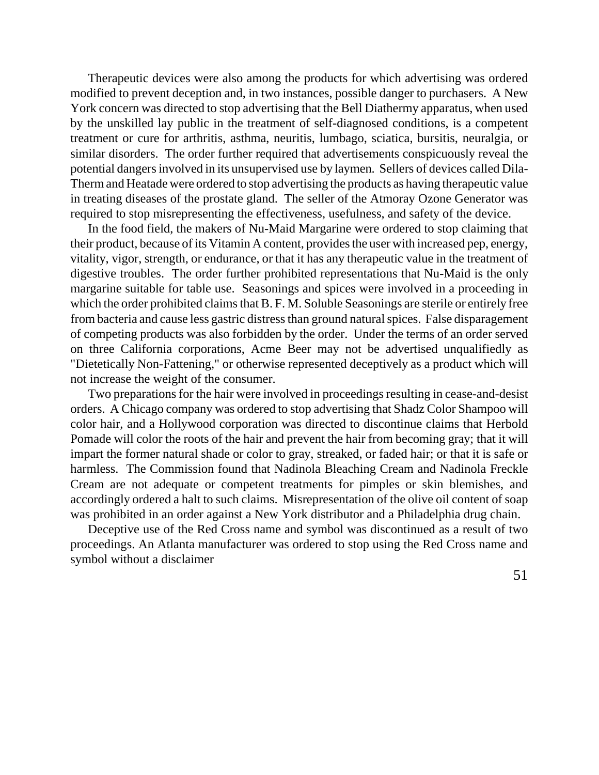Therapeutic devices were also among the products for which advertising was ordered modified to prevent deception and, in two instances, possible danger to purchasers. A New York concern was directed to stop advertising that the Bell Diathermy apparatus, when used by the unskilled lay public in the treatment of self-diagnosed conditions, is a competent treatment or cure for arthritis, asthma, neuritis, lumbago, sciatica, bursitis, neuralgia, or similar disorders. The order further required that advertisements conspicuously reveal the potential dangersinvolved in its unsupervised use by laymen. Sellers of devices called Dila-Thermand Heatade were ordered to stop advertising the products as having therapeutic value in treating diseases of the prostate gland. The seller of the Atmoray Ozone Generator was required to stop misrepresenting the effectiveness, usefulness, and safety of the device.

In the food field, the makers of Nu-Maid Margarine were ordered to stop claiming that their product, because of its Vitamin A content, provides the user with increased pep, energy, vitality, vigor, strength, or endurance, or that it has any therapeutic value in the treatment of digestive troubles. The order further prohibited representations that Nu-Maid is the only margarine suitable for table use. Seasonings and spices were involved in a proceeding in which the order prohibited claims that B. F. M. Soluble Seasonings are sterile or entirely free from bacteria and cause less gastric distress than ground natural spices. False disparagement of competing products was also forbidden by the order. Under the terms of an order served on three California corporations, Acme Beer may not be advertised unqualifiedly as "Dietetically Non-Fattening," or otherwise represented deceptively as a product which will not increase the weight of the consumer.

Two preparations for the hair were involved in proceedings resulting in cease-and-desist orders. A Chicago company was ordered to stop advertising that Shadz Color Shampoo will color hair, and a Hollywood corporation was directed to discontinue claims that Herbold Pomade will color the roots of the hair and prevent the hair from becoming gray; that it will impart the former natural shade or color to gray, streaked, or faded hair; or that it is safe or harmless. The Commission found that Nadinola Bleaching Cream and Nadinola Freckle Cream are not adequate or competent treatments for pimples or skin blemishes, and accordingly ordered a halt to such claims. Misrepresentation of the olive oil content of soap was prohibited in an order against a New York distributor and a Philadelphia drug chain.

Deceptive use of the Red Cross name and symbol was discontinued as a result of two proceedings. An Atlanta manufacturer was ordered to stop using the Red Cross name and symbol without a disclaimer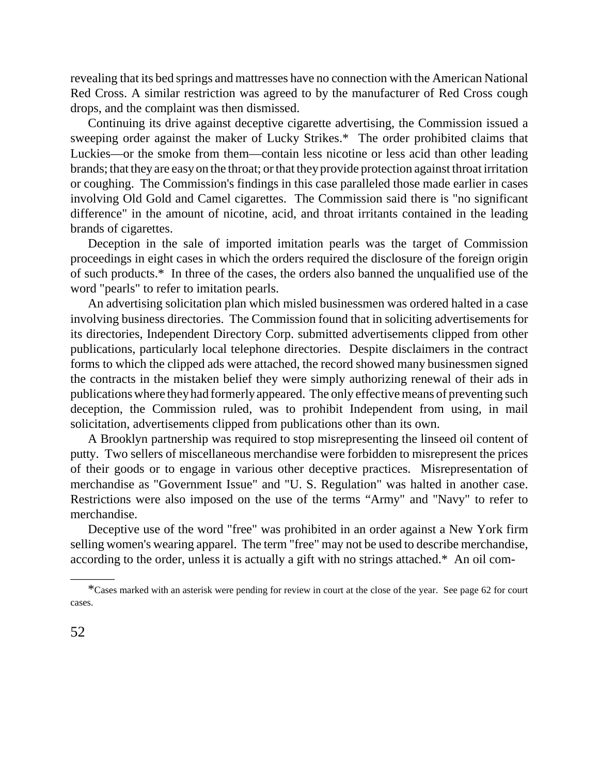revealing that its bed springs and mattresses have no connection with the American National Red Cross. A similar restriction was agreed to by the manufacturer of Red Cross cough drops, and the complaint was then dismissed.

Continuing its drive against deceptive cigarette advertising, the Commission issued a sweeping order against the maker of Lucky Strikes.\* The order prohibited claims that Luckies—or the smoke from them—contain less nicotine or less acid than other leading brands; that they are easy on the throat; or that they provide protection against throat irritation or coughing. The Commission's findings in this case paralleled those made earlier in cases involving Old Gold and Camel cigarettes. The Commission said there is "no significant difference" in the amount of nicotine, acid, and throat irritants contained in the leading brands of cigarettes.

Deception in the sale of imported imitation pearls was the target of Commission proceedings in eight cases in which the orders required the disclosure of the foreign origin of such products.\* In three of the cases, the orders also banned the unqualified use of the word "pearls" to refer to imitation pearls.

An advertising solicitation plan which misled businessmen was ordered halted in a case involving business directories. The Commission found that in soliciting advertisements for its directories, Independent Directory Corp. submitted advertisements clipped from other publications, particularly local telephone directories. Despite disclaimers in the contract forms to which the clipped ads were attached, the record showed many businessmen signed the contracts in the mistaken belief they were simply authorizing renewal of their ads in publications where theyhad formerlyappeared. The only effective means of preventing such deception, the Commission ruled, was to prohibit Independent from using, in mail solicitation, advertisements clipped from publications other than its own.

A Brooklyn partnership was required to stop misrepresenting the linseed oil content of putty. Two sellers of miscellaneous merchandise were forbidden to misrepresent the prices of their goods or to engage in various other deceptive practices. Misrepresentation of merchandise as "Government Issue" and "U. S. Regulation" was halted in another case. Restrictions were also imposed on the use of the terms "Army" and "Navy" to refer to merchandise.

Deceptive use of the word "free" was prohibited in an order against a New York firm selling women's wearing apparel. The term "free" may not be used to describe merchandise, according to the order, unless it is actually a gift with no strings attached.\* An oil com-

<sup>\*</sup>Cases marked with an asterisk were pending for review in court at the close of the year. See page 62 for court cases.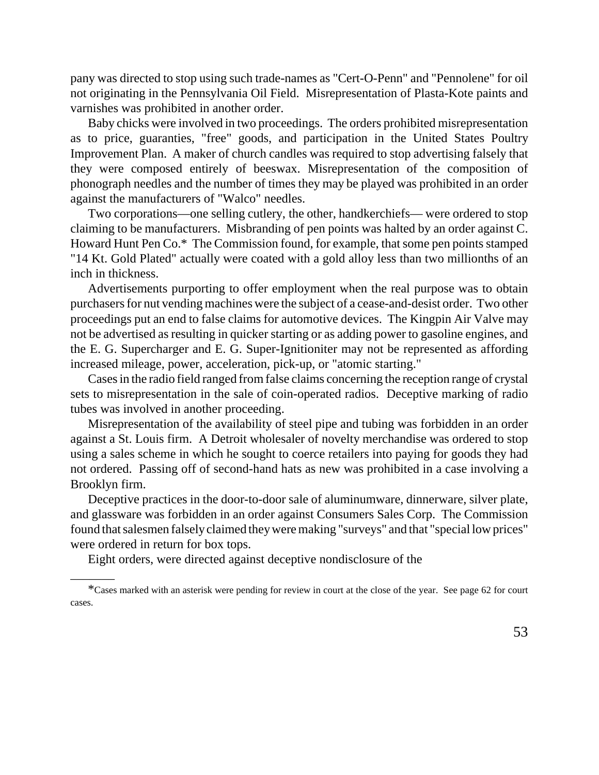pany was directed to stop using such trade-names as "Cert-O-Penn" and "Pennolene" for oil not originating in the Pennsylvania Oil Field. Misrepresentation of Plasta-Kote paints and varnishes was prohibited in another order.

Baby chicks were involved in two proceedings. The orders prohibited misrepresentation as to price, guaranties, "free" goods, and participation in the United States Poultry Improvement Plan. A maker of church candles was required to stop advertising falsely that they were composed entirely of beeswax. Misrepresentation of the composition of phonograph needles and the number of times they may be played was prohibited in an order against the manufacturers of "Walco" needles.

Two corporations—one selling cutlery, the other, handkerchiefs— were ordered to stop claiming to be manufacturers. Misbranding of pen points was halted by an order against C. Howard Hunt Pen Co.\* The Commission found, for example, that some pen points stamped "14 Kt. Gold Plated" actually were coated with a gold alloy less than two millionths of an inch in thickness.

Advertisements purporting to offer employment when the real purpose was to obtain purchasers for nut vending machines were the subject of a cease-and-desist order. Two other proceedings put an end to false claims for automotive devices. The Kingpin Air Valve may not be advertised as resulting in quicker starting or as adding power to gasoline engines, and the E. G. Supercharger and E. G. Super-Ignitioniter may not be represented as affording increased mileage, power, acceleration, pick-up, or "atomic starting."

Casesin the radio field ranged fromfalse claims concerning the reception range of crystal sets to misrepresentation in the sale of coin-operated radios. Deceptive marking of radio tubes was involved in another proceeding.

Misrepresentation of the availability of steel pipe and tubing was forbidden in an order against a St. Louis firm. A Detroit wholesaler of novelty merchandise was ordered to stop using a sales scheme in which he sought to coerce retailers into paying for goods they had not ordered. Passing off of second-hand hats as new was prohibited in a case involving a Brooklyn firm.

Deceptive practices in the door-to-door sale of aluminumware, dinnerware, silver plate, and glassware was forbidden in an order against Consumers Sales Corp. The Commission found thatsalesmen falselyclaimed theyweremaking "surveys" and that "special low prices" were ordered in return for box tops.

Eight orders, were directed against deceptive nondisclosure of the

<sup>\*</sup>Cases marked with an asterisk were pending for review in court at the close of the year. See page 62 for court cases.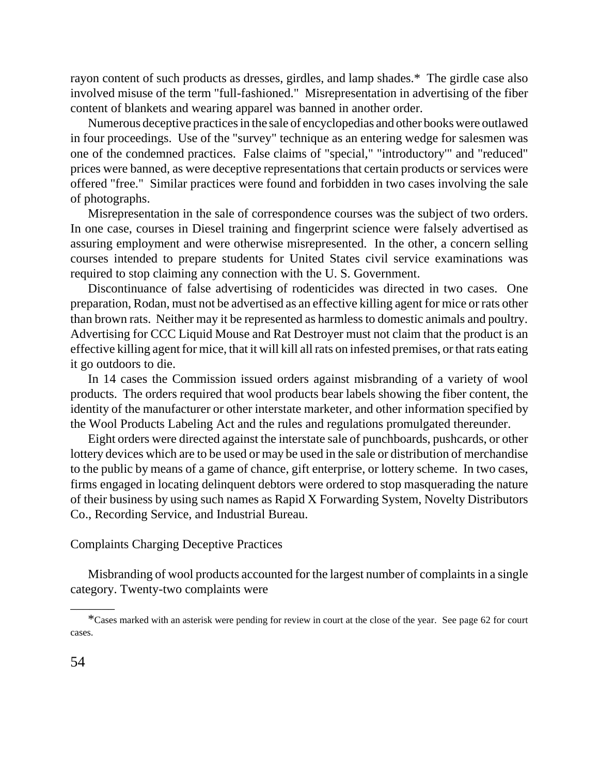rayon content of such products as dresses, girdles, and lamp shades.\* The girdle case also involved misuse of the term "full-fashioned." Misrepresentation in advertising of the fiber content of blankets and wearing apparel was banned in another order.

Numerous deceptive practicesin the sale of encyclopedias and other books were outlawed in four proceedings. Use of the "survey" technique as an entering wedge for salesmen was one of the condemned practices. False claims of "special," "introductory'" and "reduced" prices were banned, as were deceptive representations that certain products or services were offered "free." Similar practices were found and forbidden in two cases involving the sale of photographs.

Misrepresentation in the sale of correspondence courses was the subject of two orders. In one case, courses in Diesel training and fingerprint science were falsely advertised as assuring employment and were otherwise misrepresented. In the other, a concern selling courses intended to prepare students for United States civil service examinations was required to stop claiming any connection with the U. S. Government.

Discontinuance of false advertising of rodenticides was directed in two cases. One preparation, Rodan, must not be advertised as an effective killing agent for mice or rats other than brown rats. Neither may it be represented as harmless to domestic animals and poultry. Advertising for CCC Liquid Mouse and Rat Destroyer must not claim that the product is an effective killing agent for mice, that it will kill all rats on infested premises, or that rats eating it go outdoors to die.

In 14 cases the Commission issued orders against misbranding of a variety of wool products. The orders required that wool products bear labels showing the fiber content, the identity of the manufacturer or other interstate marketer, and other information specified by the Wool Products Labeling Act and the rules and regulations promulgated thereunder.

Eight orders were directed against the interstate sale of punchboards, pushcards, or other lottery devices which are to be used or may be used in the sale or distribution of merchandise to the public by means of a game of chance, gift enterprise, or lottery scheme. In two cases, firms engaged in locating delinquent debtors were ordered to stop masquerading the nature of their business by using such names as Rapid X Forwarding System, Novelty Distributors Co., Recording Service, and Industrial Bureau.

### Complaints Charging Deceptive Practices

Misbranding of wool products accounted for the largest number of complaints in a single category. Twenty-two complaints were

<sup>\*</sup>Cases marked with an asterisk were pending for review in court at the close of the year. See page 62 for court cases.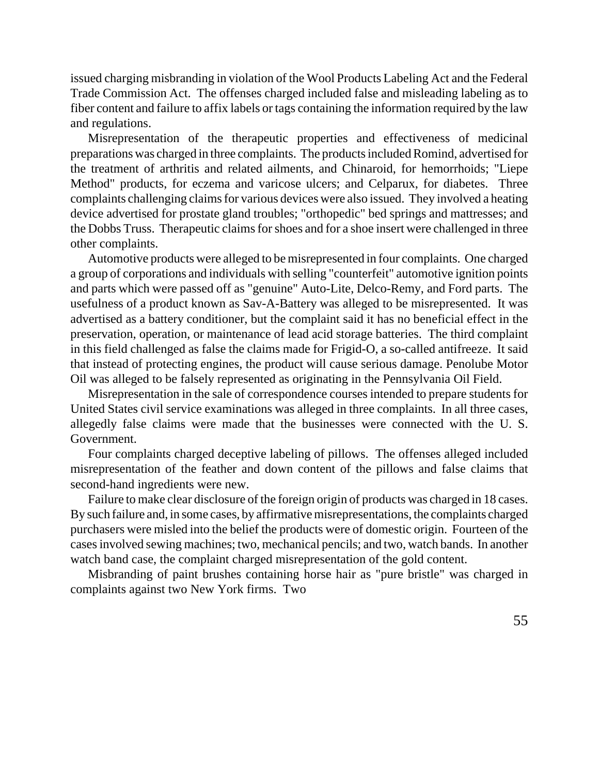issued charging misbranding in violation of the Wool Products Labeling Act and the Federal Trade Commission Act. The offenses charged included false and misleading labeling as to fiber content and failure to affix labels or tags containing the information required by the law and regulations.

Misrepresentation of the therapeutic properties and effectiveness of medicinal preparations was charged in three complaints. The products included Romind, advertised for the treatment of arthritis and related ailments, and Chinaroid, for hemorrhoids; "Liepe Method" products, for eczema and varicose ulcers; and Celparux, for diabetes. Three complaints challenging claims for various devices were also issued. They involved a heating device advertised for prostate gland troubles; "orthopedic" bed springs and mattresses; and the Dobbs Truss. Therapeutic claims for shoes and for a shoe insert were challenged in three other complaints.

Automotive products were alleged to be misrepresented in four complaints. One charged a group of corporations and individuals with selling "counterfeit" automotive ignition points and parts which were passed off as "genuine" Auto-Lite, Delco-Remy, and Ford parts. The usefulness of a product known as Sav-A-Battery was alleged to be misrepresented. It was advertised as a battery conditioner, but the complaint said it has no beneficial effect in the preservation, operation, or maintenance of lead acid storage batteries. The third complaint in this field challenged as false the claims made for Frigid-O, a so-called antifreeze. It said that instead of protecting engines, the product will cause serious damage. Penolube Motor Oil was alleged to be falsely represented as originating in the Pennsylvania Oil Field.

Misrepresentation in the sale of correspondence courses intended to prepare students for United States civil service examinations was alleged in three complaints. In all three cases, allegedly false claims were made that the businesses were connected with the U. S. Government.

Four complaints charged deceptive labeling of pillows. The offenses alleged included misrepresentation of the feather and down content of the pillows and false claims that second-hand ingredients were new.

Failure to make clear disclosure of the foreign origin of products was charged in 18 cases. By such failure and, in some cases, by affirmative misrepresentations, the complaints charged purchasers were misled into the belief the products were of domestic origin. Fourteen of the casesinvolved sewing machines; two, mechanical pencils; and two, watch bands. In another watch band case, the complaint charged misrepresentation of the gold content.

Misbranding of paint brushes containing horse hair as "pure bristle" was charged in complaints against two New York firms. Two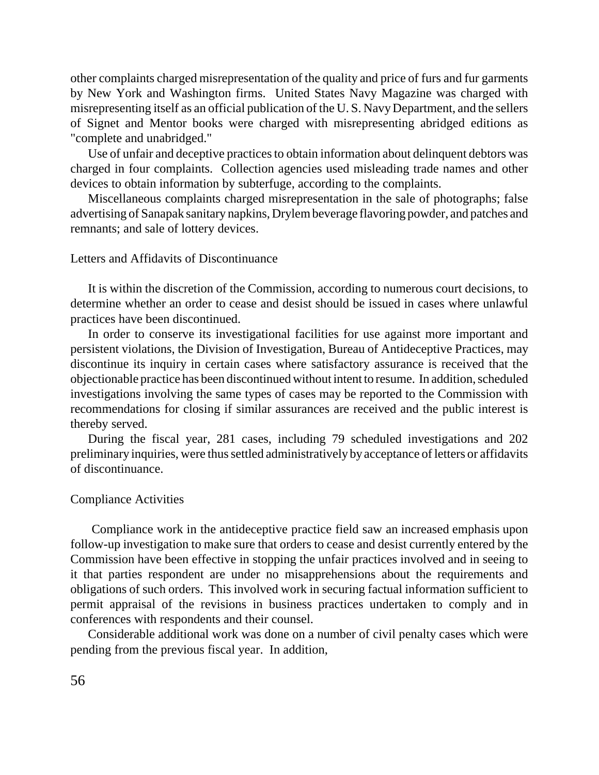other complaints charged misrepresentation of the quality and price of furs and fur garments by New York and Washington firms. United States Navy Magazine was charged with misrepresenting itself as an official publication of the U.S. Navy Department, and the sellers of Signet and Mentor books were charged with misrepresenting abridged editions as "complete and unabridged."

Use of unfair and deceptive practices to obtain information about delinquent debtors was charged in four complaints. Collection agencies used misleading trade names and other devices to obtain information by subterfuge, according to the complaints.

Miscellaneous complaints charged misrepresentation in the sale of photographs; false advertising of Sanapak sanitary napkins, Drylem beverage flavoring powder, and patches and remnants; and sale of lottery devices.

### Letters and Affidavits of Discontinuance

It is within the discretion of the Commission, according to numerous court decisions, to determine whether an order to cease and desist should be issued in cases where unlawful practices have been discontinued.

In order to conserve its investigational facilities for use against more important and persistent violations, the Division of Investigation, Bureau of Antideceptive Practices, may discontinue its inquiry in certain cases where satisfactory assurance is received that the objectionable practice has been discontinued without intent to resume. In addition, scheduled investigations involving the same types of cases may be reported to the Commission with recommendations for closing if similar assurances are received and the public interest is thereby served.

During the fiscal year, 281 cases, including 79 scheduled investigations and 202 preliminary inquiries, were thus settled administratively by acceptance of letters or affidavits of discontinuance.

### Compliance Activities

 Compliance work in the antideceptive practice field saw an increased emphasis upon follow-up investigation to make sure that orders to cease and desist currently entered by the Commission have been effective in stopping the unfair practices involved and in seeing to it that parties respondent are under no misapprehensions about the requirements and obligations of such orders. This involved work in securing factual information sufficient to permit appraisal of the revisions in business practices undertaken to comply and in conferences with respondents and their counsel.

Considerable additional work was done on a number of civil penalty cases which were pending from the previous fiscal year. In addition,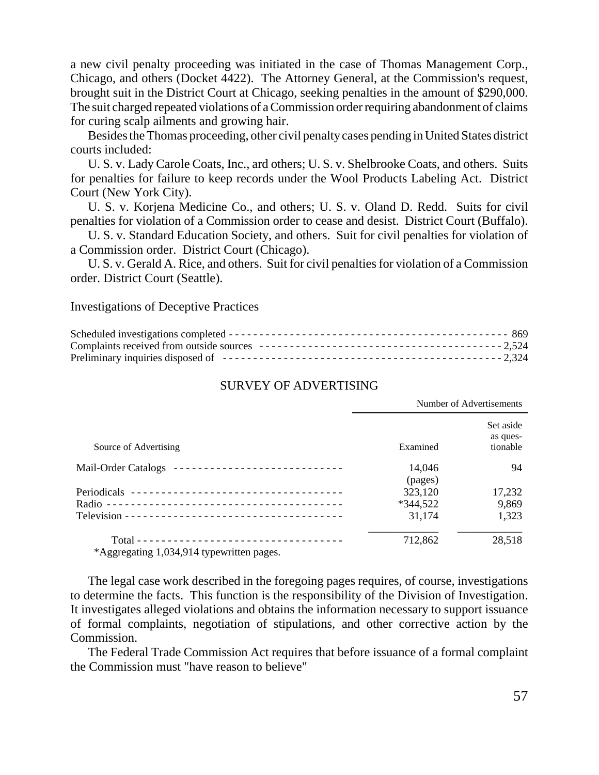a new civil penalty proceeding was initiated in the case of Thomas Management Corp., Chicago, and others (Docket 4422). The Attorney General, at the Commission's request, brought suit in the District Court at Chicago, seeking penalties in the amount of \$290,000. The suit charged repeated violations of a Commission order requiring abandonment of claims for curing scalp ailments and growing hair.

BesidestheThomas proceeding, other civil penaltycases pending in United States district courts included:

U. S. v. Lady Carole Coats, Inc., ard others; U. S. v. Shelbrooke Coats, and others. Suits for penalties for failure to keep records under the Wool Products Labeling Act. District Court (New York City).

U. S. v. Korjena Medicine Co., and others; U. S. v. Oland D. Redd. Suits for civil penalties for violation of a Commission order to cease and desist. District Court (Buffalo).

U. S. v. Standard Education Society, and others. Suit for civil penalties for violation of a Commission order. District Court (Chicago).

U. S. v. Gerald A. Rice, and others. Suit for civil penalties for violation of a Commission order. District Court (Seattle).

Investigations of Deceptive Practices

|                                                   |                   | Number of Advertisements |
|---------------------------------------------------|-------------------|--------------------------|
|                                                   |                   | Set aside<br>as ques-    |
| Source of Advertising                             | Examined          | tionable                 |
| Mail-Order Catalogs ----------------------------- | 14,046<br>(pages) | 94                       |
|                                                   | 323,120           | 17,232                   |
|                                                   | $*344,522$        | 9,869                    |
|                                                   | 31,174            | 1,323                    |
| *Aggregating 1,034,914 typewritten pages.         | 712,862           | 28,518                   |

### SURVEY OF ADVERTISING

The legal case work described in the foregoing pages requires, of course, investigations to determine the facts. This function is the responsibility of the Division of Investigation. It investigates alleged violations and obtains the information necessary to support issuance of formal complaints, negotiation of stipulations, and other corrective action by the Commission.

The Federal Trade Commission Act requires that before issuance of a formal complaint the Commission must "have reason to believe"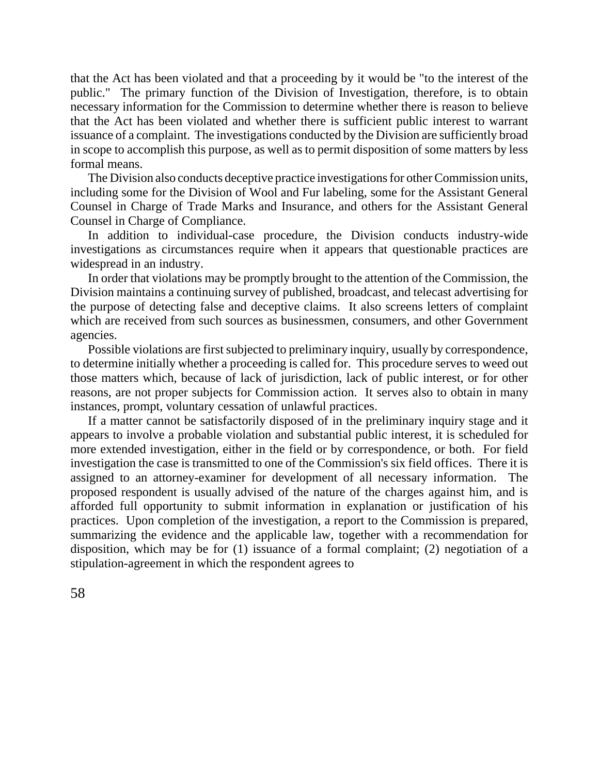that the Act has been violated and that a proceeding by it would be "to the interest of the public." The primary function of the Division of Investigation, therefore, is to obtain necessary information for the Commission to determine whether there is reason to believe that the Act has been violated and whether there is sufficient public interest to warrant issuance of a complaint. The investigations conducted by the Division are sufficiently broad in scope to accomplish this purpose, as well as to permit disposition of some matters by less formal means.

The Division also conducts deceptive practice investigations for other Commission units, including some for the Division of Wool and Fur labeling, some for the Assistant General Counsel in Charge of Trade Marks and Insurance, and others for the Assistant General Counsel in Charge of Compliance.

In addition to individual-case procedure, the Division conducts industry-wide investigations as circumstances require when it appears that questionable practices are widespread in an industry.

In order that violations may be promptly brought to the attention of the Commission, the Division maintains a continuing survey of published, broadcast, and telecast advertising for the purpose of detecting false and deceptive claims. It also screens letters of complaint which are received from such sources as businessmen, consumers, and other Government agencies.

Possible violations are first subjected to preliminary inquiry, usually by correspondence, to determine initially whether a proceeding is called for. This procedure serves to weed out those matters which, because of lack of jurisdiction, lack of public interest, or for other reasons, are not proper subjects for Commission action. It serves also to obtain in many instances, prompt, voluntary cessation of unlawful practices.

If a matter cannot be satisfactorily disposed of in the preliminary inquiry stage and it appears to involve a probable violation and substantial public interest, it is scheduled for more extended investigation, either in the field or by correspondence, or both. For field investigation the case is transmitted to one of the Commission's six field offices. There it is assigned to an attorney-examiner for development of all necessary information. The proposed respondent is usually advised of the nature of the charges against him, and is afforded full opportunity to submit information in explanation or justification of his practices. Upon completion of the investigation, a report to the Commission is prepared, summarizing the evidence and the applicable law, together with a recommendation for disposition, which may be for (1) issuance of a formal complaint; (2) negotiation of a stipulation-agreement in which the respondent agrees to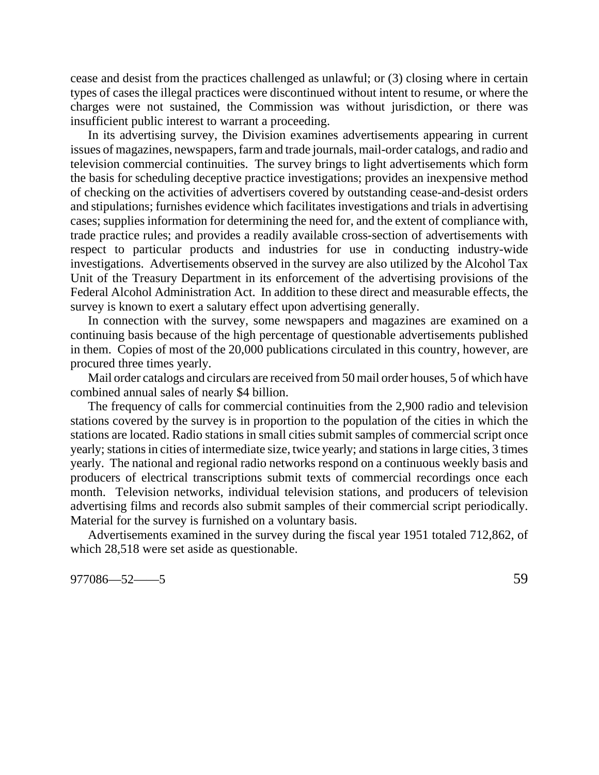cease and desist from the practices challenged as unlawful; or (3) closing where in certain types of cases the illegal practices were discontinued without intent to resume, or where the charges were not sustained, the Commission was without jurisdiction, or there was insufficient public interest to warrant a proceeding.

In its advertising survey, the Division examines advertisements appearing in current issues of magazines, newspapers, farm and trade journals, mail-order catalogs, and radio and television commercial continuities. The survey brings to light advertisements which form the basis for scheduling deceptive practice investigations; provides an inexpensive method of checking on the activities of advertisers covered by outstanding cease-and-desist orders and stipulations; furnishes evidence which facilitates investigations and trials in advertising cases; supplies information for determining the need for, and the extent of compliance with, trade practice rules; and provides a readily available cross-section of advertisements with respect to particular products and industries for use in conducting industry-wide investigations. Advertisements observed in the survey are also utilized by the Alcohol Tax Unit of the Treasury Department in its enforcement of the advertising provisions of the Federal Alcohol Administration Act. In addition to these direct and measurable effects, the survey is known to exert a salutary effect upon advertising generally.

In connection with the survey, some newspapers and magazines are examined on a continuing basis because of the high percentage of questionable advertisements published in them. Copies of most of the 20,000 publications circulated in this country, however, are procured three times yearly.

Mail order catalogs and circulars are received from 50 mail order houses, 5 of which have combined annual sales of nearly \$4 billion.

The frequency of calls for commercial continuities from the 2,900 radio and television stations covered by the survey is in proportion to the population of the cities in which the stations are located. Radio stations in small cities submit samples of commercial script once yearly; stations in cities of intermediate size, twice yearly; and stations in large cities, 3 times yearly. The national and regional radio networks respond on a continuous weekly basis and producers of electrical transcriptions submit texts of commercial recordings once each month. Television networks, individual television stations, and producers of television advertising films and records also submit samples of their commercial script periodically. Material for the survey is furnished on a voluntary basis.

Advertisements examined in the survey during the fiscal year 1951 totaled 712,862, of which  $28,518$  were set aside as questionable.

977086—52——5 59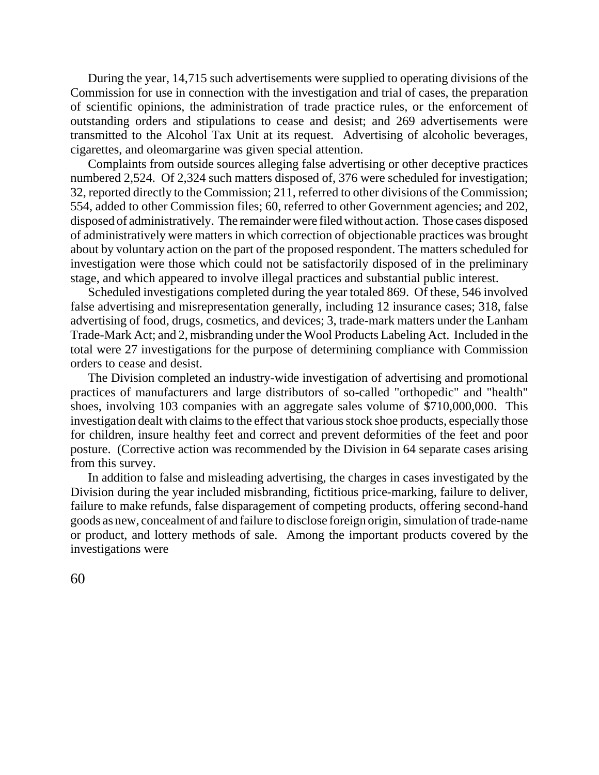During the year, 14,715 such advertisements were supplied to operating divisions of the Commission for use in connection with the investigation and trial of cases, the preparation of scientific opinions, the administration of trade practice rules, or the enforcement of outstanding orders and stipulations to cease and desist; and 269 advertisements were transmitted to the Alcohol Tax Unit at its request. Advertising of alcoholic beverages, cigarettes, and oleomargarine was given special attention.

Complaints from outside sources alleging false advertising or other deceptive practices numbered 2,524. Of 2,324 such matters disposed of, 376 were scheduled for investigation; 32, reported directly to the Commission; 211, referred to other divisions of the Commission; 554, added to other Commission files; 60, referred to other Government agencies; and 202, disposed of administratively. The remainder were filed without action. Those cases disposed of administratively were matters in which correction of objectionable practices was brought about by voluntary action on the part of the proposed respondent. The matters scheduled for investigation were those which could not be satisfactorily disposed of in the preliminary stage, and which appeared to involve illegal practices and substantial public interest.

Scheduled investigations completed during the year totaled 869. Of these, 546 involved false advertising and misrepresentation generally, including 12 insurance cases; 318, false advertising of food, drugs, cosmetics, and devices; 3, trade-mark matters under the Lanham Trade-Mark Act; and 2, misbranding under the Wool Products Labeling Act. Included in the total were 27 investigations for the purpose of determining compliance with Commission orders to cease and desist.

The Division completed an industry-wide investigation of advertising and promotional practices of manufacturers and large distributors of so-called "orthopedic" and "health" shoes, involving 103 companies with an aggregate sales volume of \$710,000,000. This investigation dealt with claims to the effect that various stock shoe products, especially those for children, insure healthy feet and correct and prevent deformities of the feet and poor posture. (Corrective action was recommended by the Division in 64 separate cases arising from this survey.

In addition to false and misleading advertising, the charges in cases investigated by the Division during the year included misbranding, fictitious price-marking, failure to deliver, failure to make refunds, false disparagement of competing products, offering second-hand goods as new, concealment of and failure to disclose foreign origin, simulation of trade-name or product, and lottery methods of sale. Among the important products covered by the investigations were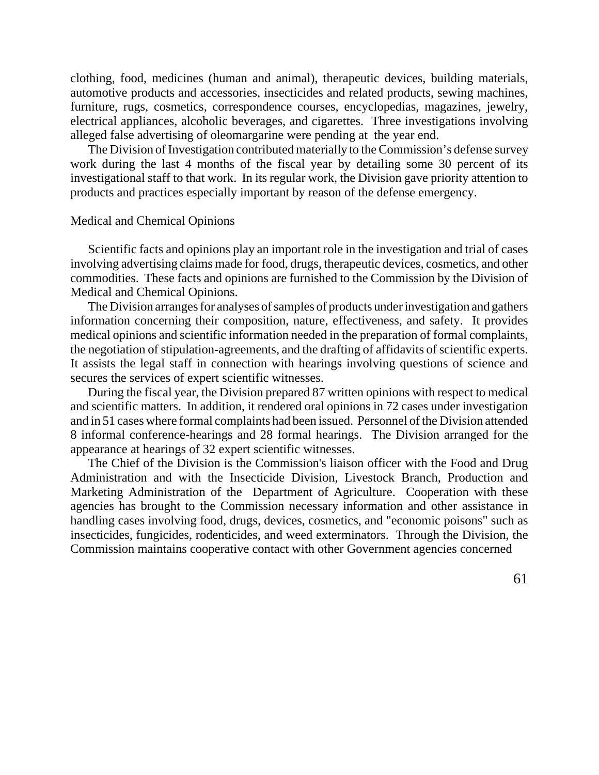clothing, food, medicines (human and animal), therapeutic devices, building materials, automotive products and accessories, insecticides and related products, sewing machines, furniture, rugs, cosmetics, correspondence courses, encyclopedias, magazines, jewelry, electrical appliances, alcoholic beverages, and cigarettes. Three investigations involving alleged false advertising of oleomargarine were pending at the year end.

The Division of Investigation contributed materially to the Commission's defense survey work during the last 4 months of the fiscal year by detailing some 30 percent of its investigational staff to that work. In its regular work, the Division gave priority attention to products and practices especially important by reason of the defense emergency.

### Medical and Chemical Opinions

Scientific facts and opinions play an important role in the investigation and trial of cases involving advertising claims made for food, drugs, therapeutic devices, cosmetics, and other commodities. These facts and opinions are furnished to the Commission by the Division of Medical and Chemical Opinions.

The Division arranges for analyses of samples of products under investigation and gathers information concerning their composition, nature, effectiveness, and safety. It provides medical opinions and scientific information needed in the preparation of formal complaints, the negotiation of stipulation-agreements, and the drafting of affidavits of scientific experts. It assists the legal staff in connection with hearings involving questions of science and secures the services of expert scientific witnesses.

During the fiscal year, the Division prepared 87 written opinions with respect to medical and scientific matters. In addition, it rendered oral opinions in 72 cases under investigation and in 51 cases where formal complaints had been issued. Personnel of the Division attended 8 informal conference-hearings and 28 formal hearings. The Division arranged for the appearance at hearings of 32 expert scientific witnesses.

The Chief of the Division is the Commission's liaison officer with the Food and Drug Administration and with the Insecticide Division, Livestock Branch, Production and Marketing Administration of the Department of Agriculture. Cooperation with these agencies has brought to the Commission necessary information and other assistance in handling cases involving food, drugs, devices, cosmetics, and "economic poisons" such as insecticides, fungicides, rodenticides, and weed exterminators. Through the Division, the Commission maintains cooperative contact with other Government agencies concerned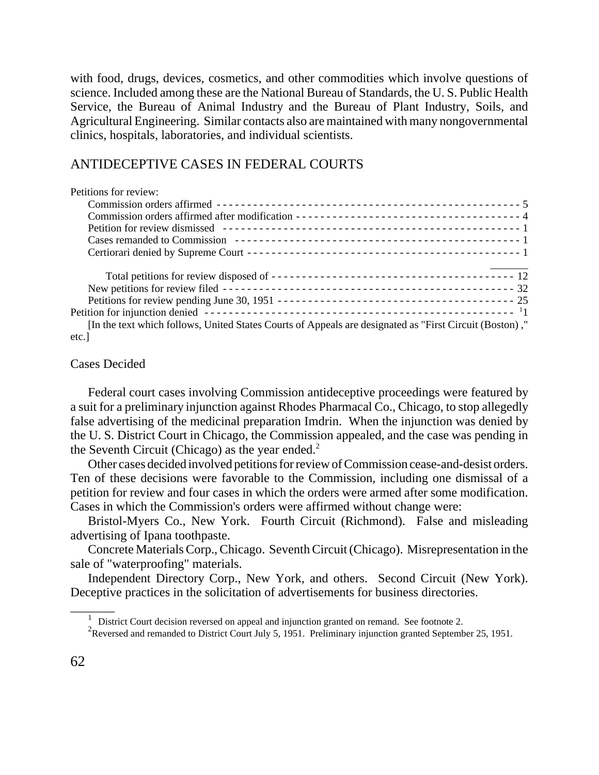with food, drugs, devices, cosmetics, and other commodities which involve questions of science. Included among these are the National Bureau of Standards, the U. S. Public Health Service, the Bureau of Animal Industry and the Bureau of Plant Industry, Soils, and Agricultural Engineering. Similar contacts also are maintained with many nongovernmental clinics, hospitals, laboratories, and individual scientists.

### ANTIDECEPTIVE CASES IN FEDERAL COURTS

| Petitions for review:                                                                                   |  |
|---------------------------------------------------------------------------------------------------------|--|
|                                                                                                         |  |
|                                                                                                         |  |
|                                                                                                         |  |
|                                                                                                         |  |
|                                                                                                         |  |
|                                                                                                         |  |
|                                                                                                         |  |
|                                                                                                         |  |
|                                                                                                         |  |
| [In the text which follows, United States Courts of Appeals are designated as "First Circuit (Boston)," |  |
| etc.                                                                                                    |  |

### Cases Decided

Federal court cases involving Commission antideceptive proceedings were featured by a suit for a preliminary injunction against Rhodes Pharmacal Co., Chicago, to stop allegedly false advertising of the medicinal preparation Imdrin. When the injunction was denied by the U. S. District Court in Chicago, the Commission appealed, and the case was pending in the Seventh Circuit (Chicago) as the year ended. $2^2$ 

Other cases decided involved petitions for review of Commission cease-and-desist orders. Ten of these decisions were favorable to the Commission, including one dismissal of a petition for review and four cases in which the orders were armed after some modification. Cases in which the Commission's orders were affirmed without change were:

Bristol-Myers Co., New York. Fourth Circuit (Richmond). False and misleading advertising of Ipana toothpaste.

Concrete Materials Corp.,Chicago. Seventh Circuit (Chicago). Misrepresentation in the sale of "waterproofing" materials.

Independent Directory Corp., New York, and others. Second Circuit (New York). Deceptive practices in the solicitation of advertisements for business directories.

 $\frac{1}{2}$  District Court decision reversed on appeal and injunction granted on remand. See footnote 2.

<sup>&</sup>lt;sup>2</sup>Reversed and remanded to District Court July 5, 1951. Preliminary injunction granted September 25, 1951.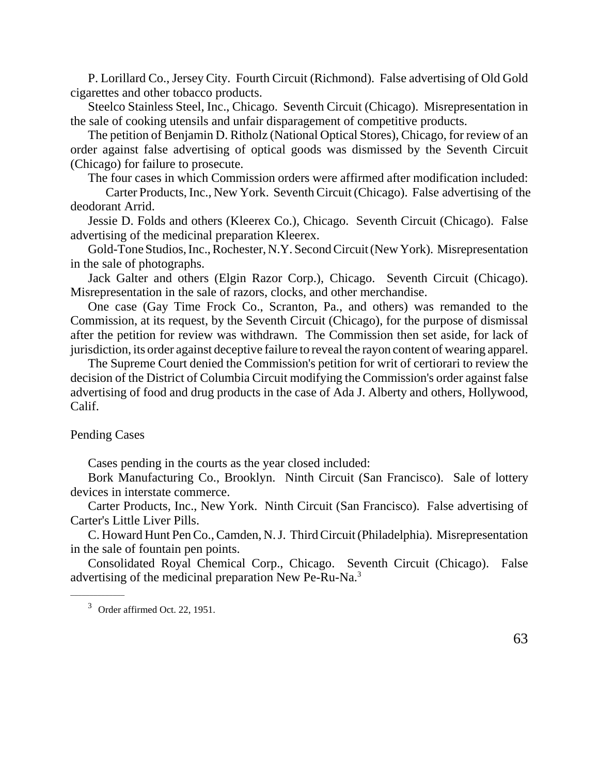P. Lorillard Co., Jersey City. Fourth Circuit (Richmond). False advertising of Old Gold cigarettes and other tobacco products.

Steelco Stainless Steel, Inc., Chicago. Seventh Circuit (Chicago). Misrepresentation in the sale of cooking utensils and unfair disparagement of competitive products.

The petition of Benjamin D. Ritholz (National Optical Stores), Chicago, for review of an order against false advertising of optical goods was dismissed by the Seventh Circuit (Chicago) for failure to prosecute.

The four cases in which Commission orders were affirmed after modification included:

 Carter Products, Inc., New York. Seventh Circuit (Chicago). False advertising of the deodorant Arrid.

Jessie D. Folds and others (Kleerex Co.), Chicago. Seventh Circuit (Chicago). False advertising of the medicinal preparation Kleerex.

Gold-Tone Studios, Inc., Rochester, N.Y. Second Circuit (New York). Misrepresentation in the sale of photographs.

Jack Galter and others (Elgin Razor Corp.), Chicago. Seventh Circuit (Chicago). Misrepresentation in the sale of razors, clocks, and other merchandise.

One case (Gay Time Frock Co., Scranton, Pa., and others) was remanded to the Commission, at its request, by the Seventh Circuit (Chicago), for the purpose of dismissal after the petition for review was withdrawn. The Commission then set aside, for lack of jurisdiction, its order against deceptive failure to reveal the rayon content of wearing apparel.

The Supreme Court denied the Commission's petition for writ of certiorari to review the decision of the District of Columbia Circuit modifying the Commission's order against false advertising of food and drug products in the case of Ada J. Alberty and others, Hollywood, Calif.

### Pending Cases

\_\_\_\_\_\_\_\_\_\_\_\_\_\_

Cases pending in the courts as the year closed included:

Bork Manufacturing Co., Brooklyn. Ninth Circuit (San Francisco). Sale of lottery devices in interstate commerce.

Carter Products, Inc., New York. Ninth Circuit (San Francisco). False advertising of Carter's Little Liver Pills.

C. Howard Hunt PenCo.,Camden, N.J. Third Circuit (Philadelphia). Misrepresentation in the sale of fountain pen points.

Consolidated Royal Chemical Corp., Chicago. Seventh Circuit (Chicago). False advertising of the medicinal preparation New Pe-Ru-Na.<sup>3</sup>

<sup>3</sup> Order affirmed Oct. 22, 1951.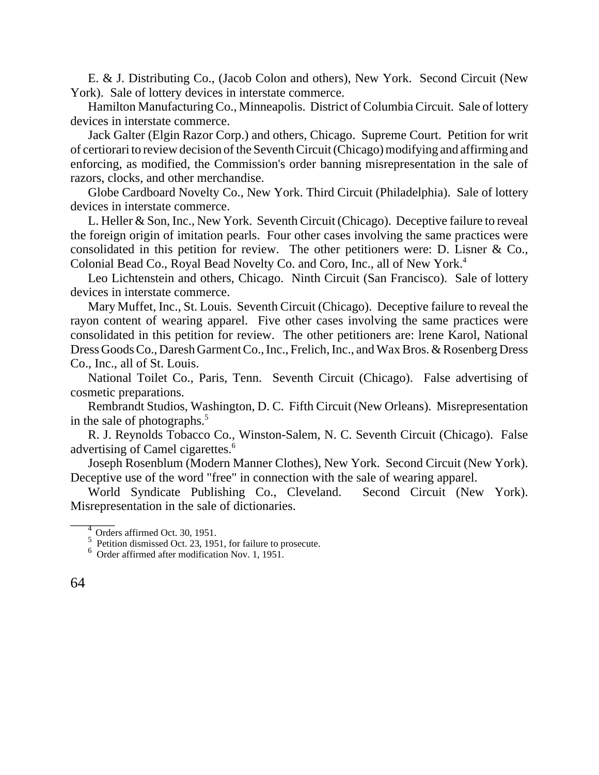E. & J. Distributing Co., (Jacob Colon and others), New York. Second Circuit (New York). Sale of lottery devices in interstate commerce.

Hamilton Manufacturing Co., Minneapolis. District of Columbia Circuit. Sale of lottery devices in interstate commerce.

Jack Galter (Elgin Razor Corp.) and others, Chicago. Supreme Court. Petition for writ of certiorari to review decision of the Seventh Circuit (Chicago) modifying and affirming and enforcing, as modified, the Commission's order banning misrepresentation in the sale of razors, clocks, and other merchandise.

Globe Cardboard Novelty Co., New York. Third Circuit (Philadelphia). Sale of lottery devices in interstate commerce.

L. Heller & Son, Inc., New York. Seventh Circuit (Chicago). Deceptive failure to reveal the foreign origin of imitation pearls. Four other cases involving the same practices were consolidated in this petition for review. The other petitioners were: D. Lisner & Co., Colonial Bead Co., Royal Bead Novelty Co. and Coro, Inc., all of New York.<sup>4</sup>

Leo Lichtenstein and others, Chicago. Ninth Circuit (San Francisco). Sale of lottery devices in interstate commerce.

Mary Muffet, Inc., St. Louis. Seventh Circuit (Chicago). Deceptive failure to reveal the rayon content of wearing apparel. Five other cases involving the same practices were consolidated in this petition for review. The other petitioners are: lrene Karol, National Dress Goods Co., Daresh Garment Co., Inc., Frelich, Inc., and Wax Bros. & Rosenberg Dress Co., Inc., all of St. Louis.

National Toilet Co., Paris, Tenn. Seventh Circuit (Chicago). False advertising of cosmetic preparations.

Rembrandt Studios, Washington, D. C. Fifth Circuit (New Orleans). Misrepresentation in the sale of photographs.<sup>5</sup>

R. J. Reynolds Tobacco Co., Winston-Salem, N. C. Seventh Circuit (Chicago). False advertising of Camel cigarettes.<sup>6</sup>

Joseph Rosenblum (Modern Manner Clothes), New York. Second Circuit (New York). Deceptive use of the word "free" in connection with the sale of wearing apparel.

World Syndicate Publishing Co., Cleveland. Second Circuit (New York). Misrepresentation in the sale of dictionaries.

 $\frac{4}{5}$  Orders affirmed Oct. 30, 1951.<br>
Petition dismissed Oct. 23, 1951, for failure to prosecute.

<sup>6</sup> Order affirmed after modification Nov. 1, 1951.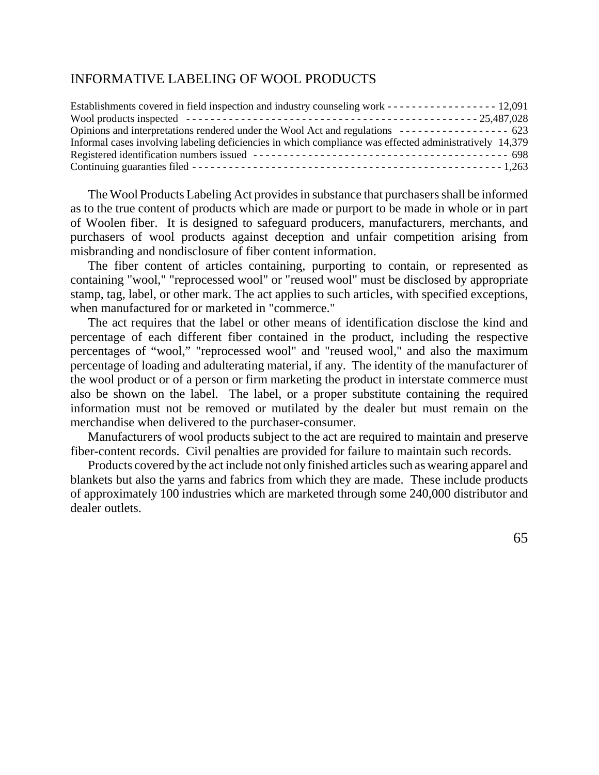### INFORMATIVE LABELING OF WOOL PRODUCTS

| Opinions and interpretations rendered under the Wool Act and regulations ----------------- 623          |  |
|---------------------------------------------------------------------------------------------------------|--|
| Informal cases involving labeling deficiencies in which compliance was effected administratively 14,379 |  |
|                                                                                                         |  |
|                                                                                                         |  |

The Wool Products Labeling Act provides in substance that purchasers shall be informed as to the true content of products which are made or purport to be made in whole or in part of Woolen fiber. It is designed to safeguard producers, manufacturers, merchants, and purchasers of wool products against deception and unfair competition arising from misbranding and nondisclosure of fiber content information.

The fiber content of articles containing, purporting to contain, or represented as containing "wool," "reprocessed wool" or "reused wool" must be disclosed by appropriate stamp, tag, label, or other mark. The act applies to such articles, with specified exceptions, when manufactured for or marketed in "commerce."

The act requires that the label or other means of identification disclose the kind and percentage of each different fiber contained in the product, including the respective percentages of "wool," "reprocessed wool" and "reused wool," and also the maximum percentage of loading and adulterating material, if any. The identity of the manufacturer of the wool product or of a person or firm marketing the product in interstate commerce must also be shown on the label. The label, or a proper substitute containing the required information must not be removed or mutilated by the dealer but must remain on the merchandise when delivered to the purchaser-consumer.

Manufacturers of wool products subject to the act are required to maintain and preserve fiber-content records. Civil penalties are provided for failure to maintain such records.

Products covered by the act include not only finished articles such as wearing apparel and blankets but also the yarns and fabrics from which they are made. These include products of approximately 100 industries which are marketed through some 240,000 distributor and dealer outlets.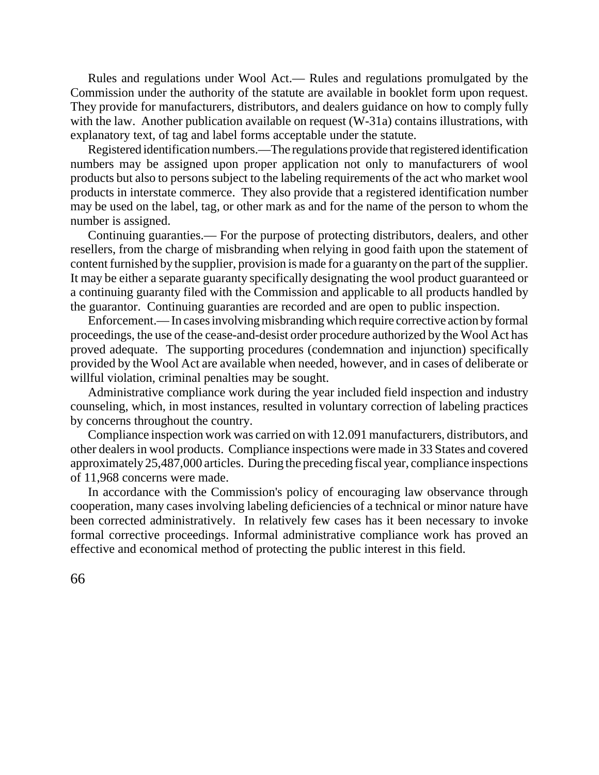Rules and regulations under Wool Act.— Rules and regulations promulgated by the Commission under the authority of the statute are available in booklet form upon request. They provide for manufacturers, distributors, and dealers guidance on how to comply fully with the law. Another publication available on request (W-31a) contains illustrations, with explanatory text, of tag and label forms acceptable under the statute.

Registered identification numbers.—The regulations provide that registered identification numbers may be assigned upon proper application not only to manufacturers of wool products but also to persons subject to the labeling requirements of the act who market wool products in interstate commerce. They also provide that a registered identification number may be used on the label, tag, or other mark as and for the name of the person to whom the number is assigned.

Continuing guaranties.— For the purpose of protecting distributors, dealers, and other resellers, from the charge of misbranding when relying in good faith upon the statement of content furnished by the supplier, provision is made for a guaranty on the part of the supplier. It may be either a separate guaranty specifically designating the wool product guaranteed or a continuing guaranty filed with the Commission and applicable to all products handled by the guarantor. Continuing guaranties are recorded and are open to public inspection.

Enforcement.— In cases involving misbranding which require corrective action by formal proceedings, the use of the cease-and-desist order procedure authorized by the Wool Act has proved adequate. The supporting procedures (condemnation and injunction) specifically provided by the Wool Act are available when needed, however, and in cases of deliberate or willful violation, criminal penalties may be sought.

Administrative compliance work during the year included field inspection and industry counseling, which, in most instances, resulted in voluntary correction of labeling practices by concerns throughout the country.

Compliance inspection work was carried on with 12.091 manufacturers, distributors, and other dealers in wool products. Compliance inspections were made in 33 States and covered approximately 25,487,000 articles. During the preceding fiscal year, compliance inspections of 11,968 concerns were made.

In accordance with the Commission's policy of encouraging law observance through cooperation, many cases involving labeling deficiencies of a technical or minor nature have been corrected administratively. In relatively few cases has it been necessary to invoke formal corrective proceedings. Informal administrative compliance work has proved an effective and economical method of protecting the public interest in this field.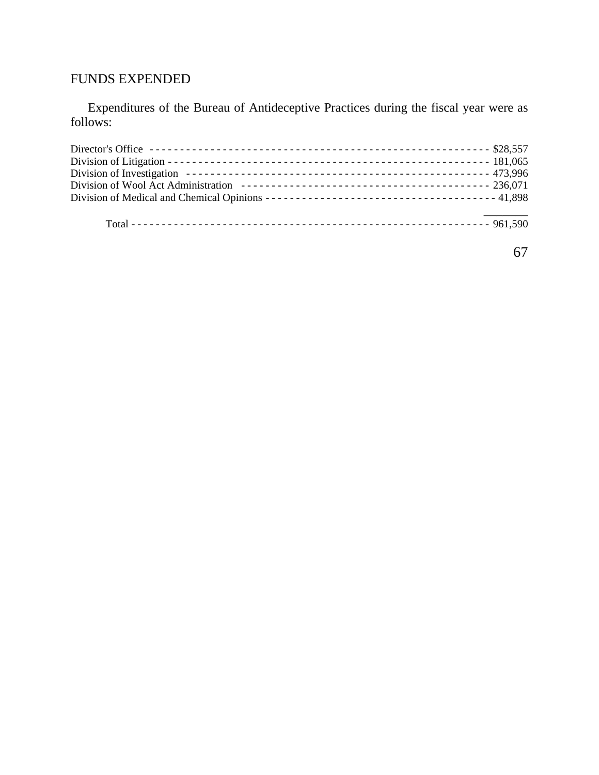# FUNDS EXPENDED

Expenditures of the Bureau of Antideceptive Practices during the fiscal year were as follows: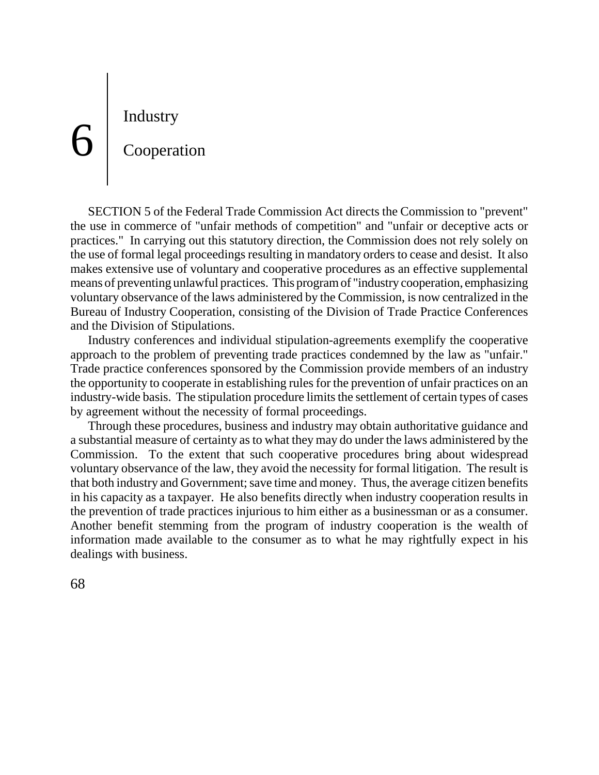# Industry  $\overline{6}$   $\overline{6}$  Cooperation

SECTION 5 of the Federal Trade Commission Act directs the Commission to "prevent" the use in commerce of "unfair methods of competition" and "unfair or deceptive acts or practices." In carrying out this statutory direction, the Commission does not rely solely on the use of formal legal proceedings resulting in mandatory orders to cease and desist. It also makes extensive use of voluntary and cooperative procedures as an effective supplemental means of preventing unlawful practices. This program of "industry cooperation, emphasizing voluntary observance of the laws administered by the Commission, is now centralized in the Bureau of Industry Cooperation, consisting of the Division of Trade Practice Conferences and the Division of Stipulations.

Industry conferences and individual stipulation-agreements exemplify the cooperative approach to the problem of preventing trade practices condemned by the law as "unfair." Trade practice conferences sponsored by the Commission provide members of an industry the opportunity to cooperate in establishing rules for the prevention of unfair practices on an industry-wide basis. The stipulation procedure limits the settlement of certain types of cases by agreement without the necessity of formal proceedings.

Through these procedures, business and industry may obtain authoritative guidance and a substantial measure of certainty as to what they may do under the laws administered by the Commission. To the extent that such cooperative procedures bring about widespread voluntary observance of the law, they avoid the necessity for formal litigation. The result is that both industry and Government; save time and money. Thus, the average citizen benefits in his capacity as a taxpayer. He also benefits directly when industry cooperation results in the prevention of trade practices injurious to him either as a businessman or as a consumer. Another benefit stemming from the program of industry cooperation is the wealth of information made available to the consumer as to what he may rightfully expect in his dealings with business.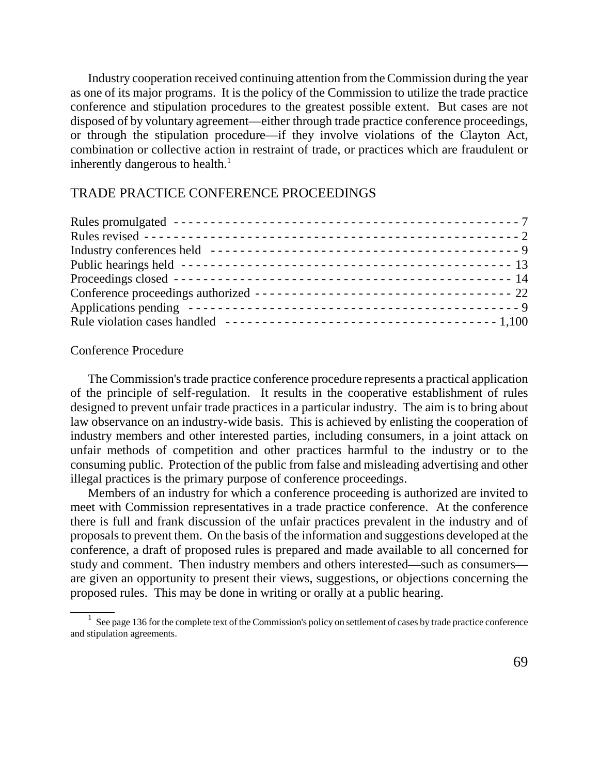Industry cooperation received continuing attention from the Commission during the year as one of its major programs. It is the policy of the Commission to utilize the trade practice conference and stipulation procedures to the greatest possible extent. But cases are not disposed of by voluntary agreement—either through trade practice conference proceedings, or through the stipulation procedure—if they involve violations of the Clayton Act, combination or collective action in restraint of trade, or practices which are fraudulent or inherently dangerous to health.<sup>1</sup>

#### TRADE PRACTICE CONFERENCE PROCEEDINGS

#### Conference Procedure

 $\overline{\phantom{a}}$ 

The Commission's trade practice conference procedure represents a practical application of the principle of self-regulation. It results in the cooperative establishment of rules designed to prevent unfair trade practices in a particular industry. The aim is to bring about law observance on an industry-wide basis. This is achieved by enlisting the cooperation of industry members and other interested parties, including consumers, in a joint attack on unfair methods of competition and other practices harmful to the industry or to the consuming public. Protection of the public from false and misleading advertising and other illegal practices is the primary purpose of conference proceedings.

Members of an industry for which a conference proceeding is authorized are invited to meet with Commission representatives in a trade practice conference. At the conference there is full and frank discussion of the unfair practices prevalent in the industry and of proposals to prevent them. On the basis of the information and suggestions developed at the conference, a draft of proposed rules is prepared and made available to all concerned for study and comment. Then industry members and others interested—such as consumers are given an opportunity to present their views, suggestions, or objections concerning the proposed rules. This may be done in writing or orally at a public hearing.

 $<sup>1</sup>$  See page 136 for the complete text of the Commission's policy on settlement of cases by trade practice conference</sup> and stipulation agreements.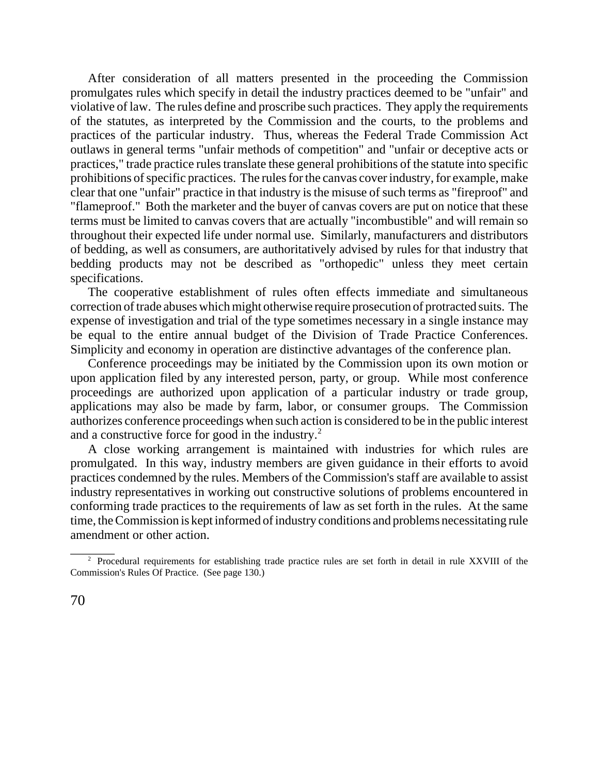After consideration of all matters presented in the proceeding the Commission promulgates rules which specify in detail the industry practices deemed to be "unfair" and violative of law. The rules define and proscribe such practices. They apply the requirements of the statutes, as interpreted by the Commission and the courts, to the problems and practices of the particular industry. Thus, whereas the Federal Trade Commission Act outlaws in general terms "unfair methods of competition" and "unfair or deceptive acts or practices," trade practice rulestranslate these general prohibitions of the statute into specific prohibitions of specific practices. The rules for the canvas cover industry, for example, make clear that one "unfair" practice in that industry isthe misuse of such terms as "fireproof" and "flameproof." Both the marketer and the buyer of canvas covers are put on notice that these terms must be limited to canvas covers that are actually "incombustible" and will remain so throughout their expected life under normal use. Similarly, manufacturers and distributors of bedding, as well as consumers, are authoritatively advised by rules for that industry that bedding products may not be described as "orthopedic" unless they meet certain specifications.

The cooperative establishment of rules often effects immediate and simultaneous correction of trade abuses which might otherwise require prosecution of protracted suits. The expense of investigation and trial of the type sometimes necessary in a single instance may be equal to the entire annual budget of the Division of Trade Practice Conferences. Simplicity and economy in operation are distinctive advantages of the conference plan.

Conference proceedings may be initiated by the Commission upon its own motion or upon application filed by any interested person, party, or group. While most conference proceedings are authorized upon application of a particular industry or trade group, applications may also be made by farm, labor, or consumer groups. The Commission authorizes conference proceedings when such action is considered to be in the public interest and a constructive force for good in the industry.<sup>2</sup>

A close working arrangement is maintained with industries for which rules are promulgated. In this way, industry members are given guidance in their efforts to avoid practices condemned by the rules. Members of the Commission's staff are available to assist industry representatives in working out constructive solutions of problems encountered in conforming trade practices to the requirements of law as set forth in the rules. At the same time, the Commission is kept informed of industry conditions and problems necessitating rule amendment or other action.

 $\overline{\phantom{a}}$ 

 $2^2$  Procedural requirements for establishing trade practice rules are set forth in detail in rule XXVIII of the Commission's Rules Of Practice. (See page 130.)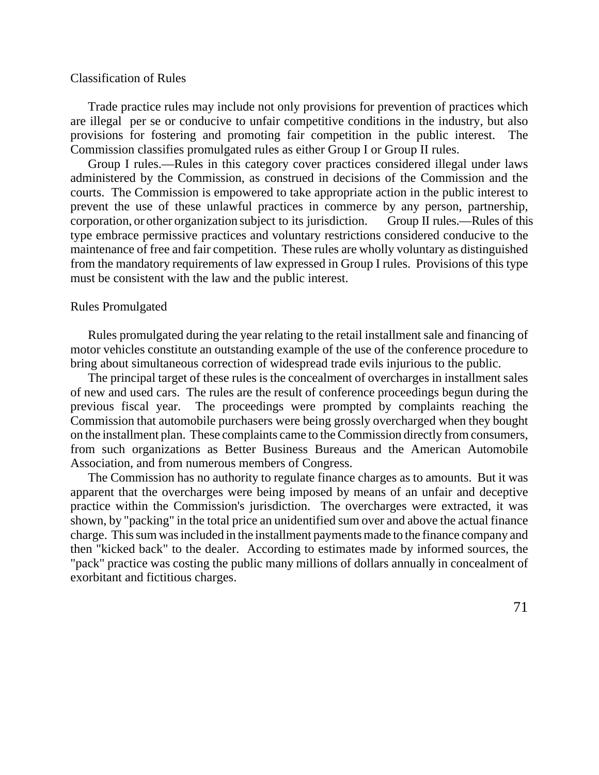#### Classification of Rules

Trade practice rules may include not only provisions for prevention of practices which are illegal per se or conducive to unfair competitive conditions in the industry, but also provisions for fostering and promoting fair competition in the public interest. The Commission classifies promulgated rules as either Group I or Group II rules.

Group I rules.—Rules in this category cover practices considered illegal under laws administered by the Commission, as construed in decisions of the Commission and the courts. The Commission is empowered to take appropriate action in the public interest to prevent the use of these unlawful practices in commerce by any person, partnership, corporation, or other organization subject to its jurisdiction. Group II rules.—Rules of this type embrace permissive practices and voluntary restrictions considered conducive to the maintenance of free and fair competition. These rules are wholly voluntary as distinguished from the mandatory requirements of law expressed in Group I rules. Provisions of this type must be consistent with the law and the public interest.

#### Rules Promulgated

Rules promulgated during the year relating to the retail installment sale and financing of motor vehicles constitute an outstanding example of the use of the conference procedure to bring about simultaneous correction of widespread trade evils injurious to the public.

The principal target of these rules is the concealment of overcharges in installment sales of new and used cars. The rules are the result of conference proceedings begun during the previous fiscal year. The proceedings were prompted by complaints reaching the Commission that automobile purchasers were being grossly overcharged when they bought on the installment plan. These complaints came to the Commission directly from consumers, from such organizations as Better Business Bureaus and the American Automobile Association, and from numerous members of Congress.

The Commission has no authority to regulate finance charges as to amounts. But it was apparent that the overcharges were being imposed by means of an unfair and deceptive practice within the Commission's jurisdiction. The overcharges were extracted, it was shown, by "packing" in the total price an unidentified sum over and above the actual finance charge. This sum was included in the installment payments made to the finance company and then "kicked back" to the dealer. According to estimates made by informed sources, the "pack" practice was costing the public many millions of dollars annually in concealment of exorbitant and fictitious charges.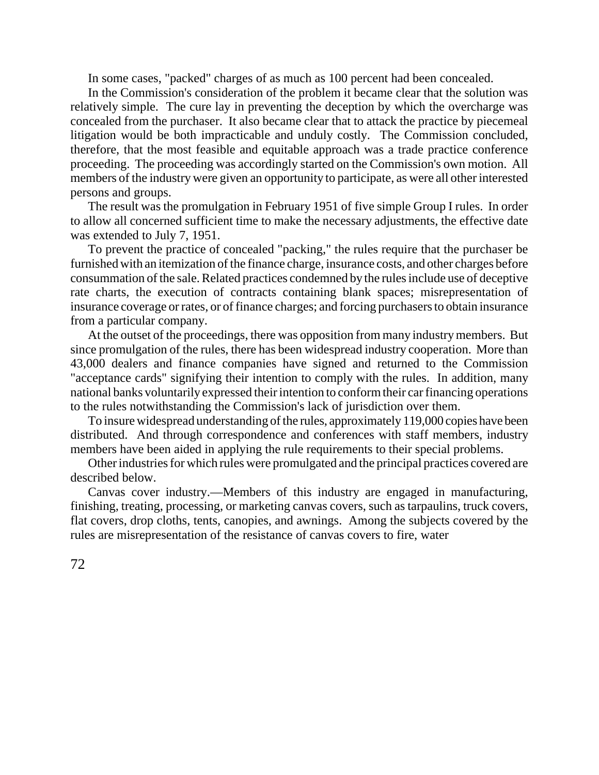In some cases, "packed" charges of as much as 100 percent had been concealed.

In the Commission's consideration of the problem it became clear that the solution was relatively simple. The cure lay in preventing the deception by which the overcharge was concealed from the purchaser. It also became clear that to attack the practice by piecemeal litigation would be both impracticable and unduly costly. The Commission concluded, therefore, that the most feasible and equitable approach was a trade practice conference proceeding. The proceeding was accordingly started on the Commission's own motion. All members of the industry were given an opportunity to participate, as were all other interested persons and groups.

The result was the promulgation in February 1951 of five simple Group I rules. In order to allow all concerned sufficient time to make the necessary adjustments, the effective date was extended to July 7, 1951.

To prevent the practice of concealed "packing," the rules require that the purchaser be furnished with an itemization of the finance charge, insurance costs, and other charges before consummation of the sale.Related practices condemned by the rulesinclude use of deceptive rate charts, the execution of contracts containing blank spaces; misrepresentation of insurance coverage or rates, or of finance charges; and forcing purchasers to obtain insurance from a particular company.

At the outset of the proceedings, there was opposition from many industry members. But since promulgation of the rules, there has been widespread industry cooperation. More than 43,000 dealers and finance companies have signed and returned to the Commission "acceptance cards" signifying their intention to comply with the rules. In addition, many national banks voluntarily expressed their intention to conform their car financing operations to the rules notwithstanding the Commission's lack of jurisdiction over them.

To insure widespread understanding of the rules, approximately 119,000 copies have been distributed. And through correspondence and conferences with staff members, industry members have been aided in applying the rule requirements to their special problems.

Other industries for which rules were promulgated and the principal practices covered are described below.

Canvas cover industry.—Members of this industry are engaged in manufacturing, finishing, treating, processing, or marketing canvas covers, such as tarpaulins, truck covers, flat covers, drop cloths, tents, canopies, and awnings. Among the subjects covered by the rules are misrepresentation of the resistance of canvas covers to fire, water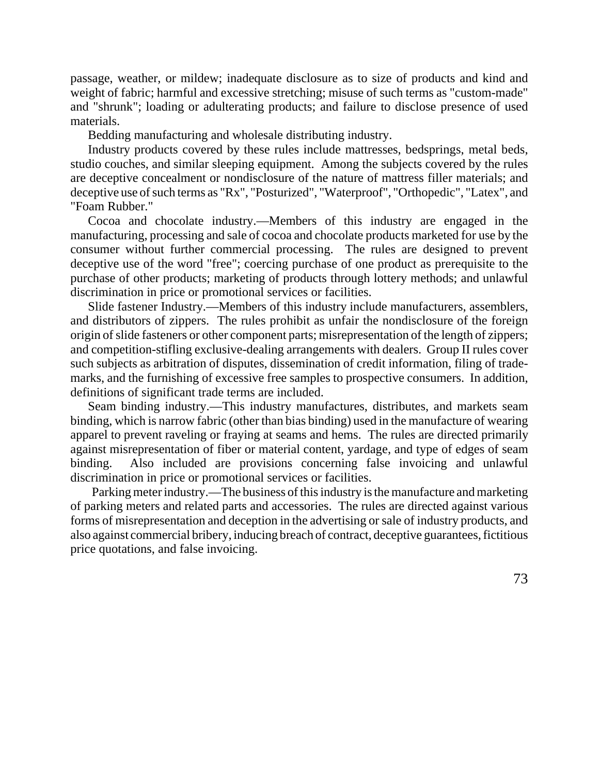passage, weather, or mildew; inadequate disclosure as to size of products and kind and weight of fabric; harmful and excessive stretching; misuse of such terms as "custom-made" and "shrunk"; loading or adulterating products; and failure to disclose presence of used materials.

Bedding manufacturing and wholesale distributing industry.

Industry products covered by these rules include mattresses, bedsprings, metal beds, studio couches, and similar sleeping equipment. Among the subjects covered by the rules are deceptive concealment or nondisclosure of the nature of mattress filler materials; and deceptive use of such terms as "Rx", "Posturized", "Waterproof", "Orthopedic", "Latex", and "Foam Rubber."

Cocoa and chocolate industry.—Members of this industry are engaged in the manufacturing, processing and sale of cocoa and chocolate products marketed for use by the consumer without further commercial processing. The rules are designed to prevent deceptive use of the word "free"; coercing purchase of one product as prerequisite to the purchase of other products; marketing of products through lottery methods; and unlawful discrimination in price or promotional services or facilities.

Slide fastener Industry.—Members of this industry include manufacturers, assemblers, and distributors of zippers. The rules prohibit as unfair the nondisclosure of the foreign origin of slide fasteners or other component parts; misrepresentation of the length of zippers; and competition-stifling exclusive-dealing arrangements with dealers. Group II rules cover such subjects as arbitration of disputes, dissemination of credit information, filing of trademarks, and the furnishing of excessive free samples to prospective consumers. In addition, definitions of significant trade terms are included.

Seam binding industry.—This industry manufactures, distributes, and markets seam binding, which is narrow fabric (other than bias binding) used in the manufacture of wearing apparel to prevent raveling or fraying at seams and hems. The rules are directed primarily against misrepresentation of fiber or material content, yardage, and type of edges of seam binding. Also included are provisions concerning false invoicing and unlawful discrimination in price or promotional services or facilities.

 Parking meter industry.—The business of this industry is the manufacture and marketing of parking meters and related parts and accessories. The rules are directed against various forms of misrepresentation and deception in the advertising or sale of industry products, and also against commercial bribery, inducing breach of contract, deceptive guarantees, fictitious price quotations, and false invoicing.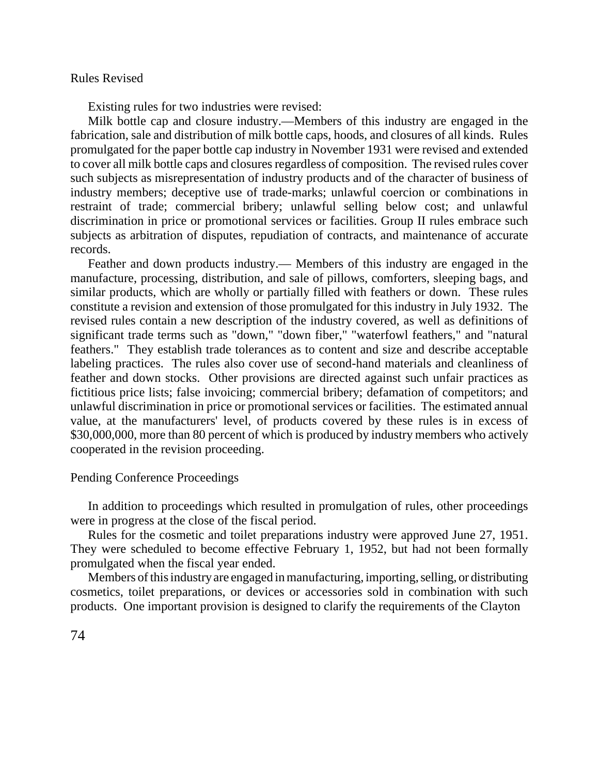#### Rules Revised

Existing rules for two industries were revised:

Milk bottle cap and closure industry.—Members of this industry are engaged in the fabrication, sale and distribution of milk bottle caps, hoods, and closures of all kinds. Rules promulgated for the paper bottle cap industry in November 1931 were revised and extended to cover all milk bottle caps and closures regardless of composition. The revised rules cover such subjects as misrepresentation of industry products and of the character of business of industry members; deceptive use of trade-marks; unlawful coercion or combinations in restraint of trade; commercial bribery; unlawful selling below cost; and unlawful discrimination in price or promotional services or facilities. Group II rules embrace such subjects as arbitration of disputes, repudiation of contracts, and maintenance of accurate records.

Feather and down products industry.— Members of this industry are engaged in the manufacture, processing, distribution, and sale of pillows, comforters, sleeping bags, and similar products, which are wholly or partially filled with feathers or down. These rules constitute a revision and extension of those promulgated for this industry in July 1932. The revised rules contain a new description of the industry covered, as well as definitions of significant trade terms such as "down," "down fiber," "waterfowl feathers," and "natural feathers." They establish trade tolerances as to content and size and describe acceptable labeling practices. The rules also cover use of second-hand materials and cleanliness of feather and down stocks. Other provisions are directed against such unfair practices as fictitious price lists; false invoicing; commercial bribery; defamation of competitors; and unlawful discrimination in price or promotional services or facilities. The estimated annual value, at the manufacturers' level, of products covered by these rules is in excess of \$30,000,000, more than 80 percent of which is produced by industry members who actively cooperated in the revision proceeding.

#### Pending Conference Proceedings

In addition to proceedings which resulted in promulgation of rules, other proceedings were in progress at the close of the fiscal period.

Rules for the cosmetic and toilet preparations industry were approved June 27, 1951. They were scheduled to become effective February 1, 1952, but had not been formally promulgated when the fiscal year ended.

Members of this industry are engaged in manufacturing, importing, selling, or distributing cosmetics, toilet preparations, or devices or accessories sold in combination with such products. One important provision is designed to clarify the requirements of the Clayton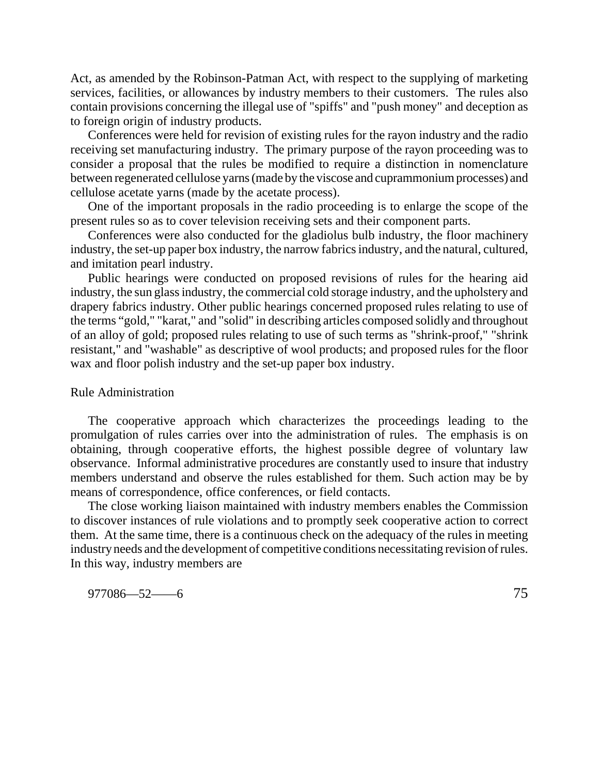Act, as amended by the Robinson-Patman Act, with respect to the supplying of marketing services, facilities, or allowances by industry members to their customers. The rules also contain provisions concerning the illegal use of "spiffs" and "push money" and deception as to foreign origin of industry products.

Conferences were held for revision of existing rules for the rayon industry and the radio receiving set manufacturing industry. The primary purpose of the rayon proceeding was to consider a proposal that the rules be modified to require a distinction in nomenclature between regenerated cellulose yarns(made by the viscose and cuprammonium processes) and cellulose acetate yarns (made by the acetate process).

One of the important proposals in the radio proceeding is to enlarge the scope of the present rules so as to cover television receiving sets and their component parts.

Conferences were also conducted for the gladiolus bulb industry, the floor machinery industry, the set-up paper box industry, the narrow fabrics industry, and the natural, cultured, and imitation pearl industry.

Public hearings were conducted on proposed revisions of rules for the hearing aid industry, the sun glassindustry, the commercial cold storage industry, and the upholstery and drapery fabrics industry. Other public hearings concerned proposed rules relating to use of the terms "gold," "karat," and "solid" in describing articles composed solidly and throughout of an alloy of gold; proposed rules relating to use of such terms as "shrink-proof," "shrink resistant," and "washable" as descriptive of wool products; and proposed rules for the floor wax and floor polish industry and the set-up paper box industry.

#### Rule Administration

The cooperative approach which characterizes the proceedings leading to the promulgation of rules carries over into the administration of rules. The emphasis is on obtaining, through cooperative efforts, the highest possible degree of voluntary law observance. Informal administrative procedures are constantly used to insure that industry members understand and observe the rules established for them. Such action may be by means of correspondence, office conferences, or field contacts.

The close working liaison maintained with industry members enables the Commission to discover instances of rule violations and to promptly seek cooperative action to correct them. At the same time, there is a continuous check on the adequacy of the rules in meeting industryneeds and the development of competitive conditions necessitating revision of rules. In this way, industry members are

$$
977086 - 52 - 6 \tag{75}
$$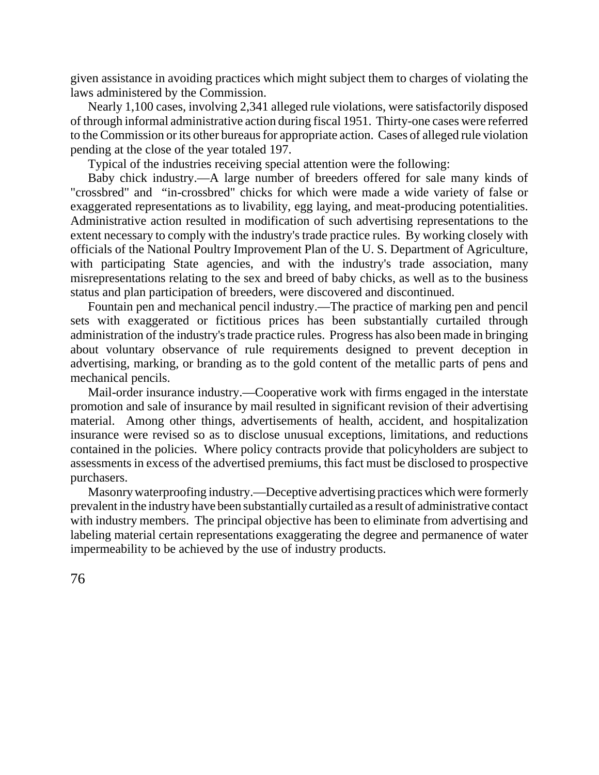given assistance in avoiding practices which might subject them to charges of violating the laws administered by the Commission.

Nearly 1,100 cases, involving 2,341 alleged rule violations, were satisfactorily disposed of through informal administrative action during fiscal 1951. Thirty-one cases were referred to the Commission or its other bureaus for appropriate action. Cases of alleged rule violation pending at the close of the year totaled 197.

Typical of the industries receiving special attention were the following:

Baby chick industry.—A large number of breeders offered for sale many kinds of "crossbred" and "in-crossbred" chicks for which were made a wide variety of false or exaggerated representations as to livability, egg laying, and meat-producing potentialities. Administrative action resulted in modification of such advertising representations to the extent necessary to comply with the industry's trade practice rules. By working closely with officials of the National Poultry Improvement Plan of the U. S. Department of Agriculture, with participating State agencies, and with the industry's trade association, many misrepresentations relating to the sex and breed of baby chicks, as well as to the business status and plan participation of breeders, were discovered and discontinued.

Fountain pen and mechanical pencil industry.—The practice of marking pen and pencil sets with exaggerated or fictitious prices has been substantially curtailed through administration of the industry's trade practice rules. Progress has also been made in bringing about voluntary observance of rule requirements designed to prevent deception in advertising, marking, or branding as to the gold content of the metallic parts of pens and mechanical pencils.

Mail-order insurance industry.—Cooperative work with firms engaged in the interstate promotion and sale of insurance by mail resulted in significant revision of their advertising material. Among other things, advertisements of health, accident, and hospitalization insurance were revised so as to disclose unusual exceptions, limitations, and reductions contained in the policies. Where policy contracts provide that policyholders are subject to assessments in excess of the advertised premiums, this fact must be disclosed to prospective purchasers.

Masonrywaterproofing industry.—Deceptive advertising practices which were formerly prevalent in the industry have been substantially curtailed as a result of administrative contact with industry members. The principal objective has been to eliminate from advertising and labeling material certain representations exaggerating the degree and permanence of water impermeability to be achieved by the use of industry products.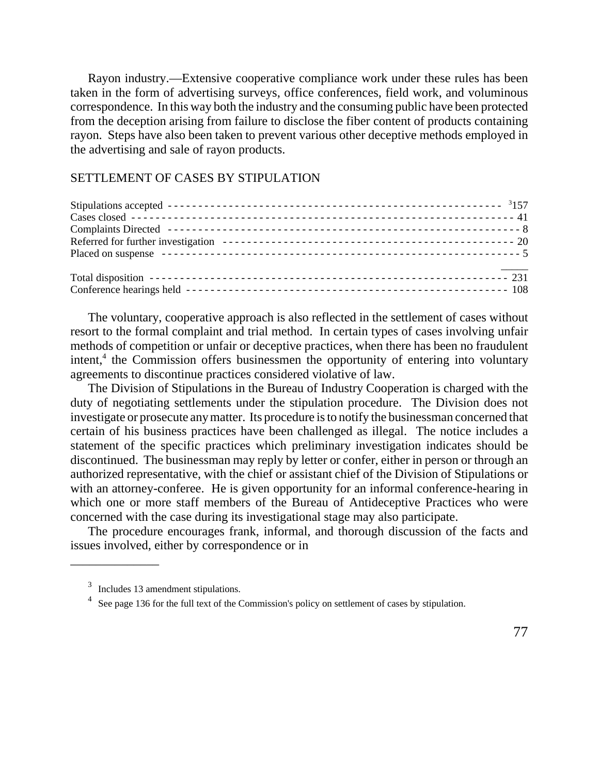Rayon industry.—Extensive cooperative compliance work under these rules has been taken in the form of advertising surveys, office conferences, field work, and voluminous correspondence. In this way both the industry and the consuming public have been protected from the deception arising from failure to disclose the fiber content of products containing rayon. Steps have also been taken to prevent various other deceptive methods employed in the advertising and sale of rayon products.

### SETTLEMENT OF CASES BY STIPULATION

The voluntary, cooperative approach is also reflected in the settlement of cases without resort to the formal complaint and trial method. In certain types of cases involving unfair methods of competition or unfair or deceptive practices, when there has been no fraudulent intent,<sup>4</sup> the Commission offers businessmen the opportunity of entering into voluntary agreements to discontinue practices considered violative of law.

The Division of Stipulations in the Bureau of Industry Cooperation is charged with the duty of negotiating settlements under the stipulation procedure. The Division does not investigate or prosecute anymatter. Its procedure is to notify the businessman concerned that certain of his business practices have been challenged as illegal. The notice includes a statement of the specific practices which preliminary investigation indicates should be discontinued. The businessman may reply by letter or confer, either in person or through an authorized representative, with the chief or assistant chief of the Division of Stipulations or with an attorney-conferee. He is given opportunity for an informal conference-hearing in which one or more staff members of the Bureau of Antideceptive Practices who were concerned with the case during its investigational stage may also participate.

The procedure encourages frank, informal, and thorough discussion of the facts and issues involved, either by correspondence or in

\_\_\_\_\_\_\_\_\_\_\_\_\_\_

<sup>&</sup>lt;sup>3</sup> Includes 13 amendment stipulations.

<sup>4</sup> See page 136 for the full text of the Commission's policy on settlement of cases by stipulation.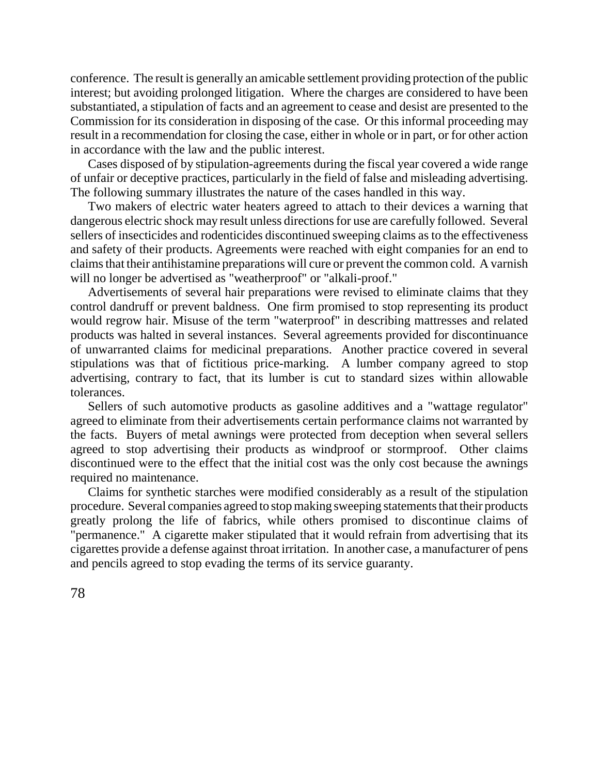conference. The result is generally an amicable settlement providing protection of the public interest; but avoiding prolonged litigation. Where the charges are considered to have been substantiated, a stipulation of facts and an agreement to cease and desist are presented to the Commission for its consideration in disposing of the case. Or this informal proceeding may result in a recommendation for closing the case, either in whole or in part, or for other action in accordance with the law and the public interest.

Cases disposed of by stipulation-agreements during the fiscal year covered a wide range of unfair or deceptive practices, particularly in the field of false and misleading advertising. The following summary illustrates the nature of the cases handled in this way.

Two makers of electric water heaters agreed to attach to their devices a warning that dangerous electric shock may result unless directions for use are carefully followed. Several sellers of insecticides and rodenticides discontinued sweeping claims as to the effectiveness and safety of their products. Agreements were reached with eight companies for an end to claimsthat their antihistamine preparations will cure or prevent the common cold. A varnish will no longer be advertised as "weatherproof" or "alkali-proof."

Advertisements of several hair preparations were revised to eliminate claims that they control dandruff or prevent baldness. One firm promised to stop representing its product would regrow hair. Misuse of the term "waterproof" in describing mattresses and related products was halted in several instances. Several agreements provided for discontinuance of unwarranted claims for medicinal preparations. Another practice covered in several stipulations was that of fictitious price-marking. A lumber company agreed to stop advertising, contrary to fact, that its lumber is cut to standard sizes within allowable tolerances.

Sellers of such automotive products as gasoline additives and a "wattage regulator" agreed to eliminate from their advertisements certain performance claims not warranted by the facts. Buyers of metal awnings were protected from deception when several sellers agreed to stop advertising their products as windproof or stormproof. Other claims discontinued were to the effect that the initial cost was the only cost because the awnings required no maintenance.

Claims for synthetic starches were modified considerably as a result of the stipulation procedure. Several companies agreed to stop making sweeping statements that their products greatly prolong the life of fabrics, while others promised to discontinue claims of "permanence." A cigarette maker stipulated that it would refrain from advertising that its cigarettes provide a defense against throat irritation. In another case, a manufacturer of pens and pencils agreed to stop evading the terms of its service guaranty.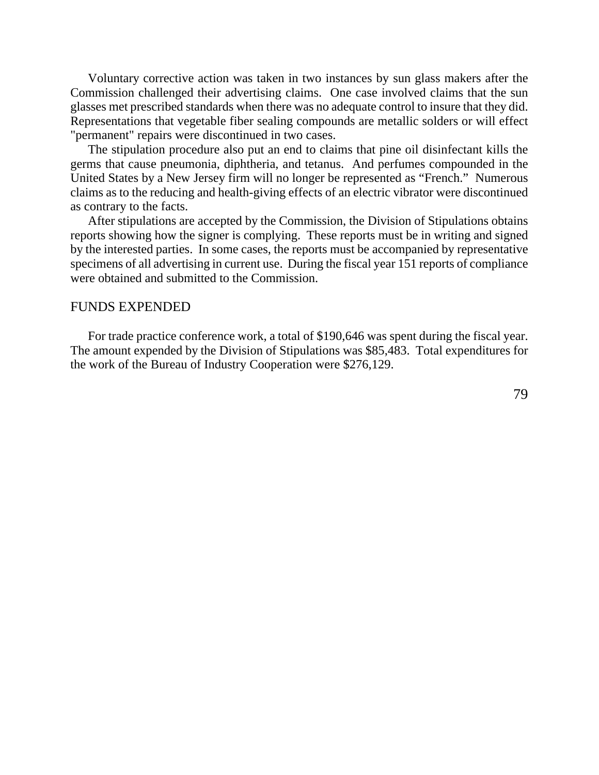Voluntary corrective action was taken in two instances by sun glass makers after the Commission challenged their advertising claims. One case involved claims that the sun glasses met prescribed standards when there was no adequate control to insure that they did. Representations that vegetable fiber sealing compounds are metallic solders or will effect "permanent" repairs were discontinued in two cases.

The stipulation procedure also put an end to claims that pine oil disinfectant kills the germs that cause pneumonia, diphtheria, and tetanus. And perfumes compounded in the United States by a New Jersey firm will no longer be represented as "French." Numerous claims as to the reducing and health-giving effects of an electric vibrator were discontinued as contrary to the facts.

After stipulations are accepted by the Commission, the Division of Stipulations obtains reports showing how the signer is complying. These reports must be in writing and signed by the interested parties. In some cases, the reports must be accompanied by representative specimens of all advertising in current use. During the fiscal year 151 reports of compliance were obtained and submitted to the Commission.

#### FUNDS EXPENDED

For trade practice conference work, a total of \$190,646 was spent during the fiscal year. The amount expended by the Division of Stipulations was \$85,483. Total expenditures for the work of the Bureau of Industry Cooperation were \$276,129.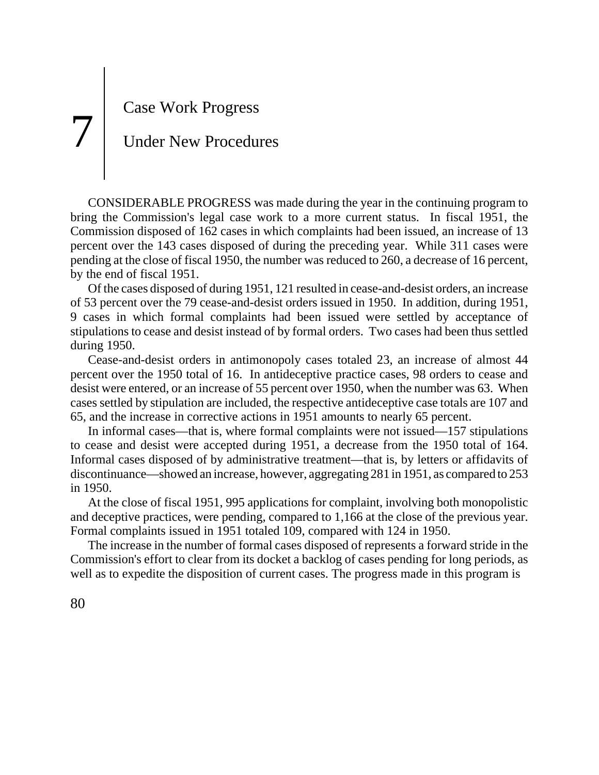# Case Work Progress 7 Under New Procedures

CONSIDERABLE PROGRESS was made during the year in the continuing program to bring the Commission's legal case work to a more current status. In fiscal 1951, the Commission disposed of 162 cases in which complaints had been issued, an increase of 13 percent over the 143 cases disposed of during the preceding year. While 311 cases were pending at the close of fiscal 1950, the number was reduced to 260, a decrease of 16 percent, by the end of fiscal 1951.

Of the cases disposed of during 1951, 121 resulted in cease-and-desist orders, an increase of 53 percent over the 79 cease-and-desist orders issued in 1950. In addition, during 1951, 9 cases in which formal complaints had been issued were settled by acceptance of stipulations to cease and desist instead of by formal orders. Two cases had been thus settled during 1950.

Cease-and-desist orders in antimonopoly cases totaled 23, an increase of almost 44 percent over the 1950 total of 16. In antideceptive practice cases, 98 orders to cease and desist were entered, or an increase of 55 percent over 1950, when the number was 63. When cases settled by stipulation are included, the respective antideceptive case totals are 107 and 65, and the increase in corrective actions in 1951 amounts to nearly 65 percent.

In informal cases—that is, where formal complaints were not issued—157 stipulations to cease and desist were accepted during 1951, a decrease from the 1950 total of 164. Informal cases disposed of by administrative treatment—that is, by letters or affidavits of discontinuance—showed an increase, however, aggregating 281 in 1951, as compared to 253 in 1950.

At the close of fiscal 1951, 995 applications for complaint, involving both monopolistic and deceptive practices, were pending, compared to 1,166 at the close of the previous year. Formal complaints issued in 1951 totaled 109, compared with 124 in 1950.

The increase in the number of formal cases disposed of represents a forward stride in the Commission's effort to clear from its docket a backlog of cases pending for long periods, as well as to expedite the disposition of current cases. The progress made in this program is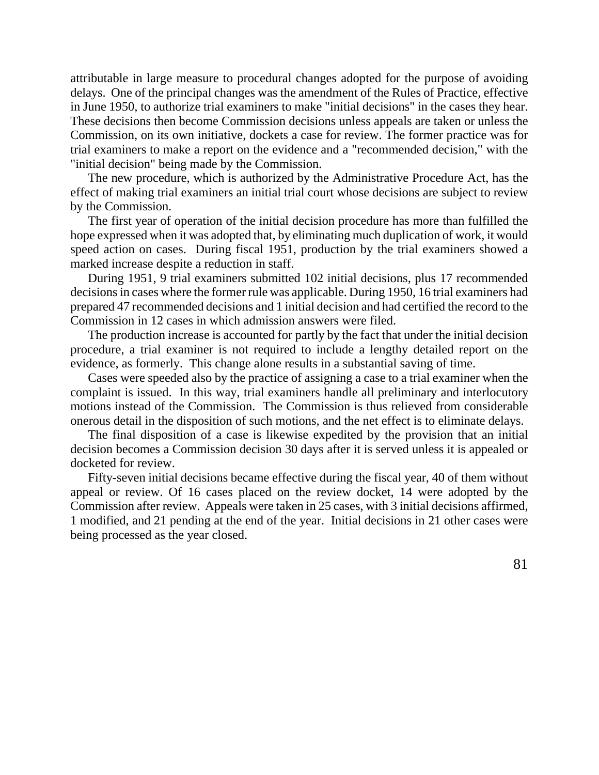attributable in large measure to procedural changes adopted for the purpose of avoiding delays. One of the principal changes was the amendment of the Rules of Practice, effective in June 1950, to authorize trial examiners to make "initial decisions" in the cases they hear. These decisions then become Commission decisions unless appeals are taken or unless the Commission, on its own initiative, dockets a case for review. The former practice was for trial examiners to make a report on the evidence and a "recommended decision," with the "initial decision" being made by the Commission.

The new procedure, which is authorized by the Administrative Procedure Act, has the effect of making trial examiners an initial trial court whose decisions are subject to review by the Commission.

The first year of operation of the initial decision procedure has more than fulfilled the hope expressed when it was adopted that, by eliminating much duplication of work, it would speed action on cases. During fiscal 1951, production by the trial examiners showed a marked increase despite a reduction in staff.

During 1951, 9 trial examiners submitted 102 initial decisions, plus 17 recommended decisions in cases where the former rule was applicable. During 1950, 16 trial examiners had prepared 47 recommended decisions and 1 initial decision and had certified the record to the Commission in 12 cases in which admission answers were filed.

The production increase is accounted for partly by the fact that under the initial decision procedure, a trial examiner is not required to include a lengthy detailed report on the evidence, as formerly. This change alone results in a substantial saving of time.

Cases were speeded also by the practice of assigning a case to a trial examiner when the complaint is issued. In this way, trial examiners handle all preliminary and interlocutory motions instead of the Commission. The Commission is thus relieved from considerable onerous detail in the disposition of such motions, and the net effect is to eliminate delays.

The final disposition of a case is likewise expedited by the provision that an initial decision becomes a Commission decision 30 days after it is served unless it is appealed or docketed for review.

Fifty-seven initial decisions became effective during the fiscal year, 40 of them without appeal or review. Of 16 cases placed on the review docket, 14 were adopted by the Commission after review. Appeals were taken in 25 cases, with 3 initial decisions affirmed, 1 modified, and 21 pending at the end of the year. Initial decisions in 21 other cases were being processed as the year closed.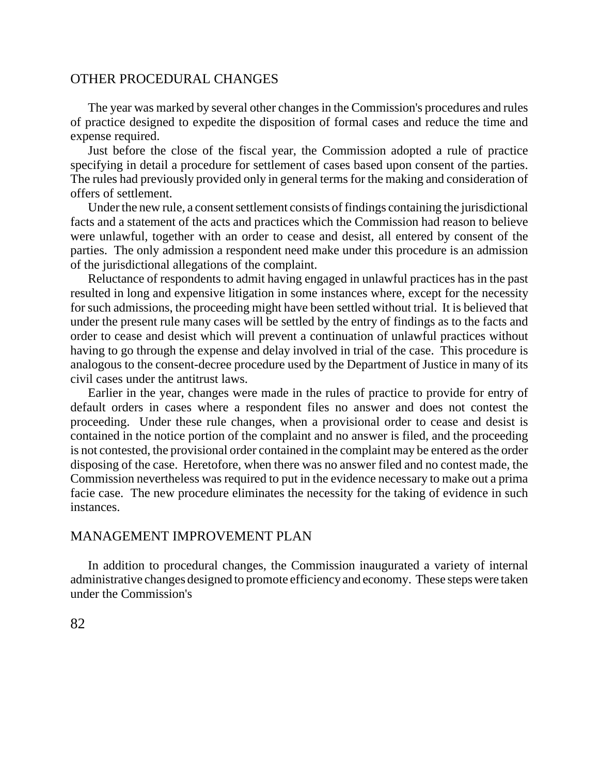#### OTHER PROCEDURAL CHANGES

The year was marked by several other changes in the Commission's procedures and rules of practice designed to expedite the disposition of formal cases and reduce the time and expense required.

Just before the close of the fiscal year, the Commission adopted a rule of practice specifying in detail a procedure for settlement of cases based upon consent of the parties. The rules had previously provided only in general terms for the making and consideration of offers of settlement.

Under the new rule, a consent settlement consists of findings containing the jurisdictional facts and a statement of the acts and practices which the Commission had reason to believe were unlawful, together with an order to cease and desist, all entered by consent of the parties. The only admission a respondent need make under this procedure is an admission of the jurisdictional allegations of the complaint.

Reluctance of respondents to admit having engaged in unlawful practices has in the past resulted in long and expensive litigation in some instances where, except for the necessity for such admissions, the proceeding might have been settled without trial. It is believed that under the present rule many cases will be settled by the entry of findings as to the facts and order to cease and desist which will prevent a continuation of unlawful practices without having to go through the expense and delay involved in trial of the case. This procedure is analogous to the consent-decree procedure used by the Department of Justice in many of its civil cases under the antitrust laws.

Earlier in the year, changes were made in the rules of practice to provide for entry of default orders in cases where a respondent files no answer and does not contest the proceeding. Under these rule changes, when a provisional order to cease and desist is contained in the notice portion of the complaint and no answer is filed, and the proceeding is not contested, the provisional order contained in the complaint may be entered asthe order disposing of the case. Heretofore, when there was no answer filed and no contest made, the Commission nevertheless was required to put in the evidence necessary to make out a prima facie case. The new procedure eliminates the necessity for the taking of evidence in such instances.

### MANAGEMENT IMPROVEMENT PLAN

In addition to procedural changes, the Commission inaugurated a variety of internal administrative changes designed to promote efficiencyand economy. These steps were taken under the Commission's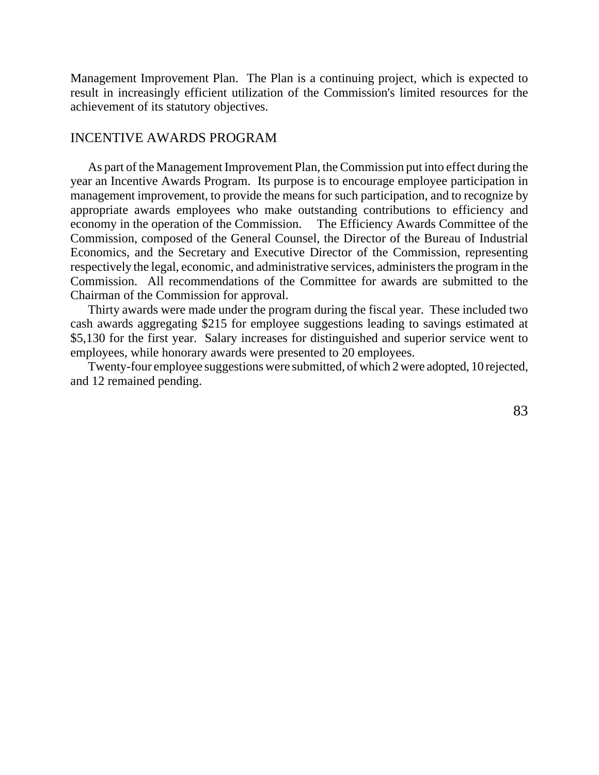Management Improvement Plan. The Plan is a continuing project, which is expected to result in increasingly efficient utilization of the Commission's limited resources for the achievement of its statutory objectives.

#### INCENTIVE AWARDS PROGRAM

As part of the Management Improvement Plan, the Commission put into effect during the year an Incentive Awards Program. Its purpose is to encourage employee participation in management improvement, to provide the means for such participation, and to recognize by appropriate awards employees who make outstanding contributions to efficiency and economy in the operation of the Commission. The Efficiency Awards Committee of the Commission, composed of the General Counsel, the Director of the Bureau of Industrial Economics, and the Secretary and Executive Director of the Commission, representing respectively the legal, economic, and administrative services, administers the program in the Commission. All recommendations of the Committee for awards are submitted to the Chairman of the Commission for approval.

Thirty awards were made under the program during the fiscal year. These included two cash awards aggregating \$215 for employee suggestions leading to savings estimated at \$5,130 for the first year. Salary increases for distinguished and superior service went to employees, while honorary awards were presented to 20 employees.

Twenty-four employee suggestions were submitted, of which 2 were adopted, 10 rejected, and 12 remained pending.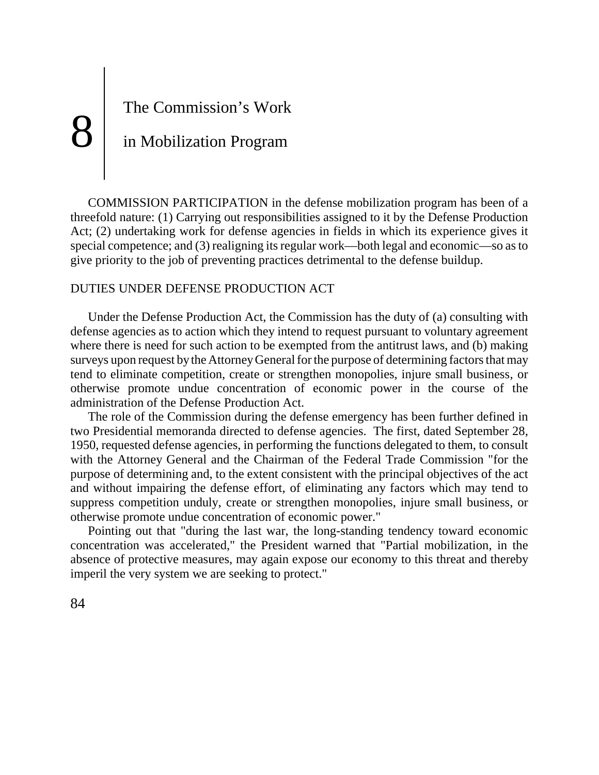# The Commission's Work in Mobilization Program

COMMISSION PARTICIPATION in the defense mobilization program has been of a threefold nature: (1) Carrying out responsibilities assigned to it by the Defense Production Act; (2) undertaking work for defense agencies in fields in which its experience gives it special competence; and (3) realigning its regular work—both legal and economic—so as to give priority to the job of preventing practices detrimental to the defense buildup.

### DUTIES UNDER DEFENSE PRODUCTION ACT

Under the Defense Production Act, the Commission has the duty of (a) consulting with defense agencies as to action which they intend to request pursuant to voluntary agreement where there is need for such action to be exempted from the antitrust laws, and (b) making surveys upon request by the Attorney General for the purpose of determining factors that may tend to eliminate competition, create or strengthen monopolies, injure small business, or otherwise promote undue concentration of economic power in the course of the administration of the Defense Production Act.

The role of the Commission during the defense emergency has been further defined in two Presidential memoranda directed to defense agencies. The first, dated September 28, 1950, requested defense agencies, in performing the functions delegated to them, to consult with the Attorney General and the Chairman of the Federal Trade Commission "for the purpose of determining and, to the extent consistent with the principal objectives of the act and without impairing the defense effort, of eliminating any factors which may tend to suppress competition unduly, create or strengthen monopolies, injure small business, or otherwise promote undue concentration of economic power."

Pointing out that "during the last war, the long-standing tendency toward economic concentration was accelerated," the President warned that "Partial mobilization, in the absence of protective measures, may again expose our economy to this threat and thereby imperil the very system we are seeking to protect."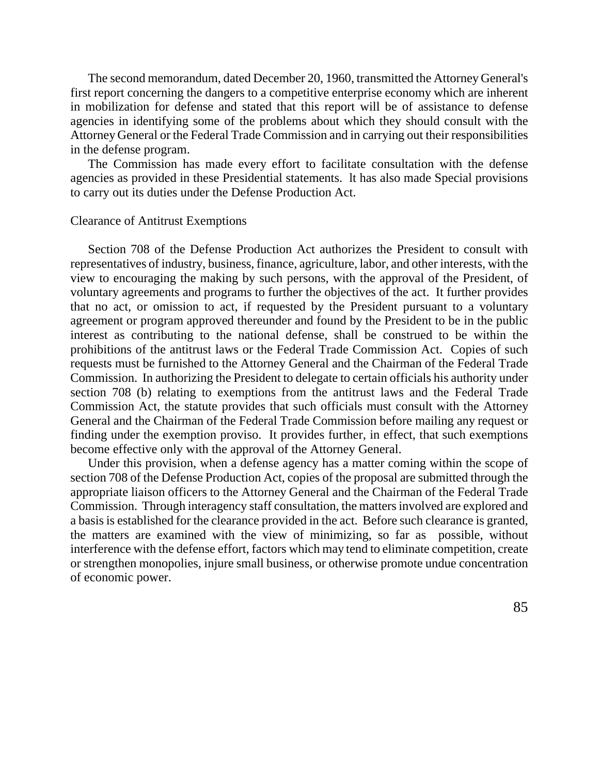The second memorandum, dated December 20, 1960, transmitted the Attorney General's first report concerning the dangers to a competitive enterprise economy which are inherent in mobilization for defense and stated that this report will be of assistance to defense agencies in identifying some of the problems about which they should consult with the Attorney General or the Federal Trade Commission and in carrying out their responsibilities in the defense program.

The Commission has made every effort to facilitate consultation with the defense agencies as provided in these Presidential statements. lt has also made Special provisions to carry out its duties under the Defense Production Act.

#### Clearance of Antitrust Exemptions

Section 708 of the Defense Production Act authorizes the President to consult with representatives of industry, business, finance, agriculture, labor, and other interests, with the view to encouraging the making by such persons, with the approval of the President, of voluntary agreements and programs to further the objectives of the act. It further provides that no act, or omission to act, if requested by the President pursuant to a voluntary agreement or program approved thereunder and found by the President to be in the public interest as contributing to the national defense, shall be construed to be within the prohibitions of the antitrust laws or the Federal Trade Commission Act. Copies of such requests must be furnished to the Attorney General and the Chairman of the Federal Trade Commission. In authorizing the President to delegate to certain officials his authority under section 708 (b) relating to exemptions from the antitrust laws and the Federal Trade Commission Act, the statute provides that such officials must consult with the Attorney General and the Chairman of the Federal Trade Commission before mailing any request or finding under the exemption proviso. It provides further, in effect, that such exemptions become effective only with the approval of the Attorney General.

Under this provision, when a defense agency has a matter coming within the scope of section 708 of the Defense Production Act, copies of the proposal are submitted through the appropriate liaison officers to the Attorney General and the Chairman of the Federal Trade Commission. Through interagency staff consultation, the matters involved are explored and a basis is established for the clearance provided in the act. Before such clearance is granted, the matters are examined with the view of minimizing, so far as possible, without interference with the defense effort, factors which may tend to eliminate competition, create or strengthen monopolies, injure small business, or otherwise promote undue concentration of economic power.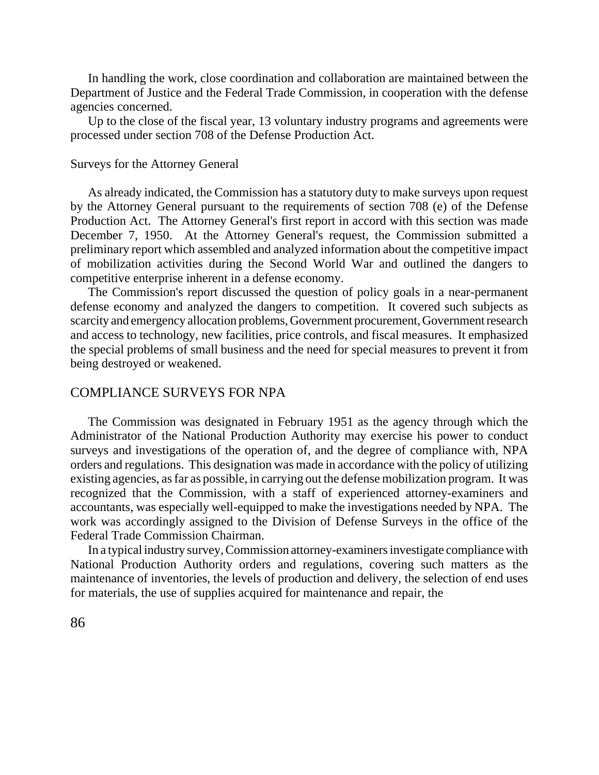In handling the work, close coordination and collaboration are maintained between the Department of Justice and the Federal Trade Commission, in cooperation with the defense agencies concerned.

Up to the close of the fiscal year, 13 voluntary industry programs and agreements were processed under section 708 of the Defense Production Act.

#### Surveys for the Attorney General

As already indicated, the Commission has a statutory duty to make surveys upon request by the Attorney General pursuant to the requirements of section 708 (e) of the Defense Production Act. The Attorney General's first report in accord with this section was made December 7, 1950. At the Attorney General's request, the Commission submitted a preliminary report which assembled and analyzed information about the competitive impact of mobilization activities during the Second World War and outlined the dangers to competitive enterprise inherent in a defense economy.

The Commission's report discussed the question of policy goals in a near-permanent defense economy and analyzed the dangers to competition. It covered such subjects as scarcity and emergency allocation problems, Government procurement, Government research and access to technology, new facilities, price controls, and fiscal measures. It emphasized the special problems of small business and the need for special measures to prevent it from being destroyed or weakened.

### COMPLIANCE SURVEYS FOR NPA

The Commission was designated in February 1951 as the agency through which the Administrator of the National Production Authority may exercise his power to conduct surveys and investigations of the operation of, and the degree of compliance with, NPA orders and regulations. This designation was made in accordance with the policy of utilizing existing agencies, asfar as possible, in carrying out the defense mobilization program. It was recognized that the Commission, with a staff of experienced attorney-examiners and accountants, was especially well-equipped to make the investigations needed by NPA. The work was accordingly assigned to the Division of Defense Surveys in the office of the Federal Trade Commission Chairman.

In a typical industry survey, Commission attorney-examiners investigate compliance with National Production Authority orders and regulations, covering such matters as the maintenance of inventories, the levels of production and delivery, the selection of end uses for materials, the use of supplies acquired for maintenance and repair, the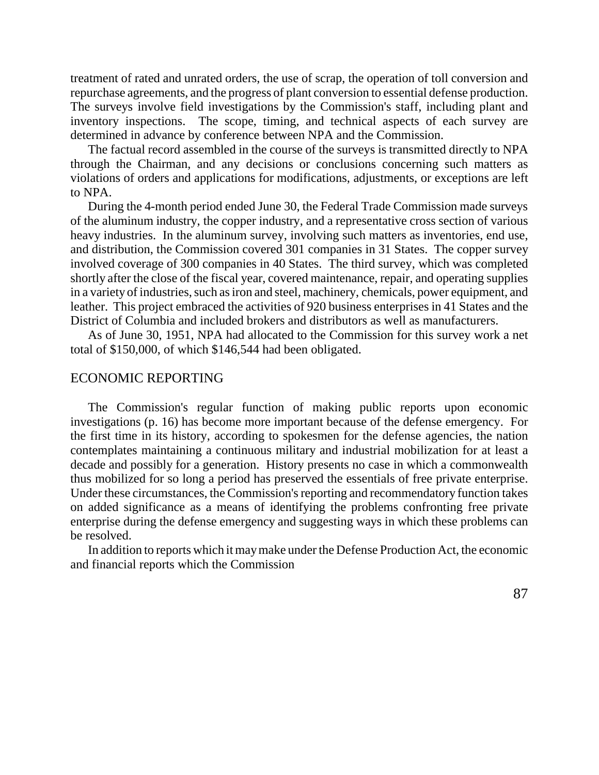treatment of rated and unrated orders, the use of scrap, the operation of toll conversion and repurchase agreements, and the progress of plant conversion to essential defense production. The surveys involve field investigations by the Commission's staff, including plant and inventory inspections. The scope, timing, and technical aspects of each survey are determined in advance by conference between NPA and the Commission.

The factual record assembled in the course of the surveys is transmitted directly to NPA through the Chairman, and any decisions or conclusions concerning such matters as violations of orders and applications for modifications, adjustments, or exceptions are left to NPA.

During the 4-month period ended June 30, the Federal Trade Commission made surveys of the aluminum industry, the copper industry, and a representative cross section of various heavy industries. In the aluminum survey, involving such matters as inventories, end use, and distribution, the Commission covered 301 companies in 31 States. The copper survey involved coverage of 300 companies in 40 States. The third survey, which was completed shortly after the close of the fiscal year, covered maintenance, repair, and operating supplies in a variety of industries, such as iron and steel, machinery, chemicals, power equipment, and leather. This project embraced the activities of 920 business enterprises in 41 States and the District of Columbia and included brokers and distributors as well as manufacturers.

As of June 30, 1951, NPA had allocated to the Commission for this survey work a net total of \$150,000, of which \$146,544 had been obligated.

#### ECONOMIC REPORTING

The Commission's regular function of making public reports upon economic investigations (p. 16) has become more important because of the defense emergency. For the first time in its history, according to spokesmen for the defense agencies, the nation contemplates maintaining a continuous military and industrial mobilization for at least a decade and possibly for a generation. History presents no case in which a commonwealth thus mobilized for so long a period has preserved the essentials of free private enterprise. Under these circumstances, the Commission's reporting and recommendatory function takes on added significance as a means of identifying the problems confronting free private enterprise during the defense emergency and suggesting ways in which these problems can be resolved.

In addition to reports which it maymake underthe Defense Production Act, the economic and financial reports which the Commission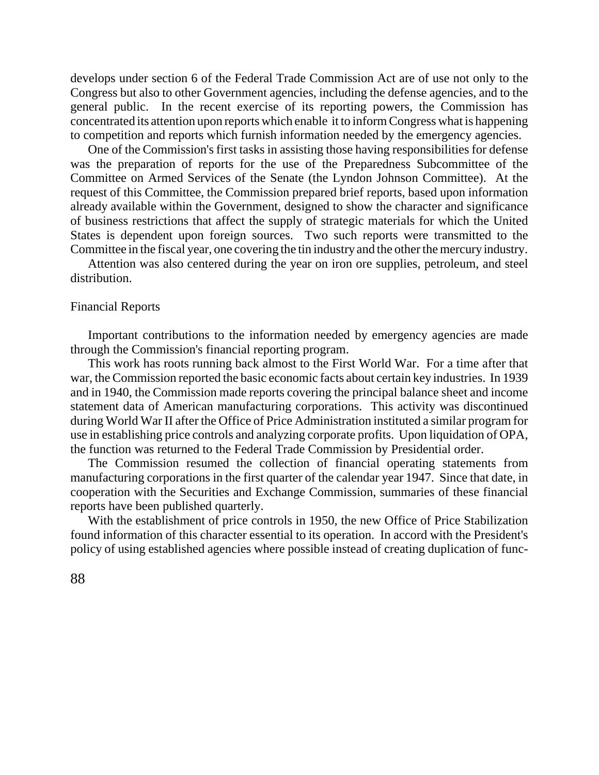develops under section 6 of the Federal Trade Commission Act are of use not only to the Congress but also to other Government agencies, including the defense agencies, and to the general public. In the recent exercise of its reporting powers, the Commission has concentrated its attention upon reports which enable it to inform Congress what is happening to competition and reports which furnish information needed by the emergency agencies.

One of the Commission's first tasks in assisting those having responsibilities for defense was the preparation of reports for the use of the Preparedness Subcommittee of the Committee on Armed Services of the Senate (the Lyndon Johnson Committee). At the request of this Committee, the Commission prepared brief reports, based upon information already available within the Government, designed to show the character and significance of business restrictions that affect the supply of strategic materials for which the United States is dependent upon foreign sources. Two such reports were transmitted to the Committee in the fiscal year, one covering the tin industry and the other the mercury industry.

Attention was also centered during the year on iron ore supplies, petroleum, and steel distribution.

#### Financial Reports

Important contributions to the information needed by emergency agencies are made through the Commission's financial reporting program.

This work has roots running back almost to the First World War. For a time after that war, the Commission reported the basic economic facts about certain key industries. In 1939 and in 1940, the Commission made reports covering the principal balance sheet and income statement data of American manufacturing corporations. This activity was discontinued during World War II after the Office of Price Administration instituted a similar program for use in establishing price controls and analyzing corporate profits. Upon liquidation of OPA, the function was returned to the Federal Trade Commission by Presidential order.

The Commission resumed the collection of financial operating statements from manufacturing corporations in the first quarter of the calendar year 1947. Since that date, in cooperation with the Securities and Exchange Commission, summaries of these financial reports have been published quarterly.

With the establishment of price controls in 1950, the new Office of Price Stabilization found information of this character essential to its operation. In accord with the President's policy of using established agencies where possible instead of creating duplication of func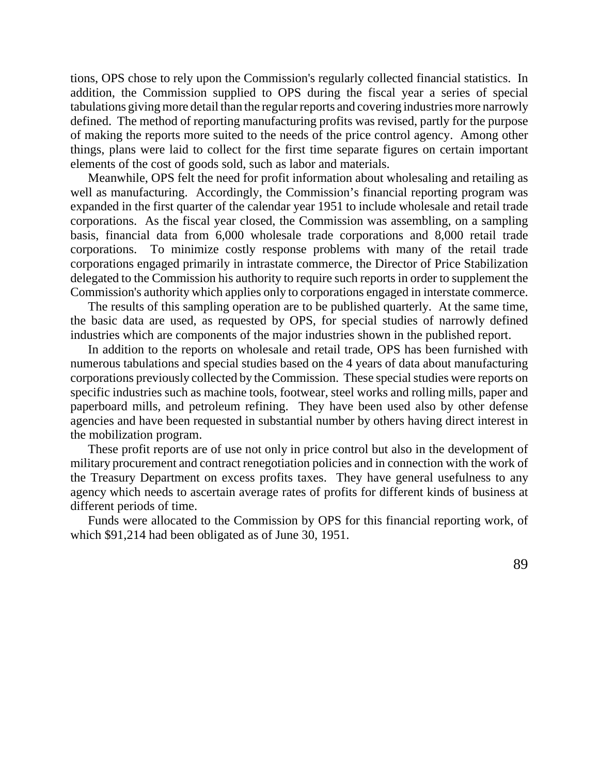tions, OPS chose to rely upon the Commission's regularly collected financial statistics. In addition, the Commission supplied to OPS during the fiscal year a series of special tabulations giving more detail than the regular reports and covering industries more narrowly defined. The method of reporting manufacturing profits was revised, partly for the purpose of making the reports more suited to the needs of the price control agency. Among other things, plans were laid to collect for the first time separate figures on certain important elements of the cost of goods sold, such as labor and materials.

Meanwhile, OPS felt the need for profit information about wholesaling and retailing as well as manufacturing. Accordingly, the Commission's financial reporting program was expanded in the first quarter of the calendar year 1951 to include wholesale and retail trade corporations. As the fiscal year closed, the Commission was assembling, on a sampling basis, financial data from 6,000 wholesale trade corporations and 8,000 retail trade corporations. To minimize costly response problems with many of the retail trade corporations engaged primarily in intrastate commerce, the Director of Price Stabilization delegated to the Commission his authority to require such reports in order to supplement the Commission's authority which applies only to corporations engaged in interstate commerce.

The results of this sampling operation are to be published quarterly. At the same time, the basic data are used, as requested by OPS, for special studies of narrowly defined industries which are components of the major industries shown in the published report.

In addition to the reports on wholesale and retail trade, OPS has been furnished with numerous tabulations and special studies based on the 4 years of data about manufacturing corporations previously collected by the Commission. These special studies were reports on specific industries such as machine tools, footwear, steel works and rolling mills, paper and paperboard mills, and petroleum refining. They have been used also by other defense agencies and have been requested in substantial number by others having direct interest in the mobilization program.

These profit reports are of use not only in price control but also in the development of military procurement and contract renegotiation policies and in connection with the work of the Treasury Department on excess profits taxes. They have general usefulness to any agency which needs to ascertain average rates of profits for different kinds of business at different periods of time.

Funds were allocated to the Commission by OPS for this financial reporting work, of which \$91,214 had been obligated as of June 30, 1951.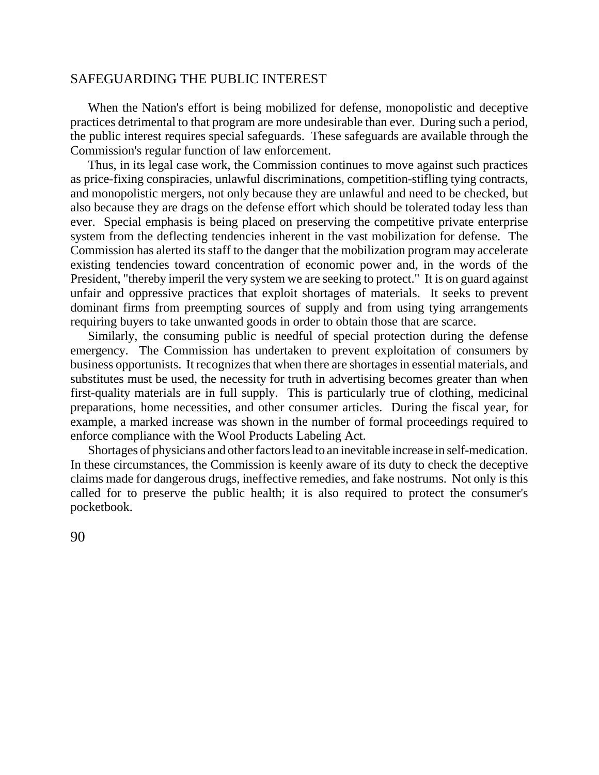#### SAFEGUARDING THE PUBLIC INTEREST

When the Nation's effort is being mobilized for defense, monopolistic and deceptive practices detrimental to that program are more undesirable than ever. During such a period, the public interest requires special safeguards. These safeguards are available through the Commission's regular function of law enforcement.

Thus, in its legal case work, the Commission continues to move against such practices as price-fixing conspiracies, unlawful discriminations, competition-stifling tying contracts, and monopolistic mergers, not only because they are unlawful and need to be checked, but also because they are drags on the defense effort which should be tolerated today less than ever. Special emphasis is being placed on preserving the competitive private enterprise system from the deflecting tendencies inherent in the vast mobilization for defense. The Commission has alerted its staff to the danger that the mobilization program may accelerate existing tendencies toward concentration of economic power and, in the words of the President, "thereby imperil the very system we are seeking to protect." It is on guard against unfair and oppressive practices that exploit shortages of materials. It seeks to prevent dominant firms from preempting sources of supply and from using tying arrangements requiring buyers to take unwanted goods in order to obtain those that are scarce.

Similarly, the consuming public is needful of special protection during the defense emergency. The Commission has undertaken to prevent exploitation of consumers by business opportunists. It recognizes that when there are shortages in essential materials, and substitutes must be used, the necessity for truth in advertising becomes greater than when first-quality materials are in full supply. This is particularly true of clothing, medicinal preparations, home necessities, and other consumer articles. During the fiscal year, for example, a marked increase was shown in the number of formal proceedings required to enforce compliance with the Wool Products Labeling Act.

Shortages of physicians and other factors lead to an inevitable increase in self-medication. In these circumstances, the Commission is keenly aware of its duty to check the deceptive claims made for dangerous drugs, ineffective remedies, and fake nostrums. Not only is this called for to preserve the public health; it is also required to protect the consumer's pocketbook.

90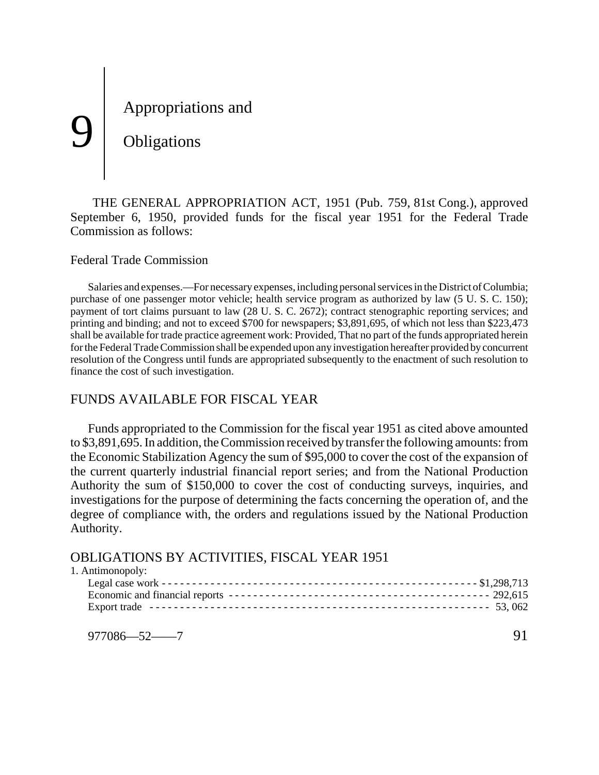# Appropriations and  $9 \mid \frac{Apptopriat}{\text{Objigations}}$

 THE GENERAL APPROPRIATION ACT, 1951 (Pub. 759, 81st Cong.), approved September 6, 1950, provided funds for the fiscal year 1951 for the Federal Trade Commission as follows:

#### Federal Trade Commission

Salaries and expenses.—For necessary expenses, including personal services in the District of Columbia; purchase of one passenger motor vehicle; health service program as authorized by law (5 U. S. C. 150); payment of tort claims pursuant to law (28 U. S. C. 2672); contract stenographic reporting services; and printing and binding; and not to exceed \$700 for newspapers; \$3,891,695, of which not less than \$223,473 shall be available for trade practice agreement work: Provided, That no part of the funds appropriated herein for the Federal Trade Commission shall be expended upon any investigation hereafter provided by concurrent resolution of the Congress until funds are appropriated subsequently to the enactment of such resolution to finance the cost of such investigation.

### FUNDS AVAILABLE FOR FISCAL YEAR

Funds appropriated to the Commission for the fiscal year 1951 as cited above amounted to \$3,891,695.In addition, theCommission received bytransferthe following amounts:from the Economic Stabilization Agency the sum of \$95,000 to cover the cost of the expansion of the current quarterly industrial financial report series; and from the National Production Authority the sum of \$150,000 to cover the cost of conducting surveys, inquiries, and investigations for the purpose of determining the facts concerning the operation of, and the degree of compliance with, the orders and regulations issued by the National Production Authority.

### OBLIGATIONS BY ACTIVITIES, FISCAL YEAR 1951

| 1. Antimonopoly: |  |
|------------------|--|
|                  |  |
|                  |  |
|                  |  |
|                  |  |

977086—52——7 91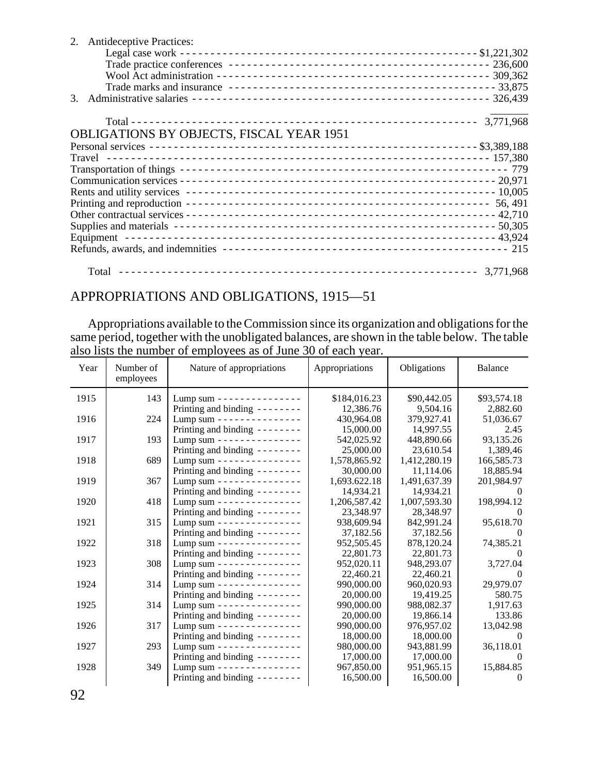| <b>Antideceptive Practices:</b><br>2.<br>Trade marks and insurance serves in the contract of the matter of the marks and insurance serves in the matter |  |
|---------------------------------------------------------------------------------------------------------------------------------------------------------|--|
| 3.                                                                                                                                                      |  |
| OBLIGATIONS BY OBJECTS, FISCAL YEAR 1951                                                                                                                |  |
|                                                                                                                                                         |  |
|                                                                                                                                                         |  |
|                                                                                                                                                         |  |
|                                                                                                                                                         |  |
|                                                                                                                                                         |  |
|                                                                                                                                                         |  |
|                                                                                                                                                         |  |
|                                                                                                                                                         |  |
|                                                                                                                                                         |  |
|                                                                                                                                                         |  |
|                                                                                                                                                         |  |

# APPROPRIATIONS AND OBLIGATIONS, 1915—51

Appropriations available to the Commission since its organization and obligations for the same period, together with the unobligated balances, are shown in the table below. The table also lists the number of employees as of June 30 of each year.

| Year | Number of<br>employees | Nature of appropriations                                                                | Appropriations                       | Obligations                         | <b>Balance</b>                |
|------|------------------------|-----------------------------------------------------------------------------------------|--------------------------------------|-------------------------------------|-------------------------------|
| 1915 | 143                    | Lump sum ---------------                                                                | \$184,016.23                         | \$90,442.05                         | \$93,574.18                   |
| 1916 | 224                    | Printing and binding --------<br>Lump sum ---------------<br>Printing and binding $---$ | 12,386.76<br>430.964.08<br>15,000.00 | 9.504.16<br>379.927.41<br>14,997.55 | 2,882.60<br>51,036.67<br>2.45 |
| 1917 | 193                    | Lump sum ---------------<br>Printing and binding --------                               | 542,025.92<br>25,000.00              | 448,890.66<br>23,610.54             | 93,135.26<br>1,389,46         |
| 1918 | 689                    | Lump sum ----------------<br>Printing and binding $---$                                 | 1,578,865.92<br>30,000.00            | 1,412,280.19<br>11,114.06           | 166,585.73<br>18,885.94       |
| 1919 | 367                    | Lump sum ---------------<br>Printing and binding $---$                                  | 1,693.622.18<br>14,934.21            | 1,491,637.39<br>14,934.21           | 201,984.97<br>$\theta$        |
| 1920 | 418                    | Lump sum ---------------<br>Printing and binding $---$                                  | 1,206,587.42<br>23,348.97            | 1,007,593.30<br>28,348.97           | 198,994.12                    |
| 1921 | 315                    | Lump sum ---------------<br>Printing and binding --------                               | 938,609.94<br>37,182.56              | 842,991.24<br>37,182.56             | 95,618.70<br>$\Omega$         |
| 1922 | 318                    | Lump sum ---------------<br>Printing and binding --------                               | 952,505.45<br>22,801.73              | 878,120.24<br>22,801.73             | 74,385.21                     |
| 1923 | 308                    | Lump sum ---------------<br>Printing and binding --------                               | 952,020.11<br>22,460.21              | 948,293.07<br>22,460.21             | 3,727.04                      |
| 1924 | 314                    | Lump sum ---------------<br>Printing and binding --------                               | 990,000.00<br>20,000.00              | 960,020.93<br>19,419.25             | 29,979.07<br>580.75           |
| 1925 | 314                    | Lump sum ---------------<br>Printing and binding - - - - - - - -                        | 990,000.00<br>20,000.00              | 988.082.37<br>19,866.14             | 1,917.63<br>133.86            |
| 1926 | 317                    | Lump sum ---------------<br>Printing and binding --------                               | 990,000.00<br>18,000.00              | 976,957.02<br>18,000.00             | 13,042.98                     |
| 1927 | 293                    | Lump sum ---------------<br>Printing and binding --------                               | 980,000.00<br>17,000.00              | 943,881.99<br>17,000.00             | 36,118.01<br>$\Omega$         |
| 1928 | 349                    | Lump sum ---------------<br>Printing and binding $---$                                  | 967,850.00<br>16,500.00              | 951,965.15<br>16,500.00             | 15,884.85<br>$\Omega$         |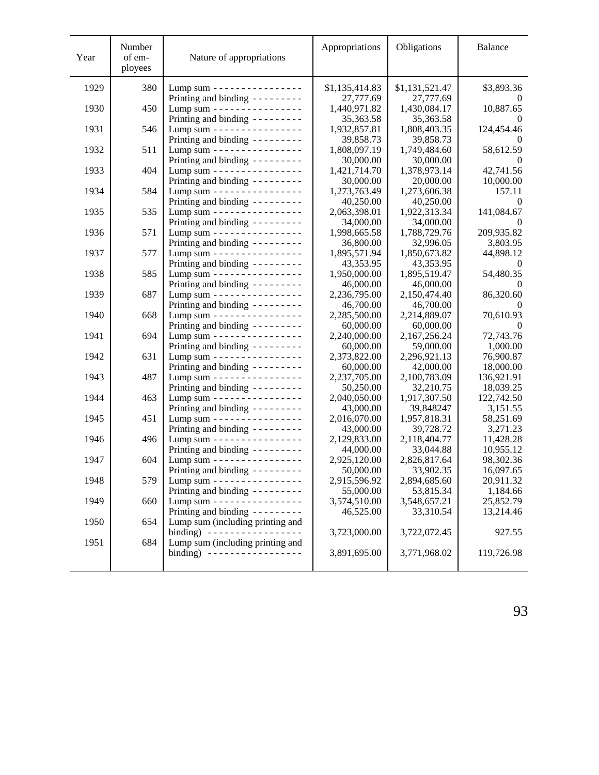| Year | Number<br>of em-<br>ployees | Nature of appropriations                                                                      | Appropriations              | Obligations                  | <b>Balance</b>          |
|------|-----------------------------|-----------------------------------------------------------------------------------------------|-----------------------------|------------------------------|-------------------------|
| 1929 | 380                         | Lump sum ----------------<br>Printing and binding $---$                                       | \$1,135,414.83<br>27,777.69 | \$1,131,521.47<br>27,777.69  | \$3,893.36<br>$\theta$  |
| 1930 | 450                         | Lump sum ----------------<br>Printing and binding ---------                                   | 1,440,971.82<br>35,363.58   | 1,430,084.17<br>35,363.58    | 10,887.65               |
| 1931 | 546                         | Lump sum ----------------<br>Printing and binding $---$                                       | 1,932,857.81<br>39,858.73   | 1,808,403.35<br>39,858.73    | 124,454.46              |
| 1932 | 511                         | Lump sum ----------------<br>Printing and binding ---------                                   | 1,808,097.19<br>30,000.00   | 1,749,484.60<br>30,000.00    | 58,612.59               |
| 1933 | 404                         | Lump sum ----------------<br>Printing and binding ---------                                   | 1,421,714.70<br>30,000.00   | 1,378,973.14<br>20,000.00    | 42,741.56<br>10,000.00  |
| 1934 | 584                         | Lump sum ----------------<br>Printing and binding $---$                                       | 1,273,763.49<br>40,250.00   | 1,273,606.38<br>40,250.00    | 157.11<br>$^{(1)}$      |
| 1935 | 535                         | Lump sum ----------------<br>Printing and binding $---$                                       | 2,063,398.01<br>34,000.00   | 1,922,313.34<br>34,000.00    | 141,084.67<br>$_{0}$    |
| 1936 | 571                         | Lump sum ----------------<br>Printing and binding ---------                                   | 1,998,665.58<br>36,800.00   | 1,788,729.76<br>32,996.05    | 209,935.82<br>3,803.95  |
| 1937 | 577                         | Lump sum ----------------<br>Printing and binding ---------                                   | 1,895,571.94<br>43,353.95   | 1,850,673.82<br>43,353.95    | 44,898.12<br>$\theta$   |
| 1938 | 585                         | Lump sum ----------------<br>Printing and binding $---$                                       | 1,950,000.00<br>46,000.00   | 1,895,519.47<br>46,000.00    | 54,480.35<br>0          |
| 1939 | 687                         | Lump sum $-\cdots$ -------------<br>Printing and binding ---------                            | 2,236,795.00<br>46,700.00   | 2,150,474.40<br>46,700.00    | 86,320.60<br>$\theta$   |
| 1940 | 668                         | Lump sum ----------------<br>Printing and binding ---------                                   | 2,285,500.00<br>60,000.00   | 2,214,889.07<br>60,000.00    | 70,610.93<br>$\theta$   |
| 1941 | 694                         | Lump sum $-\cdots$ -------------<br>Printing and binding ---------                            | 2,240,000.00<br>60,000.00   | 2, 167, 256. 24<br>59,000.00 | 72,743.76<br>1,000.00   |
| 1942 | 631                         | Lump sum ----------------<br>Printing and binding $---$                                       | 2,373,822.00<br>60,000.00   | 2,296,921.13<br>42,000.00    | 76,900.87<br>18,000.00  |
| 1943 | 487                         | Lump sum ----------------<br>Printing and binding $---$                                       | 2,237,705.00<br>50,250.00   | 2,100,783.09<br>32,210.75    | 136,921.91<br>18,039.25 |
| 1944 | 463                         | Lump sum ----------------<br>Printing and binding $---$                                       | 2,040,050.00<br>43,000.00   | 1,917,307.50<br>39,848247    | 122,742.50<br>3,151.55  |
| 1945 | 451                         | Lump sum $-\cdots$ -------------<br>Printing and binding ---------                            | 2,016,070.00<br>43,000.00   | 1,957,818.31<br>39,728.72    | 58,251.69<br>3,271.23   |
| 1946 | 496                         | Lump sum ----------------<br>Printing and binding $---$                                       | 2,129,833.00<br>44,000.00   | 2,118,404.77<br>33,044.88    | 11,428.28<br>10,955.12  |
| 1947 | 604                         | Lump sum ----------------                                                                     | 2,925,120.00<br>50,000.00   | 2,826,817.64<br>33,902.35    | 98,302.36<br>16,097.65  |
| 1948 | 579                         | Printing and binding ---------<br>Lump sum ----------------<br>Printing and binding --------- | 2,915,596.92<br>55,000.00   | 2,894,685.60<br>53,815.34    | 20,911.32<br>1,184.66   |
| 1949 | 660                         | Lump sum ----------------<br>Printing and binding $---$                                       | 3,574,510.00<br>46,525.00   | 3,548,657.21<br>33,310.54    | 25,852.79<br>13,214.46  |
| 1950 | 654                         | Lump sum (including printing and<br>binding) $-$ - - - - - - - - - - - - - - - -              | 3,723,000.00                | 3,722,072.45                 | 927.55                  |
| 1951 | 684                         | Lump sum (including printing and<br>binding) $-$ - - - - - - - - - - - - - - - -              | 3,891,695.00                | 3,771,968.02                 | 119,726.98              |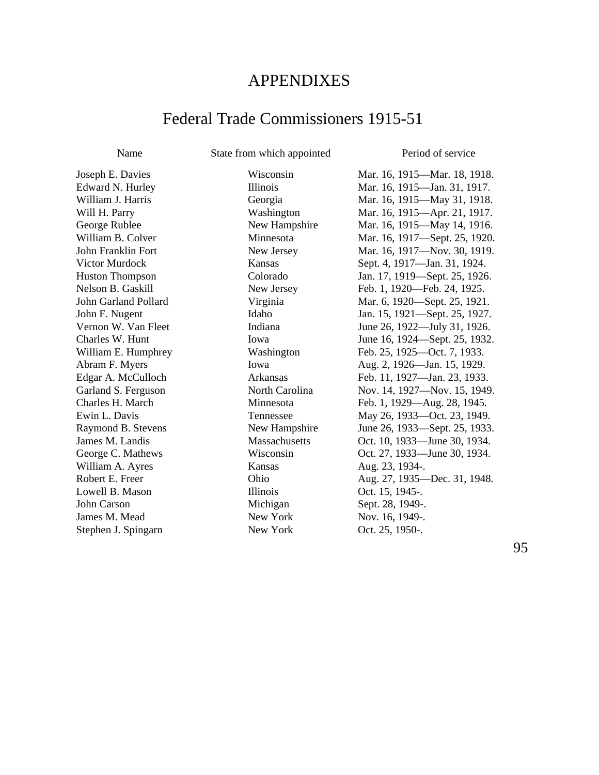## APPENDIXES

# Federal Trade Commissioners 1915-51

Name State from which appointed Period of service

Joseph E. Davies Edward N. Hurley William J. Harris Will H. Parry George Rublee William B. Colver John Franklin Fort Victor Murdock Huston Thompson Nelson B. Gaskill John Garland Pollard John F. Nugent Vernon W. Van Fleet Charles W. Hunt William E. Humphrey Abram F. Myers Edgar A. McCulloch Garland S. Ferguson Charles H. March Ewin L. Davis Raymond B. Stevens James M. Landis George C. Mathews William A. Ayres Robert E. Freer Lowell B. Mason John Carson James M. Mead Stephen J. Spingarn

Wisconsin Illinois Georgia Washington New Hampshire Minnesota New Jersey Kansas Colorado New Jersey Virginia Idaho Indiana Iowa Washington Iowa Arkansas North Carolina Minnesota Tennessee New Hampshire Massachusetts Wisconsin Kansas Ohio Illinois Michigan New York New York

Mar. 16, 1915—Mar. 18, 1918. Mar. 16, 1915—Jan. 31, 1917. Mar. 16, 1915—May 31, 1918. Mar. 16, 1915—Apr. 21, 1917. Mar. 16, 1915—May 14, 1916. Mar. 16, 1917—Sept. 25, 1920. Mar. 16, 1917—Nov. 30, 1919. Sept. 4, 1917—Jan. 31, 1924. Jan. 17, 1919—Sept. 25, 1926. Feb. 1, 1920—Feb. 24, 1925. Mar. 6, 1920—Sept. 25, 1921. Jan. 15, 1921—Sept. 25, 1927. June 26, 1922—July 31, 1926. June 16, 1924—Sept. 25, 1932. Feb. 25, 1925—Oct. 7, 1933. Aug. 2, 1926—Jan. 15, 1929. Feb. 11, 1927—Jan. 23, 1933. Nov. 14, 1927—Nov. 15, 1949. Feb. 1, 1929—Aug. 28, 1945. May 26, 1933—Oct. 23, 1949. June 26, 1933—Sept. 25, 1933. Oct. 10, 1933—June 30, 1934. Oct. 27, 1933—June 30, 1934. Aug. 23, 1934-. Aug. 27, 1935—Dec. 31, 1948. Oct. 15, 1945-. Sept. 28, 1949-. Nov. 16, 1949-. Oct. 25, 1950-.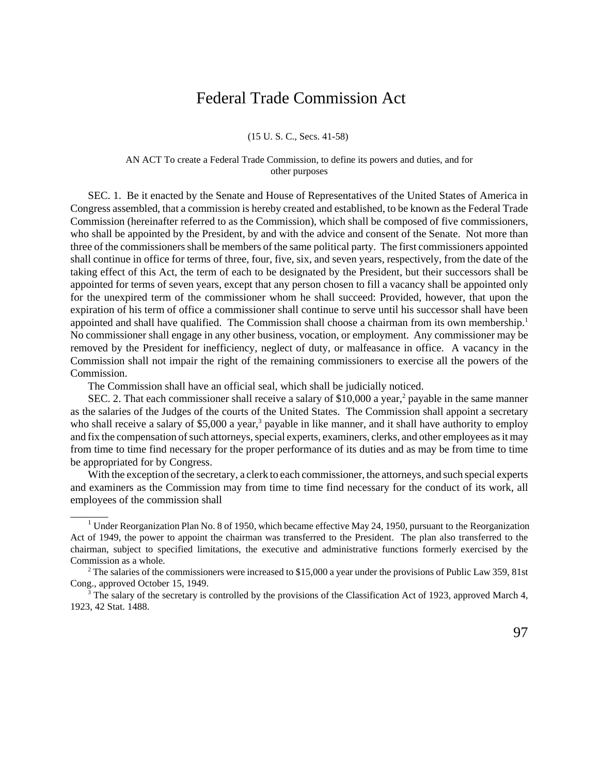# Federal Trade Commission Act

#### (15 U. S. C., Secs. 41-58)

#### AN ACT To create a Federal Trade Commission, to define its powers and duties, and for other purposes

SEC. 1. Be it enacted by the Senate and House of Representatives of the United States of America in Congress assembled, that a commission is hereby created and established, to be known as the Federal Trade Commission (hereinafter referred to as the Commission), which shall be composed of five commissioners, who shall be appointed by the President, by and with the advice and consent of the Senate. Not more than three of the commissioners shall be members of the same political party. The first commissioners appointed shall continue in office for terms of three, four, five, six, and seven years, respectively, from the date of the taking effect of this Act, the term of each to be designated by the President, but their successors shall be appointed for terms of seven years, except that any person chosen to fill a vacancy shall be appointed only for the unexpired term of the commissioner whom he shall succeed: Provided, however, that upon the expiration of his term of office a commissioner shall continue to serve until his successor shall have been appointed and shall have qualified. The Commission shall choose a chairman from its own membership.<sup>1</sup> No commissioner shall engage in any other business, vocation, or employment. Any commissioner may be removed by the President for inefficiency, neglect of duty, or malfeasance in office. A vacancy in the Commission shall not impair the right of the remaining commissioners to exercise all the powers of the Commission.

The Commission shall have an official seal, which shall be judicially noticed.

 $\overline{\phantom{a}}$ 

SEC. 2. That each commissioner shall receive a salary of \$10,000 a year,<sup>2</sup> payable in the same manner as the salaries of the Judges of the courts of the United States. The Commission shall appoint a secretary who shall receive a salary of \$5,000 a year,<sup>3</sup> payable in like manner, and it shall have authority to employ and fix the compensation of such attorneys, special experts, examiners, clerks, and other employees as it may from time to time find necessary for the proper performance of its duties and as may be from time to time be appropriated for by Congress.

With the exception of the secretary, a clerk to each commissioner, the attorneys, and such special experts and examiners as the Commission may from time to time find necessary for the conduct of its work, all employees of the commission shall

<sup>&</sup>lt;sup>1</sup> Under Reorganization Plan No. 8 of 1950, which became effective May 24, 1950, pursuant to the Reorganization Act of 1949, the power to appoint the chairman was transferred to the President. The plan also transferred to the chairman, subject to specified limitations, the executive and administrative functions formerly exercised by the Commission as a whole.

<sup>&</sup>lt;sup>2</sup> The salaries of the commissioners were increased to \$15,000 a year under the provisions of Public Law 359, 81st Cong., approved October 15, 1949.

<sup>3</sup> The salary of the secretary is controlled by the provisions of the Classification Act of 1923, approved March 4, 1923, 42 Stat. 1488.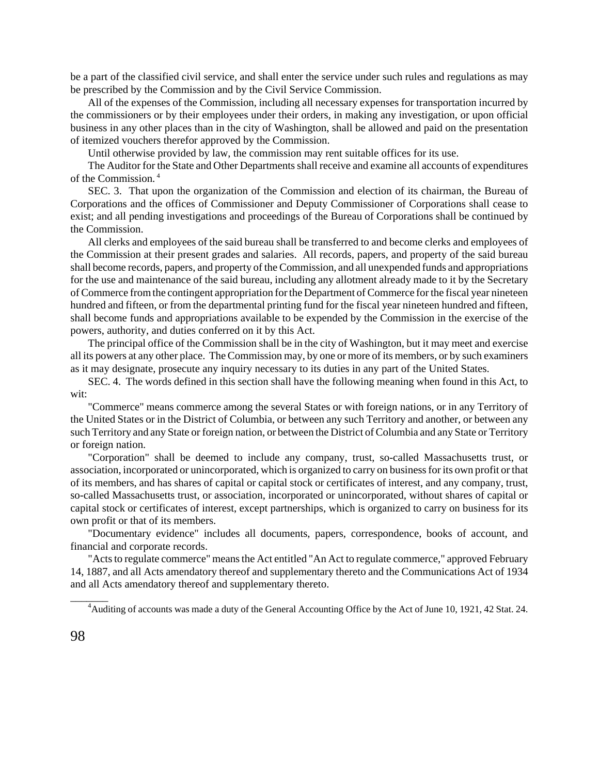be a part of the classified civil service, and shall enter the service under such rules and regulations as may be prescribed by the Commission and by the Civil Service Commission.

All of the expenses of the Commission, including all necessary expenses for transportation incurred by the commissioners or by their employees under their orders, in making any investigation, or upon official business in any other places than in the city of Washington, shall be allowed and paid on the presentation of itemized vouchers therefor approved by the Commission.

Until otherwise provided by law, the commission may rent suitable offices for its use.

The Auditor for the State and Other Departments shall receive and examine all accounts of expenditures of the Commission.<sup>4</sup>

SEC. 3. That upon the organization of the Commission and election of its chairman, the Bureau of Corporations and the offices of Commissioner and Deputy Commissioner of Corporations shall cease to exist; and all pending investigations and proceedings of the Bureau of Corporations shall be continued by the Commission.

All clerks and employees of the said bureau shall be transferred to and become clerks and employees of the Commission at their present grades and salaries. All records, papers, and property of the said bureau shall become records, papers, and property of the Commission, and all unexpended funds and appropriations for the use and maintenance of the said bureau, including any allotment already made to it by the Secretary ofCommerce fromthe contingent appropriation forthe Department ofCommerce forthe fiscal year nineteen hundred and fifteen, or from the departmental printing fund for the fiscal year nineteen hundred and fifteen, shall become funds and appropriations available to be expended by the Commission in the exercise of the powers, authority, and duties conferred on it by this Act.

The principal office of the Commission shall be in the city of Washington, but it may meet and exercise all its powers at any other place. The Commission may, by one or more of its members, or by such examiners as it may designate, prosecute any inquiry necessary to its duties in any part of the United States.

SEC. 4. The words defined in this section shall have the following meaning when found in this Act, to wit:

"Commerce" means commerce among the several States or with foreign nations, or in any Territory of the United States or in the District of Columbia, or between any such Territory and another, or between any such Territory and any State or foreign nation, or between the District of Columbia and any State or Territory or foreign nation.

"Corporation" shall be deemed to include any company, trust, so-called Massachusetts trust, or association, incorporated or unincorporated, which is organized to carry on businessforits own profit orthat of its members, and has shares of capital or capital stock or certificates of interest, and any company, trust, so-called Massachusetts trust, or association, incorporated or unincorporated, without shares of capital or capital stock or certificates of interest, except partnerships, which is organized to carry on business for its own profit or that of its members.

"Documentary evidence" includes all documents, papers, correspondence, books of account, and financial and corporate records.

"Acts to regulate commerce" means the Act entitled "An Act to regulate commerce," approved February 14, 1887, and all Acts amendatory thereof and supplementary thereto and the Communications Act of 1934 and all Acts amendatory thereof and supplementary thereto.

 $\overline{\phantom{a}}$ 

<sup>&</sup>lt;sup>4</sup>Auditing of accounts was made a duty of the General Accounting Office by the Act of June 10, 1921, 42 Stat. 24.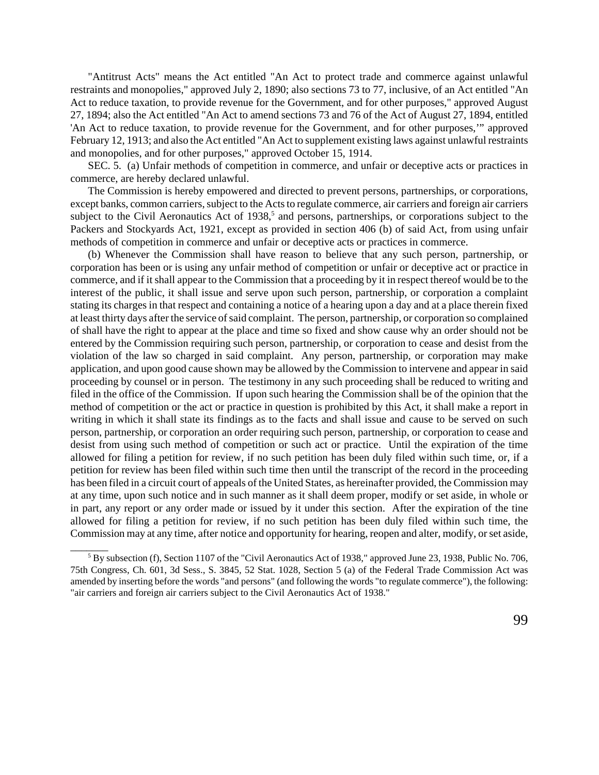"Antitrust Acts" means the Act entitled "An Act to protect trade and commerce against unlawful restraints and monopolies," approved July 2, 1890; also sections 73 to 77, inclusive, of an Act entitled "An Act to reduce taxation, to provide revenue for the Government, and for other purposes," approved August 27, 1894; also the Act entitled "An Act to amend sections 73 and 76 of the Act of August 27, 1894, entitled 'An Act to reduce taxation, to provide revenue for the Government, and for other purposes,'" approved February 12, 1913; and also the Act entitled "An Act to supplement existing laws against unlawful restraints and monopolies, and for other purposes," approved October 15, 1914.

SEC. 5. (a) Unfair methods of competition in commerce, and unfair or deceptive acts or practices in commerce, are hereby declared unlawful.

The Commission is hereby empowered and directed to prevent persons, partnerships, or corporations, except banks, common carriers, subject to the Acts to regulate commerce, air carriers and foreign air carriers subject to the Civil Aeronautics Act of 1938,<sup>5</sup> and persons, partnerships, or corporations subject to the Packers and Stockyards Act, 1921, except as provided in section 406 (b) of said Act, from using unfair methods of competition in commerce and unfair or deceptive acts or practices in commerce.

(b) Whenever the Commission shall have reason to believe that any such person, partnership, or corporation has been or is using any unfair method of competition or unfair or deceptive act or practice in commerce, and if it shall appear to the Commission that a proceeding by it in respect thereof would be to the interest of the public, it shall issue and serve upon such person, partnership, or corporation a complaint stating its charges in that respect and containing a notice of a hearing upon a day and at a place therein fixed at least thirty days after the service ofsaid complaint. The person, partnership, or corporation so complained of shall have the right to appear at the place and time so fixed and show cause why an order should not be entered by the Commission requiring such person, partnership, or corporation to cease and desist from the violation of the law so charged in said complaint. Any person, partnership, or corporation may make application, and upon good cause shown may be allowed by the Commission to intervene and appear in said proceeding by counsel or in person. The testimony in any such proceeding shall be reduced to writing and filed in the office of the Commission. If upon such hearing the Commission shall be of the opinion that the method of competition or the act or practice in question is prohibited by this Act, it shall make a report in writing in which it shall state its findings as to the facts and shall issue and cause to be served on such person, partnership, or corporation an order requiring such person, partnership, or corporation to cease and desist from using such method of competition or such act or practice. Until the expiration of the time allowed for filing a petition for review, if no such petition has been duly filed within such time, or, if a petition for review has been filed within such time then until the transcript of the record in the proceeding has been filed in a circuit court of appeals of the United States, as hereinafter provided, the Commission may at any time, upon such notice and in such manner as it shall deem proper, modify or set aside, in whole or in part, any report or any order made or issued by it under this section. After the expiration of the tine allowed for filing a petition for review, if no such petition has been duly filed within such time, the Commission may at any time, after notice and opportunity for hearing, reopen and alter, modify, orset aside,

\_\_\_\_\_\_\_

 $5$  By subsection (f), Section 1107 of the "Civil Aeronautics Act of 1938," approved June 23, 1938, Public No. 706, 75th Congress, Ch. 601, 3d Sess., S. 3845, 52 Stat. 1028, Section 5 (a) of the Federal Trade Commission Act was amended by inserting before the words "and persons" (and following the words "to regulate commerce"), the following: "air carriers and foreign air carriers subject to the Civil Aeronautics Act of 1938."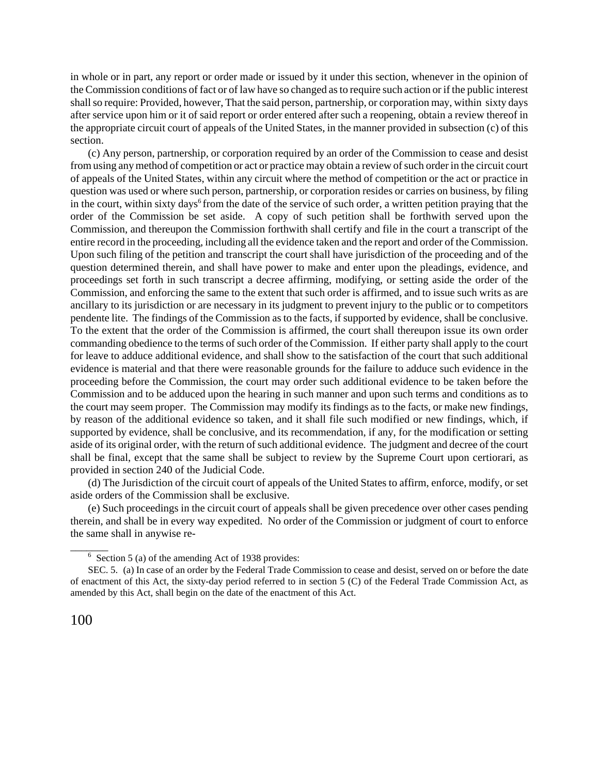in whole or in part, any report or order made or issued by it under this section, whenever in the opinion of the Commission conditions of fact or of law have so changed asto require such action or if the public interest shallso require: Provided, however, That the said person, partnership, or corporation may, within sixty days after service upon him or it of said report or order entered after such a reopening, obtain a review thereof in the appropriate circuit court of appeals of the United States, in the manner provided in subsection (c) of this section.

(c) Any person, partnership, or corporation required by an order of the Commission to cease and desist from using any method of competition or act or practice may obtain a review of such order in the circuit court of appeals of the United States, within any circuit where the method of competition or the act or practice in question was used or where such person, partnership, or corporation resides or carries on business, by filing in the court, within sixty days<sup>6</sup> from the date of the service of such order, a written petition praying that the order of the Commission be set aside. A copy of such petition shall be forthwith served upon the Commission, and thereupon the Commission forthwith shall certify and file in the court a transcript of the entire record in the proceeding, including all the evidence taken and the report and order of the Commission. Upon such filing of the petition and transcript the court shall have jurisdiction of the proceeding and of the question determined therein, and shall have power to make and enter upon the pleadings, evidence, and proceedings set forth in such transcript a decree affirming, modifying, or setting aside the order of the Commission, and enforcing the same to the extent that such order is affirmed, and to issue such writs as are ancillary to its jurisdiction or are necessary in its judgment to prevent injury to the public or to competitors pendente lite. The findings of the Commission as to the facts, if supported by evidence, shall be conclusive. To the extent that the order of the Commission is affirmed, the court shall thereupon issue its own order commanding obedience to the terms of such order of the Commission. If either party shall apply to the court for leave to adduce additional evidence, and shall show to the satisfaction of the court that such additional evidence is material and that there were reasonable grounds for the failure to adduce such evidence in the proceeding before the Commission, the court may order such additional evidence to be taken before the Commission and to be adduced upon the hearing in such manner and upon such terms and conditions as to the court may seem proper. The Commission may modify its findings as to the facts, or make new findings, by reason of the additional evidence so taken, and it shall file such modified or new findings, which, if supported by evidence, shall be conclusive, and its recommendation, if any, for the modification or setting aside of its original order, with the return of such additional evidence. The judgment and decree of the court shall be final, except that the same shall be subject to review by the Supreme Court upon certiorari, as provided in section 240 of the Judicial Code.

(d) The Jurisdiction of the circuit court of appeals of the United States to affirm, enforce, modify, or set aside orders of the Commission shall be exclusive.

(e) Such proceedings in the circuit court of appeals shall be given precedence over other cases pending therein, and shall be in every way expedited. No order of the Commission or judgment of court to enforce the same shall in anywise re-

\_\_\_\_\_\_\_

 $6$  Section 5 (a) of the amending Act of 1938 provides:

SEC. 5. (a) In case of an order by the Federal Trade Commission to cease and desist, served on or before the date of enactment of this Act, the sixty-day period referred to in section 5 (C) of the Federal Trade Commission Act, as amended by this Act, shall begin on the date of the enactment of this Act.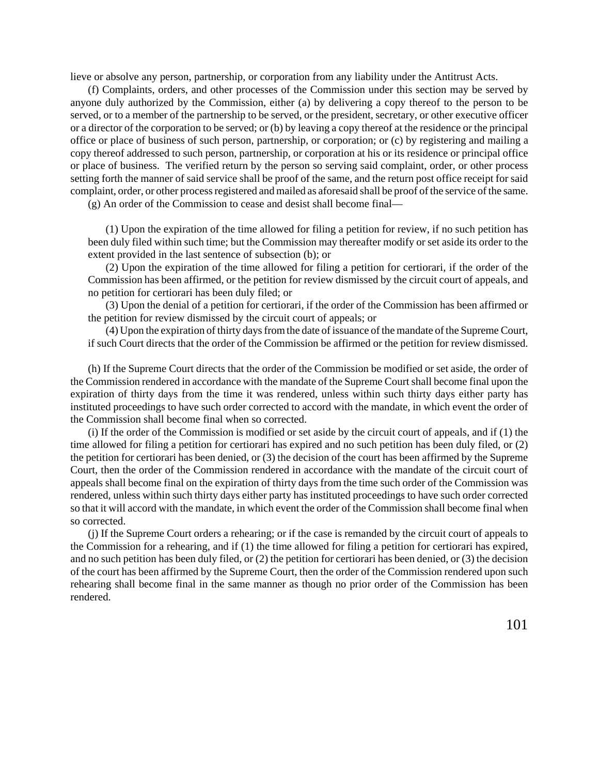lieve or absolve any person, partnership, or corporation from any liability under the Antitrust Acts.

(f) Complaints, orders, and other processes of the Commission under this section may be served by anyone duly authorized by the Commission, either (a) by delivering a copy thereof to the person to be served, or to a member of the partnership to be served, or the president, secretary, or other executive officer or a director of the corporation to be served; or (b) by leaving a copy thereof at the residence or the principal office or place of business of such person, partnership, or corporation; or (c) by registering and mailing a copy thereof addressed to such person, partnership, or corporation at his or its residence or principal office or place of business. The verified return by the person so serving said complaint, order, or other process setting forth the manner of said service shall be proof of the same, and the return post office receipt for said complaint, order, or other process registered and mailed as aforesaid shall be proof of the service of the same.

(g) An order of the Commission to cease and desist shall become final—

(1) Upon the expiration of the time allowed for filing a petition for review, if no such petition has been duly filed within such time; but the Commission may thereafter modify or set aside its order to the extent provided in the last sentence of subsection (b); or

(2) Upon the expiration of the time allowed for filing a petition for certiorari, if the order of the Commission has been affirmed, or the petition for review dismissed by the circuit court of appeals, and no petition for certiorari has been duly filed; or

(3) Upon the denial of a petition for certiorari, if the order of the Commission has been affirmed or the petition for review dismissed by the circuit court of appeals; or

(4) Upon the expiration of thirty days from the date of issuance of the mandate of the Supreme Court, if such Court directs that the order of the Commission be affirmed or the petition for review dismissed.

(h) If the Supreme Court directs that the order of the Commission be modified or set aside, the order of the Commission rendered in accordance with the mandate of the Supreme Courtshall become final upon the expiration of thirty days from the time it was rendered, unless within such thirty days either party has instituted proceedings to have such order corrected to accord with the mandate, in which event the order of the Commission shall become final when so corrected.

(i) If the order of the Commission is modified or set aside by the circuit court of appeals, and if (1) the time allowed for filing a petition for certiorari has expired and no such petition has been duly filed, or (2) the petition for certiorari has been denied, or (3) the decision of the court has been affirmed by the Supreme Court, then the order of the Commission rendered in accordance with the mandate of the circuit court of appeals shall become final on the expiration of thirty days from the time such order of the Commission was rendered, unless within such thirty days either party has instituted proceedings to have such order corrected so that it will accord with the mandate, in which event the order of the Commission shall become final when so corrected.

(j) If the Supreme Court orders a rehearing; or if the case is remanded by the circuit court of appeals to the Commission for a rehearing, and if (1) the time allowed for filing a petition for certiorari has expired, and no such petition has been duly filed, or (2) the petition for certiorari has been denied, or (3) the decision of the court has been affirmed by the Supreme Court, then the order of the Commission rendered upon such rehearing shall become final in the same manner as though no prior order of the Commission has been rendered.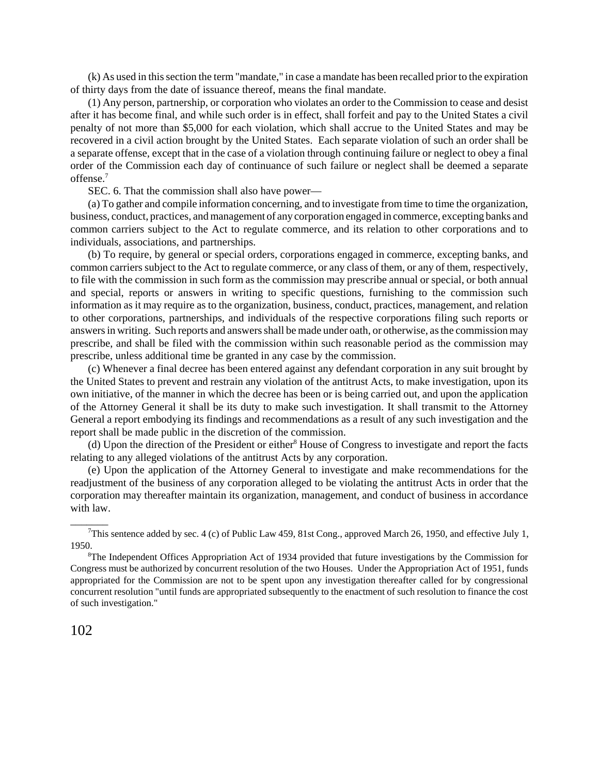(k) As used in thissection the term "mandate," in case a mandate has been recalled priorto the expiration of thirty days from the date of issuance thereof, means the final mandate.

(1) Any person, partnership, or corporation who violates an order to the Commission to cease and desist after it has become final, and while such order is in effect, shall forfeit and pay to the United States a civil penalty of not more than \$5,000 for each violation, which shall accrue to the United States and may be recovered in a civil action brought by the United States. Each separate violation of such an order shall be a separate offense, except that in the case of a violation through continuing failure or neglect to obey a final order of the Commission each day of continuance of such failure or neglect shall be deemed a separate offense.<sup>7</sup>

SEC. 6. That the commission shall also have power—

(a) To gather and compile information concerning, and to investigate from time to time the organization, business, conduct, practices, andmanagement of any corporation engaged in commerce, excepting banks and common carriers subject to the Act to regulate commerce, and its relation to other corporations and to individuals, associations, and partnerships.

(b) To require, by general or special orders, corporations engaged in commerce, excepting banks, and common carriers subject to the Act to regulate commerce, or any class of them, or any of them, respectively, to file with the commission in such form as the commission may prescribe annual or special, or both annual and special, reports or answers in writing to specific questions, furnishing to the commission such information as it may require as to the organization, business, conduct, practices, management, and relation to other corporations, partnerships, and individuals of the respective corporations filing such reports or answersin writing. Such reports and answers shall be made under oath, or otherwise, as the commission may prescribe, and shall be filed with the commission within such reasonable period as the commission may prescribe, unless additional time be granted in any case by the commission.

(c) Whenever a final decree has been entered against any defendant corporation in any suit brought by the United States to prevent and restrain any violation of the antitrust Acts, to make investigation, upon its own initiative, of the manner in which the decree has been or is being carried out, and upon the application of the Attorney General it shall be its duty to make such investigation. It shall transmit to the Attorney General a report embodying its findings and recommendations as a result of any such investigation and the report shall be made public in the discretion of the commission.

(d) Upon the direction of the President or either $8$  House of Congress to investigate and report the facts relating to any alleged violations of the antitrust Acts by any corporation.

(e) Upon the application of the Attorney General to investigate and make recommendations for the readjustment of the business of any corporation alleged to be violating the antitrust Acts in order that the corporation may thereafter maintain its organization, management, and conduct of business in accordance with law.

\_\_\_\_\_\_\_

<sup>&</sup>lt;sup>7</sup>This sentence added by sec. 4 (c) of Public Law 459, 81st Cong., approved March 26, 1950, and effective July 1, 1950.

<sup>8</sup>The Independent Offices Appropriation Act of 1934 provided that future investigations by the Commission for Congress must be authorized by concurrent resolution of the two Houses. Under the Appropriation Act of 1951, funds appropriated for the Commission are not to be spent upon any investigation thereafter called for by congressional concurrent resolution "until funds are appropriated subsequently to the enactment of such resolution to finance the cost of such investigation."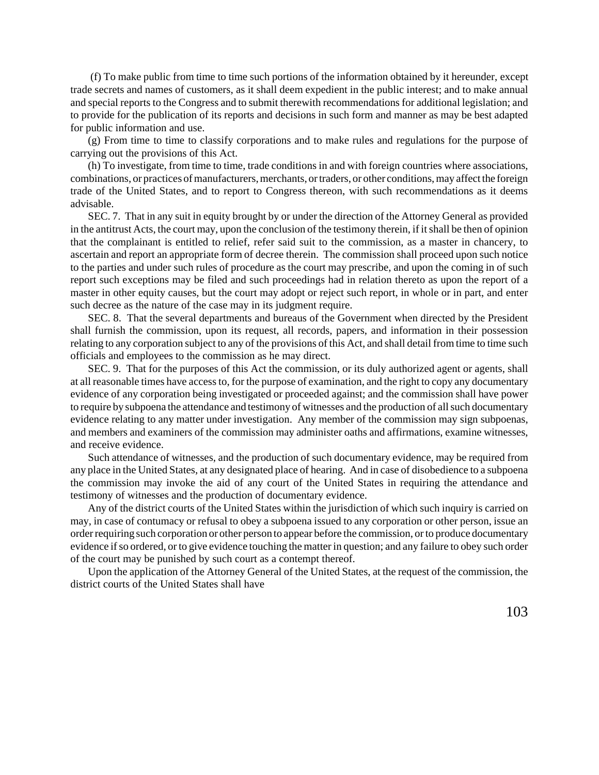(f) To make public from time to time such portions of the information obtained by it hereunder, except trade secrets and names of customers, as it shall deem expedient in the public interest; and to make annual and special reports to the Congress and to submit therewith recommendations for additional legislation; and to provide for the publication of its reports and decisions in such form and manner as may be best adapted for public information and use.

(g) From time to time to classify corporations and to make rules and regulations for the purpose of carrying out the provisions of this Act.

(h) To investigate, from time to time, trade conditions in and with foreign countries where associations, combinations, or practices of manufacturers, merchants, or traders, or other conditions, may affect the foreign trade of the United States, and to report to Congress thereon, with such recommendations as it deems advisable.

SEC. 7. That in any suit in equity brought by or under the direction of the Attorney General as provided in the antitrust Acts, the court may, upon the conclusion of the testimony therein, if it shall be then of opinion that the complainant is entitled to relief, refer said suit to the commission, as a master in chancery, to ascertain and report an appropriate form of decree therein. The commission shall proceed upon such notice to the parties and under such rules of procedure as the court may prescribe, and upon the coming in of such report such exceptions may be filed and such proceedings had in relation thereto as upon the report of a master in other equity causes, but the court may adopt or reject such report, in whole or in part, and enter such decree as the nature of the case may in its judgment require.

SEC. 8. That the several departments and bureaus of the Government when directed by the President shall furnish the commission, upon its request, all records, papers, and information in their possession relating to any corporation subject to any of the provisions of this Act, and shall detail fromtime to time such officials and employees to the commission as he may direct.

SEC. 9. That for the purposes of this Act the commission, or its duly authorized agent or agents, shall at all reasonable times have accessto, for the purpose of examination, and the right to copy any documentary evidence of any corporation being investigated or proceeded against; and the commission shall have power to require by subpoena the attendance and testimony of witnesses and the production of all such documentary evidence relating to any matter under investigation. Any member of the commission may sign subpoenas, and members and examiners of the commission may administer oaths and affirmations, examine witnesses, and receive evidence.

Such attendance of witnesses, and the production of such documentary evidence, may be required from any place in the United States, at any designated place of hearing. And in case of disobedience to a subpoena the commission may invoke the aid of any court of the United States in requiring the attendance and testimony of witnesses and the production of documentary evidence.

Any of the district courts of the United States within the jurisdiction of which such inquiry is carried on may, in case of contumacy or refusal to obey a subpoena issued to any corporation or other person, issue an order requiring such corporation or other person to appear before the commission, or to produce documentary evidence if so ordered, or to give evidence touching the matter in question; and any failure to obey such order of the court may be punished by such court as a contempt thereof.

Upon the application of the Attorney General of the United States, at the request of the commission, the district courts of the United States shall have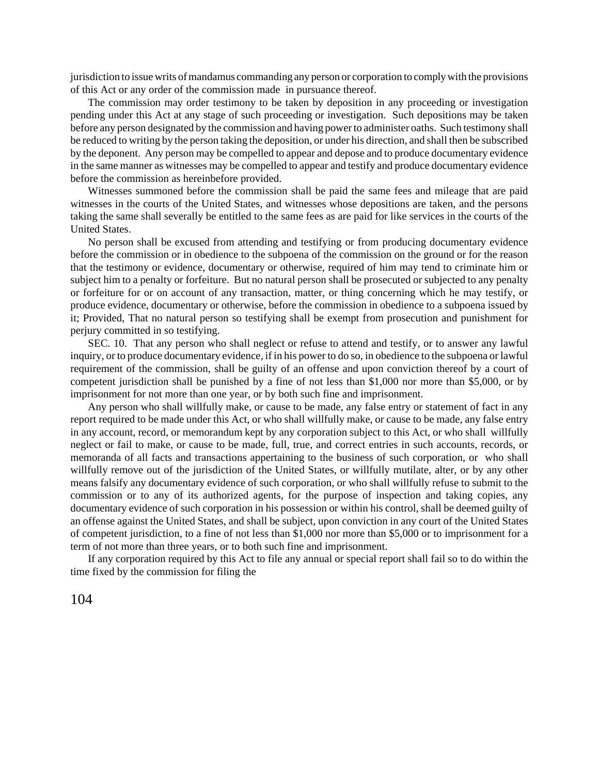jurisdiction to issuewrits ofmandamus commanding any person or corporation to complywith the provisions of this Act or any order of the commission made in pursuance thereof.

The commission may order testimony to be taken by deposition in any proceeding or investigation pending under this Act at any stage of such proceeding or investigation. Such depositions may be taken before any person designated by the commission and having powerto administer oaths. Such testimony shall be reduced to writing by the person taking the deposition, or under his direction, and shall then be subscribed by the deponent. Any person may be compelled to appear and depose and to produce documentary evidence in the same manner as witnesses may be compelled to appear and testify and produce documentary evidence before the commission as hereinbefore provided.

Witnesses summoned before the commission shall be paid the same fees and mileage that are paid witnesses in the courts of the United States, and witnesses whose depositions are taken, and the persons taking the same shall severally be entitled to the same fees as are paid for like services in the courts of the United States.

No person shall be excused from attending and testifying or from producing documentary evidence before the commission or in obedience to the subpoena of the commission on the ground or for the reason that the testimony or evidence, documentary or otherwise, required of him may tend to criminate him or subject him to a penalty or forfeiture. But no natural person shall be prosecuted or subjected to any penalty or forfeiture for or on account of any transaction, matter, or thing concerning which he may testify, or produce evidence, documentary or otherwise, before the commission in obedience to a subpoena issued by it; Provided, That no natural person so testifying shall be exempt from prosecution and punishment for perjury committed in so testifying.

SEC. 10. That any person who shall neglect or refuse to attend and testify, or to answer any lawful inquiry, or to produce documentary evidence, if in his power to do so, in obedience to the subpoena or lawful requirement of the commission, shall be guilty of an offense and upon conviction thereof by a court of competent jurisdiction shall be punished by a fine of not less than \$1,000 nor more than \$5,000, or by imprisonment for not more than one year, or by both such fine and imprisonment.

Any person who shall willfully make, or cause to be made, any false entry or statement of fact in any report required to be made under this Act, or who shall willfully make, or cause to be made, any false entry in any account, record, or memorandum kept by any corporation subject to this Act, or who shall willfully neglect or fail to make, or cause to be made, full, true, and correct entries in such accounts, records, or memoranda of all facts and transactions appertaining to the business of such corporation, or who shall willfully remove out of the jurisdiction of the United States, or willfully mutilate, alter, or by any other means falsify any documentary evidence of such corporation, or who shall willfully refuse to submit to the commission or to any of its authorized agents, for the purpose of inspection and taking copies, any documentary evidence of such corporation in his possession or within his control, shall be deemed guilty of an offense against the United States, and shall be subject, upon conviction in any court of the United States of competent jurisdiction, to a fine of not less than \$1,000 nor more than \$5,000 or to imprisonment for a term of not more than three years, or to both such fine and imprisonment.

If any corporation required by this Act to file any annual or special report shall fail so to do within the time fixed by the commission for filing the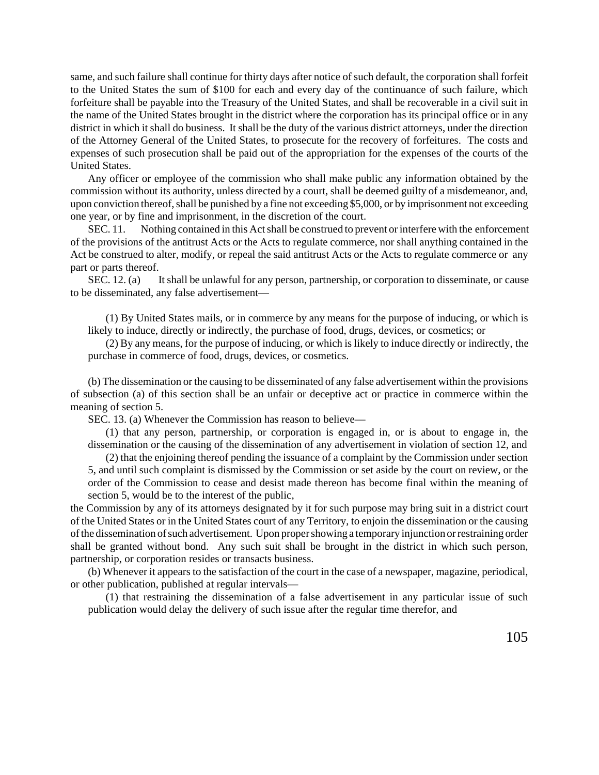same, and such failure shall continue for thirty days after notice of such default, the corporation shall forfeit to the United States the sum of \$100 for each and every day of the continuance of such failure, which forfeiture shall be payable into the Treasury of the United States, and shall be recoverable in a civil suit in the name of the United States brought in the district where the corporation has its principal office or in any district in which it shall do business. It shall be the duty of the various district attorneys, under the direction of the Attorney General of the United States, to prosecute for the recovery of forfeitures. The costs and expenses of such prosecution shall be paid out of the appropriation for the expenses of the courts of the United States.

Any officer or employee of the commission who shall make public any information obtained by the commission without its authority, unless directed by a court, shall be deemed guilty of a misdemeanor, and, upon conviction thereof, shall be punished by a fine not exceeding \$5,000, or by imprisonment not exceeding one year, or by fine and imprisonment, in the discretion of the court.

SEC. 11. Nothing contained in this Act shall be construed to prevent or interfere with the enforcement of the provisions of the antitrust Acts or the Acts to regulate commerce, nor shall anything contained in the Act be construed to alter, modify, or repeal the said antitrust Acts or the Acts to regulate commerce or any part or parts thereof.

SEC. 12. (a) It shall be unlawful for any person, partnership, or corporation to disseminate, or cause to be disseminated, any false advertisement—

(1) By United States mails, or in commerce by any means for the purpose of inducing, or which is likely to induce, directly or indirectly, the purchase of food, drugs, devices, or cosmetics; or

(2) By any means, for the purpose of inducing, or which is likely to induce directly or indirectly, the purchase in commerce of food, drugs, devices, or cosmetics.

(b) The dissemination or the causing to be disseminated of any false advertisement within the provisions of subsection (a) of this section shall be an unfair or deceptive act or practice in commerce within the meaning of section 5.

SEC. 13. (a) Whenever the Commission has reason to believe—

(1) that any person, partnership, or corporation is engaged in, or is about to engage in, the dissemination or the causing of the dissemination of any advertisement in violation of section 12, and

(2) that the enjoining thereof pending the issuance of a complaint by the Commission under section 5, and until such complaint is dismissed by the Commission or set aside by the court on review, or the order of the Commission to cease and desist made thereon has become final within the meaning of section 5, would be to the interest of the public,

the Commission by any of its attorneys designated by it for such purpose may bring suit in a district court of the United States or in the United States court of any Territory, to enjoin the dissemination or the causing ofthe dissemination ofsuch advertisement. Upon proper showing a temporary injunction or restraining order shall be granted without bond. Any such suit shall be brought in the district in which such person, partnership, or corporation resides or transacts business.

(b) Whenever it appears to the satisfaction of the court in the case of a newspaper, magazine, periodical, or other publication, published at regular intervals—

(1) that restraining the dissemination of a false advertisement in any particular issue of such publication would delay the delivery of such issue after the regular time therefor, and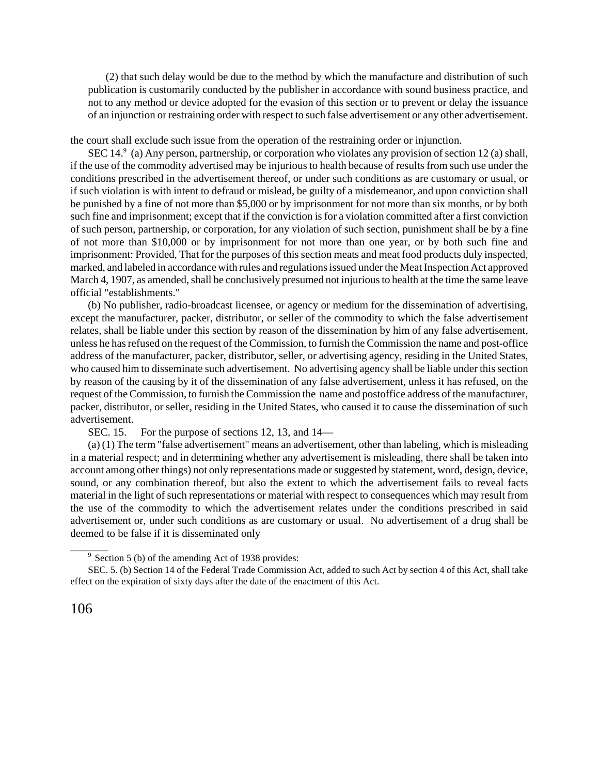(2) that such delay would be due to the method by which the manufacture and distribution of such publication is customarily conducted by the publisher in accordance with sound business practice, and not to any method or device adopted for the evasion of this section or to prevent or delay the issuance of an injunction or restraining order with respect to such false advertisement or any other advertisement.

the court shall exclude such issue from the operation of the restraining order or injunction.

SEC 14. $^9$  (a) Any person, partnership, or corporation who violates any provision of section 12 (a) shall, if the use of the commodity advertised may be injurious to health because of results from such use under the conditions prescribed in the advertisement thereof, or under such conditions as are customary or usual, or if such violation is with intent to defraud or mislead, be guilty of a misdemeanor, and upon conviction shall be punished by a fine of not more than \$5,000 or by imprisonment for not more than six months, or by both such fine and imprisonment; except that if the conviction is for a violation committed after a first conviction of such person, partnership, or corporation, for any violation of such section, punishment shall be by a fine of not more than \$10,000 or by imprisonment for not more than one year, or by both such fine and imprisonment: Provided, That for the purposes of this section meats and meat food products duly inspected, marked, and labeled in accordance with rules and regulations issued under the Meat Inspection Act approved March 4, 1907, as amended, shall be conclusively presumed not injurious to health at the time the same leave official "establishments."

(b) No publisher, radio-broadcast licensee, or agency or medium for the dissemination of advertising, except the manufacturer, packer, distributor, or seller of the commodity to which the false advertisement relates, shall be liable under this section by reason of the dissemination by him of any false advertisement, unless he hasrefused on the request of the Commission, to furnish the Commission the name and post-office address of the manufacturer, packer, distributor, seller, or advertising agency, residing in the United States, who caused him to disseminate such advertisement. No advertising agency shall be liable under this section by reason of the causing by it of the dissemination of any false advertisement, unless it has refused, on the request of theCommission, to furnish the Commission the name and postoffice address of the manufacturer, packer, distributor, or seller, residing in the United States, who caused it to cause the dissemination of such advertisement.

SEC. 15. For the purpose of sections 12, 13, and 14—

(a) (1) The term "false advertisement" means an advertisement, other than labeling, which is misleading in a material respect; and in determining whether any advertisement is misleading, there shall be taken into account among other things) not only representations made orsuggested by statement, word, design, device, sound, or any combination thereof, but also the extent to which the advertisement fails to reveal facts material in the light of such representations or material with respect to consequences which may result from the use of the commodity to which the advertisement relates under the conditions prescribed in said advertisement or, under such conditions as are customary or usual. No advertisement of a drug shall be deemed to be false if it is disseminated only

\_\_\_\_\_\_\_

<sup>9</sup> Section 5 (b) of the amending Act of 1938 provides:

SEC. 5. (b) Section 14 of the Federal Trade Commission Act, added to such Act by section 4 of this Act, shall take effect on the expiration of sixty days after the date of the enactment of this Act.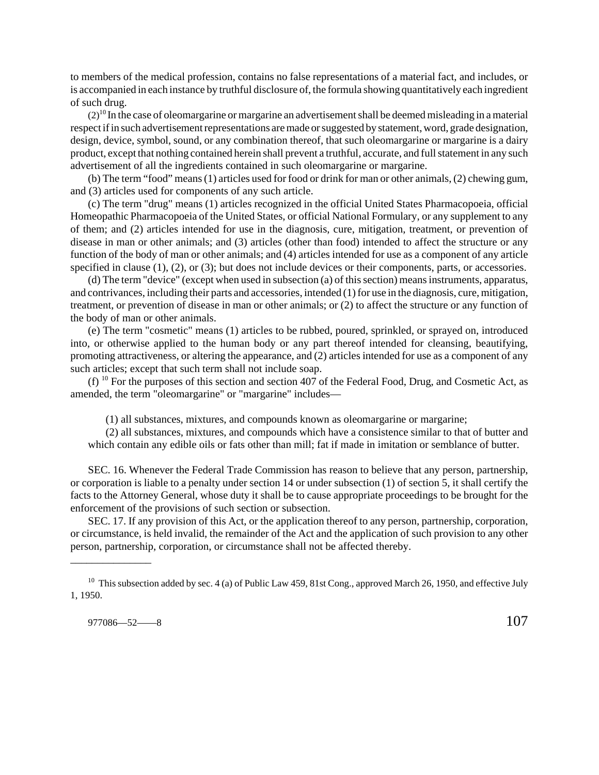to members of the medical profession, contains no false representations of a material fact, and includes, or is accompanied in each instance by truthful disclosure of, the formula showing quantitatively each ingredient of such drug.

 $(2)^{10}$  In the case of oleomargarine or margarine an advertisement shall be deemed misleading in a material respect if in such advertisement representations are made or suggested by statement, word, grade designation, design, device, symbol, sound, or any combination thereof, that such oleomargarine or margarine is a dairy product, except that nothing contained herein shall prevent a truthful, accurate, and fullstatement in any such advertisement of all the ingredients contained in such oleomargarine or margarine.

(b) The term "food" means(1) articles used for food or drink for man or other animals, (2) chewing gum, and (3) articles used for components of any such article.

(c) The term "drug" means (1) articles recognized in the official United States Pharmacopoeia, official Homeopathic Pharmacopoeia of the United States, or official National Formulary, or any supplement to any of them; and (2) articles intended for use in the diagnosis, cure, mitigation, treatment, or prevention of disease in man or other animals; and (3) articles (other than food) intended to affect the structure or any function of the body of man or other animals; and (4) articles intended for use as a component of any article specified in clause (1), (2), or (3); but does not include devices or their components, parts, or accessories.

(d) The term "device" (except when used in subsection (a) of thissection) meansinstruments, apparatus, and contrivances, including their parts and accessories, intended (1) for use in the diagnosis, cure, mitigation, treatment, or prevention of disease in man or other animals; or (2) to affect the structure or any function of the body of man or other animals.

(e) The term "cosmetic" means (1) articles to be rubbed, poured, sprinkled, or sprayed on, introduced into, or otherwise applied to the human body or any part thereof intended for cleansing, beautifying, promoting attractiveness, or altering the appearance, and (2) articles intended for use as a component of any such articles; except that such term shall not include soap.

(f)  $^{10}$  For the purposes of this section and section 407 of the Federal Food, Drug, and Cosmetic Act, as amended, the term "oleomargarine" or "margarine" includes—

(1) all substances, mixtures, and compounds known as oleomargarine or margarine;

(2) all substances, mixtures, and compounds which have a consistence similar to that of butter and which contain any edible oils or fats other than mill; fat if made in imitation or semblance of butter.

SEC. 16. Whenever the Federal Trade Commission has reason to believe that any person, partnership, or corporation is liable to a penalty under section 14 or under subsection (1) of section 5, it shall certify the facts to the Attorney General, whose duty it shall be to cause appropriate proceedings to be brought for the enforcement of the provisions of such section or subsection.

SEC. 17. If any provision of this Act, or the application thereof to any person, partnership, corporation, or circumstance, is held invalid, the remainder of the Act and the application of such provision to any other person, partnership, corporation, or circumstance shall not be affected thereby.

 $977086 - 52 - 8$  107

\_\_\_\_\_\_\_\_\_\_\_\_\_\_\_

<sup>&</sup>lt;sup>10</sup> This subsection added by sec. 4 (a) of Public Law 459, 81st Cong., approved March 26, 1950, and effective July 1, 1950.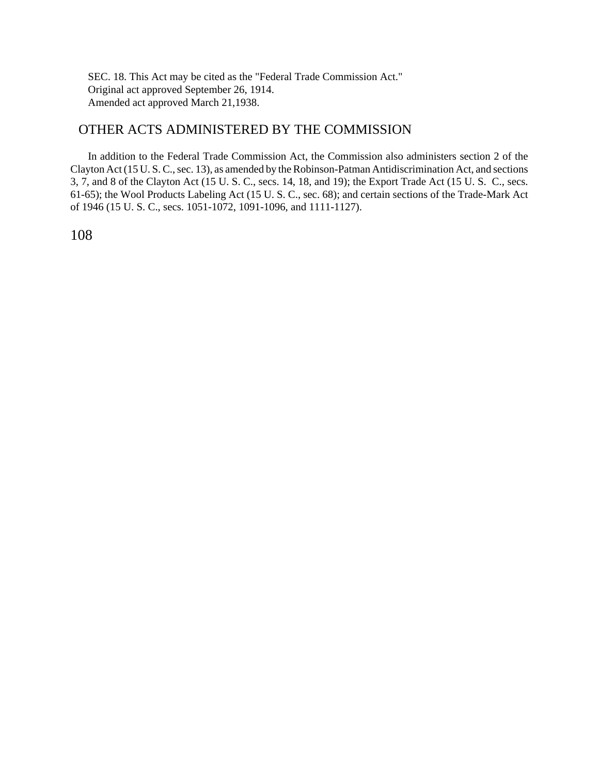SEC. 18. This Act may be cited as the "Federal Trade Commission Act." Original act approved September 26, 1914. Amended act approved March 21,1938.

## OTHER ACTS ADMINISTERED BY THE COMMISSION

In addition to the Federal Trade Commission Act, the Commission also administers section 2 of the Clayton Act (15 U.S.C., sec. 13), as amended by the Robinson-Patman Antidiscrimination Act, and sections 3, 7, and 8 of the Clayton Act (15 U. S. C., secs. 14, 18, and 19); the Export Trade Act (15 U. S. C., secs. 61-65); the Wool Products Labeling Act (15 U. S. C., sec. 68); and certain sections of the Trade-Mark Act of 1946 (15 U. S. C., secs. 1051-1072, 1091-1096, and 1111-1127).

108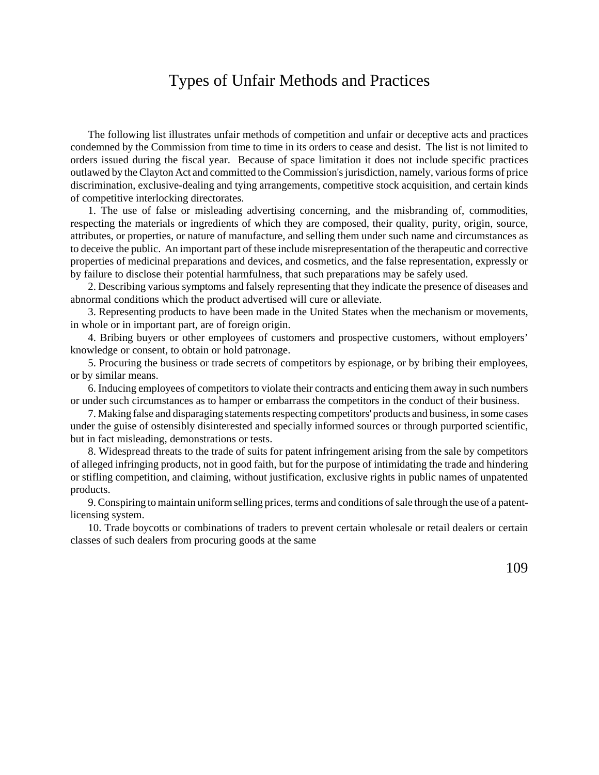# Types of Unfair Methods and Practices

The following list illustrates unfair methods of competition and unfair or deceptive acts and practices condemned by the Commission from time to time in its orders to cease and desist. The list is not limited to orders issued during the fiscal year. Because of space limitation it does not include specific practices outlawed by theClayton Act and committed to theCommission'sjurisdiction, namely, variousforms of price discrimination, exclusive-dealing and tying arrangements, competitive stock acquisition, and certain kinds of competitive interlocking directorates.

1. The use of false or misleading advertising concerning, and the misbranding of, commodities, respecting the materials or ingredients of which they are composed, their quality, purity, origin, source, attributes, or properties, or nature of manufacture, and selling them under such name and circumstances as to deceive the public. An important part of these include misrepresentation of the therapeutic and corrective properties of medicinal preparations and devices, and cosmetics, and the false representation, expressly or by failure to disclose their potential harmfulness, that such preparations may be safely used.

2. Describing various symptoms and falsely representing that they indicate the presence of diseases and abnormal conditions which the product advertised will cure or alleviate.

3. Representing products to have been made in the United States when the mechanism or movements, in whole or in important part, are of foreign origin.

4. Bribing buyers or other employees of customers and prospective customers, without employers' knowledge or consent, to obtain or hold patronage.

5. Procuring the business or trade secrets of competitors by espionage, or by bribing their employees, or by similar means.

6. Inducing employees of competitors to violate their contracts and enticing them away in such numbers or under such circumstances as to hamper or embarrass the competitors in the conduct of their business.

7. Making false and disparaging statements respecting competitors' products and business, in some cases under the guise of ostensibly disinterested and specially informed sources or through purported scientific, but in fact misleading, demonstrations or tests.

8. Widespread threats to the trade of suits for patent infringement arising from the sale by competitors of alleged infringing products, not in good faith, but for the purpose of intimidating the trade and hindering or stifling competition, and claiming, without justification, exclusive rights in public names of unpatented products.

9.Conspiring to maintain uniformselling prices, terms and conditions ofsale through the use of a patentlicensing system.

 10. Trade boycotts or combinations of traders to prevent certain wholesale or retail dealers or certain classes of such dealers from procuring goods at the same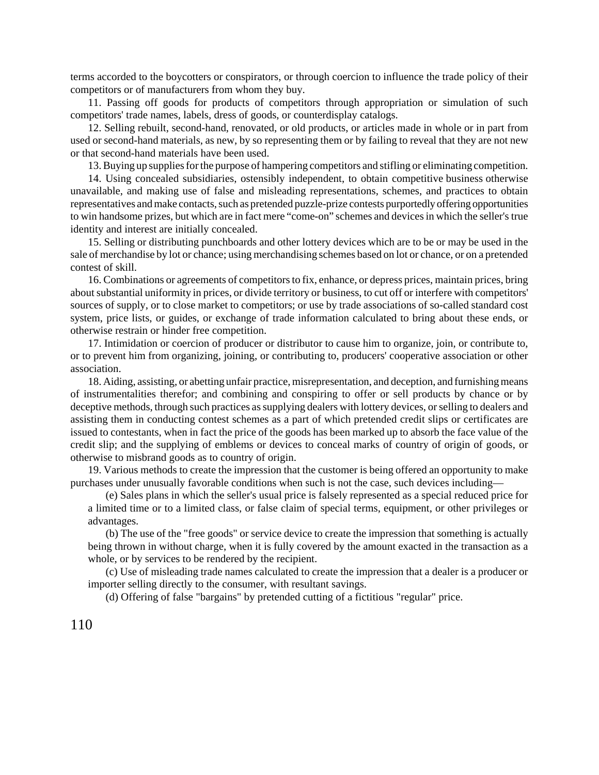terms accorded to the boycotters or conspirators, or through coercion to influence the trade policy of their competitors or of manufacturers from whom they buy.

11. Passing off goods for products of competitors through appropriation or simulation of such competitors' trade names, labels, dress of goods, or counterdisplay catalogs.

12. Selling rebuilt, second-hand, renovated, or old products, or articles made in whole or in part from used or second-hand materials, as new, by so representing them or by failing to reveal that they are not new or that second-hand materials have been used.

13.Buying up suppliesforthe purpose of hampering competitors and stifling or eliminating competition.

 14. Using concealed subsidiaries, ostensibly independent, to obtain competitive business otherwise unavailable, and making use of false and misleading representations, schemes, and practices to obtain representatives and make contacts, such as pretended puzzle-prize contests purportedly offering opportunities to win handsome prizes, but which are in fact mere "come-on" schemes and devicesin which the seller's true identity and interest are initially concealed.

15. Selling or distributing punchboards and other lottery devices which are to be or may be used in the sale of merchandise by lot or chance; using merchandising schemes based on lot or chance, or on a pretended contest of skill.

16. Combinations or agreements of competitors to fix, enhance, or depress prices, maintain prices, bring about substantial uniformity in prices, or divide territory or business, to cut off or interfere with competitors' sources of supply, or to close market to competitors; or use by trade associations of so-called standard cost system, price lists, or guides, or exchange of trade information calculated to bring about these ends, or otherwise restrain or hinder free competition.

17. Intimidation or coercion of producer or distributor to cause him to organize, join, or contribute to, or to prevent him from organizing, joining, or contributing to, producers' cooperative association or other association.

18. Aiding, assisting, or abetting unfair practice, misrepresentation, and deception, and furnishing means of instrumentalities therefor; and combining and conspiring to offer or sell products by chance or by deceptive methods, through such practices as supplying dealers with lottery devices, or selling to dealers and assisting them in conducting contest schemes as a part of which pretended credit slips or certificates are issued to contestants, when in fact the price of the goods has been marked up to absorb the face value of the credit slip; and the supplying of emblems or devices to conceal marks of country of origin of goods, or otherwise to misbrand goods as to country of origin.

19. Various methods to create the impression that the customer is being offered an opportunity to make purchases under unusually favorable conditions when such is not the case, such devices including—

(e) Sales plans in which the seller's usual price is falsely represented as a special reduced price for a limited time or to a limited class, or false claim of special terms, equipment, or other privileges or advantages.

(b) The use of the "free goods" or service device to create the impression that something is actually being thrown in without charge, when it is fully covered by the amount exacted in the transaction as a whole, or by services to be rendered by the recipient.

(c) Use of misleading trade names calculated to create the impression that a dealer is a producer or importer selling directly to the consumer, with resultant savings.

(d) Offering of false "bargains" by pretended cutting of a fictitious "regular" price.

### 110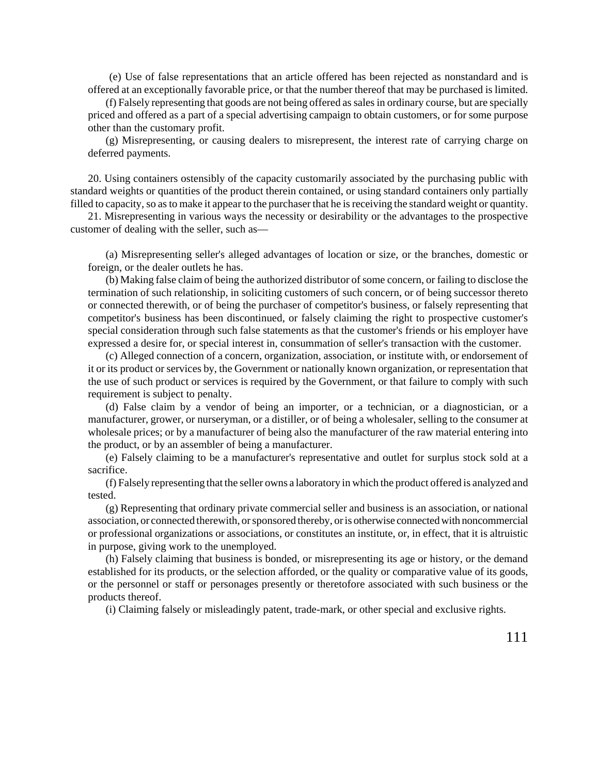(e) Use of false representations that an article offered has been rejected as nonstandard and is offered at an exceptionally favorable price, or that the number thereof that may be purchased is limited.

(f) Falsely representing that goods are not being offered assalesin ordinary course, but are specially priced and offered as a part of a special advertising campaign to obtain customers, or for some purpose other than the customary profit.

(g) Misrepresenting, or causing dealers to misrepresent, the interest rate of carrying charge on deferred payments.

20. Using containers ostensibly of the capacity customarily associated by the purchasing public with standard weights or quantities of the product therein contained, or using standard containers only partially filled to capacity, so asto make it appear to the purchaser that he isreceiving the standard weight or quantity.

21. Misrepresenting in various ways the necessity or desirability or the advantages to the prospective customer of dealing with the seller, such as—

(a) Misrepresenting seller's alleged advantages of location or size, or the branches, domestic or foreign, or the dealer outlets he has.

(b) Making false claim of being the authorized distributor of some concern, or failing to disclose the termination of such relationship, in soliciting customers of such concern, or of being successor thereto or connected therewith, or of being the purchaser of competitor's business, or falsely representing that competitor's business has been discontinued, or falsely claiming the right to prospective customer's special consideration through such false statements as that the customer's friends or his employer have expressed a desire for, or special interest in, consummation of seller's transaction with the customer.

(c) Alleged connection of a concern, organization, association, or institute with, or endorsement of it or its product or services by, the Government or nationally known organization, or representation that the use of such product or services is required by the Government, or that failure to comply with such requirement is subject to penalty.

(d) False claim by a vendor of being an importer, or a technician, or a diagnostician, or a manufacturer, grower, or nurseryman, or a distiller, or of being a wholesaler, selling to the consumer at wholesale prices; or by a manufacturer of being also the manufacturer of the raw material entering into the product, or by an assembler of being a manufacturer.

(e) Falsely claiming to be a manufacturer's representative and outlet for surplus stock sold at a sacrifice.

(f) Falsely representing that the seller owns a laboratory in which the product offered is analyzed and tested.

(g) Representing that ordinary private commercial seller and business is an association, or national association, or connected therewith, orsponsored thereby, oris otherwise connected with noncommercial or professional organizations or associations, or constitutes an institute, or, in effect, that it is altruistic in purpose, giving work to the unemployed.

(h) Falsely claiming that business is bonded, or misrepresenting its age or history, or the demand established for its products, or the selection afforded, or the quality or comparative value of its goods, or the personnel or staff or personages presently or theretofore associated with such business or the products thereof.

(i) Claiming falsely or misleadingly patent, trade-mark, or other special and exclusive rights.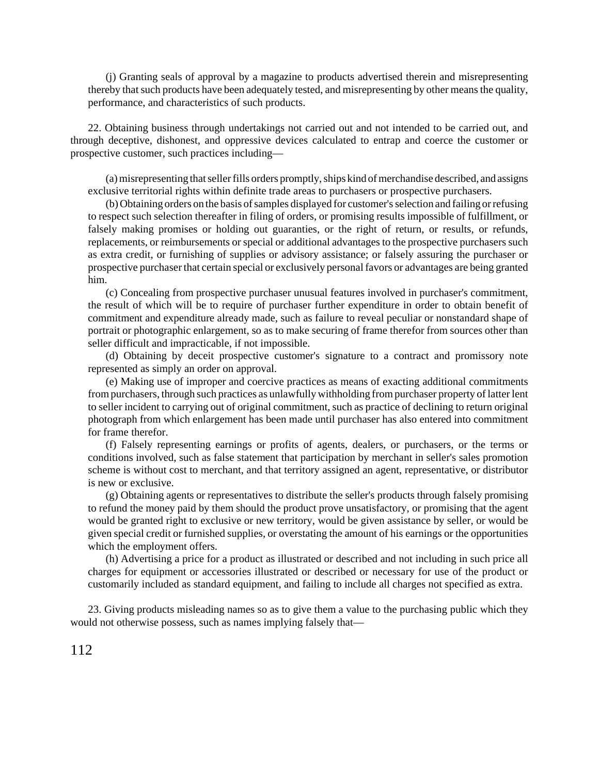(j) Granting seals of approval by a magazine to products advertised therein and misrepresenting thereby that such products have been adequately tested, and misrepresenting by other means the quality, performance, and characteristics of such products.

22. Obtaining business through undertakings not carried out and not intended to be carried out, and through deceptive, dishonest, and oppressive devices calculated to entrap and coerce the customer or prospective customer, such practices including—

(a)misrepresenting thatsellerfills orders promptly,ships kind ofmerchandise described, and assigns exclusive territorial rights within definite trade areas to purchasers or prospective purchasers.

(b)Obtaining orders on the basis ofsamples displayed for customer'sselection and failing orrefusing to respect such selection thereafter in filing of orders, or promising results impossible of fulfillment, or falsely making promises or holding out guaranties, or the right of return, or results, or refunds, replacements, or reimbursements or special or additional advantages to the prospective purchasers such as extra credit, or furnishing of supplies or advisory assistance; or falsely assuring the purchaser or prospective purchaserthat certain special or exclusively personalfavors or advantages are being granted him.

(c) Concealing from prospective purchaser unusual features involved in purchaser's commitment, the result of which will be to require of purchaser further expenditure in order to obtain benefit of commitment and expenditure already made, such as failure to reveal peculiar or nonstandard shape of portrait or photographic enlargement, so as to make securing of frame therefor from sources other than seller difficult and impracticable, if not impossible.

(d) Obtaining by deceit prospective customer's signature to a contract and promissory note represented as simply an order on approval.

(e) Making use of improper and coercive practices as means of exacting additional commitments from purchasers, through such practices as unlawfully withholding from purchaser property of latter lent to seller incident to carrying out of original commitment, such as practice of declining to return original photograph from which enlargement has been made until purchaser has also entered into commitment for frame therefor.

(f) Falsely representing earnings or profits of agents, dealers, or purchasers, or the terms or conditions involved, such as false statement that participation by merchant in seller's sales promotion scheme is without cost to merchant, and that territory assigned an agent, representative, or distributor is new or exclusive.

(g) Obtaining agents or representatives to distribute the seller's products through falsely promising to refund the money paid by them should the product prove unsatisfactory, or promising that the agent would be granted right to exclusive or new territory, would be given assistance by seller, or would be given special credit or furnished supplies, or overstating the amount of his earnings or the opportunities which the employment offers.

(h) Advertising a price for a product as illustrated or described and not including in such price all charges for equipment or accessories illustrated or described or necessary for use of the product or customarily included as standard equipment, and failing to include all charges not specified as extra.

23. Giving products misleading names so as to give them a value to the purchasing public which they would not otherwise possess, such as names implying falsely that—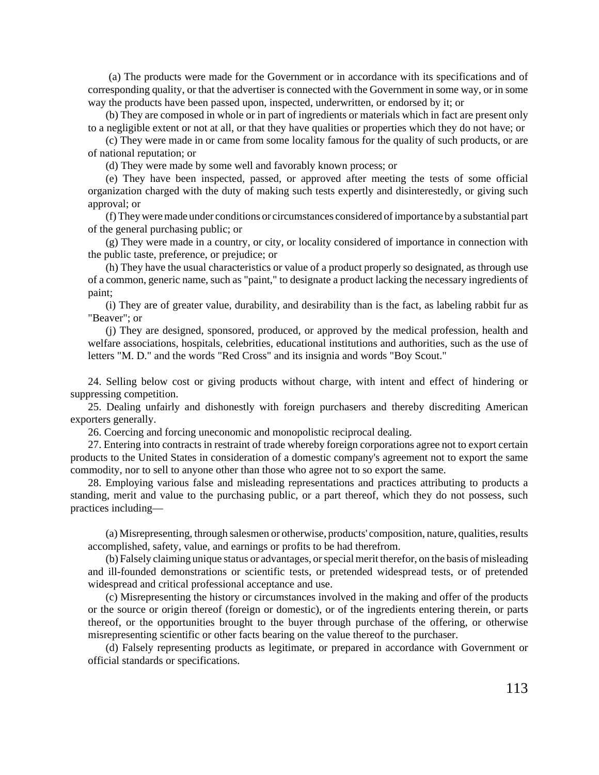(a) The products were made for the Government or in accordance with its specifications and of corresponding quality, or that the advertiser is connected with the Government in some way, or in some way the products have been passed upon, inspected, underwritten, or endorsed by it; or

(b) They are composed in whole or in part of ingredients or materials which in fact are present only to a negligible extent or not at all, or that they have qualities or properties which they do not have; or

(c) They were made in or came from some locality famous for the quality of such products, or are of national reputation; or

(d) They were made by some well and favorably known process; or

(e) They have been inspected, passed, or approved after meeting the tests of some official organization charged with the duty of making such tests expertly and disinterestedly, or giving such approval; or

(f)Theyweremade under conditions or circumstances considered ofimportance by a substantial part of the general purchasing public; or

(g) They were made in a country, or city, or locality considered of importance in connection with the public taste, preference, or prejudice; or

(h) They have the usual characteristics or value of a product properly so designated, as through use of a common, generic name, such as "paint," to designate a product lacking the necessary ingredients of paint;

(i) They are of greater value, durability, and desirability than is the fact, as labeling rabbit fur as "Beaver"; or

(j) They are designed, sponsored, produced, or approved by the medical profession, health and welfare associations, hospitals, celebrities, educational institutions and authorities, such as the use of letters "M. D." and the words "Red Cross" and its insignia and words "Boy Scout."

24. Selling below cost or giving products without charge, with intent and effect of hindering or suppressing competition.

25. Dealing unfairly and dishonestly with foreign purchasers and thereby discrediting American exporters generally.

26. Coercing and forcing uneconomic and monopolistic reciprocal dealing.

27. Entering into contracts in restraint of trade whereby foreign corporations agree not to export certain products to the United States in consideration of a domestic company's agreement not to export the same commodity, nor to sell to anyone other than those who agree not to so export the same.

28. Employing various false and misleading representations and practices attributing to products a standing, merit and value to the purchasing public, or a part thereof, which they do not possess, such practices including—

(a) Misrepresenting, through salesmen or otherwise, products' composition, nature, qualities,results accomplished, safety, value, and earnings or profits to be had therefrom.

(b) Falsely claiming unique status or advantages, orspecialmerit therefor, on the basis of misleading and ill-founded demonstrations or scientific tests, or pretended widespread tests, or of pretended widespread and critical professional acceptance and use.

(c) Misrepresenting the history or circumstances involved in the making and offer of the products or the source or origin thereof (foreign or domestic), or of the ingredients entering therein, or parts thereof, or the opportunities brought to the buyer through purchase of the offering, or otherwise misrepresenting scientific or other facts bearing on the value thereof to the purchaser.

(d) Falsely representing products as legitimate, or prepared in accordance with Government or official standards or specifications.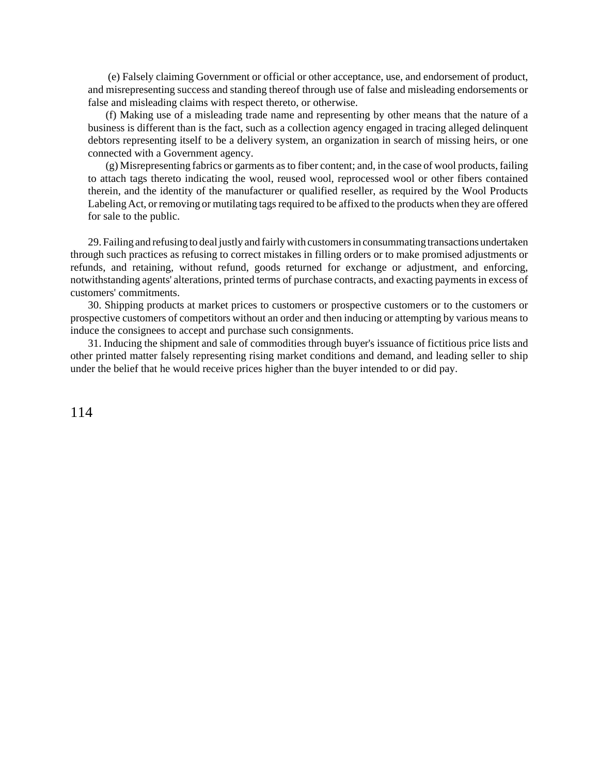(e) Falsely claiming Government or official or other acceptance, use, and endorsement of product, and misrepresenting success and standing thereof through use of false and misleading endorsements or false and misleading claims with respect thereto, or otherwise.

(f) Making use of a misleading trade name and representing by other means that the nature of a business is different than is the fact, such as a collection agency engaged in tracing alleged delinquent debtors representing itself to be a delivery system, an organization in search of missing heirs, or one connected with a Government agency.

(g) Misrepresenting fabrics or garments asto fiber content; and, in the case of wool products, failing to attach tags thereto indicating the wool, reused wool, reprocessed wool or other fibers contained therein, and the identity of the manufacturer or qualified reseller, as required by the Wool Products Labeling Act, or removing or mutilating tags required to be affixed to the products when they are offered for sale to the public.

29. Failing and refusing to deal justly and fairlywith customers in consummating transactions undertaken through such practices as refusing to correct mistakes in filling orders or to make promised adjustments or refunds, and retaining, without refund, goods returned for exchange or adjustment, and enforcing, notwithstanding agents' alterations, printed terms of purchase contracts, and exacting payments in excess of customers' commitments.

30. Shipping products at market prices to customers or prospective customers or to the customers or prospective customers of competitors without an order and then inducing or attempting by various meansto induce the consignees to accept and purchase such consignments.

31. Inducing the shipment and sale of commodities through buyer's issuance of fictitious price lists and other printed matter falsely representing rising market conditions and demand, and leading seller to ship under the belief that he would receive prices higher than the buyer intended to or did pay.

114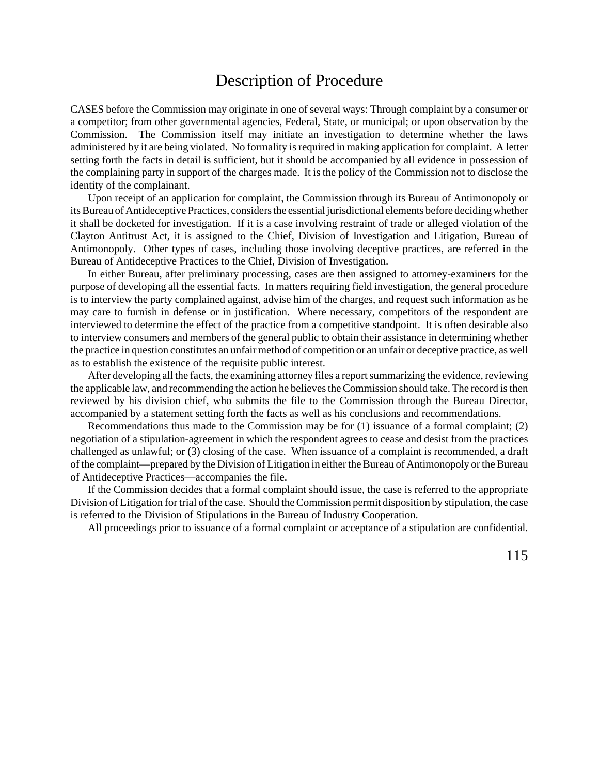# Description of Procedure

CASES before the Commission may originate in one of several ways: Through complaint by a consumer or a competitor; from other governmental agencies, Federal, State, or municipal; or upon observation by the Commission. The Commission itself may initiate an investigation to determine whether the laws administered by it are being violated. No formality is required in making application for complaint. A letter setting forth the facts in detail is sufficient, but it should be accompanied by all evidence in possession of the complaining party in support of the charges made. It is the policy of the Commission not to disclose the identity of the complainant.

Upon receipt of an application for complaint, the Commission through its Bureau of Antimonopoly or its Bureau of Antideceptive Practices, considers the essential jurisdictional elements before deciding whether it shall be docketed for investigation. If it is a case involving restraint of trade or alleged violation of the Clayton Antitrust Act, it is assigned to the Chief, Division of Investigation and Litigation, Bureau of Antimonopoly. Other types of cases, including those involving deceptive practices, are referred in the Bureau of Antideceptive Practices to the Chief, Division of Investigation.

In either Bureau, after preliminary processing, cases are then assigned to attorney-examiners for the purpose of developing all the essential facts. In matters requiring field investigation, the general procedure is to interview the party complained against, advise him of the charges, and request such information as he may care to furnish in defense or in justification. Where necessary, competitors of the respondent are interviewed to determine the effect of the practice from a competitive standpoint. It is often desirable also to interview consumers and members of the general public to obtain their assistance in determining whether the practice in question constitutes an unfair method of competition or an unfair or deceptive practice, as well as to establish the existence of the requisite public interest.

After developing all the facts, the examining attorney files a report summarizing the evidence, reviewing the applicable law, and recommending the action he believes the Commission should take. The record is then reviewed by his division chief, who submits the file to the Commission through the Bureau Director, accompanied by a statement setting forth the facts as well as his conclusions and recommendations.

Recommendations thus made to the Commission may be for (1) issuance of a formal complaint; (2) negotiation of a stipulation-agreement in which the respondent agrees to cease and desist from the practices challenged as unlawful; or (3) closing of the case. When issuance of a complaint is recommended, a draft of the complaint—prepared by the Division of Litigation in either the Bureau of Antimonopoly or the Bureau of Antideceptive Practices—accompanies the file.

If the Commission decides that a formal complaint should issue, the case is referred to the appropriate Division of Litigation for trial of the case. Should the Commission permit disposition by stipulation, the case is referred to the Division of Stipulations in the Bureau of Industry Cooperation.

All proceedings prior to issuance of a formal complaint or acceptance of a stipulation are confidential.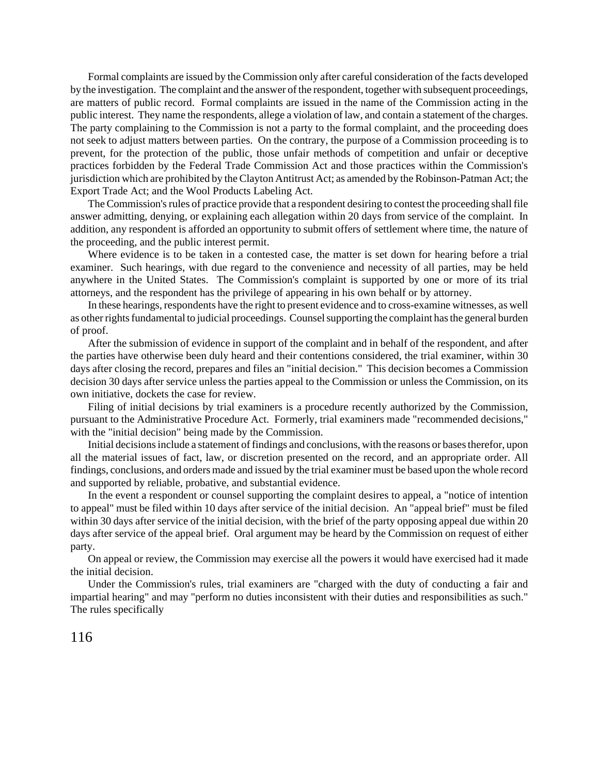Formal complaints are issued by the Commission only after careful consideration of the facts developed by the investigation. The complaint and the answer of the respondent, together with subsequent proceedings, are matters of public record. Formal complaints are issued in the name of the Commission acting in the public interest. They name the respondents, allege a violation of law, and contain a statement of the charges. The party complaining to the Commission is not a party to the formal complaint, and the proceeding does not seek to adjust matters between parties. On the contrary, the purpose of a Commission proceeding is to prevent, for the protection of the public, those unfair methods of competition and unfair or deceptive practices forbidden by the Federal Trade Commission Act and those practices within the Commission's jurisdiction which are prohibited by theClayton Antitrust Act; as amended by the Robinson-Patman Act; the Export Trade Act; and the Wool Products Labeling Act.

The Commission's rules of practice provide that a respondent desiring to contest the proceeding shall file answer admitting, denying, or explaining each allegation within 20 days from service of the complaint. In addition, any respondent is afforded an opportunity to submit offers of settlement where time, the nature of the proceeding, and the public interest permit.

Where evidence is to be taken in a contested case, the matter is set down for hearing before a trial examiner. Such hearings, with due regard to the convenience and necessity of all parties, may be held anywhere in the United States. The Commission's complaint is supported by one or more of its trial attorneys, and the respondent has the privilege of appearing in his own behalf or by attorney.

In these hearings, respondents have the right to present evidence and to cross-examine witnesses, as well as other rights fundamental to judicial proceedings. Counsel supporting the complaint has the general burden of proof.

After the submission of evidence in support of the complaint and in behalf of the respondent, and after the parties have otherwise been duly heard and their contentions considered, the trial examiner, within 30 days after closing the record, prepares and files an "initial decision." This decision becomes a Commission decision 30 days after service unless the parties appeal to the Commission or unless the Commission, on its own initiative, dockets the case for review.

Filing of initial decisions by trial examiners is a procedure recently authorized by the Commission, pursuant to the Administrative Procedure Act. Formerly, trial examiners made "recommended decisions," with the "initial decision" being made by the Commission.

Initial decisions include a statement of findings and conclusions, with the reasons or bases therefor, upon all the material issues of fact, law, or discretion presented on the record, and an appropriate order. All findings, conclusions, and orders made and issued by the trial examiner must be based upon the whole record and supported by reliable, probative, and substantial evidence.

In the event a respondent or counsel supporting the complaint desires to appeal, a "notice of intention to appeal" must be filed within 10 days after service of the initial decision. An "appeal brief" must be filed within 30 days after service of the initial decision, with the brief of the party opposing appeal due within 20 days after service of the appeal brief. Oral argument may be heard by the Commission on request of either party.

On appeal or review, the Commission may exercise all the powers it would have exercised had it made the initial decision.

Under the Commission's rules, trial examiners are "charged with the duty of conducting a fair and impartial hearing" and may "perform no duties inconsistent with their duties and responsibilities as such." The rules specifically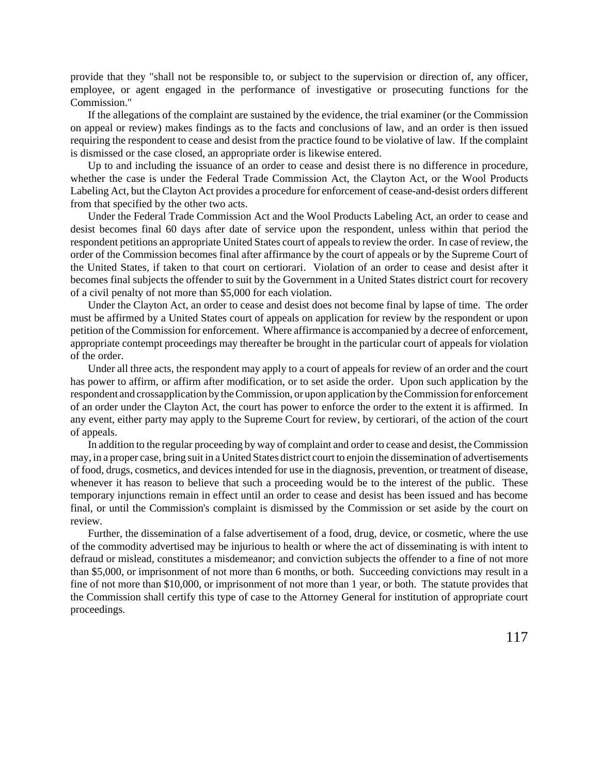provide that they "shall not be responsible to, or subject to the supervision or direction of, any officer, employee, or agent engaged in the performance of investigative or prosecuting functions for the Commission."

If the allegations of the complaint are sustained by the evidence, the trial examiner (or the Commission on appeal or review) makes findings as to the facts and conclusions of law, and an order is then issued requiring the respondent to cease and desist from the practice found to be violative of law. If the complaint is dismissed or the case closed, an appropriate order is likewise entered.

Up to and including the issuance of an order to cease and desist there is no difference in procedure, whether the case is under the Federal Trade Commission Act, the Clayton Act, or the Wool Products Labeling Act, but the Clayton Act provides a procedure for enforcement of cease-and-desist orders different from that specified by the other two acts.

Under the Federal Trade Commission Act and the Wool Products Labeling Act, an order to cease and desist becomes final 60 days after date of service upon the respondent, unless within that period the respondent petitions an appropriate United States court of appeals to review the order. In case of review, the order of the Commission becomes final after affirmance by the court of appeals or by the Supreme Court of the United States, if taken to that court on certiorari. Violation of an order to cease and desist after it becomes final subjects the offender to suit by the Government in a United States district court for recovery of a civil penalty of not more than \$5,000 for each violation.

Under the Clayton Act, an order to cease and desist does not become final by lapse of time. The order must be affirmed by a United States court of appeals on application for review by the respondent or upon petition of the Commission for enforcement. Where affirmance is accompanied by a decree of enforcement, appropriate contempt proceedings may thereafter be brought in the particular court of appeals for violation of the order.

Under all three acts, the respondent may apply to a court of appeals for review of an order and the court has power to affirm, or affirm after modification, or to set aside the order. Upon such application by the respondent and crossapplication by the Commission, or upon application by the Commission for enforcement of an order under the Clayton Act, the court has power to enforce the order to the extent it is affirmed. In any event, either party may apply to the Supreme Court for review, by certiorari, of the action of the court of appeals.

In addition to the regular proceeding by way of complaint and order to cease and desist, the Commission may, in a proper case, bring suit in a United States district court to enjoin the dissemination of advertisements of food, drugs, cosmetics, and devices intended for use in the diagnosis, prevention, or treatment of disease, whenever it has reason to believe that such a proceeding would be to the interest of the public. These temporary injunctions remain in effect until an order to cease and desist has been issued and has become final, or until the Commission's complaint is dismissed by the Commission or set aside by the court on review.

Further, the dissemination of a false advertisement of a food, drug, device, or cosmetic, where the use of the commodity advertised may be injurious to health or where the act of disseminating is with intent to defraud or mislead, constitutes a misdemeanor; and conviction subjects the offender to a fine of not more than \$5,000, or imprisonment of not more than 6 months, or both. Succeeding convictions may result in a fine of not more than \$10,000, or imprisonment of not more than 1 year, or both. The statute provides that the Commission shall certify this type of case to the Attorney General for institution of appropriate court proceedings.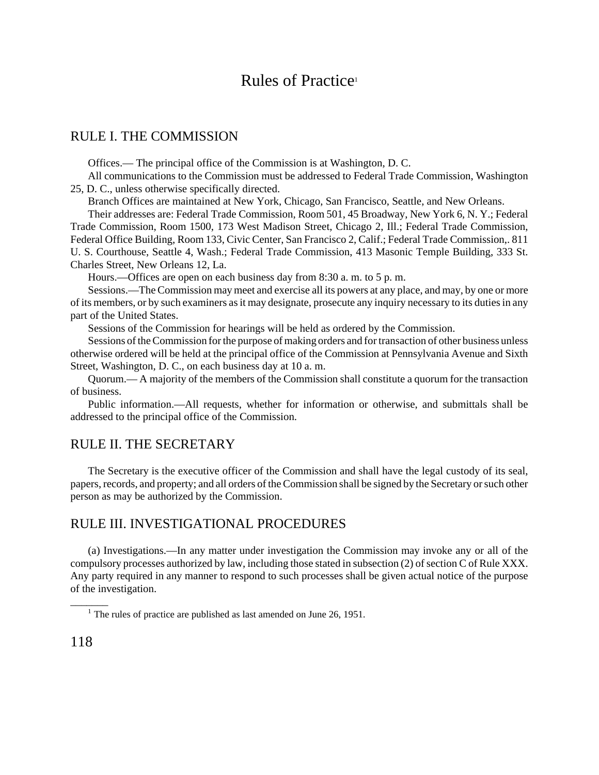# Rules of Practice<sup>1</sup>

## RULE I. THE COMMISSION

Offices.— The principal office of the Commission is at Washington, D. C.

All communications to the Commission must be addressed to Federal Trade Commission, Washington 25, D. C., unless otherwise specifically directed.

Branch Offices are maintained at New York, Chicago, San Francisco, Seattle, and New Orleans.

Their addresses are: Federal Trade Commission, Room 501, 45 Broadway, New York 6, N. Y.; Federal Trade Commission, Room 1500, 173 West Madison Street, Chicago 2, Ill.; Federal Trade Commission, Federal Office Building, Room 133, Civic Center, San Francisco 2, Calif.; Federal Trade Commission,. 811 U. S. Courthouse, Seattle 4, Wash.; Federal Trade Commission, 413 Masonic Temple Building, 333 St. Charles Street, New Orleans 12, La.

Hours.—Offices are open on each business day from 8:30 a. m. to 5 p. m.

Sessions.—The Commission may meet and exercise all its powers at any place, and may, by one or more of its members, or by such examiners asit may designate, prosecute any inquiry necessary to its dutiesin any part of the United States.

Sessions of the Commission for hearings will be held as ordered by the Commission.

Sessions of the Commission for the purpose of making orders and for transaction of other business unless otherwise ordered will be held at the principal office of the Commission at Pennsylvania Avenue and Sixth Street, Washington, D. C., on each business day at 10 a. m.

Quorum.— A majority of the members of the Commission shall constitute a quorum for the transaction of business.

Public information.—All requests, whether for information or otherwise, and submittals shall be addressed to the principal office of the Commission.

## RULE II. THE SECRETARY

The Secretary is the executive officer of the Commission and shall have the legal custody of its seal, papers, records, and property; and all orders of the Commission shall be signed by the Secretary or such other person as may be authorized by the Commission.

## RULE III. INVESTIGATIONAL PROCEDURES

(a) Investigations.—In any matter under investigation the Commission may invoke any or all of the compulsory processes authorized by law, including those stated in subsection  $(2)$  of section C of Rule XXX. Any party required in any manner to respond to such processes shall be given actual notice of the purpose of the investigation.

 $\overline{\phantom{a}}$ 

 $1$  The rules of practice are published as last amended on June 26, 1951.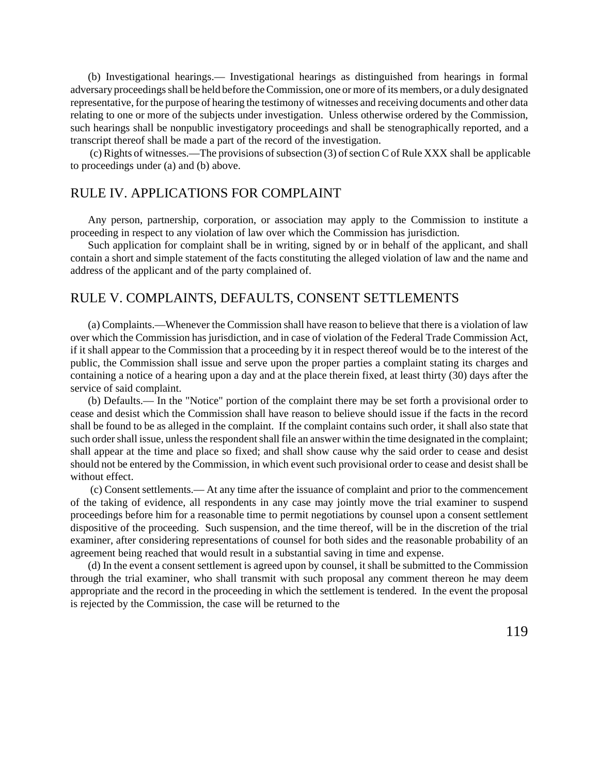(b) Investigational hearings.— Investigational hearings as distinguished from hearings in formal adversary proceedings shall be held before the Commission, one or more of its members, or a duly designated representative, for the purpose of hearing the testimony of witnesses and receiving documents and other data relating to one or more of the subjects under investigation. Unless otherwise ordered by the Commission, such hearings shall be nonpublic investigatory proceedings and shall be stenographically reported, and a transcript thereof shall be made a part of the record of the investigation.

 (c) Rights of witnesses.—The provisions of subsection (3) of section C of Rule XXX shall be applicable to proceedings under (a) and (b) above.

## RULE IV. APPLICATIONS FOR COMPLAINT

Any person, partnership, corporation, or association may apply to the Commission to institute a proceeding in respect to any violation of law over which the Commission has jurisdiction.

Such application for complaint shall be in writing, signed by or in behalf of the applicant, and shall contain a short and simple statement of the facts constituting the alleged violation of law and the name and address of the applicant and of the party complained of.

## RULE V. COMPLAINTS, DEFAULTS, CONSENT SETTLEMENTS

(a) Complaints.—Whenever the Commission shall have reason to believe that there is a violation of law over which the Commission has jurisdiction, and in case of violation of the Federal Trade Commission Act, if it shall appear to the Commission that a proceeding by it in respect thereof would be to the interest of the public, the Commission shall issue and serve upon the proper parties a complaint stating its charges and containing a notice of a hearing upon a day and at the place therein fixed, at least thirty (30) days after the service of said complaint.

(b) Defaults.— In the "Notice" portion of the complaint there may be set forth a provisional order to cease and desist which the Commission shall have reason to believe should issue if the facts in the record shall be found to be as alleged in the complaint. If the complaint contains such order, it shall also state that such order shall issue, unless the respondent shall file an answer within the time designated in the complaint; shall appear at the time and place so fixed; and shall show cause why the said order to cease and desist should not be entered by the Commission, in which event such provisional order to cease and desist shall be without effect.

(c) Consent settlements.— At any time after the issuance of complaint and prior to the commencement of the taking of evidence, all respondents in any case may jointly move the trial examiner to suspend proceedings before him for a reasonable time to permit negotiations by counsel upon a consent settlement dispositive of the proceeding. Such suspension, and the time thereof, will be in the discretion of the trial examiner, after considering representations of counsel for both sides and the reasonable probability of an agreement being reached that would result in a substantial saving in time and expense.

(d) In the event a consent settlement is agreed upon by counsel, it shall be submitted to the Commission through the trial examiner, who shall transmit with such proposal any comment thereon he may deem appropriate and the record in the proceeding in which the settlement is tendered. In the event the proposal is rejected by the Commission, the case will be returned to the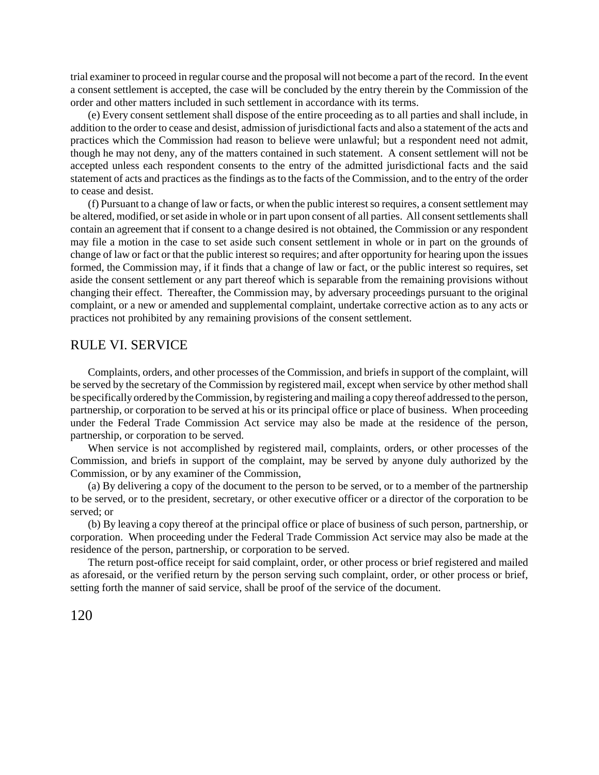trial examiner to proceed in regular course and the proposal will not become a part of the record. In the event a consent settlement is accepted, the case will be concluded by the entry therein by the Commission of the order and other matters included in such settlement in accordance with its terms.

(e) Every consent settlement shall dispose of the entire proceeding as to all parties and shall include, in addition to the order to cease and desist, admission of jurisdictional facts and also a statement of the acts and practices which the Commission had reason to believe were unlawful; but a respondent need not admit, though he may not deny, any of the matters contained in such statement. A consent settlement will not be accepted unless each respondent consents to the entry of the admitted jurisdictional facts and the said statement of acts and practices as the findings asto the facts of the Commission, and to the entry of the order to cease and desist.

(f) Pursuant to a change of law or facts, or when the public interest so requires, a consent settlement may be altered, modified, orset aside in whole or in part upon consent of all parties. All consent settlements shall contain an agreement that if consent to a change desired is not obtained, the Commission or any respondent may file a motion in the case to set aside such consent settlement in whole or in part on the grounds of change of law or fact or that the public interest so requires; and after opportunity for hearing upon the issues formed, the Commission may, if it finds that a change of law or fact, or the public interest so requires, set aside the consent settlement or any part thereof which is separable from the remaining provisions without changing their effect. Thereafter, the Commission may, by adversary proceedings pursuant to the original complaint, or a new or amended and supplemental complaint, undertake corrective action as to any acts or practices not prohibited by any remaining provisions of the consent settlement.

## RULE VI. SERVICE

Complaints, orders, and other processes of the Commission, and briefs in support of the complaint, will be served by the secretary of the Commission by registered mail, except when service by other method shall be specifically ordered by theCommission, by registering andmailing a copy thereof addressed to the person, partnership, or corporation to be served at his or its principal office or place of business. When proceeding under the Federal Trade Commission Act service may also be made at the residence of the person, partnership, or corporation to be served.

When service is not accomplished by registered mail, complaints, orders, or other processes of the Commission, and briefs in support of the complaint, may be served by anyone duly authorized by the Commission, or by any examiner of the Commission,

(a) By delivering a copy of the document to the person to be served, or to a member of the partnership to be served, or to the president, secretary, or other executive officer or a director of the corporation to be served; or

(b) By leaving a copy thereof at the principal office or place of business of such person, partnership, or corporation. When proceeding under the Federal Trade Commission Act service may also be made at the residence of the person, partnership, or corporation to be served.

The return post-office receipt for said complaint, order, or other process or brief registered and mailed as aforesaid, or the verified return by the person serving such complaint, order, or other process or brief, setting forth the manner of said service, shall be proof of the service of the document.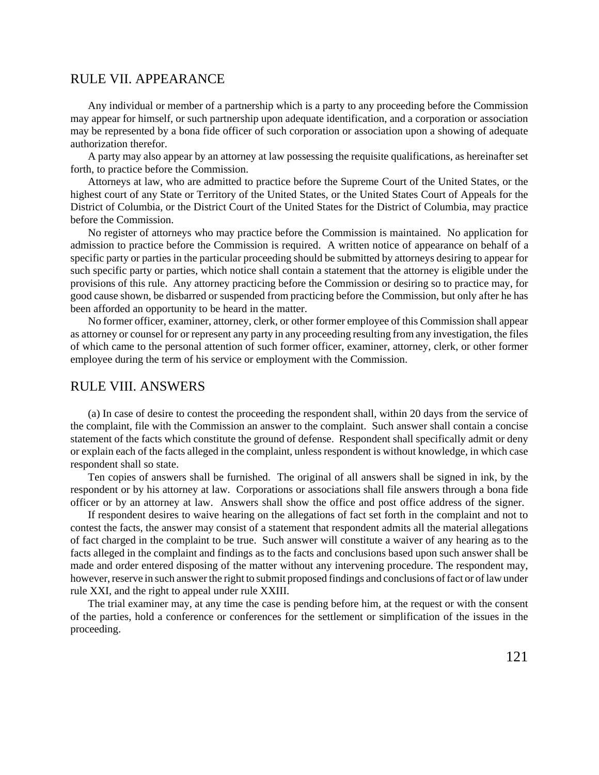### RULE VII. APPEARANCE

Any individual or member of a partnership which is a party to any proceeding before the Commission may appear for himself, or such partnership upon adequate identification, and a corporation or association may be represented by a bona fide officer of such corporation or association upon a showing of adequate authorization therefor.

A party may also appear by an attorney at law possessing the requisite qualifications, as hereinafter set forth, to practice before the Commission.

Attorneys at law, who are admitted to practice before the Supreme Court of the United States, or the highest court of any State or Territory of the United States, or the United States Court of Appeals for the District of Columbia, or the District Court of the United States for the District of Columbia, may practice before the Commission.

No register of attorneys who may practice before the Commission is maintained. No application for admission to practice before the Commission is required. A written notice of appearance on behalf of a specific party or parties in the particular proceeding should be submitted by attorneys desiring to appear for such specific party or parties, which notice shall contain a statement that the attorney is eligible under the provisions of this rule. Any attorney practicing before the Commission or desiring so to practice may, for good cause shown, be disbarred or suspended from practicing before the Commission, but only after he has been afforded an opportunity to be heard in the matter.

No former officer, examiner, attorney, clerk, or other former employee of this Commission shall appear as attorney or counsel for or represent any party in any proceeding resulting from any investigation, the files of which came to the personal attention of such former officer, examiner, attorney, clerk, or other former employee during the term of his service or employment with the Commission.

### RULE VIII. ANSWERS

(a) In case of desire to contest the proceeding the respondent shall, within 20 days from the service of the complaint, file with the Commission an answer to the complaint. Such answer shall contain a concise statement of the facts which constitute the ground of defense. Respondent shall specifically admit or deny or explain each of the facts alleged in the complaint, unless respondent is without knowledge, in which case respondent shall so state.

Ten copies of answers shall be furnished. The original of all answers shall be signed in ink, by the respondent or by his attorney at law. Corporations or associations shall file answers through a bona fide officer or by an attorney at law. Answers shall show the office and post office address of the signer.

If respondent desires to waive hearing on the allegations of fact set forth in the complaint and not to contest the facts, the answer may consist of a statement that respondent admits all the material allegations of fact charged in the complaint to be true. Such answer will constitute a waiver of any hearing as to the facts alleged in the complaint and findings as to the facts and conclusions based upon such answer shall be made and order entered disposing of the matter without any intervening procedure. The respondent may, however, reserve in such answer the right to submit proposed findings and conclusions of fact or of law under rule XXI, and the right to appeal under rule XXIII.

The trial examiner may, at any time the case is pending before him, at the request or with the consent of the parties, hold a conference or conferences for the settlement or simplification of the issues in the proceeding.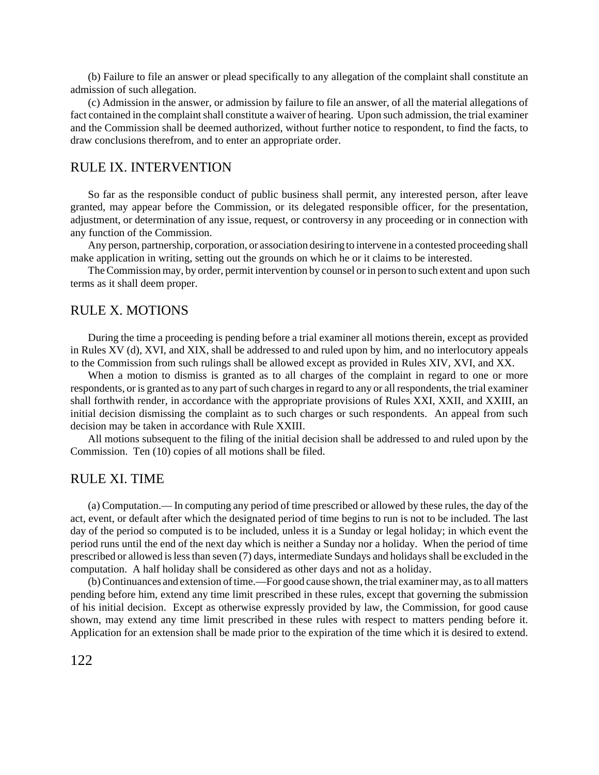(b) Failure to file an answer or plead specifically to any allegation of the complaint shall constitute an admission of such allegation.

(c) Admission in the answer, or admission by failure to file an answer, of all the material allegations of fact contained in the complaint shall constitute a waiver of hearing. Upon such admission, the trial examiner and the Commission shall be deemed authorized, without further notice to respondent, to find the facts, to draw conclusions therefrom, and to enter an appropriate order.

## RULE IX. INTERVENTION

So far as the responsible conduct of public business shall permit, any interested person, after leave granted, may appear before the Commission, or its delegated responsible officer, for the presentation, adjustment, or determination of any issue, request, or controversy in any proceeding or in connection with any function of the Commission.

Any person, partnership, corporation, or association desiring to intervene in a contested proceeding shall make application in writing, setting out the grounds on which he or it claims to be interested.

The Commission may, by order, permit intervention by counsel or in person to such extent and upon such terms as it shall deem proper.

### RULE X. MOTIONS

During the time a proceeding is pending before a trial examiner all motions therein, except as provided in Rules XV (d), XVI, and XIX, shall be addressed to and ruled upon by him, and no interlocutory appeals to the Commission from such rulings shall be allowed except as provided in Rules XIV, XVI, and XX.

When a motion to dismiss is granted as to all charges of the complaint in regard to one or more respondents, or is granted as to any part of such charges in regard to any or all respondents, the trial examiner shall forthwith render, in accordance with the appropriate provisions of Rules XXI, XXII, and XXIII, an initial decision dismissing the complaint as to such charges or such respondents. An appeal from such decision may be taken in accordance with Rule XXIII.

All motions subsequent to the filing of the initial decision shall be addressed to and ruled upon by the Commission. Ten (10) copies of all motions shall be filed.

### RULE XI. TIME

(a) Computation.— In computing any period of time prescribed or allowed by these rules, the day of the act, event, or default after which the designated period of time begins to run is not to be included. The last day of the period so computed is to be included, unless it is a Sunday or legal holiday; in which event the period runs until the end of the next day which is neither a Sunday nor a holiday. When the period of time prescribed or allowed islessthan seven (7) days, intermediate Sundays and holidays shall be excluded in the computation. A half holiday shall be considered as other days and not as a holiday.

(b) Continuances and extension of time.—For good cause shown, the trial examinermay, as to all matters pending before him, extend any time limit prescribed in these rules, except that governing the submission of his initial decision. Except as otherwise expressly provided by law, the Commission, for good cause shown, may extend any time limit prescribed in these rules with respect to matters pending before it. Application for an extension shall be made prior to the expiration of the time which it is desired to extend.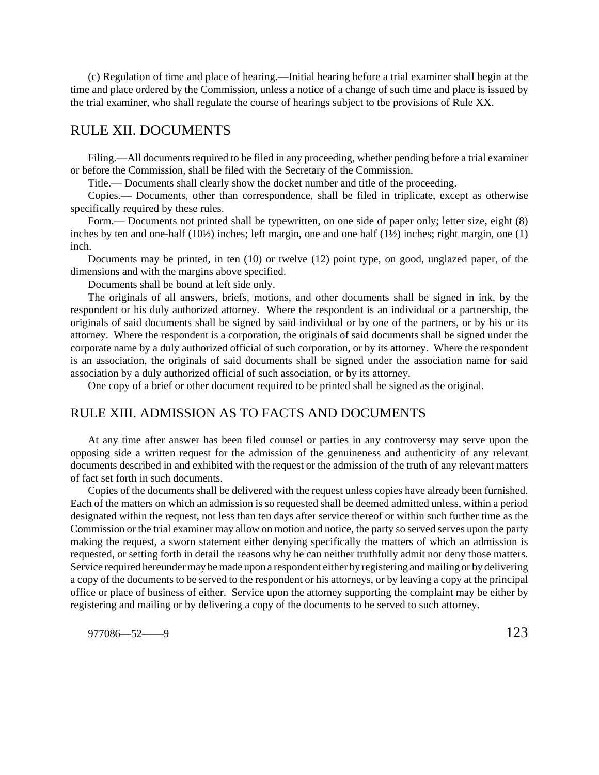(c) Regulation of time and place of hearing.—Initial hearing before a trial examiner shall begin at the time and place ordered by the Commission, unless a notice of a change of such time and place is issued by the trial examiner, who shall regulate the course of hearings subject to tbe provisions of Rule XX.

## RULE XII. DOCUMENTS

Filing.—All documents required to be filed in any proceeding, whether pending before a trial examiner or before the Commission, shall be filed with the Secretary of the Commission.

Title.— Documents shall clearly show the docket number and title of the proceeding.

Copies.— Documents, other than correspondence, shall be filed in triplicate, except as otherwise specifically required by these rules.

Form.— Documents not printed shall be typewritten, on one side of paper only; letter size, eight (8) inches by ten and one-half (10½) inches; left margin, one and one half (1½) inches; right margin, one (1) inch.

Documents may be printed, in ten (10) or twelve (12) point type, on good, unglazed paper, of the dimensions and with the margins above specified.

Documents shall be bound at left side only.

The originals of all answers, briefs, motions, and other documents shall be signed in ink, by the respondent or his duly authorized attorney. Where the respondent is an individual or a partnership, the originals of said documents shall be signed by said individual or by one of the partners, or by his or its attorney. Where the respondent is a corporation, the originals of said documents shall be signed under the corporate name by a duly authorized official of such corporation, or by its attorney. Where the respondent is an association, the originals of said documents shall be signed under the association name for said association by a duly authorized official of such association, or by its attorney.

One copy of a brief or other document required to be printed shall be signed as the original.

## RULE XIII. ADMISSION AS TO FACTS AND DOCUMENTS

At any time after answer has been filed counsel or parties in any controversy may serve upon the opposing side a written request for the admission of the genuineness and authenticity of any relevant documents described in and exhibited with the request or the admission of the truth of any relevant matters of fact set forth in such documents.

Copies of the documents shall be delivered with the request unless copies have already been furnished. Each of the matters on which an admission is so requested shall be deemed admitted unless, within a period designated within the request, not less than ten days after service thereof or within such further time as the Commission or the trial examiner may allow on motion and notice, the party so served serves upon the party making the request, a sworn statement either denying specifically the matters of which an admission is requested, or setting forth in detail the reasons why he can neither truthfully admit nor deny those matters. Service required hereunder may be made upon a respondent either by registering and mailing or by delivering a copy of the documents to be served to the respondent or his attorneys, or by leaving a copy at the principal office or place of business of either. Service upon the attorney supporting the complaint may be either by registering and mailing or by delivering a copy of the documents to be served to such attorney.

977086—52——9 123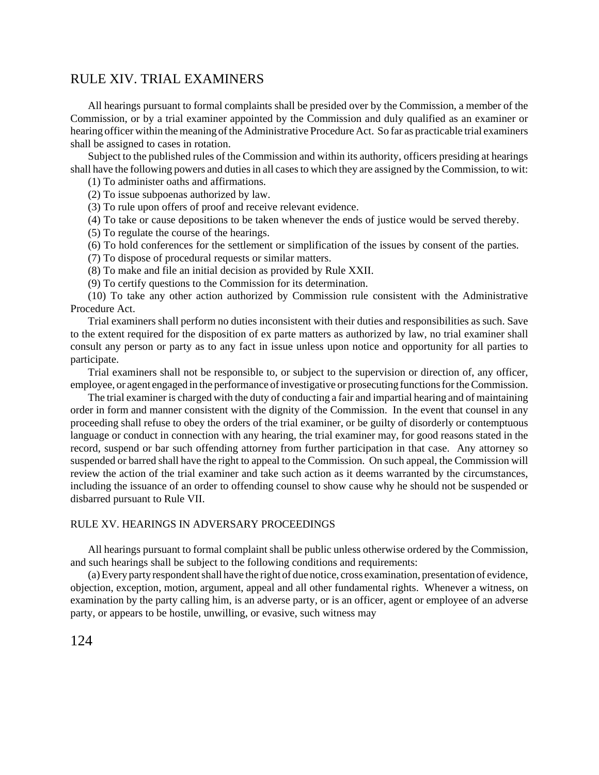## RULE XIV. TRIAL EXAMINERS

All hearings pursuant to formal complaints shall be presided over by the Commission, a member of the Commission, or by a trial examiner appointed by the Commission and duly qualified as an examiner or hearing officer within the meaning of the Administrative Procedure Act. So far as practicable trial examiners shall be assigned to cases in rotation.

Subject to the published rules of the Commission and within its authority, officers presiding at hearings shall have the following powers and dutiesin all casesto which they are assigned by the Commission, to wit:

(1) To administer oaths and affirmations.

(2) To issue subpoenas authorized by law.

(3) To rule upon offers of proof and receive relevant evidence.

(4) To take or cause depositions to be taken whenever the ends of justice would be served thereby.

(5) To regulate the course of the hearings.

(6) To hold conferences for the settlement or simplification of the issues by consent of the parties.

(7) To dispose of procedural requests or similar matters.

(8) To make and file an initial decision as provided by Rule XXII.

(9) To certify questions to the Commission for its determination.

(10) To take any other action authorized by Commission rule consistent with the Administrative Procedure Act.

Trial examiners shall perform no duties inconsistent with their duties and responsibilities as such. Save to the extent required for the disposition of ex parte matters as authorized by law, no trial examiner shall consult any person or party as to any fact in issue unless upon notice and opportunity for all parties to participate.

Trial examiners shall not be responsible to, or subject to the supervision or direction of, any officer, employee, or agent engaged in the performance of investigative or prosecuting functions for the Commission.

The trial examiner is charged with the duty of conducting a fair and impartial hearing and of maintaining order in form and manner consistent with the dignity of the Commission. In the event that counsel in any proceeding shall refuse to obey the orders of the trial examiner, or be guilty of disorderly or contemptuous language or conduct in connection with any hearing, the trial examiner may, for good reasons stated in the record, suspend or bar such offending attorney from further participation in that case. Any attorney so suspended or barred shall have the right to appeal to the Commission. On such appeal, the Commission will review the action of the trial examiner and take such action as it deems warranted by the circumstances, including the issuance of an order to offending counsel to show cause why he should not be suspended or disbarred pursuant to Rule VII.

#### RULE XV. HEARINGS IN ADVERSARY PROCEEDINGS

All hearings pursuant to formal complaint shall be public unless otherwise ordered by the Commission, and such hearings shall be subject to the following conditions and requirements:

(a)Every party respondentshall have the right of due notice, cross examination, presentation of evidence, objection, exception, motion, argument, appeal and all other fundamental rights. Whenever a witness, on examination by the party calling him, is an adverse party, or is an officer, agent or employee of an adverse party, or appears to be hostile, unwilling, or evasive, such witness may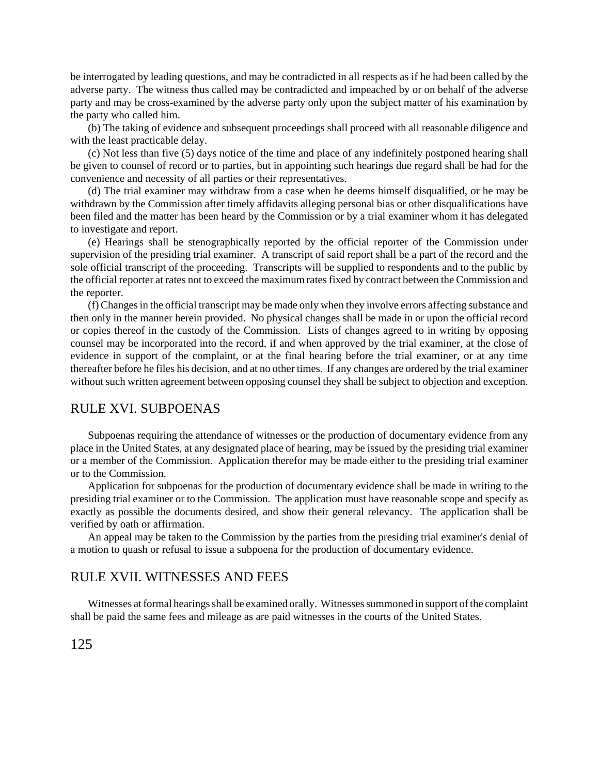be interrogated by leading questions, and may be contradicted in all respects as if he had been called by the adverse party. The witness thus called may be contradicted and impeached by or on behalf of the adverse party and may be cross-examined by the adverse party only upon the subject matter of his examination by the party who called him.

(b) The taking of evidence and subsequent proceedings shall proceed with all reasonable diligence and with the least practicable delay.

(c) Not less than five (5) days notice of the time and place of any indefinitely postponed hearing shall be given to counsel of record or to parties, but in appointing such hearings due regard shall be had for the convenience and necessity of all parties or their representatives.

(d) The trial examiner may withdraw from a case when he deems himself disqualified, or he may be withdrawn by the Commission after timely affidavits alleging personal bias or other disqualifications have been filed and the matter has been heard by the Commission or by a trial examiner whom it has delegated to investigate and report.

(e) Hearings shall be stenographically reported by the official reporter of the Commission under supervision of the presiding trial examiner. A transcript of said report shall be a part of the record and the sole official transcript of the proceeding. Transcripts will be supplied to respondents and to the public by the official reporter at rates not to exceed the maximum ratesfixed by contract between the Commission and the reporter.

(f) Changesin the official transcript may be made only when they involve errors affecting substance and then only in the manner herein provided. No physical changes shall be made in or upon the official record or copies thereof in the custody of the Commission. Lists of changes agreed to in writing by opposing counsel may be incorporated into the record, if and when approved by the trial examiner, at the close of evidence in support of the complaint, or at the final hearing before the trial examiner, or at any time thereafter before he files his decision, and at no other times. If any changes are ordered by the trial examiner without such written agreement between opposing counsel they shall be subject to objection and exception.

### RULE XVI. SUBPOENAS

Subpoenas requiring the attendance of witnesses or the production of documentary evidence from any place in the United States, at any designated place of hearing, may be issued by the presiding trial examiner or a member of the Commission. Application therefor may be made either to the presiding trial examiner or to the Commission.

Application for subpoenas for the production of documentary evidence shall be made in writing to the presiding trial examiner or to the Commission. The application must have reasonable scope and specify as exactly as possible the documents desired, and show their general relevancy. The application shall be verified by oath or affirmation.

An appeal may be taken to the Commission by the parties from the presiding trial examiner's denial of a motion to quash or refusal to issue a subpoena for the production of documentary evidence.

## RULE XVII. WITNESSES AND FEES

Witnesses at formal hearings shall be examined orally. Witnesses summoned in support of the complaint shall be paid the same fees and mileage as are paid witnesses in the courts of the United States.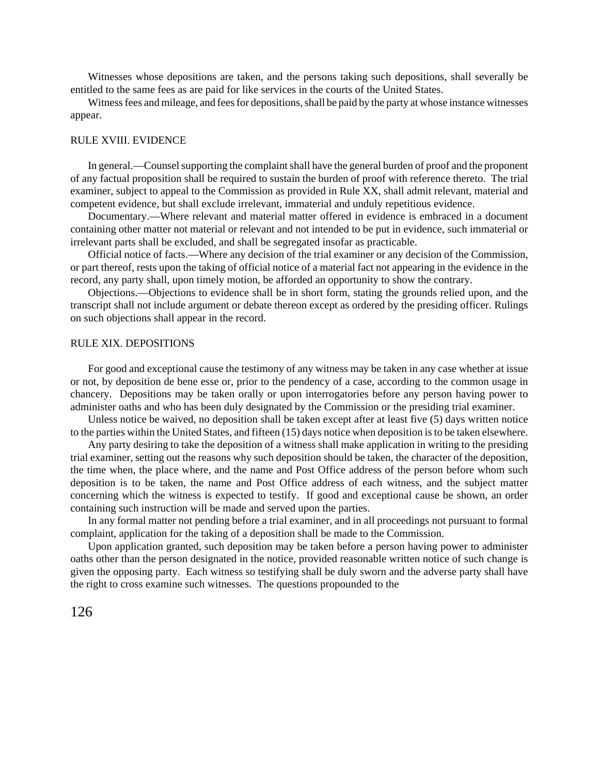Witnesses whose depositions are taken, and the persons taking such depositions, shall severally be entitled to the same fees as are paid for like services in the courts of the United States.

Witness fees and mileage, and fees for depositions, shall be paid by the party at whose instance witnesses appear.

### RULE XVIII. EVIDENCE

In general.—Counsel supporting the complaint shall have the general burden of proof and the proponent of any factual proposition shall be required to sustain the burden of proof with reference thereto. The trial examiner, subject to appeal to the Commission as provided in Rule XX, shall admit relevant, material and competent evidence, but shall exclude irrelevant, immaterial and unduly repetitious evidence.

Documentary.—Where relevant and material matter offered in evidence is embraced in a document containing other matter not material or relevant and not intended to be put in evidence, such immaterial or irrelevant parts shall be excluded, and shall be segregated insofar as practicable.

Official notice of facts.—Where any decision of the trial examiner or any decision of the Commission, or part thereof, rests upon the taking of official notice of a material fact not appearing in the evidence in the record, any party shall, upon timely motion, be afforded an opportunity to show the contrary.

Objections.—Objections to evidence shall be in short form, stating the grounds relied upon, and the transcript shall not include argument or debate thereon except as ordered by the presiding officer. Rulings on such objections shall appear in the record.

#### RULE XIX. DEPOSITIONS

For good and exceptional cause the testimony of any witness may be taken in any case whether at issue or not, by deposition de bene esse or, prior to the pendency of a case, according to the common usage in chancery. Depositions may be taken orally or upon interrogatories before any person having power to administer oaths and who has been duly designated by the Commission or the presiding trial examiner.

Unless notice be waived, no deposition shall be taken except after at least five (5) days written notice to the parties within the United States, and fifteen (15) days notice when deposition isto be taken elsewhere.

Any party desiring to take the deposition of a witness shall make application in writing to the presiding trial examiner, setting out the reasons why such deposition should be taken, the character of the deposition, the time when, the place where, and the name and Post Office address of the person before whom such deposition is to be taken, the name and Post Office address of each witness, and the subject matter concerning which the witness is expected to testify. If good and exceptional cause be shown, an order containing such instruction will be made and served upon the parties.

In any formal matter not pending before a trial examiner, and in all proceedings not pursuant to formal complaint, application for the taking of a deposition shall be made to the Commission.

Upon application granted, such deposition may be taken before a person having power to administer oaths other than the person designated in the notice, provided reasonable written notice of such change is given the opposing party. Each witness so testifying shall be duly sworn and the adverse party shall have the right to cross examine such witnesses. The questions propounded to the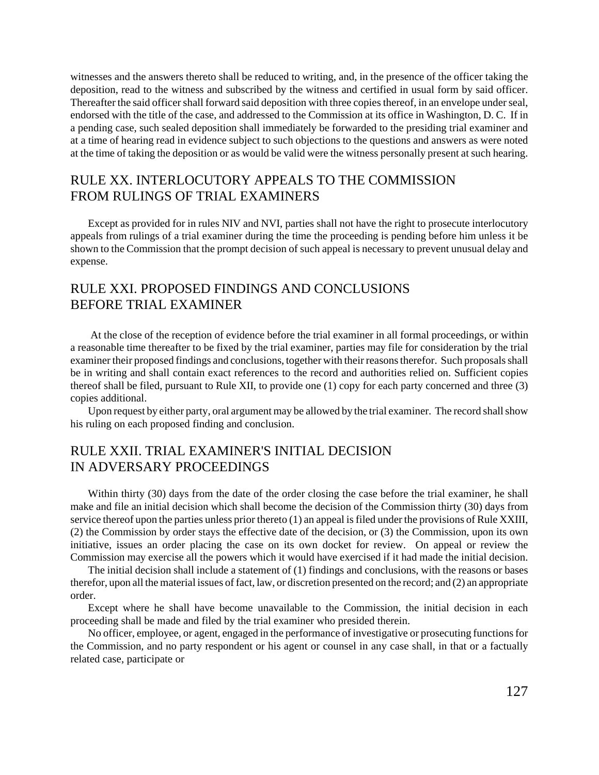witnesses and the answers thereto shall be reduced to writing, and, in the presence of the officer taking the deposition, read to the witness and subscribed by the witness and certified in usual form by said officer. Thereafter the said officer shall forward said deposition with three copies thereof, in an envelope under seal, endorsed with the title of the case, and addressed to the Commission at its office in Washington, D. C. If in a pending case, such sealed deposition shall immediately be forwarded to the presiding trial examiner and at a time of hearing read in evidence subject to such objections to the questions and answers as were noted at the time of taking the deposition or as would be valid were the witness personally present at such hearing.

## RULE XX. INTERLOCUTORY APPEALS TO THE COMMISSION FROM RULINGS OF TRIAL EXAMINERS

Except as provided for in rules NIV and NVI, parties shall not have the right to prosecute interlocutory appeals from rulings of a trial examiner during the time the proceeding is pending before him unless it be shown to the Commission that the prompt decision of such appeal is necessary to prevent unusual delay and expense.

## RULE XXI. PROPOSED FINDINGS AND CONCLUSIONS BEFORE TRIAL EXAMINER

 At the close of the reception of evidence before the trial examiner in all formal proceedings, or within a reasonable time thereafter to be fixed by the trial examiner, parties may file for consideration by the trial examiner their proposed findings and conclusions, together with their reasons therefor. Such proposals shall be in writing and shall contain exact references to the record and authorities relied on. Sufficient copies thereof shall be filed, pursuant to Rule XII, to provide one (1) copy for each party concerned and three  $(3)$ copies additional.

Upon request by either party, oral argument may be allowed by the trial examiner. The record shall show his ruling on each proposed finding and conclusion.

## RULE XXII. TRIAL EXAMINER'S INITIAL DECISION IN ADVERSARY PROCEEDINGS

Within thirty (30) days from the date of the order closing the case before the trial examiner, he shall make and file an initial decision which shall become the decision of the Commission thirty (30) days from service thereof upon the parties unless prior thereto (1) an appeal is filed under the provisions of Rule XXIII, (2) the Commission by order stays the effective date of the decision, or (3) the Commission, upon its own initiative, issues an order placing the case on its own docket for review. On appeal or review the Commission may exercise all the powers which it would have exercised if it had made the initial decision.

The initial decision shall include a statement of (1) findings and conclusions, with the reasons or bases therefor, upon all the material issues offact, law, or discretion presented on the record; and (2) an appropriate order.

Except where he shall have become unavailable to the Commission, the initial decision in each proceeding shall be made and filed by the trial examiner who presided therein.

No officer, employee, or agent, engaged in the performance of investigative or prosecuting functions for the Commission, and no party respondent or his agent or counsel in any case shall, in that or a factually related case, participate or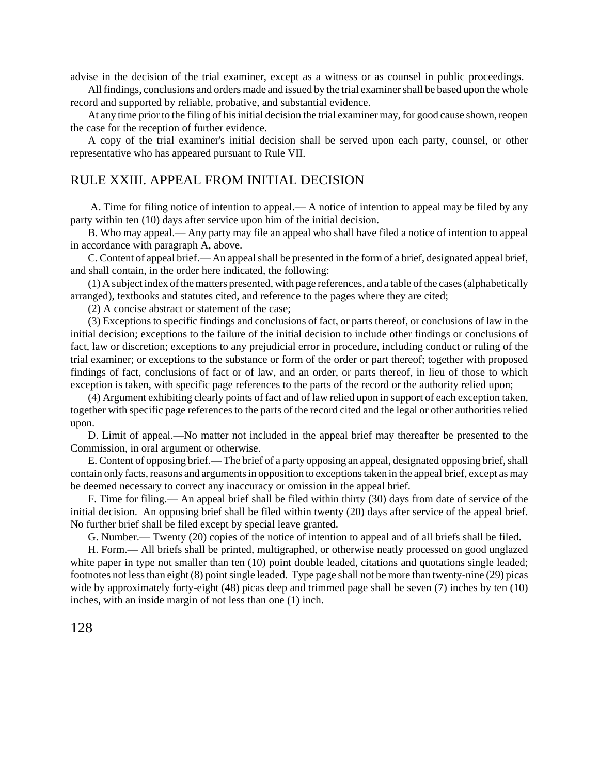advise in the decision of the trial examiner, except as a witness or as counsel in public proceedings.

All findings, conclusions and orders made and issued by the trial examiner shall be based upon the whole record and supported by reliable, probative, and substantial evidence.

At any time prior to the filing of his initial decision the trial examiner may, for good cause shown, reopen the case for the reception of further evidence.

A copy of the trial examiner's initial decision shall be served upon each party, counsel, or other representative who has appeared pursuant to Rule VII.

## RULE XXIII. APPEAL FROM INITIAL DECISION

A. Time for filing notice of intention to appeal.— A notice of intention to appeal may be filed by any party within ten (10) days after service upon him of the initial decision.

B. Who may appeal.— Any party may file an appeal who shall have filed a notice of intention to appeal in accordance with paragraph A, above.

C. Content of appeal brief.— An appeal shall be presented in the form of a brief, designated appeal brief, and shall contain, in the order here indicated, the following:

 $(1)$  A subject index of the matters presented, with page references, and a table of the cases (alphabetically arranged), textbooks and statutes cited, and reference to the pages where they are cited;

(2) A concise abstract or statement of the case;

(3) Exceptions to specific findings and conclusions of fact, or parts thereof, or conclusions of law in the initial decision; exceptions to the failure of the initial decision to include other findings or conclusions of fact, law or discretion; exceptions to any prejudicial error in procedure, including conduct or ruling of the trial examiner; or exceptions to the substance or form of the order or part thereof; together with proposed findings of fact, conclusions of fact or of law, and an order, or parts thereof, in lieu of those to which exception is taken, with specific page references to the parts of the record or the authority relied upon;

(4) Argument exhibiting clearly points of fact and of law relied upon in support of each exception taken, together with specific page references to the parts of the record cited and the legal or other authorities relied upon.

D. Limit of appeal.—No matter not included in the appeal brief may thereafter be presented to the Commission, in oral argument or otherwise.

E. Content of opposing brief.— The brief of a party opposing an appeal, designated opposing brief, shall contain only facts, reasons and arguments in opposition to exceptions taken in the appeal brief, except as may be deemed necessary to correct any inaccuracy or omission in the appeal brief.

F. Time for filing.— An appeal brief shall be filed within thirty (30) days from date of service of the initial decision. An opposing brief shall be filed within twenty (20) days after service of the appeal brief. No further brief shall be filed except by special leave granted.

G. Number.— Twenty (20) copies of the notice of intention to appeal and of all briefs shall be filed.

H. Form.— All briefs shall be printed, multigraphed, or otherwise neatly processed on good unglazed white paper in type not smaller than ten (10) point double leaded, citations and quotations single leaded; footnotes not less than eight (8) point single leaded. Type page shall not be more than twenty-nine (29) picas wide by approximately forty-eight (48) picas deep and trimmed page shall be seven (7) inches by ten (10) inches, with an inside margin of not less than one (1) inch.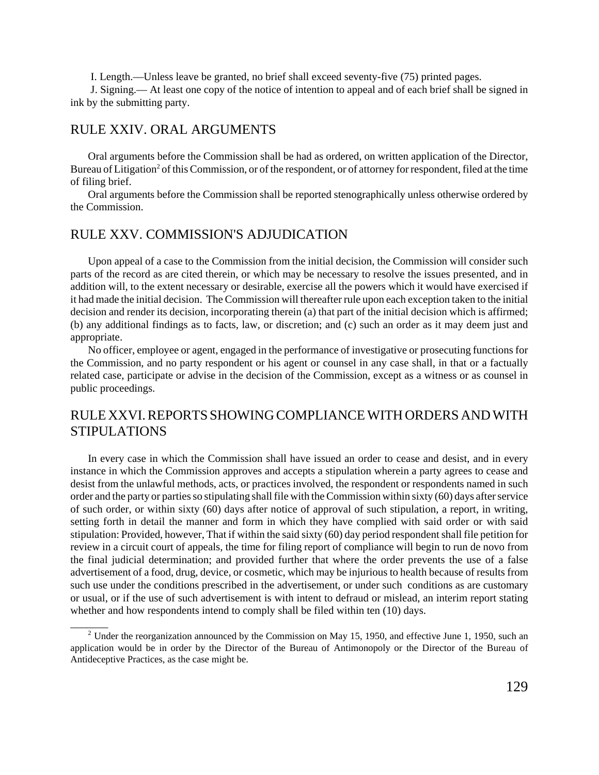I. Length.—Unless leave be granted, no brief shall exceed seventy-five (75) printed pages.

J. Signing.— At least one copy of the notice of intention to appeal and of each brief shall be signed in ink by the submitting party.

## RULE XXIV. ORAL ARGUMENTS

\_\_\_\_\_\_\_

Oral arguments before the Commission shall be had as ordered, on written application of the Director, Bureau of Litigation<sup>2</sup> of this Commission, or of the respondent, or of attorney for respondent, filed at the time of filing brief.

Oral arguments before the Commission shall be reported stenographically unless otherwise ordered by the Commission.

## RULE XXV. COMMISSION'S ADJUDICATION

Upon appeal of a case to the Commission from the initial decision, the Commission will consider such parts of the record as are cited therein, or which may be necessary to resolve the issues presented, and in addition will, to the extent necessary or desirable, exercise all the powers which it would have exercised if it had made the initial decision. The Commission will thereafter rule upon each exception taken to the initial decision and render its decision, incorporating therein (a) that part of the initial decision which is affirmed; (b) any additional findings as to facts, law, or discretion; and (c) such an order as it may deem just and appropriate.

No officer, employee or agent, engaged in the performance of investigative or prosecuting functions for the Commission, and no party respondent or his agent or counsel in any case shall, in that or a factually related case, participate or advise in the decision of the Commission, except as a witness or as counsel in public proceedings.

## RULEXXVI.REPORTS SHOWINGCOMPLIANCEWITH ORDERS ANDWITH STIPULATIONS

In every case in which the Commission shall have issued an order to cease and desist, and in every instance in which the Commission approves and accepts a stipulation wherein a party agrees to cease and desist from the unlawful methods, acts, or practices involved, the respondent or respondents named in such order and the party or parties so stipulating shall file with the Commission within sixty (60) days after service of such order, or within sixty (60) days after notice of approval of such stipulation, a report, in writing, setting forth in detail the manner and form in which they have complied with said order or with said stipulation: Provided, however, That if within the said sixty (60) day period respondent shall file petition for review in a circuit court of appeals, the time for filing report of compliance will begin to run de novo from the final judicial determination; and provided further that where the order prevents the use of a false advertisement of a food, drug, device, or cosmetic, which may be injurious to health because of results from such use under the conditions prescribed in the advertisement, or under such conditions as are customary or usual, or if the use of such advertisement is with intent to defraud or mislead, an interim report stating whether and how respondents intend to comply shall be filed within ten (10) days.

<sup>&</sup>lt;sup>2</sup> Under the reorganization announced by the Commission on May 15, 1950, and effective June 1, 1950, such an application would be in order by the Director of the Bureau of Antimonopoly or the Director of the Bureau of Antideceptive Practices, as the case might be.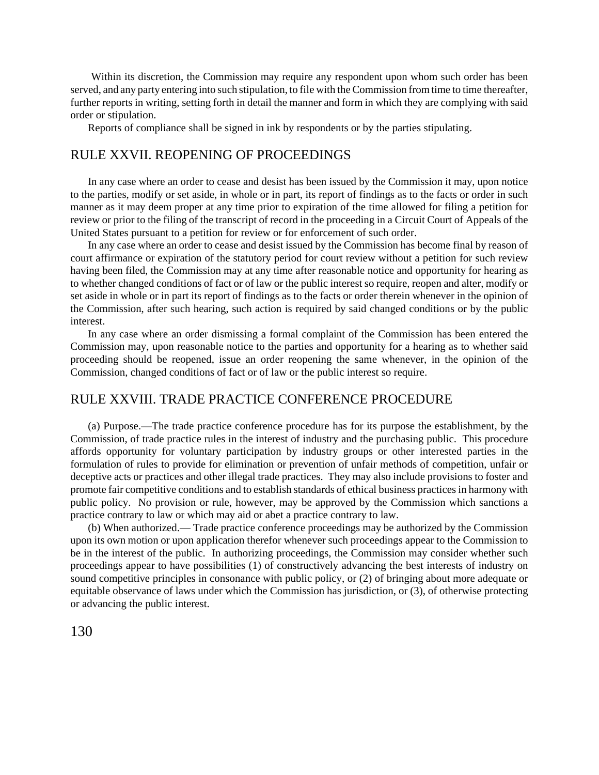Within its discretion, the Commission may require any respondent upon whom such order has been served, and any party entering into such stipulation, to file with the Commission fromtime to time thereafter, further reports in writing, setting forth in detail the manner and form in which they are complying with said order or stipulation.

Reports of compliance shall be signed in ink by respondents or by the parties stipulating.

### RULE XXVII. REOPENING OF PROCEEDINGS

In any case where an order to cease and desist has been issued by the Commission it may, upon notice to the parties, modify or set aside, in whole or in part, its report of findings as to the facts or order in such manner as it may deem proper at any time prior to expiration of the time allowed for filing a petition for review or prior to the filing of the transcript of record in the proceeding in a Circuit Court of Appeals of the United States pursuant to a petition for review or for enforcement of such order.

In any case where an order to cease and desist issued by the Commission has become final by reason of court affirmance or expiration of the statutory period for court review without a petition for such review having been filed, the Commission may at any time after reasonable notice and opportunity for hearing as to whether changed conditions of fact or of law or the public interest so require, reopen and alter, modify or set aside in whole or in part its report of findings as to the facts or order therein whenever in the opinion of the Commission, after such hearing, such action is required by said changed conditions or by the public interest.

In any case where an order dismissing a formal complaint of the Commission has been entered the Commission may, upon reasonable notice to the parties and opportunity for a hearing as to whether said proceeding should be reopened, issue an order reopening the same whenever, in the opinion of the Commission, changed conditions of fact or of law or the public interest so require.

## RULE XXVIII. TRADE PRACTICE CONFERENCE PROCEDURE

(a) Purpose.—The trade practice conference procedure has for its purpose the establishment, by the Commission, of trade practice rules in the interest of industry and the purchasing public. This procedure affords opportunity for voluntary participation by industry groups or other interested parties in the formulation of rules to provide for elimination or prevention of unfair methods of competition, unfair or deceptive acts or practices and other illegal trade practices. They may also include provisions to foster and promote fair competitive conditions and to establish standards of ethical business practices in harmony with public policy. No provision or rule, however, may be approved by the Commission which sanctions a practice contrary to law or which may aid or abet a practice contrary to law.

(b) When authorized.— Trade practice conference proceedings may be authorized by the Commission upon its own motion or upon application therefor whenever such proceedings appear to the Commission to be in the interest of the public. In authorizing proceedings, the Commission may consider whether such proceedings appear to have possibilities (1) of constructively advancing the best interests of industry on sound competitive principles in consonance with public policy, or (2) of bringing about more adequate or equitable observance of laws under which the Commission has jurisdiction, or (3), of otherwise protecting or advancing the public interest.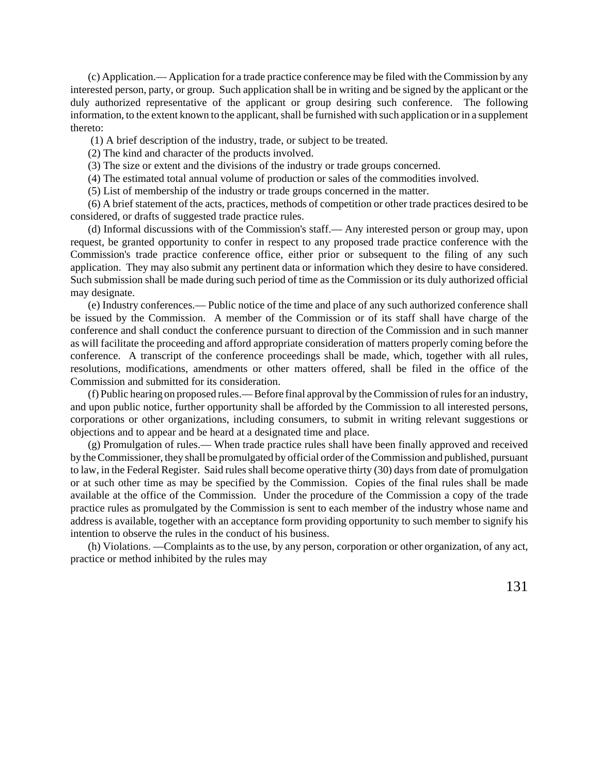(c) Application.— Application for a trade practice conference may be filed with the Commission by any interested person, party, or group. Such application shall be in writing and be signed by the applicant or the duly authorized representative of the applicant or group desiring such conference. The following information, to the extent known to the applicant, shall be furnished with such application or in a supplement thereto:

(1) A brief description of the industry, trade, or subject to be treated.

(2) The kind and character of the products involved.

(3) The size or extent and the divisions of the industry or trade groups concerned.

(4) The estimated total annual volume of production or sales of the commodities involved.

(5) List of membership of the industry or trade groups concerned in the matter.

(6) A brief statement of the acts, practices, methods of competition or other trade practices desired to be considered, or drafts of suggested trade practice rules.

(d) Informal discussions with of the Commission's staff.— Any interested person or group may, upon request, be granted opportunity to confer in respect to any proposed trade practice conference with the Commission's trade practice conference office, either prior or subsequent to the filing of any such application. They may also submit any pertinent data or information which they desire to have considered. Such submission shall be made during such period of time as the Commission or its duly authorized official may designate.

(e) Industry conferences.— Public notice of the time and place of any such authorized conference shall be issued by the Commission. A member of the Commission or of its staff shall have charge of the conference and shall conduct the conference pursuant to direction of the Commission and in such manner as will facilitate the proceeding and afford appropriate consideration of matters properly coming before the conference. A transcript of the conference proceedings shall be made, which, together with all rules, resolutions, modifications, amendments or other matters offered, shall be filed in the office of the Commission and submitted for its consideration.

(f) Public hearing on proposed rules.—Before final approval by theCommission ofrulesfor an industry, and upon public notice, further opportunity shall be afforded by the Commission to all interested persons, corporations or other organizations, including consumers, to submit in writing relevant suggestions or objections and to appear and be heard at a designated time and place.

(g) Promulgation of rules.— When trade practice rules shall have been finally approved and received by the Commissioner, they shall be promulgated by official order of the Commission and published, pursuant to law, in the Federal Register. Said rules shall become operative thirty (30) days from date of promulgation or at such other time as may be specified by the Commission. Copies of the final rules shall be made available at the office of the Commission. Under the procedure of the Commission a copy of the trade practice rules as promulgated by the Commission is sent to each member of the industry whose name and address is available, together with an acceptance form providing opportunity to such member to signify his intention to observe the rules in the conduct of his business.

(h) Violations. —Complaints as to the use, by any person, corporation or other organization, of any act, practice or method inhibited by the rules may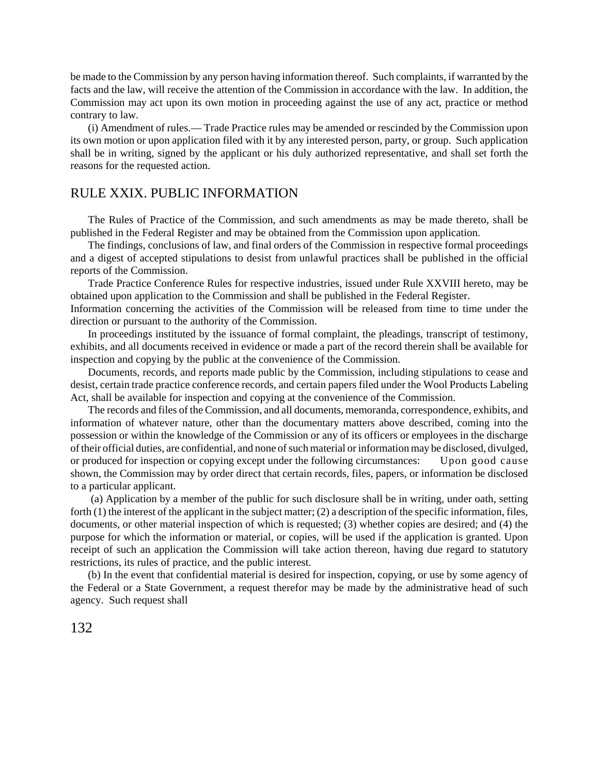be made to the Commission by any person having information thereof. Such complaints, if warranted by the facts and the law, will receive the attention of the Commission in accordance with the law. In addition, the Commission may act upon its own motion in proceeding against the use of any act, practice or method contrary to law.

(i) Amendment of rules.— Trade Practice rules may be amended or rescinded by the Commission upon its own motion or upon application filed with it by any interested person, party, or group. Such application shall be in writing, signed by the applicant or his duly authorized representative, and shall set forth the reasons for the requested action.

### RULE XXIX. PUBLIC INFORMATION

The Rules of Practice of the Commission, and such amendments as may be made thereto, shall be published in the Federal Register and may be obtained from the Commission upon application.

The findings, conclusions of law, and final orders of the Commission in respective formal proceedings and a digest of accepted stipulations to desist from unlawful practices shall be published in the official reports of the Commission.

Trade Practice Conference Rules for respective industries, issued under Rule XXVIII hereto, may be obtained upon application to the Commission and shall be published in the Federal Register.

Information concerning the activities of the Commission will be released from time to time under the direction or pursuant to the authority of the Commission.

In proceedings instituted by the issuance of formal complaint, the pleadings, transcript of testimony, exhibits, and all documents received in evidence or made a part of the record therein shall be available for inspection and copying by the public at the convenience of the Commission.

Documents, records, and reports made public by the Commission, including stipulations to cease and desist, certain trade practice conference records, and certain papers filed under the Wool Products Labeling Act, shall be available for inspection and copying at the convenience of the Commission.

The records and files of the Commission, and all documents, memoranda, correspondence, exhibits, and information of whatever nature, other than the documentary matters above described, coming into the possession or within the knowledge of the Commission or any of its officers or employees in the discharge of their official duties, are confidential, and none of such material or information may be disclosed, divulged, or produced for inspection or copying except under the following circumstances: Upon good cause shown, the Commission may by order direct that certain records, files, papers, or information be disclosed to a particular applicant.

(a) Application by a member of the public for such disclosure shall be in writing, under oath, setting forth (1) the interest of the applicant in the subject matter; (2) a description of the specific information, files, documents, or other material inspection of which is requested; (3) whether copies are desired; and (4) the purpose for which the information or material, or copies, will be used if the application is granted. Upon receipt of such an application the Commission will take action thereon, having due regard to statutory restrictions, its rules of practice, and the public interest.

(b) In the event that confidential material is desired for inspection, copying, or use by some agency of the Federal or a State Government, a request therefor may be made by the administrative head of such agency. Such request shall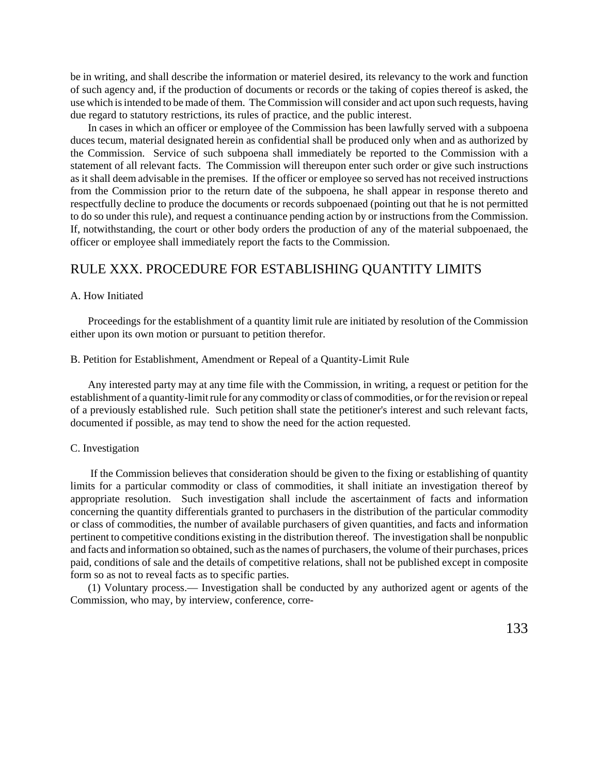be in writing, and shall describe the information or materiel desired, its relevancy to the work and function of such agency and, if the production of documents or records or the taking of copies thereof is asked, the use which is intended to be made of them. The Commission will consider and act upon such requests, having due regard to statutory restrictions, its rules of practice, and the public interest.

 In cases in which an officer or employee of the Commission has been lawfully served with a subpoena duces tecum, material designated herein as confidential shall be produced only when and as authorized by the Commission. Service of such subpoena shall immediately be reported to the Commission with a statement of all relevant facts. The Commission will thereupon enter such order or give such instructions as it shall deem advisable in the premises. If the officer or employee so served has not received instructions from the Commission prior to the return date of the subpoena, he shall appear in response thereto and respectfully decline to produce the documents or records subpoenaed (pointing out that he is not permitted to do so under this rule), and request a continuance pending action by or instructions from the Commission. If, notwithstanding, the court or other body orders the production of any of the material subpoenaed, the officer or employee shall immediately report the facts to the Commission.

## RULE XXX. PROCEDURE FOR ESTABLISHING QUANTITY LIMITS

#### A. How Initiated

Proceedings for the establishment of a quantity limit rule are initiated by resolution of the Commission either upon its own motion or pursuant to petition therefor.

#### B. Petition for Establishment, Amendment or Repeal of a Quantity-Limit Rule

Any interested party may at any time file with the Commission, in writing, a request or petition for the establishment of a quantity-limit rule for any commodity or class of commodities, or for the revision or repeal of a previously established rule. Such petition shall state the petitioner's interest and such relevant facts, documented if possible, as may tend to show the need for the action requested.

#### C. Investigation

If the Commission believes that consideration should be given to the fixing or establishing of quantity limits for a particular commodity or class of commodities, it shall initiate an investigation thereof by appropriate resolution. Such investigation shall include the ascertainment of facts and information concerning the quantity differentials granted to purchasers in the distribution of the particular commodity or class of commodities, the number of available purchasers of given quantities, and facts and information pertinent to competitive conditions existing in the distribution thereof. The investigation shall be nonpublic and facts and information so obtained, such as the names of purchasers, the volume of their purchases, prices paid, conditions of sale and the details of competitive relations, shall not be published except in composite form so as not to reveal facts as to specific parties.

(1) Voluntary process.— Investigation shall be conducted by any authorized agent or agents of the Commission, who may, by interview, conference, corre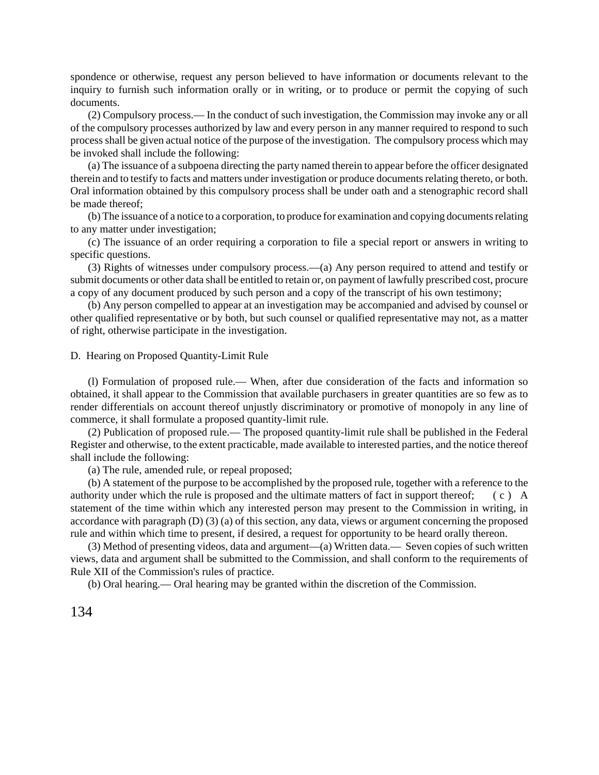spondence or otherwise, request any person believed to have information or documents relevant to the inquiry to furnish such information orally or in writing, or to produce or permit the copying of such documents.

(2) Compulsory process.— In the conduct of such investigation, the Commission may invoke any or all of the compulsory processes authorized by law and every person in any manner required to respond to such process shall be given actual notice of the purpose of the investigation. The compulsory process which may be invoked shall include the following:

(a) The issuance of a subpoena directing the party named therein to appear before the officer designated therein and to testify to facts and matters under investigation or produce documents relating thereto, or both. Oral information obtained by this compulsory process shall be under oath and a stenographic record shall be made thereof;

(b) The issuance of a notice to a corporation, to produce for examination and copying documentsrelating to any matter under investigation;

(c) The issuance of an order requiring a corporation to file a special report or answers in writing to specific questions.

(3) Rights of witnesses under compulsory process.—(a) Any person required to attend and testify or submit documents or other data shall be entitled to retain or, on payment of lawfully prescribed cost, procure a copy of any document produced by such person and a copy of the transcript of his own testimony;

(b) Any person compelled to appear at an investigation may be accompanied and advised by counsel or other qualified representative or by both, but such counsel or qualified representative may not, as a matter of right, otherwise participate in the investigation.

D. Hearing on Proposed Quantity-Limit Rule

(l) Formulation of proposed rule.— When, after due consideration of the facts and information so obtained, it shall appear to the Commission that available purchasers in greater quantities are so few as to render differentials on account thereof unjustly discriminatory or promotive of monopoly in any line of commerce, it shall formulate a proposed quantity-limit rule.

(2) Publication of proposed rule.— The proposed quantity-limit rule shall be published in the Federal Register and otherwise, to the extent practicable, made available to interested parties, and the notice thereof shall include the following:

(a) The rule, amended rule, or repeal proposed;

(b) A statement of the purpose to be accomplished by the proposed rule, together with a reference to the authority under which the rule is proposed and the ultimate matters of fact in support thereof; (c) A statement of the time within which any interested person may present to the Commission in writing, in accordance with paragraph (D) (3) (a) of this section, any data, views or argument concerning the proposed rule and within which time to present, if desired, a request for opportunity to be heard orally thereon.

(3) Method of presenting videos, data and argument—(a) Written data.— Seven copies of such written views, data and argument shall be submitted to the Commission, and shall conform to the requirements of Rule XII of the Commission's rules of practice.

(b) Oral hearing.— Oral hearing may be granted within the discretion of the Commission.

134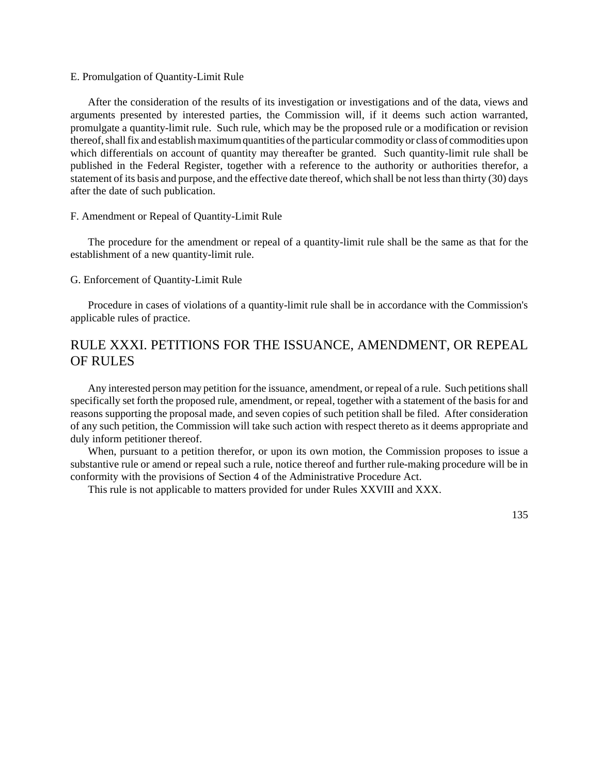#### E. Promulgation of Quantity-Limit Rule

After the consideration of the results of its investigation or investigations and of the data, views and arguments presented by interested parties, the Commission will, if it deems such action warranted, promulgate a quantity-limit rule. Such rule, which may be the proposed rule or a modification or revision thereof, shall fix and establish maximum quantities of the particular commodity or class of commodities upon which differentials on account of quantity may thereafter be granted. Such quantity-limit rule shall be published in the Federal Register, together with a reference to the authority or authorities therefor, a statement of its basis and purpose, and the effective date thereof, which shall be not less than thirty (30) days after the date of such publication.

#### F. Amendment or Repeal of Quantity-Limit Rule

The procedure for the amendment or repeal of a quantity-limit rule shall be the same as that for the establishment of a new quantity-limit rule.

#### G. Enforcement of Quantity-Limit Rule

Procedure in cases of violations of a quantity-limit rule shall be in accordance with the Commission's applicable rules of practice.

## RULE XXXI. PETITIONS FOR THE ISSUANCE, AMENDMENT, OR REPEAL OF RULES

Any interested person may petition for the issuance, amendment, or repeal of a rule. Such petitions shall specifically set forth the proposed rule, amendment, or repeal, together with a statement of the basis for and reasons supporting the proposal made, and seven copies of such petition shall be filed. After consideration of any such petition, the Commission will take such action with respect thereto as it deems appropriate and duly inform petitioner thereof.

When, pursuant to a petition therefor, or upon its own motion, the Commission proposes to issue a substantive rule or amend or repeal such a rule, notice thereof and further rule-making procedure will be in conformity with the provisions of Section 4 of the Administrative Procedure Act.

This rule is not applicable to matters provided for under Rules XXVIII and XXX.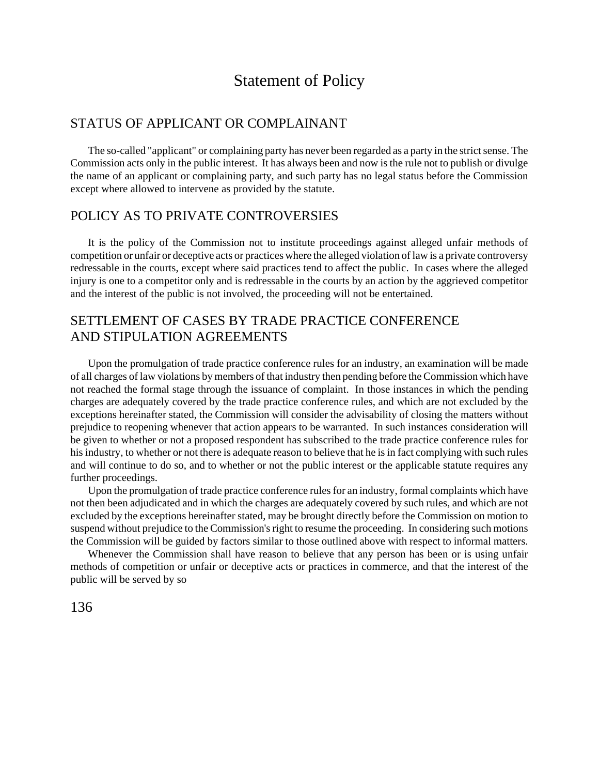# Statement of Policy

## STATUS OF APPLICANT OR COMPLAINANT

The so-called "applicant" or complaining party has never been regarded as a party in the strict sense. The Commission acts only in the public interest. It has always been and now is the rule not to publish or divulge the name of an applicant or complaining party, and such party has no legal status before the Commission except where allowed to intervene as provided by the statute.

## POLICY AS TO PRIVATE CONTROVERSIES

It is the policy of the Commission not to institute proceedings against alleged unfair methods of competition or unfair or deceptive acts or practices where the alleged violation oflaw is a private controversy redressable in the courts, except where said practices tend to affect the public. In cases where the alleged injury is one to a competitor only and is redressable in the courts by an action by the aggrieved competitor and the interest of the public is not involved, the proceeding will not be entertained.

## SETTLEMENT OF CASES BY TRADE PRACTICE CONFERENCE AND STIPULATION AGREEMENTS

Upon the promulgation of trade practice conference rules for an industry, an examination will be made of all charges of law violations by members of that industry then pending before theCommission which have not reached the formal stage through the issuance of complaint. In those instances in which the pending charges are adequately covered by the trade practice conference rules, and which are not excluded by the exceptions hereinafter stated, the Commission will consider the advisability of closing the matters without prejudice to reopening whenever that action appears to be warranted. In such instances consideration will be given to whether or not a proposed respondent has subscribed to the trade practice conference rules for his industry, to whether or not there is adequate reason to believe that he is in fact complying with such rules and will continue to do so, and to whether or not the public interest or the applicable statute requires any further proceedings.

Upon the promulgation of trade practice conference rulesfor an industry, formal complaints which have not then been adjudicated and in which the charges are adequately covered by such rules, and which are not excluded by the exceptions hereinafter stated, may be brought directly before the Commission on motion to suspend without prejudice to the Commission's right to resume the proceeding. In considering such motions the Commission will be guided by factors similar to those outlined above with respect to informal matters.

Whenever the Commission shall have reason to believe that any person has been or is using unfair methods of competition or unfair or deceptive acts or practices in commerce, and that the interest of the public will be served by so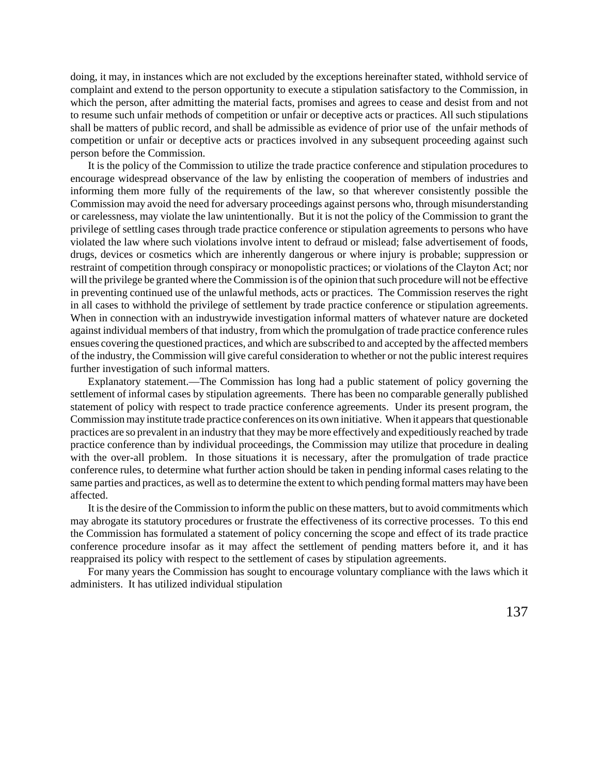doing, it may, in instances which are not excluded by the exceptions hereinafter stated, withhold service of complaint and extend to the person opportunity to execute a stipulation satisfactory to the Commission, in which the person, after admitting the material facts, promises and agrees to cease and desist from and not to resume such unfair methods of competition or unfair or deceptive acts or practices. All such stipulations shall be matters of public record, and shall be admissible as evidence of prior use of the unfair methods of competition or unfair or deceptive acts or practices involved in any subsequent proceeding against such person before the Commission.

It is the policy of the Commission to utilize the trade practice conference and stipulation procedures to encourage widespread observance of the law by enlisting the cooperation of members of industries and informing them more fully of the requirements of the law, so that wherever consistently possible the Commission may avoid the need for adversary proceedings against persons who, through misunderstanding or carelessness, may violate the law unintentionally. But it is not the policy of the Commission to grant the privilege of settling cases through trade practice conference or stipulation agreements to persons who have violated the law where such violations involve intent to defraud or mislead; false advertisement of foods, drugs, devices or cosmetics which are inherently dangerous or where injury is probable; suppression or restraint of competition through conspiracy or monopolistic practices; or violations of the Clayton Act; nor will the privilege be granted where the Commission is of the opinion that such procedure will not be effective in preventing continued use of the unlawful methods, acts or practices. The Commission reserves the right in all cases to withhold the privilege of settlement by trade practice conference or stipulation agreements. When in connection with an industrywide investigation informal matters of whatever nature are docketed against individual members of that industry, from which the promulgation of trade practice conference rules ensues covering the questioned practices, and which are subscribed to and accepted by the affected members of the industry, the Commission will give careful consideration to whether or not the public interest requires further investigation of such informal matters.

Explanatory statement.—The Commission has long had a public statement of policy governing the settlement of informal cases by stipulation agreements. There has been no comparable generally published statement of policy with respect to trade practice conference agreements. Under its present program, the Commission may institute trade practice conferences on its own initiative. When it appears that questionable practices are so prevalent in an industry that they may be more effectively and expeditiously reached by trade practice conference than by individual proceedings, the Commission may utilize that procedure in dealing with the over-all problem. In those situations it is necessary, after the promulgation of trade practice conference rules, to determine what further action should be taken in pending informal cases relating to the same parties and practices, as well asto determine the extent to which pending formal matters may have been affected.

It isthe desire of the Commission to informthe public on these matters, but to avoid commitments which may abrogate its statutory procedures or frustrate the effectiveness of its corrective processes. To this end the Commission has formulated a statement of policy concerning the scope and effect of its trade practice conference procedure insofar as it may affect the settlement of pending matters before it, and it has reappraised its policy with respect to the settlement of cases by stipulation agreements.

For many years the Commission has sought to encourage voluntary compliance with the laws which it administers. It has utilized individual stipulation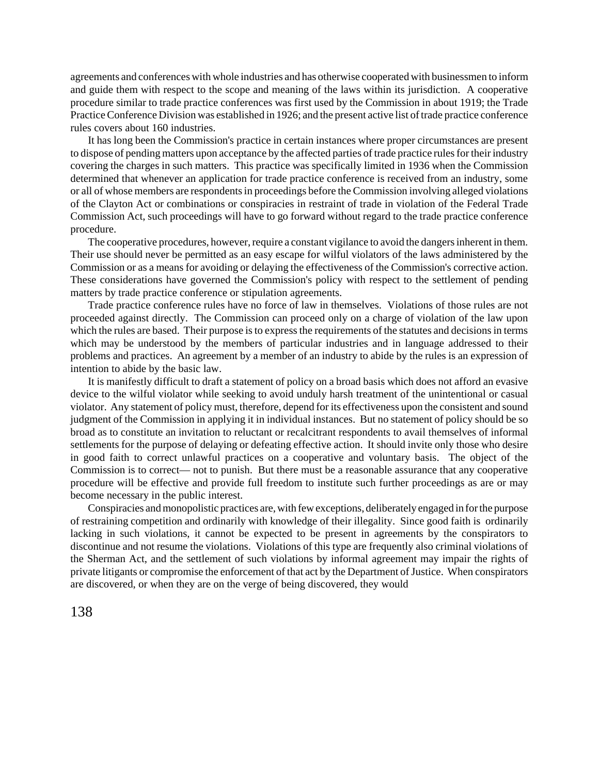agreements and conferences with whole industries and has otherwise cooperated with businessmen to inform and guide them with respect to the scope and meaning of the laws within its jurisdiction. A cooperative procedure similar to trade practice conferences was first used by the Commission in about 1919; the Trade Practice Conference Division was established in 1926; and the present active list of trade practice conference rules covers about 160 industries.

It has long been the Commission's practice in certain instances where proper circumstances are present to dispose of pending matters upon acceptance by the affected parties of trade practice rules for their industry covering the charges in such matters. This practice was specifically limited in 1936 when the Commission determined that whenever an application for trade practice conference is received from an industry, some or all of whose members are respondentsin proceedings before the Commission involving alleged violations of the Clayton Act or combinations or conspiracies in restraint of trade in violation of the Federal Trade Commission Act, such proceedings will have to go forward without regard to the trade practice conference procedure.

The cooperative procedures, however, require a constant vigilance to avoid the dangers inherent in them. Their use should never be permitted as an easy escape for wilful violators of the laws administered by the Commission or as a means for avoiding or delaying the effectiveness of the Commission's corrective action. These considerations have governed the Commission's policy with respect to the settlement of pending matters by trade practice conference or stipulation agreements.

Trade practice conference rules have no force of law in themselves. Violations of those rules are not proceeded against directly. The Commission can proceed only on a charge of violation of the law upon which the rules are based. Their purpose is to express the requirements of the statutes and decisions in terms which may be understood by the members of particular industries and in language addressed to their problems and practices. An agreement by a member of an industry to abide by the rules is an expression of intention to abide by the basic law.

It is manifestly difficult to draft a statement of policy on a broad basis which does not afford an evasive device to the wilful violator while seeking to avoid unduly harsh treatment of the unintentional or casual violator. Any statement of policy must, therefore, depend for its effectiveness upon the consistent and sound judgment of the Commission in applying it in individual instances. But no statement of policy should be so broad as to constitute an invitation to reluctant or recalcitrant respondents to avail themselves of informal settlements for the purpose of delaying or defeating effective action. It should invite only those who desire in good faith to correct unlawful practices on a cooperative and voluntary basis. The object of the Commission is to correct— not to punish. But there must be a reasonable assurance that any cooperative procedure will be effective and provide full freedom to institute such further proceedings as are or may become necessary in the public interest.

Conspiracies and monopolistic practices are, with few exceptions, deliberately engaged in for the purpose of restraining competition and ordinarily with knowledge of their illegality. Since good faith is ordinarily lacking in such violations, it cannot be expected to be present in agreements by the conspirators to discontinue and not resume the violations. Violations of this type are frequently also criminal violations of the Sherman Act, and the settlement of such violations by informal agreement may impair the rights of private litigants or compromise the enforcement of that act by the Department of Justice. When conspirators are discovered, or when they are on the verge of being discovered, they would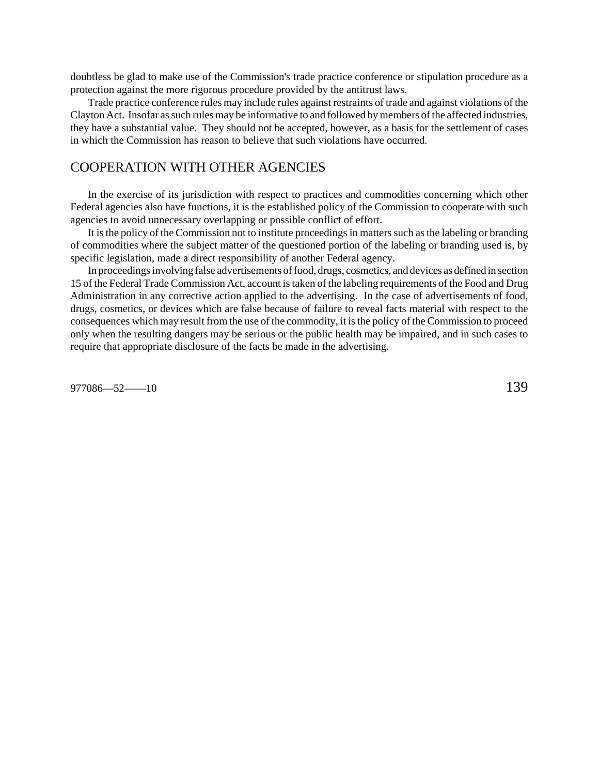doubtless be glad to make use of the Commission's trade practice conference or stipulation procedure as a protection against the more rigorous procedure provided by the antitrust laws.

Trade practice conference rules may include rules against restraints of trade and against violations of the Clayton Act. Insofar as such rules may be informative to and followed by members of the affected industries, they have a substantial value. They should not be accepted, however, as a basis for the settlement of cases in which the Commission has reason to believe that such violations have occurred.

## COOPERATION WITH OTHER AGENCIES

In the exercise of its jurisdiction with respect to practices and commodities concerning which other Federal agencies also have functions, it is the established policy of the Commission to cooperate with such agencies to avoid unnecessary overlapping or possible conflict of effort.

It is the policy of the Commission not to institute proceedings in matters such as the labeling or branding of commodities where the subject matter of the questioned portion of the labeling or branding used is, by specific legislation, made a direct responsibility of another Federal agency.

In proceedings involving false advertisements of food, drugs, cosmetics, and devices as defined in section 15 of the Federal Trade Commission Act, account istaken of the labeling requirements of the Food and Drug Administration in any corrective action applied to the advertising. In the case of advertisements of food, drugs, cosmetics, or devices which are false because of failure to reveal facts material with respect to the consequences which may result fromthe use of the commodity, it isthe policy of the Commission to proceed only when the resulting dangers may be serious or the public health may be impaired, and in such cases to require that appropriate disclosure of the facts be made in the advertising.

977086—52——10 139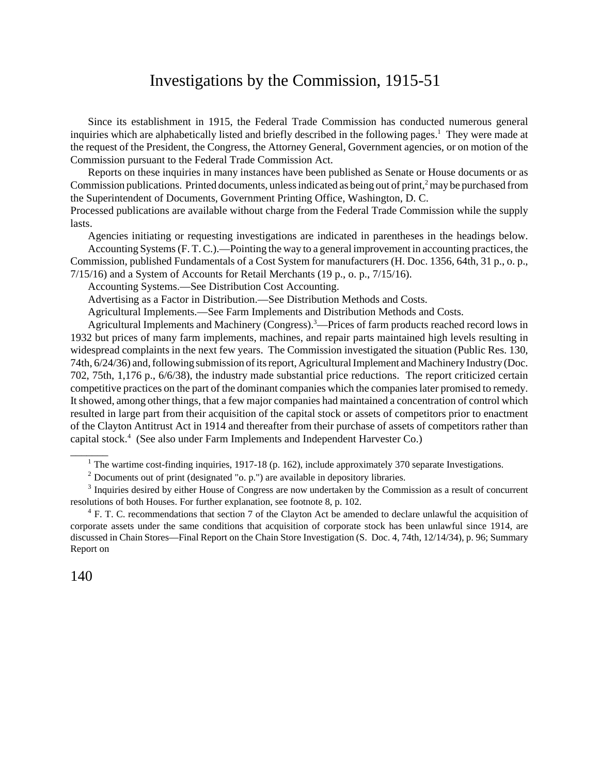# Investigations by the Commission, 1915-51

Since its establishment in 1915, the Federal Trade Commission has conducted numerous general inquiries which are alphabetically listed and briefly described in the following pages.<sup>1</sup> They were made at the request of the President, the Congress, the Attorney General, Government agencies, or on motion of the Commission pursuant to the Federal Trade Commission Act.

Reports on these inquiries in many instances have been published as Senate or House documents or as Commission publications. Printed documents, unless indicated as being out of print, $\frac{2}{3}$  may be purchased from the Superintendent of Documents, Government Printing Office, Washington, D. C.

Processed publications are available without charge from the Federal Trade Commission while the supply lasts.

Agencies initiating or requesting investigations are indicated in parentheses in the headings below. Accounting Systems(F. T. C.).—Pointing the way to a general improvement in accounting practices, the Commission, published Fundamentals of a Cost System for manufacturers (H. Doc. 1356, 64th, 31 p., o. p., 7/15/16) and a System of Accounts for Retail Merchants (19 p., o. p., 7/15/16).

Accounting Systems.—See Distribution Cost Accounting.

Advertising as a Factor in Distribution.—See Distribution Methods and Costs.

Agricultural Implements.—See Farm Implements and Distribution Methods and Costs.

Agricultural Implements and Machinery (Congress).<sup>3</sup>—Prices of farm products reached record lows in 1932 but prices of many farm implements, machines, and repair parts maintained high levels resulting in widespread complaints in the next few years. The Commission investigated the situation (Public Res. 130, 74th,  $6/24/36$ ) and, following submission of its report, Agricultural Implement and Machinery Industry (Doc. 702, 75th, 1,176 p., 6/6/38), the industry made substantial price reductions. The report criticized certain competitive practices on the part of the dominant companies which the companieslater promised to remedy. Itshowed, among other things, that a few major companies had maintained a concentration of control which resulted in large part from their acquisition of the capital stock or assets of competitors prior to enactment of the Clayton Antitrust Act in 1914 and thereafter from their purchase of assets of competitors rather than capital stock.<sup>4</sup> (See also under Farm Implements and Independent Harvester Co.)

<sup>1</sup> The wartime cost-finding inquiries, 1917-18 (p. 162), include approximately 370 separate Investigations.

 $3$  Inquiries desired by either House of Congress are now undertaken by the Commission as a result of concurrent resolutions of both Houses. For further explanation, see footnote 8, p. 102.

<sup>4</sup> F. T. C. recommendations that section 7 of the Clayton Act be amended to declare unlawful the acquisition of corporate assets under the same conditions that acquisition of corporate stock has been unlawful since 1914, are discussed in Chain Stores—Final Report on the Chain Store Investigation (S. Doc. 4, 74th, 12/14/34), p. 96; Summary Report on

 $\overline{\phantom{a}}$ 

 $2$  Documents out of print (designated "o. p.") are available in depository libraries.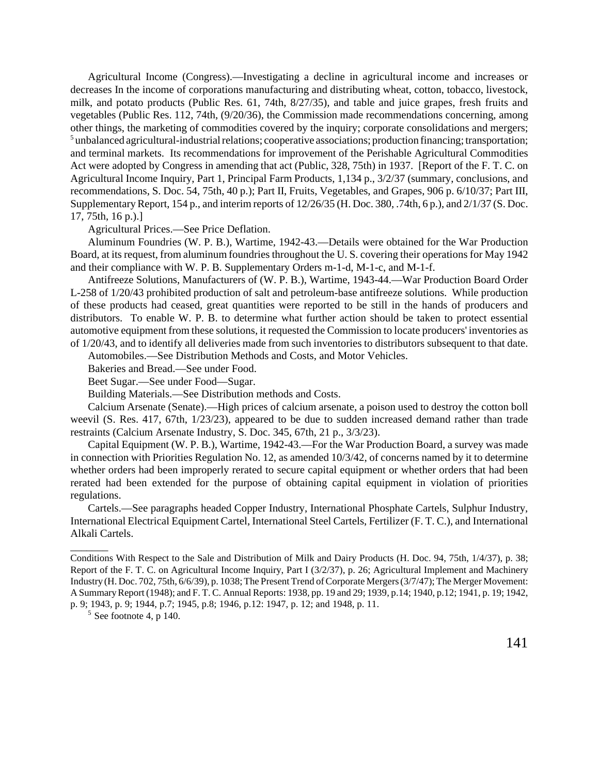Agricultural Income (Congress).—Investigating a decline in agricultural income and increases or decreases In the income of corporations manufacturing and distributing wheat, cotton, tobacco, livestock, milk, and potato products (Public Res. 61, 74th, 8/27/35), and table and juice grapes, fresh fruits and vegetables (Public Res. 112, 74th, (9/20/36), the Commission made recommendations concerning, among other things, the marketing of commodities covered by the inquiry; corporate consolidations and mergers; <sup>5</sup> unbalanced agricultural-industrial relations; cooperative associations; production financing; transportation; and terminal markets. Its recommendations for improvement of the Perishable Agricultural Commodities Act were adopted by Congress in amending that act (Public, 328, 75th) in 1937. [Report of the F. T. C. on Agricultural Income Inquiry, Part 1, Principal Farm Products, 1,134 p., 3/2/37 (summary, conclusions, and recommendations, S. Doc. 54, 75th, 40 p.); Part II, Fruits, Vegetables, and Grapes, 906 p. 6/10/37; Part III, Supplementary Report, 154 p., and interim reports of 12/26/35 (H. Doc. 380, .74th, 6 p.), and 2/1/37 (S. Doc. 17, 75th, 16 p.).]

Agricultural Prices.—See Price Deflation.

Aluminum Foundries (W. P. B.), Wartime, 1942-43.—Details were obtained for the War Production Board, at its request, from aluminum foundries throughout the U. S. covering their operations for May 1942 and their compliance with W. P. B. Supplementary Orders m-1-d, M-1-c, and M-1-f.

Antifreeze Solutions, Manufacturers of (W. P. B.), Wartime, 1943-44.—War Production Board Order L-258 of 1/20/43 prohibited production of salt and petroleum-base antifreeze solutions. While production of these products had ceased, great quantities were reported to be still in the hands of producers and distributors. To enable W. P. B. to determine what further action should be taken to protect essential automotive equipment from these solutions, it requested the Commission to locate producers' inventories as of 1/20/43, and to identify all deliveries made from such inventories to distributors subsequent to that date.

Automobiles.—See Distribution Methods and Costs, and Motor Vehicles.

Bakeries and Bread.—See under Food.

Beet Sugar.—See under Food—Sugar.

Building Materials.—See Distribution methods and Costs.

Calcium Arsenate (Senate).—High prices of calcium arsenate, a poison used to destroy the cotton boll weevil (S. Res. 417, 67th, 1/23/23), appeared to be due to sudden increased demand rather than trade restraints (Calcium Arsenate Industry, S. Doc. 345, 67th, 21 p., 3/3/23).

Capital Equipment (W. P. B.), Wartime, 1942-43.—For the War Production Board, a survey was made in connection with Priorities Regulation No. 12, as amended 10/3/42, of concerns named by it to determine whether orders had been improperly rerated to secure capital equipment or whether orders that had been rerated had been extended for the purpose of obtaining capital equipment in violation of priorities regulations.

Cartels.—See paragraphs headed Copper Industry, International Phosphate Cartels, Sulphur Industry, International Electrical Equipment Cartel, International Steel Cartels, Fertilizer (F. T. C.), and International Alkali Cartels.

Conditions With Respect to the Sale and Distribution of Milk and Dairy Products (H. Doc. 94, 75th, 1/4/37), p. 38; Report of the F. T. C. on Agricultural Income Inquiry, Part I (3/2/37), p. 26; Agricultural Implement and Machinery Industry (H. Doc. 702, 75th, 6/6/39), p. 1038; The Present Trend of Corporate Mergers (3/7/47); The Merger Movement: A SummaryReport (1948); and F. T. C. AnnualReports: 1938, pp. 19 and 29; 1939, p.14; 1940, p.12; 1941, p. 19; 1942, p. 9; 1943, p. 9; 1944, p.7; 1945, p.8; 1946, p.12: 1947, p. 12; and 1948, p. 11.

 $5$  See footnote 4, p 140.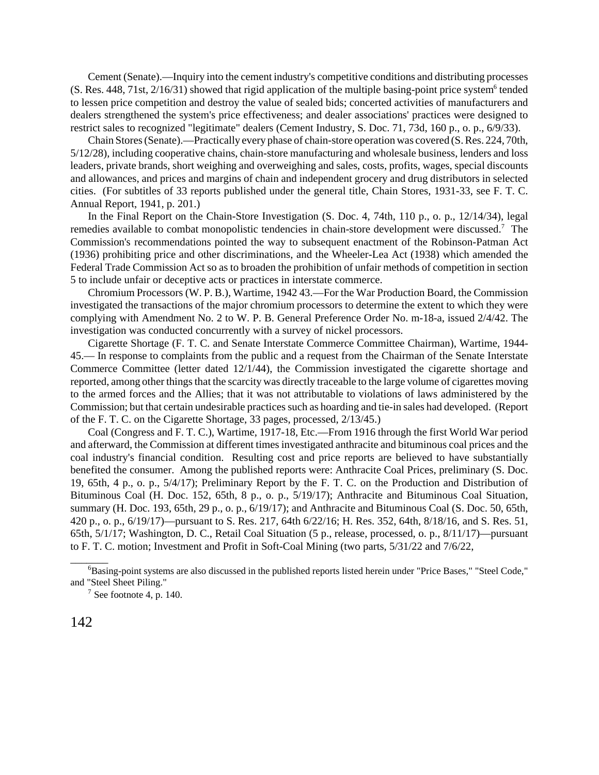Cement (Senate).—Inquiry into the cement industry's competitive conditions and distributing processes  $(S. Res. 448, 71st, 2/16/31)$  showed that rigid application of the multiple basing-point price system<sup>6</sup> tended to lessen price competition and destroy the value of sealed bids; concerted activities of manufacturers and dealers strengthened the system's price effectiveness; and dealer associations' practices were designed to restrict sales to recognized "legitimate" dealers (Cement Industry, S. Doc. 71, 73d, 160 p., o. p., 6/9/33).

Chain Stores(Senate).—Practically every phase of chain-store operation was covered (S.Res. 224, 70th, 5/12/28), including cooperative chains, chain-store manufacturing and wholesale business, lenders and loss leaders, private brands, short weighing and overweighing and sales, costs, profits, wages, special discounts and allowances, and prices and margins of chain and independent grocery and drug distributors in selected cities. (For subtitles of 33 reports published under the general title, Chain Stores, 1931-33, see F. T. C. Annual Report, 1941, p. 201.)

In the Final Report on the Chain-Store Investigation (S. Doc. 4, 74th, 110 p., o. p., 12/14/34), legal remedies available to combat monopolistic tendencies in chain-store development were discussed.<sup>7</sup> The Commission's recommendations pointed the way to subsequent enactment of the Robinson-Patman Act (1936) prohibiting price and other discriminations, and the Wheeler-Lea Act (1938) which amended the Federal Trade Commission Act so as to broaden the prohibition of unfair methods of competition in section 5 to include unfair or deceptive acts or practices in interstate commerce.

Chromium Processors (W. P. B.), Wartime, 1942 43.—For the War Production Board, the Commission investigated the transactions of the major chromium processors to determine the extent to which they were complying with Amendment No. 2 to W. P. B. General Preference Order No. m-18-a, issued 2/4/42. The investigation was conducted concurrently with a survey of nickel processors.

Cigarette Shortage (F. T. C. and Senate Interstate Commerce Committee Chairman), Wartime, 1944- 45.— In response to complaints from the public and a request from the Chairman of the Senate Interstate Commerce Committee (letter dated 12/1/44), the Commission investigated the cigarette shortage and reported, among other things that the scarcity was directly traceable to the large volume of cigarettes moving to the armed forces and the Allies; that it was not attributable to violations of laws administered by the Commission; but that certain undesirable practices such as hoarding and tie-in sales had developed. (Report of the F. T. C. on the Cigarette Shortage, 33 pages, processed, 2/13/45.)

Coal (Congress and F. T. C.), Wartime, 1917-18, Etc.—From 1916 through the first World War period and afterward, the Commission at different times investigated anthracite and bituminous coal prices and the coal industry's financial condition. Resulting cost and price reports are believed to have substantially benefited the consumer. Among the published reports were: Anthracite Coal Prices, preliminary (S. Doc. 19, 65th, 4 p., o. p., 5/4/17); Preliminary Report by the F. T. C. on the Production and Distribution of Bituminous Coal (H. Doc. 152, 65th, 8 p., o. p., 5/19/17); Anthracite and Bituminous Coal Situation, summary (H. Doc. 193, 65th, 29 p., o. p.,  $6/19/17$ ); and Anthracite and Bituminous Coal (S. Doc. 50, 65th, 420 p., o. p., 6/19/17)—pursuant to S. Res. 217, 64th 6/22/16; H. Res. 352, 64th, 8/18/16, and S. Res. 51, 65th, 5/1/17; Washington, D. C., Retail Coal Situation (5 p., release, processed, o. p., 8/11/17)—pursuant to F. T. C. motion; Investment and Profit in Soft-Coal Mining (two parts, 5/31/22 and 7/6/22,

<sup>&</sup>lt;sup>6</sup>Basing-point systems are also discussed in the published reports listed herein under "Price Bases," "Steel Code," and "Steel Sheet Piling."

 $7$  See footnote 4, p. 140.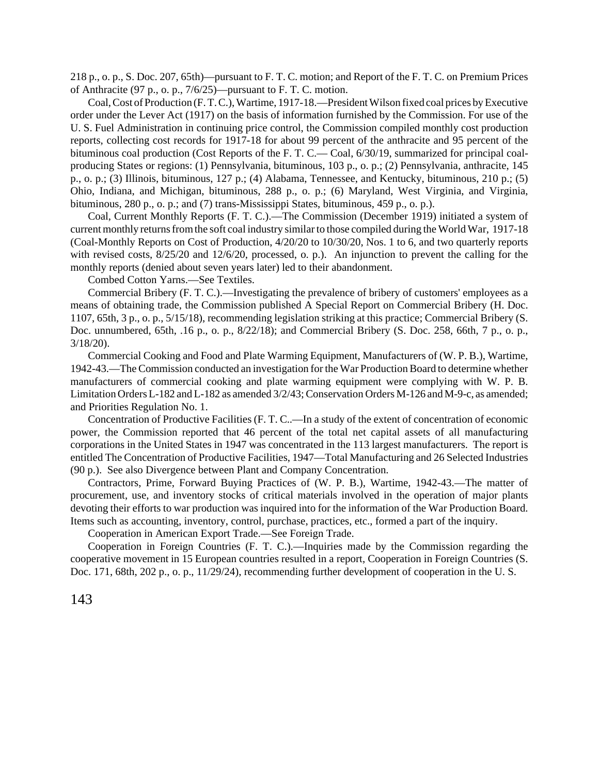218 p., o. p., S. Doc. 207, 65th)—pursuant to F. T. C. motion; and Report of the F. T. C. on Premium Prices of Anthracite (97 p., o. p., 7/6/25)—pursuant to F. T. C. motion.

Coal, Cost of Production (F.T.C.), Wartime, 1917-18.—President Wilson fixed coal prices by Executive order under the Lever Act (1917) on the basis of information furnished by the Commission. For use of the U. S. Fuel Administration in continuing price control, the Commission compiled monthly cost production reports, collecting cost records for 1917-18 for about 99 percent of the anthracite and 95 percent of the bituminous coal production (Cost Reports of the F. T. C.— Coal, 6/30/19, summarized for principal coalproducing States or regions: (1) Pennsylvania, bituminous, 103 p., o. p.; (2) Pennsylvania, anthracite, 145 p., o. p.; (3) Illinois, bituminous, 127 p.; (4) Alabama, Tennessee, and Kentucky, bituminous, 210 p.; (5) Ohio, Indiana, and Michigan, bituminous, 288 p., o. p.; (6) Maryland, West Virginia, and Virginia, bituminous, 280 p., o. p.; and (7) trans-Mississippi States, bituminous, 459 p., o. p.).

Coal, Current Monthly Reports (F. T. C.).—The Commission (December 1919) initiated a system of current monthly returns from the soft coal industry similar to those compiled during the World War, 1917-18 (Coal-Monthly Reports on Cost of Production, 4/20/20 to 10/30/20, Nos. 1 to 6, and two quarterly reports with revised costs, 8/25/20 and 12/6/20, processed, o. p.). An injunction to prevent the calling for the monthly reports (denied about seven years later) led to their abandonment.

Combed Cotton Yarns.—See Textiles.

Commercial Bribery (F. T. C.).—Investigating the prevalence of bribery of customers' employees as a means of obtaining trade, the Commission published A Special Report on Commercial Bribery (H. Doc. 1107, 65th, 3 p., o. p., 5/15/18), recommending legislation striking at this practice; Commercial Bribery (S. Doc. unnumbered, 65th, .16 p., o. p., 8/22/18); and Commercial Bribery (S. Doc. 258, 66th, 7 p., o. p., 3/18/20).

Commercial Cooking and Food and Plate Warming Equipment, Manufacturers of (W. P. B.), Wartime, 1942-43.—The Commission conducted an investigation forthe War ProductionBoard to determine whether manufacturers of commercial cooking and plate warming equipment were complying with W. P. B. Limitation Orders L-182 and L-182 as amended  $3/2/43$ ; Conservation Orders M-126 and M-9-c, as amended; and Priorities Regulation No. 1.

Concentration of Productive Facilities (F. T. C..—In a study of the extent of concentration of economic power, the Commission reported that 46 percent of the total net capital assets of all manufacturing corporations in the United States in 1947 was concentrated in the 113 largest manufacturers. The report is entitled The Concentration of Productive Facilities, 1947—Total Manufacturing and 26 Selected Industries (90 p.). See also Divergence between Plant and Company Concentration.

Contractors, Prime, Forward Buying Practices of (W. P. B.), Wartime, 1942-43.—The matter of procurement, use, and inventory stocks of critical materials involved in the operation of major plants devoting their efforts to war production was inquired into for the information of the War Production Board. Items such as accounting, inventory, control, purchase, practices, etc., formed a part of the inquiry.

Cooperation in American Export Trade.—See Foreign Trade.

Cooperation in Foreign Countries (F. T. C.).—Inquiries made by the Commission regarding the cooperative movement in 15 European countries resulted in a report, Cooperation in Foreign Countries (S. Doc. 171, 68th, 202 p., o. p., 11/29/24), recommending further development of cooperation in the U.S.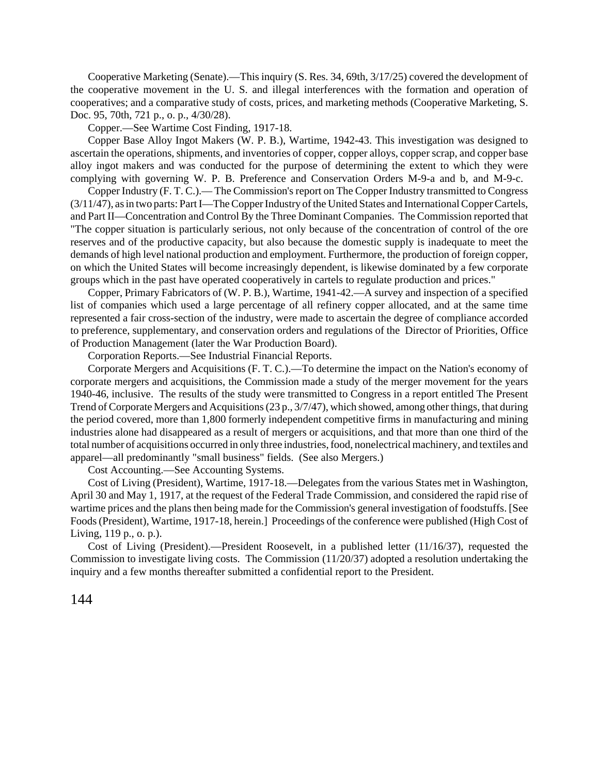Cooperative Marketing (Senate).—This inquiry (S. Res. 34, 69th, 3/17/25) covered the development of the cooperative movement in the U. S. and illegal interferences with the formation and operation of cooperatives; and a comparative study of costs, prices, and marketing methods (Cooperative Marketing, S. Doc. 95, 70th, 721 p., o. p., 4/30/28).

Copper.—See Wartime Cost Finding, 1917-18.

Copper Base Alloy Ingot Makers (W. P. B.), Wartime, 1942-43. This investigation was designed to ascertain the operations, shipments, and inventories of copper, copper alloys, copper scrap, and copper base alloy ingot makers and was conducted for the purpose of determining the extent to which they were complying with governing W. P. B. Preference and Conservation Orders M-9-a and b, and M-9-c.

Copper Industry (F. T. C.).— The Commission's report on The Copper Industry transmitted to Congress (3/11/47), as in two parts: Part I—The Copper Industry of the United States and International Copper Cartels, and Part II—Concentration and Control By the Three Dominant Companies. The Commission reported that "The copper situation is particularly serious, not only because of the concentration of control of the ore reserves and of the productive capacity, but also because the domestic supply is inadequate to meet the demands of high level national production and employment. Furthermore, the production of foreign copper, on which the United States will become increasingly dependent, is likewise dominated by a few corporate groups which in the past have operated cooperatively in cartels to regulate production and prices."

Copper, Primary Fabricators of (W. P. B.), Wartime, 1941-42.—A survey and inspection of a specified list of companies which used a large percentage of all refinery copper allocated, and at the same time represented a fair cross-section of the industry, were made to ascertain the degree of compliance accorded to preference, supplementary, and conservation orders and regulations of the Director of Priorities, Office of Production Management (later the War Production Board).

Corporation Reports.—See Industrial Financial Reports.

Corporate Mergers and Acquisitions (F. T. C.).—To determine the impact on the Nation's economy of corporate mergers and acquisitions, the Commission made a study of the merger movement for the years 1940-46, inclusive. The results of the study were transmitted to Congress in a report entitled The Present Trend of Corporate Mergers and Acquisitions (23 p., 3/7/47), which showed, among other things, that during the period covered, more than 1,800 formerly independent competitive firms in manufacturing and mining industries alone had disappeared as a result of mergers or acquisitions, and that more than one third of the total number of acquisitions occurred in only three industries, food, nonelectrical machinery, and textiles and apparel—all predominantly "small business" fields. (See also Mergers.)

Cost Accounting.—See Accounting Systems.

Cost of Living (President), Wartime, 1917-18.—Delegates from the various States met in Washington, April 30 and May 1, 1917, at the request of the Federal Trade Commission, and considered the rapid rise of wartime prices and the plans then being made for the Commission's general investigation of foodstuffs. [See Foods(President), Wartime, 1917-18, herein.] Proceedings of the conference were published (High Cost of Living, 119 p., o. p.).

Cost of Living (President).—President Roosevelt, in a published letter (11/16/37), requested the Commission to investigate living costs. The Commission (11/20/37) adopted a resolution undertaking the inquiry and a few months thereafter submitted a confidential report to the President.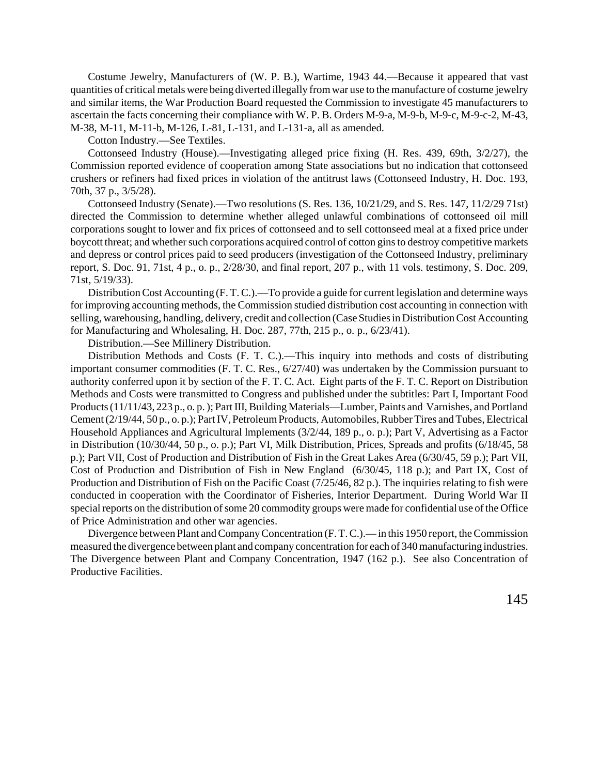Costume Jewelry, Manufacturers of (W. P. B.), Wartime, 1943 44.—Because it appeared that vast quantities of critical metals were being diverted illegally fromwar use to the manufacture of costume jewelry and similar items, the War Production Board requested the Commission to investigate 45 manufacturers to ascertain the facts concerning their compliance with W. P. B. Orders M-9-a, M-9-b, M-9-c, M-9-c-2, M-43, M-38, M-11, M-11-b, M-126, L-81, L-131, and L-131-a, all as amended.

Cotton Industry.—See Textiles.

Cottonseed Industry (House).—Investigating alleged price fixing (H. Res. 439, 69th, 3/2/27), the Commission reported evidence of cooperation among State associations but no indication that cottonseed crushers or refiners had fixed prices in violation of the antitrust laws (Cottonseed Industry, H. Doc. 193, 70th, 37 p., 3/5/28).

Cottonseed Industry (Senate).—Two resolutions (S. Res. 136, 10/21/29, and S. Res. 147, 11/2/29 71st) directed the Commission to determine whether alleged unlawful combinations of cottonseed oil mill corporations sought to lower and fix prices of cottonseed and to sell cottonseed meal at a fixed price under boycott threat; and whether such corporations acquired control of cotton gins to destroy competitive markets and depress or control prices paid to seed producers (investigation of the Cottonseed Industry, preliminary report, S. Doc. 91, 71st, 4 p., o. p., 2/28/30, and final report, 207 p., with 11 vols. testimony, S. Doc. 209, 71st, 5/19/33).

Distribution Cost Accounting (F. T. C.).—To provide a guide for current legislation and determine ways for improving accounting methods, the Commission studied distribution cost accounting in connection with selling, warehousing, handling, delivery, credit and collection (Case Studies in Distribution Cost Accounting for Manufacturing and Wholesaling, H. Doc. 287, 77th, 215 p., o. p., 6/23/41).

Distribution.—See Millinery Distribution.

Distribution Methods and Costs (F. T. C.).—This inquiry into methods and costs of distributing important consumer commodities (F. T. C. Res., 6/27/40) was undertaken by the Commission pursuant to authority conferred upon it by section of the F. T. C. Act. Eight parts of the F. T. C. Report on Distribution Methods and Costs were transmitted to Congress and published under the subtitles: Part I, Important Food Products (11/11/43, 223 p., o. p.); Part III, Building Materials—Lumber, Paints and Varnishes, and Portland Cement (2/19/44, 50 p., o. p.); Part IV, Petroleum Products, Automobiles, Rubber Tires and Tubes, Electrical Household Appliances and Agricultural lmplements (3/2/44, 189 p., o. p.); Part V, Advertising as a Factor in Distribution (10/30/44, 50 p., o. p.); Part VI, Milk Distribution, Prices, Spreads and profits (6/18/45, 58 p.); Part VII, Cost of Production and Distribution of Fish in the Great Lakes Area (6/30/45, 59 p.); Part VII, Cost of Production and Distribution of Fish in New England (6/30/45, 118 p.); and Part IX, Cost of Production and Distribution of Fish on the Pacific Coast (7/25/46, 82 p.). The inquiries relating to fish were conducted in cooperation with the Coordinator of Fisheries, Interior Department. During World War II special reports on the distribution of some 20 commodity groups were made for confidential use of the Office of Price Administration and other war agencies.

Divergence between Plant and Company Concentration (F. T. C.).—in this 1950 report, the Commission measured the divergence between plant and company concentration for each of 340 manufacturing industries. The Divergence between Plant and Company Concentration, 1947 (162 p.). See also Concentration of Productive Facilities.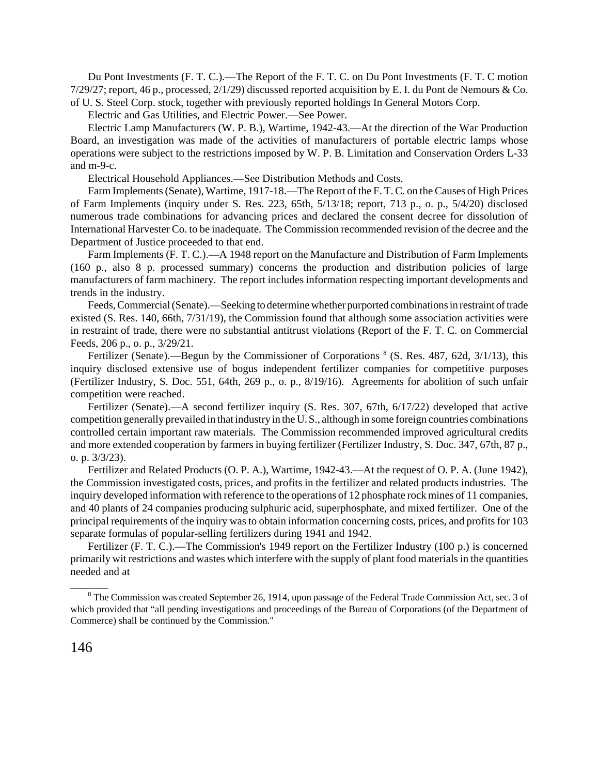Du Pont Investments (F. T. C.).—The Report of the F. T. C. on Du Pont Investments (F. T. C motion 7/29/27; report, 46 p., processed, 2/1/29) discussed reported acquisition by E. I. du Pont de Nemours & Co. of U. S. Steel Corp. stock, together with previously reported holdings In General Motors Corp.

Electric and Gas Utilities, and Electric Power.—See Power.

Electric Lamp Manufacturers (W. P. B.), Wartime, 1942-43.—At the direction of the War Production Board, an investigation was made of the activities of manufacturers of portable electric lamps whose operations were subject to the restrictions imposed by W. P. B. Limitation and Conservation Orders L-33 and m-9-c.

Electrical Household Appliances.—See Distribution Methods and Costs.

FarmImplements(Senate), Wartime, 1917-18.—The Report of the F. T. C. on the Causes of High Prices of Farm Implements (inquiry under S. Res. 223, 65th, 5/13/18; report, 713 p., o. p., 5/4/20) disclosed numerous trade combinations for advancing prices and declared the consent decree for dissolution of International Harvester Co. to be inadequate. The Commission recommended revision of the decree and the Department of Justice proceeded to that end.

Farm Implements (F. T. C.).—A 1948 report on the Manufacture and Distribution of Farm Implements (160 p., also 8 p. processed summary) concerns the production and distribution policies of large manufacturers of farm machinery. The report includes information respecting important developments and trends in the industry.

Feeds, Commercial (Senate).—Seeking to determine whether purported combinations in restraint of trade existed (S. Res. 140, 66th, 7/31/19), the Commission found that although some association activities were in restraint of trade, there were no substantial antitrust violations (Report of the F. T. C. on Commercial Feeds, 206 p., o. p., 3/29/21.

Fertilizer (Senate).—Begun by the Commissioner of Corporations <sup>8</sup> (S. Res. 487, 62d, 3/1/13), this inquiry disclosed extensive use of bogus independent fertilizer companies for competitive purposes (Fertilizer Industry, S. Doc. 551, 64th, 269 p., o. p., 8/19/16). Agreements for abolition of such unfair competition were reached.

Fertilizer (Senate).—A second fertilizer inquiry (S. Res. 307, 67th, 6/17/22) developed that active competition generally prevailed in that industry in theU.S., although in some foreign countries combinations controlled certain important raw materials. The Commission recommended improved agricultural credits and more extended cooperation by farmers in buying fertilizer (Fertilizer Industry, S. Doc. 347, 67th, 87 p., o. p. 3/3/23).

Fertilizer and Related Products (O. P. A.), Wartime, 1942-43.—At the request of O. P. A. (June 1942), the Commission investigated costs, prices, and profits in the fertilizer and related products industries. The inquiry developed information with reference to the operations of 12 phosphate rock mines of 11 companies, and 40 plants of 24 companies producing sulphuric acid, superphosphate, and mixed fertilizer. One of the principal requirements of the inquiry was to obtain information concerning costs, prices, and profits for 103 separate formulas of popular-selling fertilizers during 1941 and 1942.

Fertilizer (F. T. C.).—The Commission's 1949 report on the Fertilizer Industry (100 p.) is concerned primarily wit restrictions and wastes which interfere with the supply of plant food materials in the quantities needed and at

<sup>8</sup> The Commission was created September 26, 1914, upon passage of the Federal Trade Commission Act, sec. 3 of which provided that "all pending investigations and proceedings of the Bureau of Corporations (of the Department of Commerce) shall be continued by the Commission."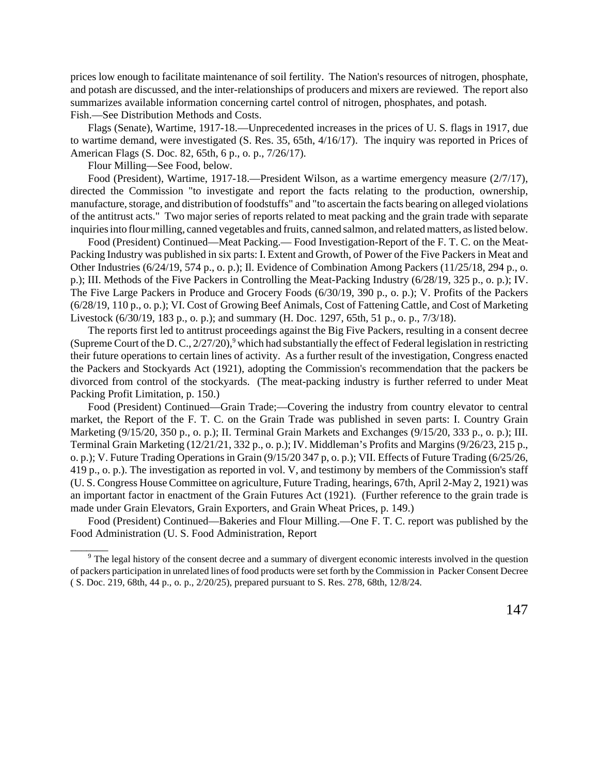prices low enough to facilitate maintenance of soil fertility. The Nation's resources of nitrogen, phosphate, and potash are discussed, and the inter-relationships of producers and mixers are reviewed. The report also summarizes available information concerning cartel control of nitrogen, phosphates, and potash. Fish.—See Distribution Methods and Costs.

Flags (Senate), Wartime, 1917-18.—Unprecedented increases in the prices of U. S. flags in 1917, due to wartime demand, were investigated (S. Res. 35, 65th, 4/16/17). The inquiry was reported in Prices of American Flags (S. Doc. 82, 65th, 6 p., o. p., 7/26/17).

Flour Milling—See Food, below.

\_\_\_\_\_\_\_

Food (President), Wartime, 1917-18.—President Wilson, as a wartime emergency measure (2/7/17), directed the Commission "to investigate and report the facts relating to the production, ownership, manufacture, storage, and distribution of foodstuffs" and "to ascertain the facts bearing on alleged violations of the antitrust acts." Two major series of reports related to meat packing and the grain trade with separate inquiries into flour milling, canned vegetables and fruits, canned salmon, and related matters, as listed below.

Food (President) Continued—Meat Packing.— Food Investigation-Report of the F. T. C. on the Meat-Packing Industry was published in six parts: I. Extent and Growth, of Power of the Five Packers in Meat and Other Industries (6/24/19, 574 p., o. p.); Il. Evidence of Combination Among Packers (11/25/18, 294 p., o. p.); III. Methods of the Five Packers in Controlling the Meat-Packing Industry (6/28/19, 325 p., o. p.); IV. The Five Large Packers in Produce and Grocery Foods (6/30/19, 390 p., o. p.); V. Profits of the Packers (6/28/19, 110 p., o. p.); VI. Cost of Growing Beef Animals, Cost of Fattening Cattle, and Cost of Marketing Livestock (6/30/19, 183 p., o. p.); and summary (H. Doc. 1297, 65th, 51 p., o. p., 7/3/18).

The reports first led to antitrust proceedings against the Big Five Packers, resulting in a consent decree (Supreme Court of the D.C.,  $2/27/20$ ),<sup>9</sup> which had substantially the effect of Federal legislation in restricting their future operations to certain lines of activity. As a further result of the investigation, Congress enacted the Packers and Stockyards Act (1921), adopting the Commission's recommendation that the packers be divorced from control of the stockyards. (The meat-packing industry is further referred to under Meat Packing Profit Limitation, p. 150.)

Food (President) Continued—Grain Trade;—Covering the industry from country elevator to central market, the Report of the F. T. C. on the Grain Trade was published in seven parts: I. Country Grain Marketing (9/15/20, 350 p., o. p.); II. Terminal Grain Markets and Exchanges (9/15/20, 333 p., o. p.); III. Terminal Grain Marketing (12/21/21, 332 p., o. p.); IV. Middleman's Profits and Margins (9/26/23, 215 p., o. p.); V. Future Trading Operations in Grain (9/15/20 347 p, o. p.); VII. Effects of Future Trading (6/25/26, 419 p., o. p.). The investigation as reported in vol. V, and testimony by members of the Commission's staff (U. S. Congress House Committee on agriculture, Future Trading, hearings, 67th, April 2-May 2, 1921) was an important factor in enactment of the Grain Futures Act (1921). (Further reference to the grain trade is made under Grain Elevators, Grain Exporters, and Grain Wheat Prices, p. 149.)

Food (President) Continued—Bakeries and Flour Milling.—One F. T. C. report was published by the Food Administration (U. S. Food Administration, Report

 $9$  The legal history of the consent decree and a summary of divergent economic interests involved in the question of packers participation in unrelated lines of food products were set forth by the Commission in Packer Consent Decree ( S. Doc. 219, 68th, 44 p., o. p., 2/20/25), prepared pursuant to S. Res. 278, 68th, 12/8/24.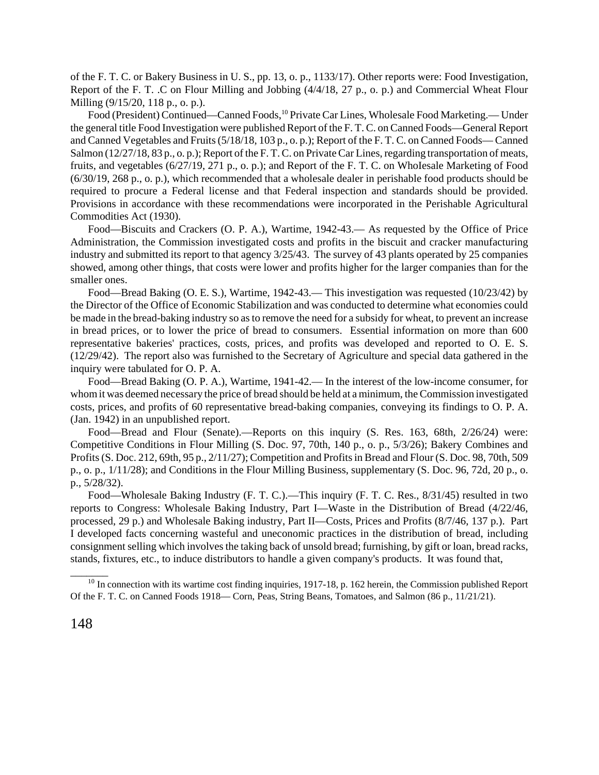of the F. T. C. or Bakery Business in U. S., pp. 13, o. p., 1133/17). Other reports were: Food Investigation, Report of the F. T. .C on Flour Milling and Jobbing (4/4/18, 27 p., o. p.) and Commercial Wheat Flour Milling (9/15/20, 118 p., o. p.).

Food (President) Continued—Canned Foods,<sup>10</sup> Private Car Lines, Wholesale Food Marketing.— Under the general title Food Investigation were published Report of the F. T. C. on Canned Foods—General Report and Canned Vegetables and Fruits(5/18/18, 103 p., o. p.); Report of the F. T. C. on Canned Foods— Canned Salmon (12/27/18, 83 p., o. p.); Report of the F. T. C. on Private Car Lines, regarding transportation of meats, fruits, and vegetables (6/27/19, 271 p., o. p.); and Report of the F. T. C. on WhoIesale Marketing of Food (6/30/19, 268 p., o. p.), which recommended that a wholesale dealer in perishable food products should be required to procure a Federal license and that Federal inspection and standards should be provided. Provisions in accordance with these recommendations were incorporated in the Perishable Agricultural Commodities Act (1930).

Food—Biscuits and Crackers (O. P. A.), Wartime, 1942-43.— As requested by the Office of Price Administration, the Commission investigated costs and profits in the biscuit and cracker manufacturing industry and submitted its report to that agency 3/25/43. The survey of 43 plants operated by 25 companies showed, among other things, that costs were lower and profits higher for the larger companies than for the smaller ones.

Food—Bread Baking (O. E. S.), Wartime, 1942-43.— This investigation was requested (10/23/42) by the Director of the Office of Economic Stabilization and was conducted to determine what economies could be made in the bread-baking industry so asto remove the need for a subsidy for wheat, to prevent an increase in bread prices, or to lower the price of bread to consumers. Essential information on more than 600 representative bakeries' practices, costs, prices, and profits was developed and reported to O. E. S. (12/29/42). The report also was furnished to the Secretary of Agriculture and special data gathered in the inquiry were tabulated for O. P. A.

Food—Bread Baking (O. P. A.), Wartime, 1941-42.— In the interest of the low-income consumer, for whom it was deemed necessary the price of bread should be held at a minimum, the Commission investigated costs, prices, and profits of 60 representative bread-baking companies, conveying its findings to O. P. A. (Jan. 1942) in an unpublished report.

Food—Bread and Flour (Senate).—Reports on this inquiry (S. Res. 163, 68th, 2/26/24) were: Competitive Conditions in Flour Milling (S. Doc. 97, 70th, 140 p., o. p., 5/3/26); Bakery Combines and Profits (S. Doc. 212, 69th, 95 p., 2/11/27); Competition and Profits in Bread and Flour (S. Doc. 98, 70th, 509 p., o. p., 1/11/28); and Conditions in the Flour Milling Business, supplementary (S. Doc. 96, 72d, 20 p., o. p., 5/28/32).

Food—Wholesale Baking Industry (F. T. C.).—This inquiry (F. T. C. Res., 8/31/45) resulted in two reports to Congress: Wholesale Baking Industry, Part I—Waste in the Distribution of Bread (4/22/46, processed, 29 p.) and Wholesale Baking industry, Part II—Costs, Prices and Profits (8/7/46, 137 p.). Part I developed facts concerning wasteful and uneconomic practices in the distribution of bread, including consignment selling which involves the taking back of unsold bread; furnishing, by gift or loan, bread racks, stands, fixtures, etc., to induce distributors to handle a given company's products. It was found that,

 $\overline{\phantom{a}}$ 

 $\frac{10}{10}$  In connection with its wartime cost finding inquiries, 1917-18, p. 162 herein, the Commission published Report Of the F. T. C. on Canned Foods 1918— Corn, Peas, String Beans, Tomatoes, and Salmon (86 p., 11/21/21).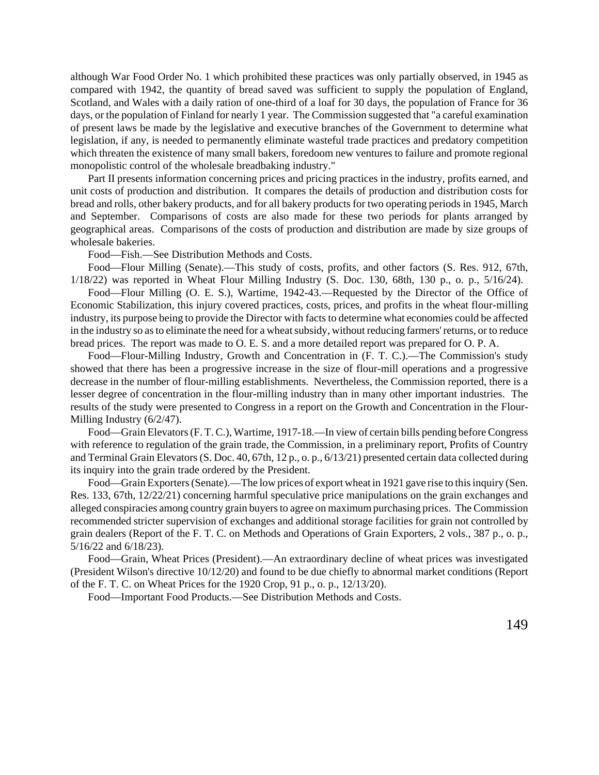although War Food Order No. 1 which prohibited these practices was only partially observed, in 1945 as compared with 1942, the quantity of bread saved was sufficient to supply the population of England, Scotland, and Wales with a daily ration of one-third of a loaf for 30 days, the population of France for 36 days, or the population of Finland for nearly 1 year. The Commission suggested that "a careful examination of present laws be made by the legislative and executive branches of the Government to determine what legislation, if any, is needed to permanently eliminate wasteful trade practices and predatory competition which threaten the existence of many small bakers, foredoom new ventures to failure and promote regional monopolistic control of the wholesale breadbaking industry."

Part II presents information concerning prices and pricing practices in the industry, profits earned, and unit costs of production and distribution. It compares the details of production and distribution costs for bread and rolls, other bakery products, and for all bakery products for two operating periods in 1945, March and September. Comparisons of costs are also made for these two periods for plants arranged by geographical areas. Comparisons of the costs of production and distribution are made by size groups of wholesale bakeries.

Food—Fish.—See Distribution Methods and Costs.

Food—Flour Milling (Senate).—This study of costs, profits, and other factors (S. Res. 912, 67th, 1/18/22) was reported in Wheat Flour Milling Industry (S. Doc. 130, 68th, 130 p., o. p., 5/16/24).

Food—Flour Milling (O. E. S.), Wartime, 1942-43.—Requested by the Director of the Office of Economic Stabilization, this injury covered practices, costs, prices, and profits in the wheat flour-milling industry, its purpose being to provide the Director with facts to determine what economies could be affected in the industry so as to eliminate the need for a wheat subsidy, without reducing farmers' returns, or to reduce bread prices. The report was made to O. E. S. and a more detailed report was prepared for O. P. A.

Food—Flour-Milling Industry, Growth and Concentration in (F. T. C.).—The Commission's study showed that there has been a progressive increase in the size of flour-mill operations and a progressive decrease in the number of flour-milling establishments. Nevertheless, the Commission reported, there is a lesser degree of concentration in the flour-milling industry than in many other important industries. The results of the study were presented to Congress in a report on the Growth and Concentration in the Flour-Milling Industry (6/2/47).

Food—Grain Elevators(F. T. C.), Wartime, 1917-18.—In view of certain bills pending before Congress with reference to regulation of the grain trade, the Commission, in a preliminary report, Profits of Country and Terminal Grain Elevators (S. Doc. 40, 67th, 12 p., o. p., 6/13/21) presented certain data collected during its inquiry into the grain trade ordered by the President.

Food—Grain Exporters (Senate).—The low prices of export wheat in 1921 gave rise to this inquiry (Sen. Res. 133, 67th, 12/22/21) concerning harmful speculative price manipulations on the grain exchanges and alleged conspiracies among country grain buyers to agree on maximum purchasing prices. The Commission recommended stricter supervision of exchanges and additional storage facilities for grain not controlled by grain dealers (Report of the F. T. C. on Methods and Operations of Grain Exporters, 2 vols., 387 p., o. p., 5/16/22 and 6/18/23).

Food—Grain, Wheat Prices (President).—An extraordinary decline of wheat prices was investigated (President Wilson's directive 10/12/20) and found to be due chiefly to abnormal market conditions (Report of the F. T. C. on Wheat Prices for the 1920 Crop, 91 p., o. p., 12/13/20).

Food—Important Food Products.—See Distribution Methods and Costs.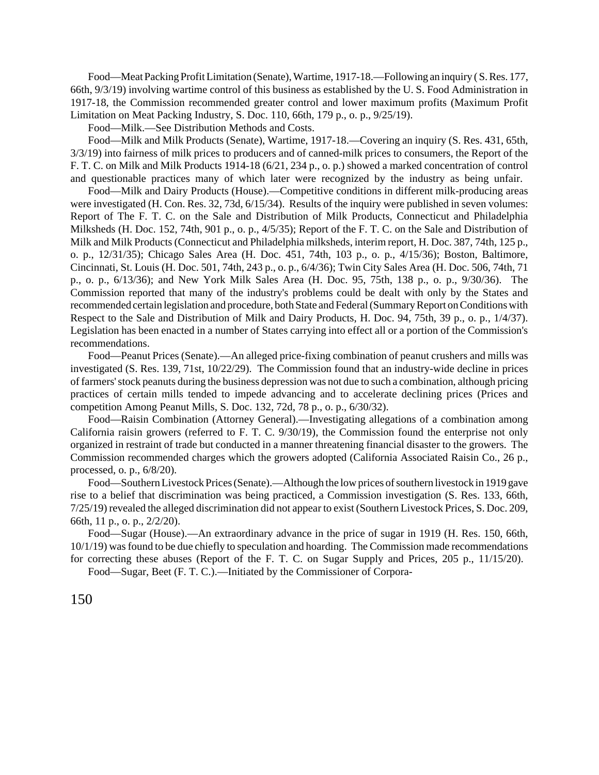Food—Meat Packing Profit Limitation (Senate), Wartime, 1917-18.—Following an inquiry ( S. Res. 177, 66th, 9/3/19) involving wartime control of this business as established by the U. S. Food Administration in 1917-18, the Commission recommended greater control and lower maximum profits (Maximum Profit Limitation on Meat Packing Industry, S. Doc. 110, 66th, 179 p., o. p., 9/25/19).

Food—Milk.—See Distribution Methods and Costs.

Food—Milk and Milk Products (Senate), Wartime, 1917-18.—Covering an inquiry (S. Res. 431, 65th, 3/3/19) into fairness of milk prices to producers and of canned-milk prices to consumers, the Report of the F. T. C. on Milk and Milk Products 1914-18 (6/21, 234 p., o. p.) showed a marked concentration of control and questionable practices many of which later were recognized by the industry as being unfair.

Food—Milk and Dairy Products (House).—Competitive conditions in different milk-producing areas were investigated (H. Con. Res. 32, 73d, 6/15/34). Results of the inquiry were published in seven volumes: Report of The F. T. C. on the Sale and Distribution of Milk Products, Connecticut and Philadelphia Milksheds (H. Doc. 152, 74th, 901 p., o. p., 4/5/35); Report of the F. T. C. on the Sale and Distribution of Milk and Milk Products (Connecticut and Philadelphia milksheds, interim report, H. Doc. 387, 74th, 125 p., o. p., 12/31/35); Chicago Sales Area (H. Doc. 451, 74th, 103 p., o. p., 4/15/36); Boston, Baltimore, Cincinnati, St. Louis (H. Doc. 501, 74th, 243 p., o. p., 6/4/36); Twin City Sales Area (H. Doc. 506, 74th, 71 p., o. p., 6/13/36); and New York Milk Sales Area (H. Doc. 95, 75th, 138 p., o. p., 9/30/36). The Commission reported that many of the industry's problems could be dealt with only by the States and recommended certain legislation and procedure, both State and Federal (Summary Report on Conditions with Respect to the Sale and Distribution of Milk and Dairy Products, H. Doc. 94, 75th, 39 p., o. p., 1/4/37). Legislation has been enacted in a number of States carrying into effect all or a portion of the Commission's recommendations.

Food—Peanut Prices (Senate).—An alleged price-fixing combination of peanut crushers and mills was investigated (S. Res. 139, 71st, 10/22/29). The Commission found that an industry-wide decline in prices of farmers'stock peanuts during the business depression was not due to such a combination, although pricing practices of certain mills tended to impede advancing and to accelerate declining prices (Prices and competition Among Peanut Mills, S. Doc. 132, 72d, 78 p., o. p., 6/30/32).

Food—Raisin Combination (Attorney General).—Investigating allegations of a combination among California raisin growers (referred to F. T. C. 9/30/19), the Commission found the enterprise not only organized in restraint of trade but conducted in a manner threatening financial disaster to the growers. The Commission recommended charges which the growers adopted (California Associated Raisin Co., 26 p., processed, o. p., 6/8/20).

Food—Southern Livestock Prices (Senate).—Although the low prices of southern livestock in 1919 gave rise to a belief that discrimination was being practiced, a Commission investigation (S. Res. 133, 66th, 7/25/19) revealed the alleged discrimination did not appear to exist (Southern Livestock Prices, S. Doc. 209, 66th, 11 p., o. p., 2/2/20).

Food—Sugar (House).—An extraordinary advance in the price of sugar in 1919 (H. Res. 150, 66th, 10/1/19) wasfound to be due chiefly to speculation and hoarding. The Commission made recommendations for correcting these abuses (Report of the F. T. C. on Sugar Supply and Prices, 205 p., 11/15/20).

Food—Sugar, Beet (F. T. C.).—Initiated by the Commissioner of Corpora-

150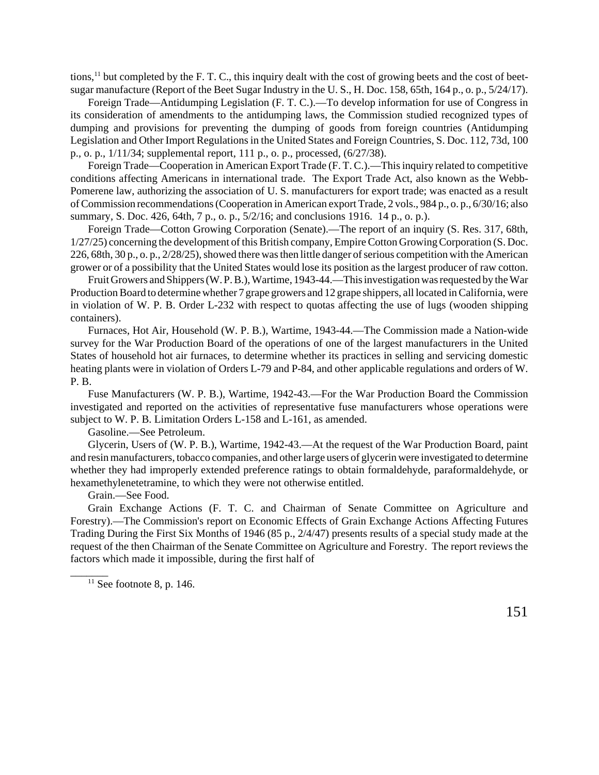tions, $^{11}$  but completed by the F. T. C., this inquiry dealt with the cost of growing beets and the cost of beetsugar manufacture (Report of the Beet Sugar Industry in the U. S., H. Doc. 158, 65th, 164 p., o. p., 5/24/17).

Foreign Trade—Antidumping Legislation (F. T. C.).—To develop information for use of Congress in its consideration of amendments to the antidumping laws, the Commission studied recognized types of dumping and provisions for preventing the dumping of goods from foreign countries (Antidumping Legislation and Other Import Regulations in the United States and Foreign Countries, S. Doc. 112, 73d, 100 p., o. p., 1/11/34; supplemental report, 111 p., o. p., processed, (6/27/38).

Foreign Trade—Cooperation in American Export Trade (F. T. C.).—This inquiry related to competitive conditions affecting Americans in international trade. The Export Trade Act, also known as the Webb-Pomerene law, authorizing the association of U. S. manufacturers for export trade; was enacted as a result ofCommission recommendations(Cooperation in American export Trade, 2 vols., 984 p., o. p., 6/30/16; also summary, S. Doc. 426, 64th, 7 p., o. p., 5/2/16; and conclusions 1916. 14 p., o. p.).

Foreign Trade—Cotton Growing Corporation (Senate).—The report of an inquiry (S. Res. 317, 68th, 1/27/25) concerning the development of this British company, Empire Cotton Growing Corporation (S. Doc.  $226, 68th, 30 \text{ p.}, \text{o. p.}, 2/28/25$ , showed there was then little danger of serious competition with the American grower or of a possibility that the United States would lose its position as the largest producer of raw cotton.

FruitGrowers and Shippers (W. P. B.), Wartime, 1943-44.—This investigation was requested by the War Production Board to determine whether 7 grape growers and 12 grape shippers, all located in California, were in violation of W. P. B. Order L-232 with respect to quotas affecting the use of lugs (wooden shipping containers).

Furnaces, Hot Air, Household (W. P. B.), Wartime, 1943-44.—The Commission made a Nation-wide survey for the War Production Board of the operations of one of the largest manufacturers in the United States of household hot air furnaces, to determine whether its practices in selling and servicing domestic heating plants were in violation of Orders L-79 and P-84, and other applicable regulations and orders of W. P. B.

Fuse Manufacturers (W. P. B.), Wartime, 1942-43.—For the War Production Board the Commission investigated and reported on the activities of representative fuse manufacturers whose operations were subject to W. P. B. Limitation Orders L-158 and L-161, as amended.

Gasoline.—See Petroleum.

Glycerin, Users of (W. P. B.), Wartime, 1942-43.—At the request of the War Production Board, paint and resin manufacturers, tobacco companies, and other large users of glycerin were investigated to determine whether they had improperly extended preference ratings to obtain formaldehyde, paraformaldehyde, or hexamethylenetetramine, to which they were not otherwise entitled.

Grain.—See Food.

Grain Exchange Actions (F. T. C. and Chairman of Senate Committee on Agriculture and Forestry).—The Commission's report on Economic Effects of Grain Exchange Actions Affecting Futures Trading During the First Six Months of 1946 (85 p., 2/4/47) presents results of a special study made at the request of the then Chairman of the Senate Committee on Agriculture and Forestry. The report reviews the factors which made it impossible, during the first half of

 $11$  See footnote 8, p. 146.

 $\overline{\phantom{a}}$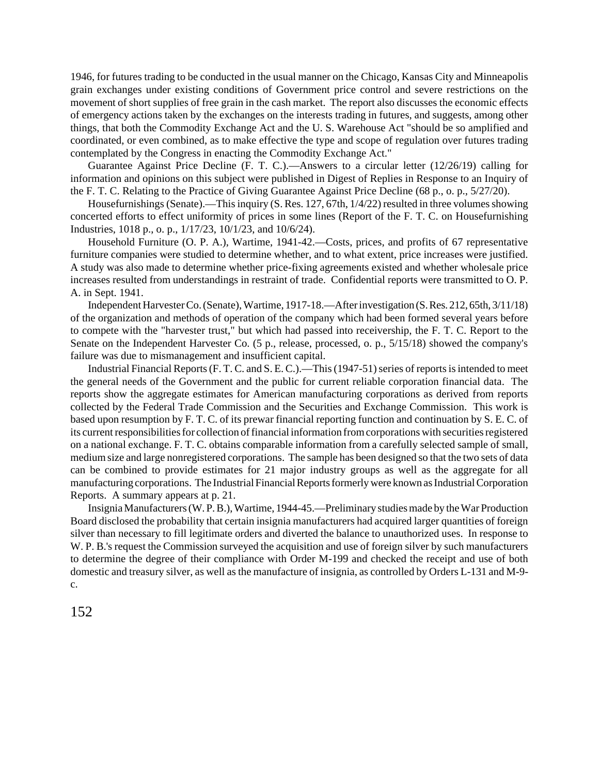1946, for futures trading to be conducted in the usual manner on the Chicago, Kansas City and Minneapolis grain exchanges under existing conditions of Government price control and severe restrictions on the movement of short supplies of free grain in the cash market. The report also discusses the economic effects of emergency actions taken by the exchanges on the interests trading in futures, and suggests, among other things, that both the Commodity Exchange Act and the U. S. Warehouse Act "should be so amplified and coordinated, or even combined, as to make effective the type and scope of regulation over futures trading contemplated by the Congress in enacting the Commodity Exchange Act."

Guarantee Against Price Decline (F. T. C.).—Answers to a circular letter (12/26/19) calling for information and opinions on this subject were published in Digest of Replies in Response to an Inquiry of the F. T. C. Relating to the Practice of Giving Guarantee Against Price Decline (68 p., o. p., 5/27/20).

Housefurnishings (Senate).—This inquiry (S. Res. 127, 67th, 1/4/22) resulted in three volumes showing concerted efforts to effect uniformity of prices in some lines (Report of the F. T. C. on Housefurnishing Industries, 1018 p., o. p., 1/17/23, 10/1/23, and 10/6/24).

Household Furniture (O. P. A.), Wartime, 1941-42.—Costs, prices, and profits of 67 representative furniture companies were studied to determine whether, and to what extent, price increases were justified. A study was also made to determine whether price-fixing agreements existed and whether wholesale price increases resulted from understandings in restraint of trade. Confidential reports were transmitted to O. P. A. in Sept. 1941.

IndependentHarvesterCo.(Senate),Wartime, 1917-18.—Afterinvestigation (S. Res. 212, 65th, 3/11/18) of the organization and methods of operation of the company which had been formed several years before to compete with the "harvester trust," but which had passed into receivership, the F. T. C. Report to the Senate on the Independent Harvester Co. (5 p., release, processed, o. p., 5/15/18) showed the company's failure was due to mismanagement and insufficient capital.

Industrial Financial Reports (F. T. C. and S. E. C.).—This (1947-51) series of reports is intended to meet the general needs of the Government and the public for current reliable corporation financial data. The reports show the aggregate estimates for American manufacturing corporations as derived from reports collected by the Federal Trade Commission and the Securities and Exchange Commission. This work is based upon resumption by F. T. C. of its prewar financial reporting function and continuation by S. E. C. of its current responsibilities for collection of financial information from corporations with securities registered on a national exchange. F. T. C. obtains comparable information from a carefully selected sample of small, mediumsize and large nonregistered corporations. The sample has been designed so that the two sets of data can be combined to provide estimates for 21 major industry groups as well as the aggregate for all manufacturing corporations. The Industrial Financial Reports formerly were known as Industrial Corporation Reports. A summary appears at p. 21.

Insignia Manufacturers (W. P. B.), Wartime, 1944-45.—Preliminary studies made by the War Production Board disclosed the probability that certain insignia manufacturers had acquired larger quantities of foreign silver than necessary to fill legitimate orders and diverted the balance to unauthorized uses. In response to W. P. B.'s request the Commission surveyed the acquisition and use of foreign silver by such manufacturers to determine the degree of their compliance with Order M-199 and checked the receipt and use of both domestic and treasury silver, as well as the manufacture of insignia, as controlled by Orders L-131 and M-9 c.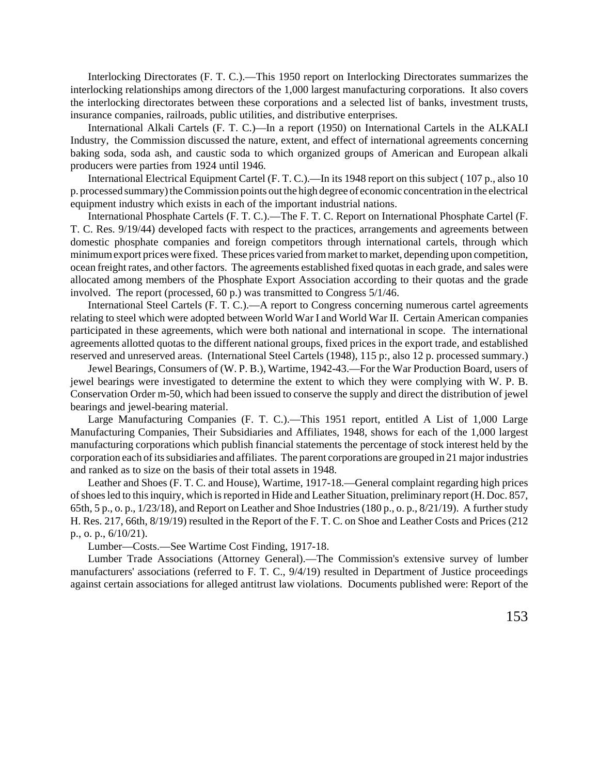Interlocking Directorates (F. T. C.).—This 1950 report on Interlocking Directorates summarizes the interlocking relationships among directors of the 1,000 largest manufacturing corporations. It also covers the interlocking directorates between these corporations and a selected list of banks, investment trusts, insurance companies, railroads, public utilities, and distributive enterprises.

International Alkali Cartels (F. T. C.)—In a report (1950) on International Cartels in the ALKALI Industry, the Commission discussed the nature, extent, and effect of international agreements concerning baking soda, soda ash, and caustic soda to which organized groups of American and European alkali producers were parties from 1924 until 1946.

International Electrical Equipment Cartel (F. T. C.).—In its 1948 report on this subject ( 107 p., also 10 p. processed summary) the Commission points out the high degree of economic concentration in the electrical equipment industry which exists in each of the important industrial nations.

International Phosphate Cartels (F. T. C.).—The F. T. C. Report on International Phosphate Cartel (F. T. C. Res. 9/19/44) developed facts with respect to the practices, arrangements and agreements between domestic phosphate companies and foreign competitors through international cartels, through which minimumexport prices were fixed. These prices varied from market to market, depending upon competition, ocean freight rates, and other factors. The agreements established fixed quotas in each grade, and sales were allocated among members of the Phosphate Export Association according to their quotas and the grade involved. The report (processed, 60 p.) was transmitted to Congress 5/1/46.

International Steel Cartels (F. T. C.).—A report to Congress concerning numerous cartel agreements relating to steel which were adopted between World War I and World War II. Certain American companies participated in these agreements, which were both national and international in scope. The international agreements allotted quotas to the different national groups, fixed prices in the export trade, and established reserved and unreserved areas. (International Steel Cartels (1948), 115 p:, also 12 p. processed summary.)

Jewel Bearings, Consumers of (W. P. B.), Wartime, 1942-43.—For the War Production Board, users of jewel bearings were investigated to determine the extent to which they were complying with W. P. B. Conservation Order m-50, which had been issued to conserve the supply and direct the distribution of jewel bearings and jewel-bearing material.

Large Manufacturing Companies (F. T. C.).—This 1951 report, entitled A List of 1,000 Large Manufacturing Companies, Their Subsidiaries and Affiliates, 1948, shows for each of the 1,000 largest manufacturing corporations which publish financial statements the percentage of stock interest held by the corporation each of its subsidiaries and affiliates. The parent corporations are grouped in 21 major industries and ranked as to size on the basis of their total assets in 1948.

Leather and Shoes (F. T. C. and House), Wartime, 1917-18.—General complaint regarding high prices of shoes led to this inquiry, which is reported in Hide and Leather Situation, preliminary report (H. Doc. 857, 65th, 5 p., o. p., 1/23/18), and Report on Leather and Shoe Industries(180 p., o. p., 8/21/19). A further study H. Res. 217, 66th, 8/19/19) resulted in the Report of the F. T. C. on Shoe and Leather Costs and Prices (212 p., o. p., 6/10/21).

Lumber—Costs.—See Wartime Cost Finding, 1917-18.

Lumber Trade Associations (Attorney General).—The Commission's extensive survey of lumber manufacturers' associations (referred to F. T. C., 9/4/19) resulted in Department of Justice proceedings against certain associations for alleged antitrust law violations. Documents published were: Report of the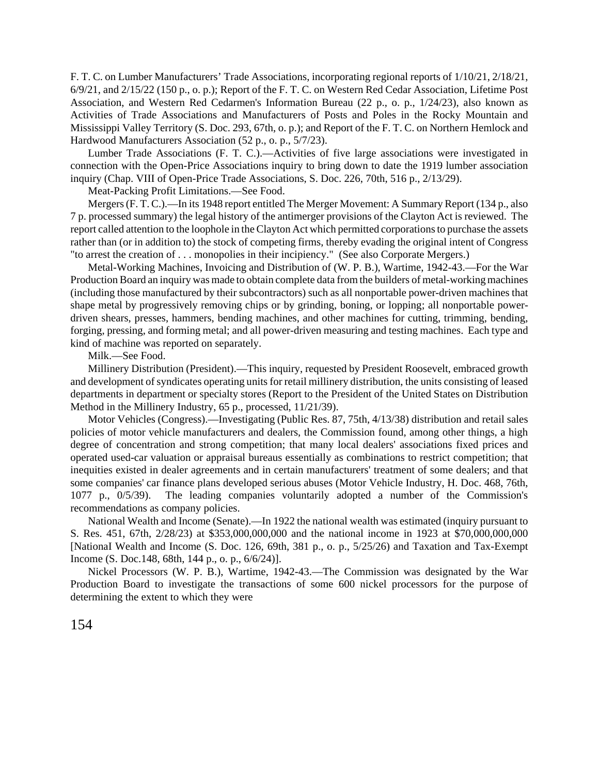F. T. C. on Lumber Manufacturers' Trade Associations, incorporating regional reports of 1/10/21, 2/18/21, 6/9/21, and 2/15/22 (150 p., o. p.); Report of the F. T. C. on Western Red Cedar Association, Lifetime Post Association, and Western Red Cedarmen's Information Bureau (22 p., o. p., 1/24/23), also known as Activities of Trade Associations and Manufacturers of Posts and Poles in the Rocky Mountain and Mississippi Valley Territory (S. Doc. 293, 67th, o. p.); and Report of the F. T. C. on Northern Hemlock and Hardwood Manufacturers Association (52 p., o. p., 5/7/23).

Lumber Trade Associations (F. T. C.).—Activities of five large associations were investigated in connection with the Open-Price Associations inquiry to bring down to date the 1919 lumber association inquiry (Chap. VIII of Open-Price Trade Associations, S. Doc. 226, 70th, 516 p., 2/13/29).

Meat-Packing Profit Limitations.—See Food.

Mergers(F. T. C.).—In its 1948 report entitled The Merger Movement: A Summary Report (134 p., also 7 p. processed summary) the legal history of the antimerger provisions of the Clayton Act is reviewed. The report called attention to the loophole in theClayton Act which permitted corporationsto purchase the assets rather than (or in addition to) the stock of competing firms, thereby evading the original intent of Congress "to arrest the creation of . . . monopolies in their incipiency." (See also Corporate Mergers.)

Metal-Working Machines, Invoicing and Distribution of (W. P. B.), Wartime, 1942-43.—For the War Production Board an inquiry was made to obtain complete data from the builders of metal-working machines (including those manufactured by their subcontractors) such as all nonportable power-driven machines that shape metal by progressively removing chips or by grinding, boning, or lopping; all nonportable powerdriven shears, presses, hammers, bending machines, and other machines for cutting, trimming, bending, forging, pressing, and forming metal; and all power-driven measuring and testing machines. Each type and kind of machine was reported on separately.

Milk.—See Food.

Millinery Distribution (President).—This inquiry, requested by President Roosevelt, embraced growth and development of syndicates operating units for retail millinery distribution, the units consisting of leased departments in department or specialty stores (Report to the President of the United States on Distribution Method in the Millinery Industry, 65 p., processed, 11/21/39).

Motor Vehicles (Congress).—Investigating (Public Res. 87, 75th, 4/13/38) distribution and retail sales policies of motor vehicle manufacturers and dealers, the Commission found, among other things, a high degree of concentration and strong competition; that many local dealers' associations fixed prices and operated used-car valuation or appraisal bureaus essentially as combinations to restrict competition; that inequities existed in dealer agreements and in certain manufacturers' treatment of some dealers; and that some companies' car finance plans developed serious abuses (Motor Vehicle Industry, H. Doc. 468, 76th, 1077 p., 0/5/39). The leading companies voluntarily adopted a number of the Commission's recommendations as company policies.

National Wealth and Income (Senate).—In 1922 the national wealth was estimated (inquiry pursuant to S. Res. 451, 67th, 2/28/23) at \$353,000,000,000 and the national income in 1923 at \$70,000,000,000 [NationaI Wealth and Income (S. Doc. 126, 69th, 381 p., o. p., 5/25/26) and Taxation and Tax-Exempt Income (S. Doc.148, 68th, 144 p., o. p., 6/6/24)].

Nickel Processors (W. P. B.), Wartime, 1942-43.—The Commission was designated by the War Production Board to investigate the transactions of some 600 nickel processors for the purpose of determining the extent to which they were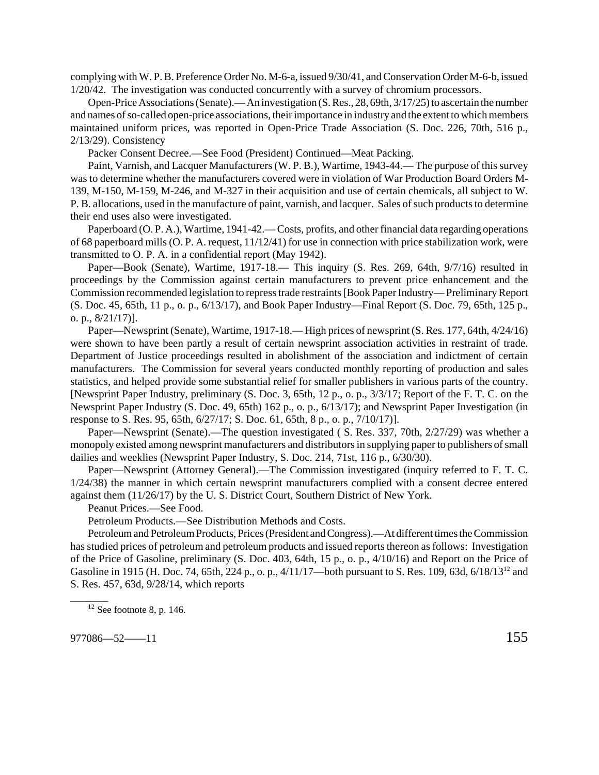complying with W. P.B. Preference Order No. M-6-a, issued 9/30/41, andConservation Order M-6-b, issued 1/20/42. The investigation was conducted concurrently with a survey of chromium processors.

Open-Price Associations (Senate).—An investigation (S. Res., 28, 69th, 3/17/25) to ascertain the number and names of so-called open-price associations, their importance in industry and the extent to which members maintained uniform prices, was reported in Open-Price Trade Association (S. Doc. 226, 70th, 516 p., 2/13/29). Consistency

Packer Consent Decree.—See Food (President) Continued—Meat Packing.

Paint, Varnish, and Lacquer Manufacturers (W. P. B.), Wartime, 1943-44.— The purpose of this survey was to determine whether the manufacturers covered were in violation of War Production Board Orders M-139, M-150, M-159, M-246, and M-327 in their acquisition and use of certain chemicals, all subject to W. P. B. allocations, used in the manufacture of paint, varnish, and lacquer. Sales of such products to determine their end uses also were investigated.

Paperboard (O. P. A.), Wartime, 1941-42.—Costs, profits, and other financial data regarding operations of 68 paperboard mills (O. P. A. request, 11/12/41) for use in connection with price stabilization work, were transmitted to O. P. A. in a confidential report (May 1942).

Paper—Book (Senate), Wartime, 1917-18.— This inquiry (S. Res. 269, 64th, 9/7/16) resulted in proceedings by the Commission against certain manufacturers to prevent price enhancement and the Commission recommended legislation to repress trade restraints [Book Paper Industry—Preliminary Report (S. Doc. 45, 65th, 11 p., o. p., 6/13/17), and Book Paper Industry—Final Report (S. Doc. 79, 65th, 125 p., o. p., 8/21/17)].

Paper—Newsprint (Senate), Wartime, 1917-18.— High prices of newsprint (S. Res. 177, 64th, 4/24/16) were shown to have been partly a result of certain newsprint association activities in restraint of trade. Department of Justice proceedings resulted in abolishment of the association and indictment of certain manufacturers. The Commission for several years conducted monthly reporting of production and sales statistics, and helped provide some substantial relief for smaller publishers in various parts of the country. [Newsprint Paper Industry, preliminary (S. Doc. 3, 65th, 12 p., o. p., 3/3/17; Report of the F. T. C. on the Newsprint Paper Industry (S. Doc. 49, 65th) 162 p., o. p., 6/13/17); and Newsprint Paper Investigation (in response to S. Res. 95, 65th, 6/27/17; S. Doc. 61, 65th, 8 p., o. p., 7/10/17)].

Paper—Newsprint (Senate).—The question investigated ( S. Res. 337, 70th, 2/27/29) was whether a monopoly existed among newsprint manufacturers and distributorsin supplying paper to publishers ofsmall dailies and weeklies (Newsprint Paper Industry, S. Doc. 214, 71st, 116 p., 6/30/30).

Paper—Newsprint (Attorney General).—The Commission investigated (inquiry referred to F. T. C. 1/24/38) the manner in which certain newsprint manufacturers complied with a consent decree entered against them (11/26/17) by the U. S. District Court, Southern District of New York.

Peanut Prices.—See Food.

Petroleum Products.—See Distribution Methods and Costs.

Petroleum and Petroleum Products, Prices (President and Congress).—At different times the Commission has studied prices of petroleum and petroleum products and issued reports thereon as follows: Investigation of the Price of Gasoline, preliminary (S. Doc. 403, 64th, 15 p., o. p., 4/10/16) and Report on the Price of Gasoline in 1915 (H. Doc. 74, 65th, 224 p., o. p., 4/11/17—both pursuant to S. Res. 109, 63d, 6/18/13<sup>12</sup> and S. Res. 457, 63d, 9/28/14, which reports

 $977086 - 52 - 11$  155

 $\overline{\phantom{a}}$ 

 $12$  See footnote 8, p. 146.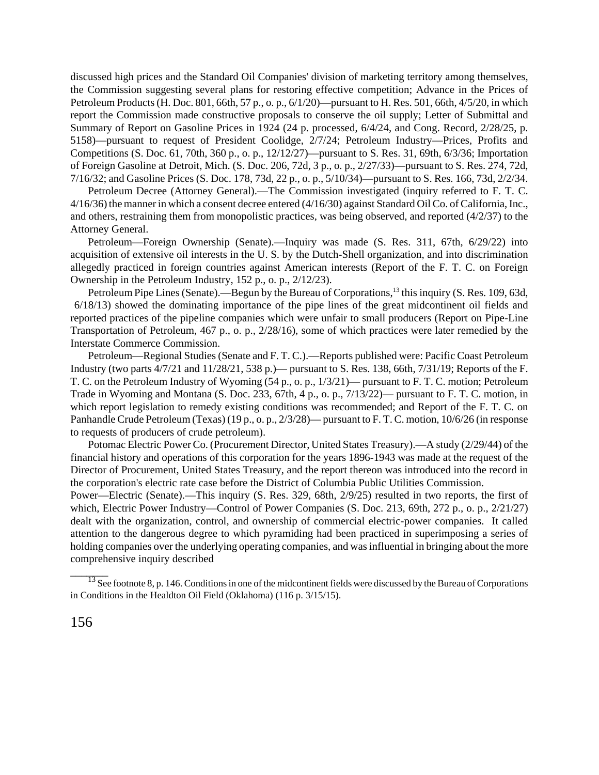discussed high prices and the Standard Oil Companies' division of marketing territory among themselves, the Commission suggesting several plans for restoring effective competition; Advance in the Prices of Petroleum Products(H. Doc. 801, 66th, 57 p., o. p., 6/1/20)—pursuant to H. Res. 501, 66th, 4/5/20, in which report the Commission made constructive proposals to conserve the oil supply; Letter of Submittal and Summary of Report on Gasoline Prices in 1924 (24 p. processed, 6/4/24, and Cong. Record, 2/28/25, p. 5158)—pursuant to request of President Coolidge, 2/7/24; Petroleum Industry—Prices, Profits and Competitions (S. Doc. 61, 70th, 360 p., o. p., 12/12/27)—pursuant to S. Res. 31, 69th, 6/3/36; Importation of Foreign Gasoline at Detroit, Mich. (S. Doc. 206, 72d, 3 p., o. p., 2/27/33)—pursuant to S. Res. 274, 72d, 7/16/32; and Gasoline Prices (S. Doc. 178, 73d, 22 p., o. p., 5/10/34)—pursuant to S. Res. 166, 73d, 2/2/34.

Petroleum Decree (Attorney General).—The Commission investigated (inquiry referred to F. T. C. 4/16/36) the manner in which a consent decree entered (4/16/30) against Standard Oil Co. of California, Inc., and others, restraining them from monopolistic practices, was being observed, and reported (4/2/37) to the Attorney General.

Petroleum—Foreign Ownership (Senate).—Inquiry was made (S. Res. 311, 67th, 6/29/22) into acquisition of extensive oil interests in the U. S. by the Dutch-Shell organization, and into discrimination allegedly practiced in foreign countries against American interests (Report of the F. T. C. on Foreign Ownership in the Petroleum Industry, 152 p., o. p., 2/12/23).

Petroleum Pipe Lines (Senate).—Begun by the Bureau of Corporations,<sup>13</sup> this inquiry (S. Res. 109, 63d, 6/18/13) showed the dominating importance of the pipe lines of the great midcontinent oil fields and reported practices of the pipeline companies which were unfair to small producers (Report on Pipe-Line Transportation of Petroleum, 467 p., o. p., 2/28/16), some of which practices were later remedied by the Interstate Commerce Commission.

Petroleum—Regional Studies(Senate and F. T. C.).—Reports published were: Pacific Coast Petroleum Industry (two parts 4/7/21 and 11/28/21, 538 p.)— pursuant to S. Res. 138, 66th, 7/31/19; Reports of the F. T. C. on the Petroleum Industry of Wyoming (54 p., o. p., 1/3/21)— pursuant to F. T. C. motion; Petroleum Trade in Wyoming and Montana (S. Doc. 233, 67th, 4 p., o. p., 7/13/22)— pursuant to F. T. C. motion, in which report legislation to remedy existing conditions was recommended; and Report of the F. T. C. on Panhandle Crude Petroleum (Texas) (19 p., o. p., 2/3/28)— pursuant to F. T. C. motion, 10/6/26 (in response to requests of producers of crude petroleum).

Potomac Electric Power Co. (Procurement Director, United States Treasury).—A study (2/29/44) of the financial history and operations of this corporation for the years 1896-1943 was made at the request of the Director of Procurement, United States Treasury, and the report thereon was introduced into the record in the corporation's electric rate case before the District of Columbia Public Utilities Commission.

Power—Electric (Senate).—This inquiry (S. Res. 329, 68th, 2/9/25) resulted in two reports, the first of which, Electric Power Industry—Control of Power Companies (S. Doc. 213, 69th, 272 p., o. p., 2/21/27) dealt with the organization, control, and ownership of commercial electric-power companies. It called attention to the dangerous degree to which pyramiding had been practiced in superimposing a series of holding companies over the underlying operating companies, and was influential in bringing about the more comprehensive inquiry described

 $\overline{\phantom{a}}$ 

<sup>&</sup>lt;sup>13</sup> See footnote 8, p. 146. Conditions in one of the midcontinent fields were discussed by the Bureau of Corporations in Conditions in the Healdton Oil Field (Oklahoma) (116 p. 3/15/15).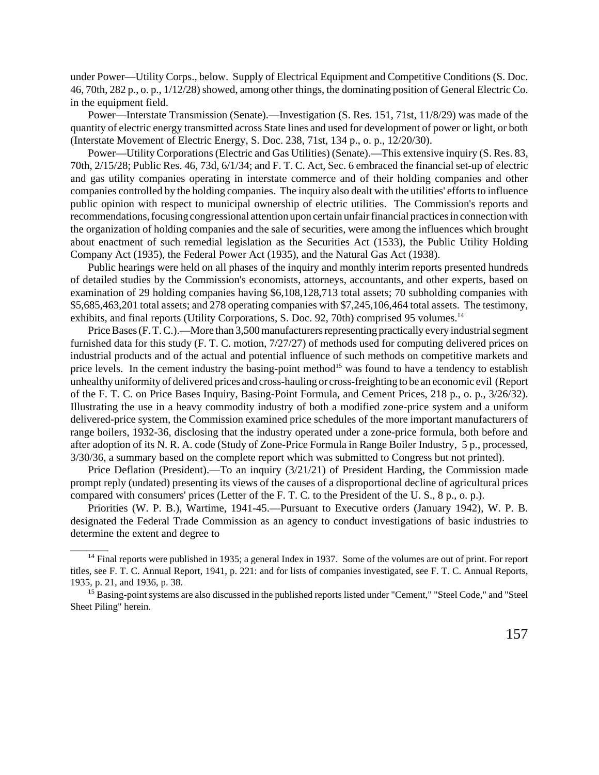under Power—Utility Corps., below. Supply of Electrical Equipment and Competitive Conditions (S. Doc. 46, 70th, 282 p., o. p.,  $1/12/28$ ) showed, among other things, the dominating position of General Electric Co. in the equipment field.

Power—Interstate Transmission (Senate).—Investigation (S. Res. 151, 71st, 11/8/29) was made of the quantity of electric energy transmitted across State lines and used for development of power or light, or both (Interstate Movement of Electric Energy, S. Doc. 238, 71st, 134 p., o. p., 12/20/30).

Power—Utility Corporations(Electric and Gas Utilities) (Senate).—This extensive inquiry (S. Res. 83, 70th, 2/15/28; Public Res. 46, 73d, 6/1/34; and F. T. C. Act, Sec. 6 embraced the financial set-up of electric and gas utility companies operating in interstate commerce and of their holding companies and other companies controlled by the holding companies. The inquiry also dealt with the utilities' efforts to influence public opinion with respect to municipal ownership of electric utilities. The Commission's reports and recommendations, focusing congressional attention upon certain unfair financial practices in connection with the organization of holding companies and the sale of securities, were among the influences which brought about enactment of such remedial legislation as the Securities Act (1533), the Public Utility Holding Company Act (1935), the Federal Power Act (1935), and the Natural Gas Act (1938).

Public hearings were held on all phases of the inquiry and monthly interim reports presented hundreds of detailed studies by the Commission's economists, attorneys, accountants, and other experts, based on examination of 29 holding companies having \$6,108,128,713 total assets; 70 subholding companies with \$5,685,463,201 total assets; and 278 operating companies with \$7,245,106,464 total assets. The testimony, exhibits, and final reports (Utility Corporations, S. Doc. 92, 70th) comprised 95 volumes.<sup>14</sup>

Price Bases (F.T.C.).—More than 3,500 manufacturers representing practically every industrial segment furnished data for this study (F. T. C. motion, 7/27/27) of methods used for computing delivered prices on industrial products and of the actual and potential influence of such methods on competitive markets and price levels. In the cement industry the basing-point method<sup>15</sup> was found to have a tendency to establish unhealthy uniformity of delivered prices and cross-hauling or cross-freighting to be an economic evil (Report of the F. T. C. on Price Bases Inquiry, Basing-Point Formula, and Cement Prices, 218 p., o. p., 3/26/32). Illustrating the use in a heavy commodity industry of both a modified zone-price system and a uniform delivered-price system, the Commission examined price schedules of the more important manufacturers of range boilers, 1932-36, disclosing that the industry operated under a zone-price formula, both before and after adoption of its N. R. A. code (Study of Zone-Price Formula in Range Boiler Industry, 5 p., processed, 3/30/36, a summary based on the complete report which was submitted to Congress but not printed).

Price Deflation (President).—To an inquiry (3/21/21) of President Harding, the Commission made prompt reply (undated) presenting its views of the causes of a disproportional decline of agricultural prices compared with consumers' prices (Letter of the F. T. C. to the President of the U. S., 8 p., o. p.).

Priorities (W. P. B.), Wartime, 1941-45.—Pursuant to Executive orders (January 1942), W. P. B. designated the Federal Trade Commission as an agency to conduct investigations of basic industries to determine the extent and degree to

<sup>&</sup>lt;sup>14</sup> Final reports were published in 1935; a general Index in 1937. Some of the volumes are out of print. For report titles, see F. T. C. Annual Report, 1941, p. 221: and for lists of companies investigated, see F. T. C. Annual Reports, 1935, p. 21, and 1936, p. 38.

<sup>&</sup>lt;sup>15</sup> Basing-point systems are also discussed in the published reports listed under "Cement," "Steel Code," and "Steel Sheet Piling" herein.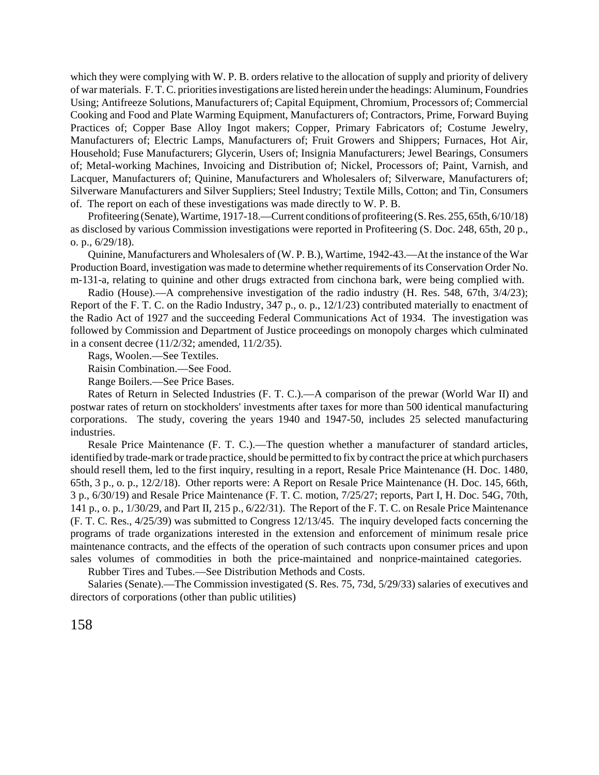which they were complying with W. P. B. orders relative to the allocation of supply and priority of delivery of war materials. F. T. C. priorities investigations are listed herein under the headings: Aluminum, Foundries Using; Antifreeze Solutions, Manufacturers of; Capital Equipment, Chromium, Processors of; Commercial Cooking and Food and Plate Warming Equipment, Manufacturers of; Contractors, Prime, Forward Buying Practices of; Copper Base Alloy Ingot makers; Copper, Primary Fabricators of; Costume Jewelry, Manufacturers of; Electric Lamps, Manufacturers of; Fruit Growers and Shippers; Furnaces, Hot Air, Household; Fuse Manufacturers; Glycerin, Users of; Insignia Manufacturers; Jewel Bearings, Consumers of; Metal-working Machines, Invoicing and Distribution of; Nickel, Processors of; Paint, Varnish, and Lacquer, Manufacturers of; Quinine, Manufacturers and Wholesalers of; Silverware, Manufacturers of; Silverware Manufacturers and Silver Suppliers; Steel Industry; Textile Mills, Cotton; and Tin, Consumers of. The report on each of these investigations was made directly to W. P. B.

Profiteering (Senate), Wartime, 1917-18.—Current conditions of profiteering (S. Res. 255, 65th, 6/10/18) as disclosed by various Commission investigations were reported in Profiteering (S. Doc. 248, 65th, 20 p., o. p., 6/29/18).

Quinine, Manufacturers and Wholesalers of (W. P. B.), Wartime, 1942-43.—At the instance of the War Production Board, investigation was made to determine whether requirements of its Conservation Order No. m-131-a, relating to quinine and other drugs extracted from cinchona bark, were being complied with.

Radio (House).—A comprehensive investigation of the radio industry (H. Res. 548, 67th, 3/4/23); Report of the F. T. C. on the Radio Industry, 347 p., o. p., 12/1/23) contributed materially to enactment of the Radio Act of 1927 and the succeeding Federal Communications Act of 1934. The investigation was followed by Commission and Department of Justice proceedings on monopoly charges which culminated in a consent decree (11/2/32; amended, 11/2/35).

Rags, Woolen.—See Textiles.

Raisin Combination.—See Food.

Range Boilers.—See Price Bases.

Rates of Return in Selected Industries (F. T. C.).—A comparison of the prewar (World War II) and postwar rates of return on stockholders' investments after taxes for more than 500 identical manufacturing corporations. The study, covering the years 1940 and 1947-50, includes 25 selected manufacturing industries.

Resale Price Maintenance (F. T. C.).—The question whether a manufacturer of standard articles, identified by trade-mark or trade practice, should be permitted to fix by contract the price at which purchasers should resell them, led to the first inquiry, resulting in a report, Resale Price Maintenance (H. Doc. 1480, 65th, 3 p., o. p., 12/2/18). Other reports were: A Report on Resale Price Maintenance (H. Doc. 145, 66th, 3 p., 6/30/19) and Resale Price Maintenance (F. T. C. motion, 7/25/27; reports, Part I, H. Doc. 54G, 70th, 141 p., o. p., 1/30/29, and Part II, 215 p., 6/22/31). The Report of the F. T. C. on Resale Price Maintenance (F. T. C. Res., 4/25/39) was submitted to Congress 12/13/45. The inquiry developed facts concerning the programs of trade organizations interested in the extension and enforcement of minimum resale price maintenance contracts, and the effects of the operation of such contracts upon consumer prices and upon sales volumes of commodities in both the price-maintained and nonprice-maintained categories.

Rubber Tires and Tubes.—See Distribution Methods and Costs.

Salaries (Senate).—The Commission investigated (S. Res. 75, 73d, 5/29/33) salaries of executives and directors of corporations (other than public utilities)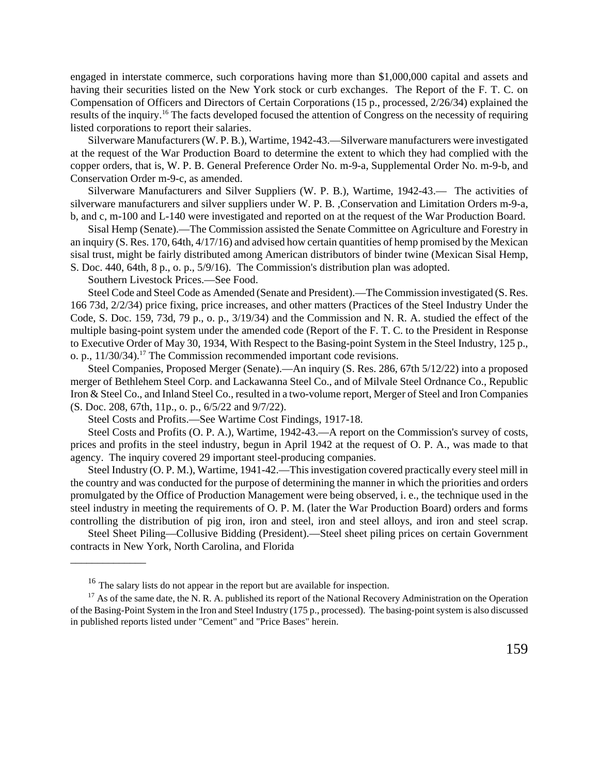engaged in interstate commerce, such corporations having more than \$1,000,000 capital and assets and having their securities listed on the New York stock or curb exchanges. The Report of the F. T. C. on Compensation of Officers and Directors of Certain Corporations (15 p., processed, 2/26/34) explained the results of the inquiry.<sup>16</sup> The facts developed focused the attention of Congress on the necessity of requiring listed corporations to report their salaries.

Silverware Manufacturers(W. P. B.), Wartime, 1942-43.—Silverware manufacturers were investigated at the request of the War Production Board to determine the extent to which they had complied with the copper orders, that is, W. P. B. General Preference Order No. m-9-a, Supplemental Order No. m-9-b, and Conservation Order m-9-c, as amended.

Silverware Manufacturers and Silver Suppliers (W. P. B.), Wartime, 1942-43.— The activities of silverware manufacturers and silver suppliers under W. P. B. ,Conservation and Limitation Orders m-9-a, b, and c, m-100 and L-140 were investigated and reported on at the request of the War Production Board.

Sisal Hemp (Senate).—The Commission assisted the Senate Committee on Agriculture and Forestry in an inquiry (S. Res. 170, 64th, 4/17/16) and advised how certain quantities of hemp promised by the Mexican sisal trust, might be fairly distributed among American distributors of binder twine (Mexican Sisal Hemp, S. Doc. 440, 64th, 8 p., o. p., 5/9/16). The Commission's distribution plan was adopted.

Southern Livestock Prices.—See Food.

\_\_\_\_\_\_\_\_\_\_\_\_\_\_

Steel Code and Steel Code as Amended (Senate and President).—The Commission investigated (S. Res. 166 73d, 2/2/34) price fixing, price increases, and other matters (Practices of the Steel Industry Under the Code, S. Doc. 159, 73d, 79 p., o. p., 3/19/34) and the Commission and N. R. A. studied the effect of the multiple basing-point system under the amended code (Report of the F. T. C. to the President in Response to Executive Order of May 30, 1934, With Respect to the Basing-point System in the Steel Industry, 125 p., o. p., 11/30/34).<sup>17</sup> The Commission recommended important code revisions.

Steel Companies, Proposed Merger (Senate).—An inquiry (S. Res. 286, 67th 5/12/22) into a proposed merger of Bethlehem Steel Corp. and Lackawanna Steel Co., and of Milvale Steel Ordnance Co., Republic Iron & Steel Co., and Inland Steel Co., resulted in a two-volume report, Merger of Steel and Iron Companies (S. Doc. 208, 67th, 11p., o. p., 6/5/22 and 9/7/22).

Steel Costs and Profits.—See Wartime Cost Findings, 1917-18.

Steel Costs and Profits (O. P. A.), Wartime, 1942-43.—A report on the Commission's survey of costs, prices and profits in the steel industry, begun in April 1942 at the request of O. P. A., was made to that agency. The inquiry covered 29 important steel-producing companies.

Steel Industry (O. P. M.), Wartime, 1941-42.—This investigation covered practically every steel mill in the country and was conducted for the purpose of determining the manner in which the priorities and orders promulgated by the Office of Production Management were being observed, i. e., the technique used in the steel industry in meeting the requirements of O. P. M. (later the War Production Board) orders and forms controlling the distribution of pig iron, iron and steel, iron and steel alloys, and iron and steel scrap.

Steel Sheet Piling—Collusive Bidding (President).—Steel sheet piling prices on certain Government contracts in New York, North Carolina, and Florida

<sup>&</sup>lt;sup>16</sup> The salary lists do not appear in the report but are available for inspection.

 $17$  As of the same date, the N. R. A. published its report of the National Recovery Administration on the Operation of the Basing-Point System in the Iron and Steel Industry (175 p., processed). The basing-point system is also discussed in published reports listed under "Cement" and "Price Bases" herein.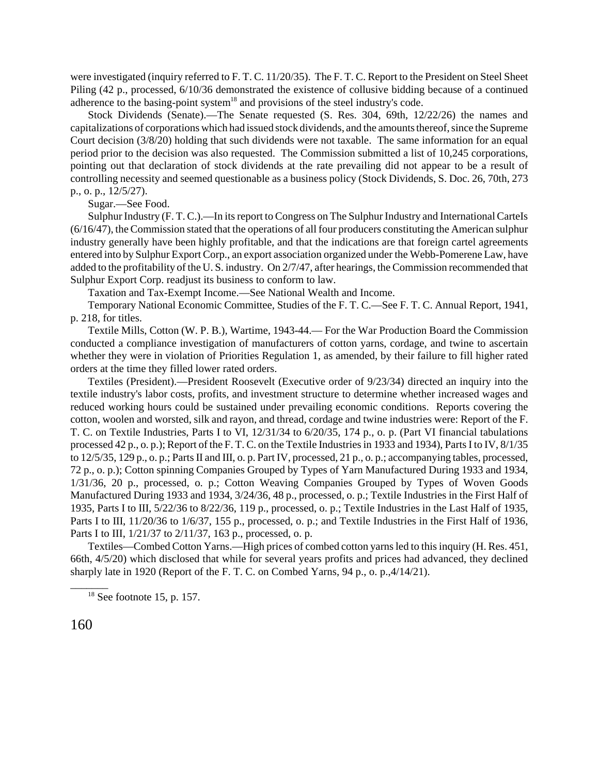were investigated (inquiry referred to F. T. C. 11/20/35). The F. T. C. Report to the President on Steel Sheet Piling (42 p., processed, 6/10/36 demonstrated the existence of collusive bidding because of a continued adherence to the basing-point system<sup>18</sup> and provisions of the steel industry's code.

Stock Dividends (Senate).—The Senate requested (S. Res. 304, 69th, 12/22/26) the names and capitalizations of corporations which had issued stock dividends, and the amounts thereof, since the Supreme Court decision (3/8/20) holding that such dividends were not taxable. The same information for an equal period prior to the decision was also requested. The Commission submitted a list of 10,245 corporations, pointing out that declaration of stock dividends at the rate prevailing did not appear to be a result of controlling necessity and seemed questionable as a business policy (Stock Dividends, S. Doc. 26, 70th, 273 p., o. p., 12/5/27).

Sugar.—See Food.

Sulphur Industry (F. T. C.).—In its report to Congress on The Sulphur Industry and International CarteIs (6/16/47), the Commission stated that the operations of all four producers constituting the American sulphur industry generally have been highly profitable, and that the indications are that foreign cartel agreements entered into by Sulphur Export Corp., an export association organized under the Webb-Pomerene Law, have added to the profitability of the U.S. industry. On 2/7/47, after hearings, the Commission recommended that Sulphur Export Corp. readjust its business to conform to law.

Taxation and Tax-Exempt Income.—See National Wealth and Income.

Temporary National Economic Committee, Studies of the F. T. C.—See F. T. C. Annual Report, 1941, p. 218, for titles.

Textile Mills, Cotton (W. P. B.), Wartime, 1943-44.— For the War Production Board the Commission conducted a compliance investigation of manufacturers of cotton yarns, cordage, and twine to ascertain whether they were in violation of Priorities Regulation 1, as amended, by their failure to fill higher rated orders at the time they filled lower rated orders.

Textiles (President).—President Roosevelt (Executive order of 9/23/34) directed an inquiry into the textile industry's labor costs, profits, and investment structure to determine whether increased wages and reduced working hours could be sustained under prevailing economic conditions. Reports covering the cotton, woolen and worsted, silk and rayon, and thread, cordage and twine industries were: Report of the F. T. C. on Textile Industries, Parts I to VI, 12/31/34 to 6/20/35, 174 p., o. p. (Part VI financial tabulations processed 42 p., o. p.); Report of the F. T. C. on the Textile Industries in 1933 and 1934), Parts I to IV, 8/1/35 to 12/5/35, 129 p., o. p.; Parts II and III, o. p. Part IV, processed, 21 p., o. p.; accompanying tables, processed, 72 p., o. p.); Cotton spinning Companies Grouped by Types of Yarn Manufactured During 1933 and 1934, 1/31/36, 20 p., processed, o. p.; Cotton Weaving Companies Grouped by Types of Woven Goods Manufactured During 1933 and 1934, 3/24/36, 48 p., processed, o. p.; Textile Industries in the First Half of 1935, Parts I to III, 5/22/36 to 8/22/36, 119 p., processed, o. p.; Textile Industries in the Last Half of 1935, Parts I to III, 11/20/36 to 1/6/37, 155 p., processed, o. p.; and Textile Industries in the First Half of 1936, Parts I to III, 1/21/37 to 2/11/37, 163 p., processed, o. p.

Textiles—Combed Cotton Yarns.—High prices of combed cotton yarnsled to thisinquiry (H. Res. 451, 66th, 4/5/20) which disclosed that while for several years profits and prices had advanced, they declined sharply late in 1920 (Report of the F. T. C. on Combed Yarns, 94 p., o. p.,4/14/21).

<sup>18</sup> See footnote 15, p. 157.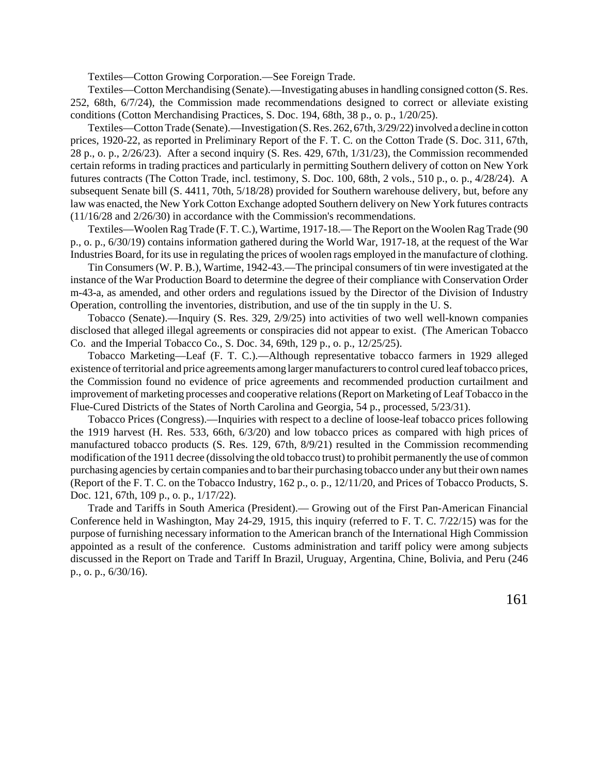Textiles—Cotton Growing Corporation.—See Foreign Trade.

Textiles—Cotton Merchandising (Senate).—Investigating abusesin handling consigned cotton (S. Res. 252, 68th, 6/7/24), the Commission made recommendations designed to correct or alleviate existing conditions (Cotton Merchandising Practices, S. Doc. 194, 68th, 38 p., o. p., 1/20/25).

Textiles—CottonTrade (Senate).—Investigation (S.Res. 262, 67th, 3/29/22) involved a decline in cotton prices, 1920-22, as reported in Preliminary Report of the F. T. C. on the Cotton Trade (S. Doc. 311, 67th, 28 p., o. p., 2/26/23). After a second inquiry (S. Res. 429, 67th, 1/31/23), the Commission recommended certain reforms in trading practices and particularly in permitting Southern delivery of cotton on New York futures contracts (The Cotton Trade, incl. testimony, S. Doc. 100, 68th, 2 vols., 510 p., o. p., 4/28/24). A subsequent Senate bill (S. 4411, 70th, 5/18/28) provided for Southern warehouse delivery, but, before any law was enacted, the New York Cotton Exchange adopted Southern delivery on New York futures contracts (11/16/28 and 2/26/30) in accordance with the Commission's recommendations.

Textiles—Woolen Rag Trade (F. T. C.), Wartime, 1917-18.— The Report on the Woolen Rag Trade (90 p., o. p., 6/30/19) contains information gathered during the World War, 1917-18, at the request of the War Industries Board, for its use in regulating the prices of woolen rags employed in the manufacture of clothing.

Tin Consumers(W. P. B.), Wartime, 1942-43.—The principal consumers of tin were investigated at the instance of the War Production Board to determine the degree of their compliance with Conservation Order m-43-a, as amended, and other orders and regulations issued by the Director of the Division of Industry Operation, controlling the inventories, distribution, and use of the tin supply in the U. S.

Tobacco (Senate).—Inquiry (S. Res. 329, 2/9/25) into activities of two well well-known companies disclosed that alleged illegal agreements or conspiracies did not appear to exist. (The American Tobacco Co. and the Imperial Tobacco Co., S. Doc. 34, 69th, 129 p., o. p., 12/25/25).

Tobacco Marketing—Leaf (F. T. C.).—Although representative tobacco farmers in 1929 alleged existence of territorial and price agreements among larger manufacturers to control cured leaf tobacco prices, the Commission found no evidence of price agreements and recommended production curtailment and improvement of marketing processes and cooperative relations(Report on Marketing of Leaf Tobacco in the Flue-Cured Districts of the States of North Carolina and Georgia, 54 p., processed, 5/23/31).

Tobacco Prices (Congress).—Inquiries with respect to a decline of loose-leaf tobacco prices following the 1919 harvest (H. Res. 533, 66th, 6/3/20) and low tobacco prices as compared with high prices of manufactured tobacco products (S. Res. 129, 67th, 8/9/21) resulted in the Commission recommending modification of the 1911 decree (dissolving the old tobacco trust) to prohibit permanently the use of common purchasing agencies by certain companies and to bartheir purchasing tobacco under any but their own names (Report of the F. T. C. on the Tobacco Industry, 162 p., o. p., 12/11/20, and Prices of Tobacco Products, S. Doc. 121, 67th, 109 p., o. p., 1/17/22).

Trade and Tariffs in South America (President).— Growing out of the First Pan-American Financial Conference held in Washington, May 24-29, 1915, this inquiry (referred to F. T. C. 7/22/15) was for the purpose of furnishing necessary information to the American branch of the International High Commission appointed as a result of the conference. Customs administration and tariff policy were among subjects discussed in the Report on Trade and Tariff In Brazil, Uruguay, Argentina, Chine, Bolivia, and Peru (246 p., o. p., 6/30/16).